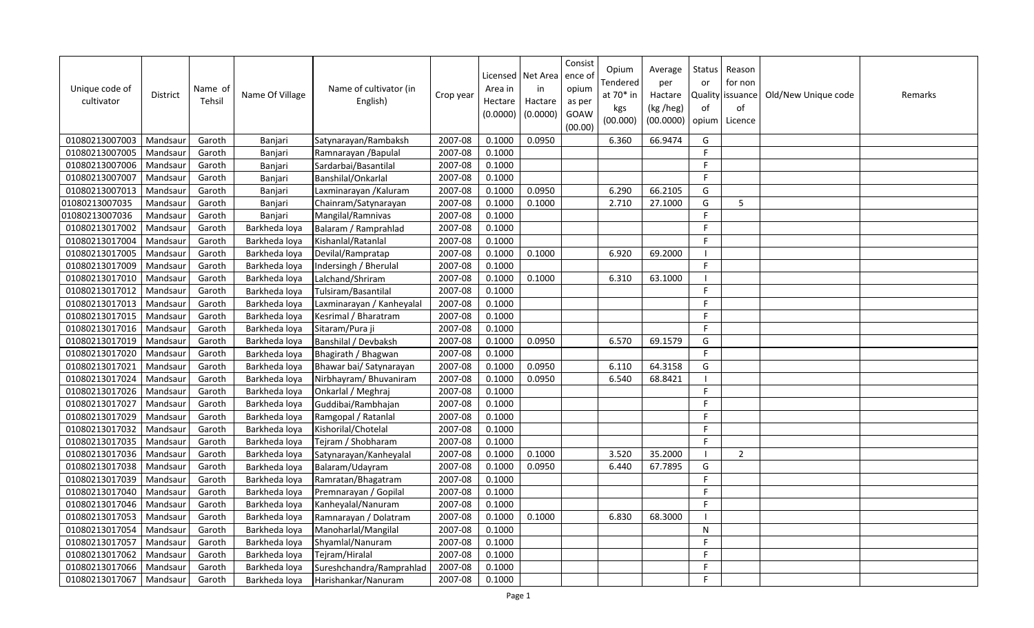| Unique code of<br>cultivator | <b>District</b> | Name of<br>Tehsil | Name Of Village | Name of cultivator (in<br>English) | Crop year | Area in<br>Hectare<br>(0.0000) | Licensed   Net Area   ence o<br>in<br>Hactare<br>(0.0000) | Consist<br>opium<br>as per<br>GOAW<br>(00.00) | Opium<br>Tendered<br>at $70*$ in<br>kgs<br>(00.000) | Average<br>per<br>Hactare<br>(kg /heg)<br>(00.0000) | Status<br>or<br>of | Reason<br>for non<br>Quality issuance<br>of<br>opium   Licence | Old/New Unique code | Remarks |
|------------------------------|-----------------|-------------------|-----------------|------------------------------------|-----------|--------------------------------|-----------------------------------------------------------|-----------------------------------------------|-----------------------------------------------------|-----------------------------------------------------|--------------------|----------------------------------------------------------------|---------------------|---------|
| 01080213007003               | Mandsaur        | Garoth            | Banjari         | Satynarayan/Rambaksh               | 2007-08   | 0.1000                         | 0.0950                                                    |                                               | 6.360                                               | 66.9474                                             | G                  |                                                                |                     |         |
| 01080213007005               | Mandsaur        | Garoth            | Banjari         | Ramnarayan / Bapulal               | 2007-08   | 0.1000                         |                                                           |                                               |                                                     |                                                     | F.                 |                                                                |                     |         |
| 01080213007006               | Mandsaur        | Garoth            | Banjari         | Sardarbai/Basantilal               | 2007-08   | 0.1000                         |                                                           |                                               |                                                     |                                                     | F                  |                                                                |                     |         |
| 01080213007007               | Mandsaur        | Garoth            | Banjari         | Banshilal/Onkarlal                 | 2007-08   | 0.1000                         |                                                           |                                               |                                                     |                                                     | F.                 |                                                                |                     |         |
| 01080213007013               | Mandsaur        | Garoth            | Banjari         | Laxminarayan / Kaluram             | 2007-08   | 0.1000                         | 0.0950                                                    |                                               | 6.290                                               | 66.2105                                             | G                  |                                                                |                     |         |
| 01080213007035               | Mandsaur        | Garoth            | Banjari         | Chainram/Satynarayan               | 2007-08   | 0.1000                         | 0.1000                                                    |                                               | 2.710                                               | 27.1000                                             | G                  | .5                                                             |                     |         |
| 01080213007036               | Mandsaur        | Garoth            | Banjari         | Mangilal/Ramnivas                  | 2007-08   | 0.1000                         |                                                           |                                               |                                                     |                                                     | $\mathsf F$        |                                                                |                     |         |
| 01080213017002               | Mandsaur        | Garoth            | Barkheda loya   | Balaram / Ramprahlad               | 2007-08   | 0.1000                         |                                                           |                                               |                                                     |                                                     | F                  |                                                                |                     |         |
| 01080213017004               | Mandsaur        | Garoth            | Barkheda loya   | Kishanlal/Ratanlal                 | 2007-08   | 0.1000                         |                                                           |                                               |                                                     |                                                     | F.                 |                                                                |                     |         |
| 01080213017005               | Mandsaur        | Garoth            | Barkheda loya   | Devilal/Rampratap                  | 2007-08   | 0.1000                         | 0.1000                                                    |                                               | 6.920                                               | 69.2000                                             |                    |                                                                |                     |         |
| 01080213017009               | Mandsaur        | Garoth            | Barkheda loya   | Indersingh / Bherulal              | 2007-08   | 0.1000                         |                                                           |                                               |                                                     |                                                     | F.                 |                                                                |                     |         |
| 01080213017010               | Mandsaur        | Garoth            | Barkheda loya   | Lalchand/Shriram                   | 2007-08   | 0.1000                         | 0.1000                                                    |                                               | 6.310                                               | 63.1000                                             |                    |                                                                |                     |         |
| 01080213017012               | Mandsaur        | Garoth            | Barkheda loya   | Tulsiram/Basantilal                | 2007-08   | 0.1000                         |                                                           |                                               |                                                     |                                                     | F.                 |                                                                |                     |         |
| 01080213017013               | Mandsaur        | Garoth            | Barkheda loya   | Laxminarayan / Kanheyalal          | 2007-08   | 0.1000                         |                                                           |                                               |                                                     |                                                     | F.                 |                                                                |                     |         |
| 01080213017015               | Mandsaur        | Garoth            | Barkheda loya   | Kesrimal / Bharatram               | 2007-08   | 0.1000                         |                                                           |                                               |                                                     |                                                     | F.                 |                                                                |                     |         |
| 01080213017016               | Mandsaur        | Garoth            | Barkheda loya   | Sitaram/Pura ji                    | 2007-08   | 0.1000                         |                                                           |                                               |                                                     |                                                     | F.                 |                                                                |                     |         |
| 01080213017019               | Mandsaur        | Garoth            | Barkheda loya   | Banshilal / Devbaksh               | 2007-08   | 0.1000                         | 0.0950                                                    |                                               | 6.570                                               | 69.1579                                             | G                  |                                                                |                     |         |
| 01080213017020               | Mandsaur        | Garoth            | Barkheda loya   | Bhagirath / Bhagwan                | 2007-08   | 0.1000                         |                                                           |                                               |                                                     |                                                     | F.                 |                                                                |                     |         |
| 01080213017021               | Mandsaur        | Garoth            | Barkheda loya   | Bhawar bai/ Satynarayan            | 2007-08   | 0.1000                         | 0.0950                                                    |                                               | 6.110                                               | 64.3158                                             | G                  |                                                                |                     |         |
| 01080213017024               | Mandsaur        | Garoth            | Barkheda loya   | Nirbhayram/ Bhuvaniram             | 2007-08   | 0.1000                         | 0.0950                                                    |                                               | 6.540                                               | 68.8421                                             |                    |                                                                |                     |         |
| 01080213017026               | Mandsaur        | Garoth            | Barkheda loya   | Onkarlal / Meghraj                 | 2007-08   | 0.1000                         |                                                           |                                               |                                                     |                                                     | F.                 |                                                                |                     |         |
| 01080213017027               | Mandsaur        | Garoth            | Barkheda loya   | Guddibai/Rambhajan                 | 2007-08   | 0.1000                         |                                                           |                                               |                                                     |                                                     | F.                 |                                                                |                     |         |
| 01080213017029               | Mandsaur        | Garoth            | Barkheda loya   | Ramgopal / Ratanlal                | 2007-08   | 0.1000                         |                                                           |                                               |                                                     |                                                     | F.                 |                                                                |                     |         |
| 01080213017032               | Mandsaur        | Garoth            | Barkheda loya   | Kishorilal/Chotelal                | 2007-08   | 0.1000                         |                                                           |                                               |                                                     |                                                     | F.                 |                                                                |                     |         |
| 01080213017035               | Mandsaur        | Garoth            | Barkheda loya   | Tejram / Shobharam                 | 2007-08   | 0.1000                         |                                                           |                                               |                                                     |                                                     | F                  |                                                                |                     |         |
| 01080213017036               | Mandsaur        | Garoth            | Barkheda loya   | Satynarayan/Kanheyalal             | 2007-08   | 0.1000                         | 0.1000                                                    |                                               | 3.520                                               | 35.2000                                             |                    | $\overline{2}$                                                 |                     |         |
| 01080213017038               | Mandsaur        | Garoth            | Barkheda loya   | Balaram/Udayram                    | 2007-08   | 0.1000                         | 0.0950                                                    |                                               | 6.440                                               | 67.7895                                             | G                  |                                                                |                     |         |
| 01080213017039               | Mandsaur        | Garoth            | Barkheda loya   | Ramratan/Bhagatram                 | 2007-08   | 0.1000                         |                                                           |                                               |                                                     |                                                     | F.                 |                                                                |                     |         |
| 01080213017040               | Mandsaur        | Garoth            | Barkheda loya   | Premnarayan / Gopilal              | 2007-08   | 0.1000                         |                                                           |                                               |                                                     |                                                     | F.                 |                                                                |                     |         |
| 01080213017046               | Mandsaur        | Garoth            | Barkheda loya   | Kanheyalal/Nanuram                 | 2007-08   | 0.1000                         |                                                           |                                               |                                                     |                                                     | F.                 |                                                                |                     |         |
| 01080213017053               | Mandsaur        | Garoth            | Barkheda loya   | Ramnarayan / Dolatram              | 2007-08   | 0.1000                         | 0.1000                                                    |                                               | 6.830                                               | 68.3000                                             |                    |                                                                |                     |         |
| 01080213017054               | Mandsaur        | Garoth            | Barkheda loya   | Manoharlal/Mangilal                | 2007-08   | 0.1000                         |                                                           |                                               |                                                     |                                                     | N                  |                                                                |                     |         |
| 01080213017057               | Mandsaur        | Garoth            | Barkheda loya   | Shyamlal/Nanuram                   | 2007-08   | 0.1000                         |                                                           |                                               |                                                     |                                                     | F.                 |                                                                |                     |         |
| 01080213017062               | Mandsaur        | Garoth            | Barkheda lova   | Tejram/Hiralal                     | 2007-08   | 0.1000                         |                                                           |                                               |                                                     |                                                     | F.                 |                                                                |                     |         |
| 01080213017066               | Mandsaur        | Garoth            | Barkheda loya   | Sureshchandra/Ramprahlad           | 2007-08   | 0.1000                         |                                                           |                                               |                                                     |                                                     | F                  |                                                                |                     |         |
| 01080213017067               | Mandsaur        | Garoth            | Barkheda loya   | Harishankar/Nanuram                | 2007-08   | 0.1000                         |                                                           |                                               |                                                     |                                                     | F                  |                                                                |                     |         |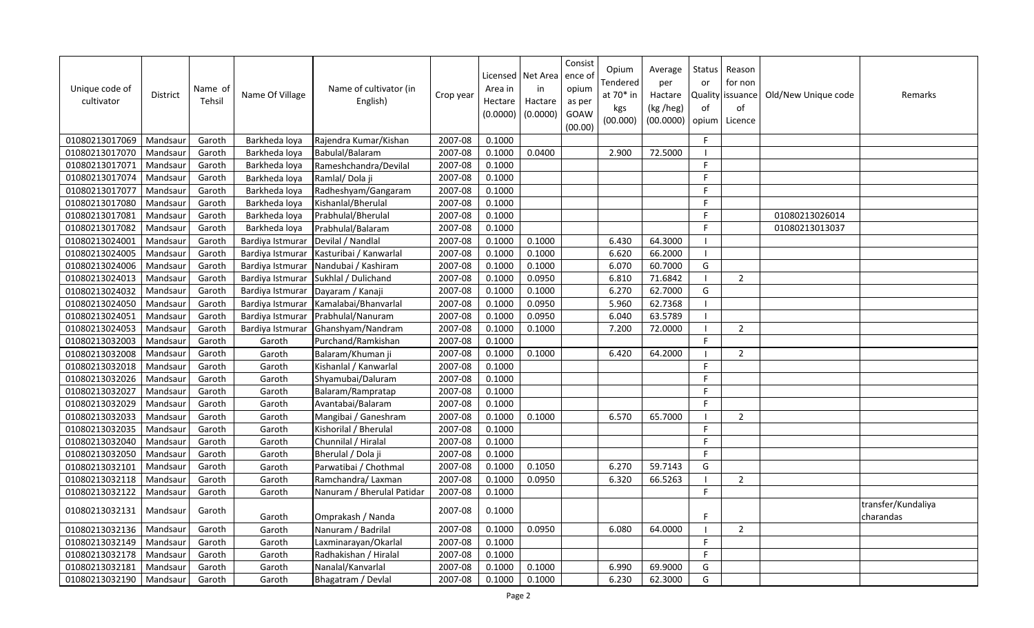| Unique code of<br>cultivator | <b>District</b> | Name of<br>Tehsil | Name Of Village  | Name of cultivator (in<br>English) | Crop year | Area in<br>Hectare<br>(0.0000) | Licensed   Net Area<br>in<br>Hactare<br>(0.0000) | Consist<br>ence of<br>opium<br>as per<br>GOAW<br>(00.00) | Opium<br>Tendered<br>at 70* in<br>kgs<br>(00.000) | Average<br>per<br>Hactare<br>(kg /heg)<br>(00.0000) | Status<br>or<br>of<br>opium | Reason<br>for non<br>Quality issuance<br>of<br>Licence | Old/New Unique code | Remarks                         |
|------------------------------|-----------------|-------------------|------------------|------------------------------------|-----------|--------------------------------|--------------------------------------------------|----------------------------------------------------------|---------------------------------------------------|-----------------------------------------------------|-----------------------------|--------------------------------------------------------|---------------------|---------------------------------|
| 01080213017069               | Mandsaur        | Garoth            | Barkheda loya    | Rajendra Kumar/Kishan              | 2007-08   | 0.1000                         |                                                  |                                                          |                                                   |                                                     | F.                          |                                                        |                     |                                 |
| 01080213017070               | Mandsaur        | Garoth            | Barkheda loya    | Babulal/Balaram                    | 2007-08   | 0.1000                         | 0.0400                                           |                                                          | 2.900                                             | 72.5000                                             | - I                         |                                                        |                     |                                 |
| 01080213017071               | Mandsaur        | Garoth            | Barkheda loya    | Rameshchandra/Devilal              | 2007-08   | 0.1000                         |                                                  |                                                          |                                                   |                                                     | F.                          |                                                        |                     |                                 |
| 01080213017074               | Mandsaur        | Garoth            | Barkheda loya    | Ramlal/Dola ji                     | 2007-08   | 0.1000                         |                                                  |                                                          |                                                   |                                                     | F                           |                                                        |                     |                                 |
| 01080213017077               | Mandsaur        | Garoth            | Barkheda loya    | Radheshyam/Gangaram                | 2007-08   | 0.1000                         |                                                  |                                                          |                                                   |                                                     | F.                          |                                                        |                     |                                 |
| 01080213017080               | Mandsaur        | Garoth            | Barkheda loya    | Kishanlal/Bherulal                 | 2007-08   | 0.1000                         |                                                  |                                                          |                                                   |                                                     | F.                          |                                                        |                     |                                 |
| 01080213017081               | Mandsau         | Garoth            | Barkheda loya    | Prabhulal/Bherulal                 | 2007-08   | 0.1000                         |                                                  |                                                          |                                                   |                                                     | F                           |                                                        | 01080213026014      |                                 |
| 01080213017082               | Mandsaur        | Garoth            | Barkheda loya    | Prabhulal/Balaram                  | 2007-08   | 0.1000                         |                                                  |                                                          |                                                   |                                                     | F.                          |                                                        | 01080213013037      |                                 |
| 01080213024001               | Mandsaur        | Garoth            | Bardiya Istmurar | Devilal / Nandlal                  | 2007-08   | 0.1000                         | 0.1000                                           |                                                          | 6.430                                             | 64.3000                                             | $\overline{\phantom{a}}$    |                                                        |                     |                                 |
| 01080213024005               | Mandsaur        | Garoth            | Bardiya Istmurar | Kasturibai / Kanwarlal             | 2007-08   | 0.1000                         | 0.1000                                           |                                                          | 6.620                                             | 66.2000                                             | $\overline{1}$              |                                                        |                     |                                 |
| 01080213024006               | Mandsaur        | Garoth            | Bardiya Istmurar | Nandubai / Kashiram                | 2007-08   | 0.1000                         | 0.1000                                           |                                                          | 6.070                                             | 60.7000                                             | G                           |                                                        |                     |                                 |
| 01080213024013               | Mandsaur        | Garoth            | Bardiya Istmurar | Sukhlal / Dulichand                | 2007-08   | 0.1000                         | 0.0950                                           |                                                          | 6.810                                             | 71.6842                                             | $\blacksquare$              | $\overline{2}$                                         |                     |                                 |
| 01080213024032               | Mandsaur        | Garoth            | Bardiya Istmurar | Dayaram / Kanaji                   | 2007-08   | 0.1000                         | 0.1000                                           |                                                          | 6.270                                             | 62.7000                                             | G                           |                                                        |                     |                                 |
| 01080213024050               | Mandsaur        | Garoth            | Bardiya Istmurar | Kamalabai/Bhanvarlal               | 2007-08   | 0.1000                         | 0.0950                                           |                                                          | 5.960                                             | 62.7368                                             | $\blacksquare$              |                                                        |                     |                                 |
| 01080213024051               | Mandsau         | Garoth            | Bardiya Istmurar | Prabhulal/Nanuram                  | 2007-08   | 0.1000                         | 0.0950                                           |                                                          | 6.040                                             | 63.5789                                             | $\blacksquare$              |                                                        |                     |                                 |
| 01080213024053               | Mandsaur        | Garoth            | Bardiya Istmurar | Ghanshyam/Nandram                  | 2007-08   | 0.1000                         | 0.1000                                           |                                                          | 7.200                                             | 72.0000                                             | $\blacksquare$              | $\overline{2}$                                         |                     |                                 |
| 01080213032003               | Mandsaur        | Garoth            | Garoth           | Purchand/Ramkishan                 | 2007-08   | 0.1000                         |                                                  |                                                          |                                                   |                                                     | F                           |                                                        |                     |                                 |
| 01080213032008               | Mandsaur        | Garoth            | Garoth           | Balaram/Khuman ji                  | 2007-08   | 0.1000                         | 0.1000                                           |                                                          | 6.420                                             | 64.2000                                             | -1                          | 2                                                      |                     |                                 |
| 01080213032018               | Mandsaur        | Garoth            | Garoth           | Kishanlal / Kanwarlal              | 2007-08   | 0.1000                         |                                                  |                                                          |                                                   |                                                     | F                           |                                                        |                     |                                 |
| 01080213032026               | Mandsaur        | Garoth            | Garoth           | Shyamubai/Daluram                  | 2007-08   | 0.1000                         |                                                  |                                                          |                                                   |                                                     | F.                          |                                                        |                     |                                 |
| 01080213032027               | Mandsaur        | Garoth            | Garoth           | Balaram/Rampratap                  | 2007-08   | 0.1000                         |                                                  |                                                          |                                                   |                                                     | F                           |                                                        |                     |                                 |
| 01080213032029               | Mandsaur        | Garoth            | Garoth           | Avantabai/Balaram                  | 2007-08   | 0.1000                         |                                                  |                                                          |                                                   |                                                     | F.                          |                                                        |                     |                                 |
| 01080213032033               | Mandsau         | Garoth            | Garoth           | Mangibai / Ganeshram               | 2007-08   | 0.1000                         | 0.1000                                           |                                                          | 6.570                                             | 65.7000                                             |                             | $\overline{2}$                                         |                     |                                 |
| 01080213032035               | Mandsaur        | Garoth            | Garoth           | Kishorilal / Bherulal              | 2007-08   | 0.1000                         |                                                  |                                                          |                                                   |                                                     | F                           |                                                        |                     |                                 |
| 01080213032040               | Mandsau         | Garoth            | Garoth           | Chunnilal / Hiralal                | 2007-08   | 0.1000                         |                                                  |                                                          |                                                   |                                                     | F                           |                                                        |                     |                                 |
| 01080213032050               | Mandsaur        | Garoth            | Garoth           | Bherulal / Dola ji                 | 2007-08   | 0.1000                         |                                                  |                                                          |                                                   |                                                     | F.                          |                                                        |                     |                                 |
| 01080213032101               | Mandsaur        | Garoth            | Garoth           | Parwatibai / Chothmal              | 2007-08   | 0.1000                         | 0.1050                                           |                                                          | 6.270                                             | 59.7143                                             | G                           |                                                        |                     |                                 |
| 01080213032118               | Mandsaur        | Garoth            | Garoth           | Ramchandra/Laxman                  | 2007-08   | 0.1000                         | 0.0950                                           |                                                          | 6.320                                             | 66.5263                                             | $\blacksquare$              | $\overline{2}$                                         |                     |                                 |
| 01080213032122               | Mandsaur        | Garoth            | Garoth           | Nanuram / Bherulal Patidar         | 2007-08   | 0.1000                         |                                                  |                                                          |                                                   |                                                     | F.                          |                                                        |                     |                                 |
| 01080213032131               | Mandsaur        | Garoth            | Garoth           | Omprakash / Nanda                  | 2007-08   | 0.1000                         |                                                  |                                                          |                                                   |                                                     | F                           |                                                        |                     | transfer/Kundaliya<br>charandas |
| 01080213032136               | Mandsau         | Garoth            | Garoth           | Nanuram / Badrilal                 | 2007-08   | 0.1000                         | 0.0950                                           |                                                          | 6.080                                             | 64.0000                                             | $\overline{1}$              | $\overline{2}$                                         |                     |                                 |
| 01080213032149               | Mandsaur        | Garoth            | Garoth           | Laxminarayan/Okarlal               | 2007-08   | 0.1000                         |                                                  |                                                          |                                                   |                                                     | F                           |                                                        |                     |                                 |
| 01080213032178               | Mandsaur        | Garoth            | Garoth           | Radhakishan / Hiralal              | 2007-08   | 0.1000                         |                                                  |                                                          |                                                   |                                                     | F.                          |                                                        |                     |                                 |
| 01080213032181               | Mandsaur        | Garoth            | Garoth           | Nanalal/Kanvarlal                  | 2007-08   | 0.1000                         | 0.1000                                           |                                                          | 6.990                                             | 69.9000                                             | G                           |                                                        |                     |                                 |
| 01080213032190               | Mandsaur        | Garoth            | Garoth           | Bhagatram / Devlal                 | 2007-08   | 0.1000                         | 0.1000                                           |                                                          | 6.230                                             | 62.3000                                             | G                           |                                                        |                     |                                 |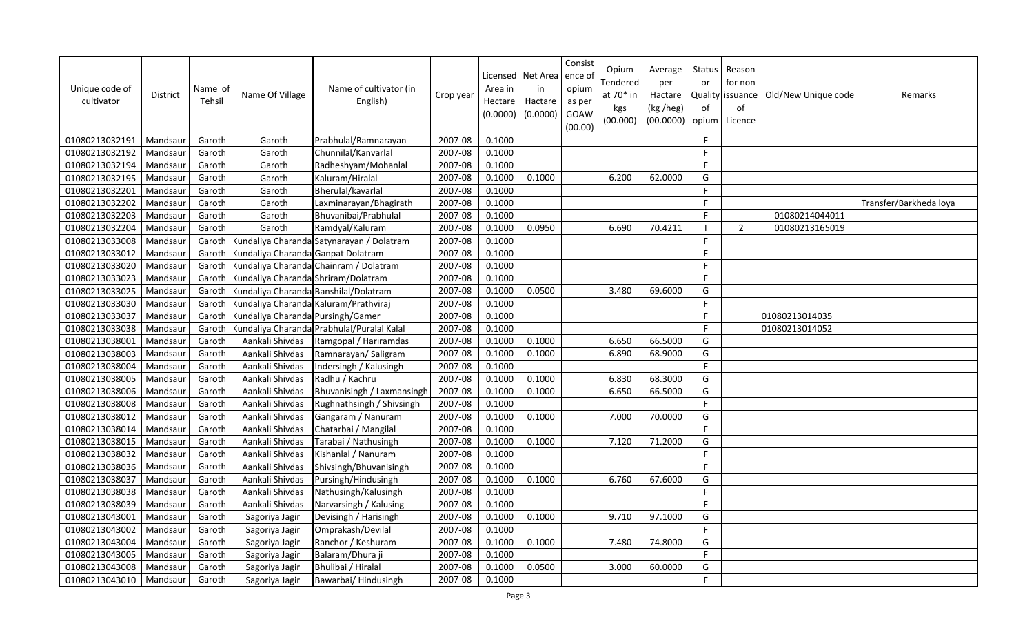| Unique code of<br>cultivator | District | Name of<br>Tehsil | Name Of Village                   | Name of cultivator (in<br>English)        | Crop year | Area in<br>Hectare<br>(0.0000) | Licensed   Net Area<br>in<br>Hactare<br>(0.0000) | Consist<br>ence of<br>opium<br>as per<br>GOAW<br>(00.00) | Opium<br>Tendered<br>at 70* in<br>kgs<br>(00.000) | Average<br>per<br>Hactare<br>(kg /heg)<br>(00.0000) | Status<br>or<br>of | Reason<br>for non<br>Quality issuance<br>of<br>opium   Licence | Old/New Unique code | Remarks                |
|------------------------------|----------|-------------------|-----------------------------------|-------------------------------------------|-----------|--------------------------------|--------------------------------------------------|----------------------------------------------------------|---------------------------------------------------|-----------------------------------------------------|--------------------|----------------------------------------------------------------|---------------------|------------------------|
| 01080213032191               | Mandsaur | Garoth            | Garoth                            | Prabhulal/Ramnarayan                      | 2007-08   | 0.1000                         |                                                  |                                                          |                                                   |                                                     | F.                 |                                                                |                     |                        |
| 01080213032192               | Mandsaur | Garoth            | Garoth                            | Chunnilal/Kanvarlal                       | 2007-08   | 0.1000                         |                                                  |                                                          |                                                   |                                                     | F.                 |                                                                |                     |                        |
| 01080213032194               | Mandsaur | Garoth            | Garoth                            | Radheshyam/Mohanlal                       | 2007-08   | 0.1000                         |                                                  |                                                          |                                                   |                                                     | F                  |                                                                |                     |                        |
| 01080213032195               | Mandsaur | Garoth            | Garoth                            | Kaluram/Hiralal                           | 2007-08   | 0.1000                         | 0.1000                                           |                                                          | 6.200                                             | 62.0000                                             | G                  |                                                                |                     |                        |
| 01080213032201               | Mandsaur | Garoth            | Garoth                            | Bherulal/kavarlal                         | 2007-08   | 0.1000                         |                                                  |                                                          |                                                   |                                                     | F.                 |                                                                |                     |                        |
| 01080213032202               | Mandsaur | Garoth            | Garoth                            | Laxminarayan/Bhagirath                    | 2007-08   | 0.1000                         |                                                  |                                                          |                                                   |                                                     | F                  |                                                                |                     | Transfer/Barkheda loya |
| 01080213032203               | Mandsaur | Garoth            | Garoth                            | Bhuvanibai/Prabhulal                      | 2007-08   | 0.1000                         |                                                  |                                                          |                                                   |                                                     | F.                 |                                                                | 01080214044011      |                        |
| 01080213032204               | Mandsaur | Garoth            | Garoth                            | Ramdyal/Kaluram                           | 2007-08   | 0.1000                         | 0.0950                                           |                                                          | 6.690                                             | 70.4211                                             |                    | 2                                                              | 01080213165019      |                        |
| 01080213033008               | Mandsaur | Garoth            |                                   | undaliya Charanda Satynarayan / Dolatram  | 2007-08   | 0.1000                         |                                                  |                                                          |                                                   |                                                     | F.                 |                                                                |                     |                        |
| 01080213033012               | Mandsaur | Garoth            | undaliya Charanda Ganpat Dolatram |                                           | 2007-08   | 0.1000                         |                                                  |                                                          |                                                   |                                                     | F.                 |                                                                |                     |                        |
| 01080213033020               | Mandsau  | Garoth            |                                   | undaliya Charanda Chainram / Dolatram     | 2007-08   | 0.1000                         |                                                  |                                                          |                                                   |                                                     | F.                 |                                                                |                     |                        |
| 01080213033023               | Mandsaur | Garoth            |                                   | undaliya Charanda: Shriram/Dolatram       | 2007-08   | 0.1000                         |                                                  |                                                          |                                                   |                                                     | F                  |                                                                |                     |                        |
| 01080213033025               | Mandsaur | Garoth            |                                   | undaliya Charanda Banshilal/Dolatram      | 2007-08   | 0.1000                         | 0.0500                                           |                                                          | 3.480                                             | 69.6000                                             | G                  |                                                                |                     |                        |
| 01080213033030               | Mandsaur | Garoth            |                                   | undaliya Charanda Kaluram/Prathviraj      | 2007-08   | 0.1000                         |                                                  |                                                          |                                                   |                                                     | $\mathsf F$        |                                                                |                     |                        |
| 01080213033037               | Mandsau  | Garoth            | undaliya Charanda Pursingh/Gamer  |                                           | 2007-08   | 0.1000                         |                                                  |                                                          |                                                   |                                                     | F                  |                                                                | 01080213014035      |                        |
| 01080213033038               | Mandsaur | Garoth            |                                   | undaliya Charanda Prabhulal/Puralal Kalal | 2007-08   | 0.1000                         |                                                  |                                                          |                                                   |                                                     | F                  |                                                                | 01080213014052      |                        |
| 01080213038001               | Mandsaur | Garoth            | Aankali Shivdas                   | Ramgopal / Hariramdas                     | 2007-08   | 0.1000                         | 0.1000                                           |                                                          | 6.650                                             | 66.5000                                             | G                  |                                                                |                     |                        |
| 01080213038003               | Mandsaur | Garoth            | Aankali Shivdas                   | Ramnarayan/Saligram                       | 2007-08   | 0.1000                         | 0.1000                                           |                                                          | 6.890                                             | 68.9000                                             | G                  |                                                                |                     |                        |
| 01080213038004               | Mandsaur | Garoth            | Aankali Shivdas                   | Indersingh / Kalusingh                    | 2007-08   | 0.1000                         |                                                  |                                                          |                                                   |                                                     | F.                 |                                                                |                     |                        |
| 01080213038005               | Mandsaur | Garoth            | Aankali Shivdas                   | Radhu / Kachru                            | 2007-08   | 0.1000                         | 0.1000                                           |                                                          | 6.830                                             | 68.3000                                             | G                  |                                                                |                     |                        |
| 01080213038006               | Mandsaur | Garoth            | Aankali Shivdas                   | Bhuvanisingh / Laxmansingh                | 2007-08   | 0.1000                         | 0.1000                                           |                                                          | 6.650                                             | 66.5000                                             | G                  |                                                                |                     |                        |
| 01080213038008               | Mandsaur | Garoth            | Aankali Shivdas                   | Rughnathsingh / Shivsingh                 | 2007-08   | 0.1000                         |                                                  |                                                          |                                                   |                                                     | F.                 |                                                                |                     |                        |
| 01080213038012               | Mandsaur | Garoth            | Aankali Shivdas                   | Gangaram / Nanuram                        | 2007-08   | 0.1000                         | 0.1000                                           |                                                          | 7.000                                             | 70.0000                                             | G                  |                                                                |                     |                        |
| 01080213038014               | Mandsaur | Garoth            | Aankali Shivdas                   | Chatarbai / Mangilal                      | 2007-08   | 0.1000                         |                                                  |                                                          |                                                   |                                                     | $\mathsf{F}$       |                                                                |                     |                        |
| 01080213038015               | Mandsaur | Garoth            | Aankali Shivdas                   | Tarabai / Nathusingh                      | 2007-08   | 0.1000                         | 0.1000                                           |                                                          | 7.120                                             | 71.2000                                             | G                  |                                                                |                     |                        |
| 01080213038032               | Mandsaur | Garoth            | Aankali Shivdas                   | Kishanlal / Nanuram                       | 2007-08   | 0.1000                         |                                                  |                                                          |                                                   |                                                     | F.                 |                                                                |                     |                        |
| 01080213038036               | Mandsaur | Garoth            | Aankali Shivdas                   | Shivsingh/Bhuvanisingh                    | 2007-08   | 0.1000                         |                                                  |                                                          |                                                   |                                                     | $\mathsf{F}$       |                                                                |                     |                        |
| 01080213038037               | Mandsaur | Garoth            | Aankali Shivdas                   | Pursingh/Hindusingh                       | 2007-08   | 0.1000                         | 0.1000                                           |                                                          | 6.760                                             | 67.6000                                             | G                  |                                                                |                     |                        |
| 01080213038038               | Mandsaur | Garoth            | Aankali Shivdas                   | Nathusingh/Kalusingh                      | 2007-08   | 0.1000                         |                                                  |                                                          |                                                   |                                                     | $\mathsf F$        |                                                                |                     |                        |
| 01080213038039               | Mandsau  | Garoth            | Aankali Shivdas                   | Narvarsingh / Kalusing                    | 2007-08   | 0.1000                         |                                                  |                                                          |                                                   |                                                     | F.                 |                                                                |                     |                        |
| 01080213043001               | Mandsaur | Garoth            | Sagoriya Jagir                    | Devisingh / Harisingh                     | 2007-08   | 0.1000                         | 0.1000                                           |                                                          | 9.710                                             | 97.1000                                             | G                  |                                                                |                     |                        |
| 01080213043002               | Mandsaur | Garoth            | Sagoriya Jagir                    | Omprakash/Devilal                         | 2007-08   | 0.1000                         |                                                  |                                                          |                                                   |                                                     | F.                 |                                                                |                     |                        |
| 01080213043004               | Mandsaur | Garoth            | Sagoriya Jagir                    | Ranchor / Keshuram                        | 2007-08   | 0.1000                         | 0.1000                                           |                                                          | 7.480                                             | 74.8000                                             | G                  |                                                                |                     |                        |
| 01080213043005               | Mandsaur | Garoth            | Sagoriya Jagir                    | Balaram/Dhura ji                          | 2007-08   | 0.1000                         |                                                  |                                                          |                                                   |                                                     | F.                 |                                                                |                     |                        |
| 01080213043008               | Mandsaur | Garoth            | Sagoriya Jagir                    | Bhulibai / Hiralal                        | 2007-08   | 0.1000                         | 0.0500                                           |                                                          | 3.000                                             | 60.0000                                             | G                  |                                                                |                     |                        |
| 01080213043010               | Mandsaur | Garoth            | Sagoriya Jagir                    | Bawarbai/ Hindusingh                      | 2007-08   | 0.1000                         |                                                  |                                                          |                                                   |                                                     | F.                 |                                                                |                     |                        |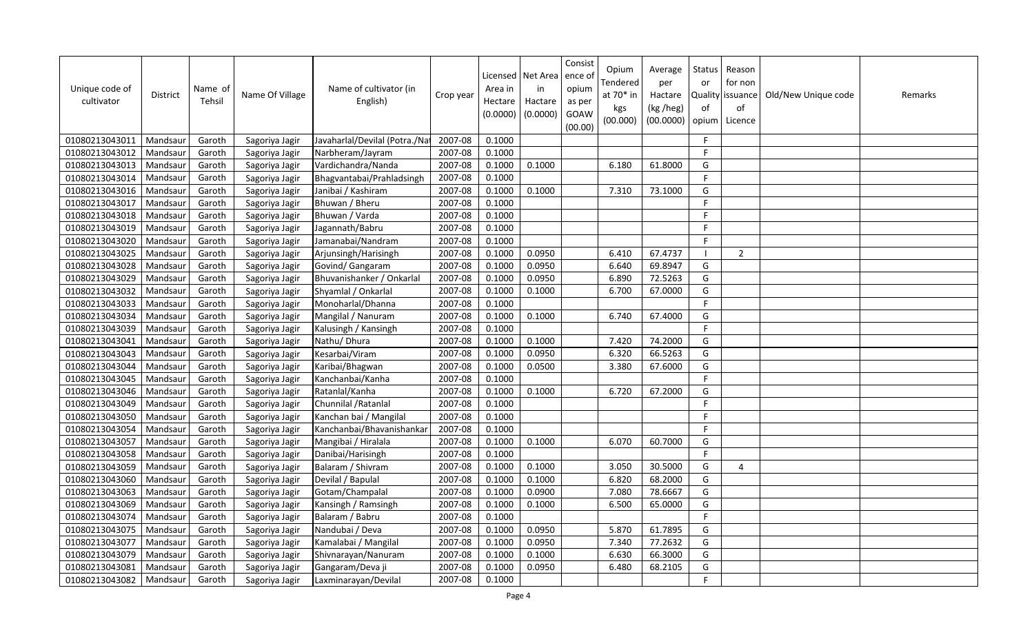| Unique code of<br>cultivator | <b>District</b> | Name of<br>Tehsil | Name Of Village | Name of cultivator (in<br>English) | Crop year | Area in<br>Hectare<br>(0.0000) | Licensed   Net Area<br>in<br>Hactare<br>(0.0000) | Consist<br>ence of<br>opium<br>as per<br>GOAW<br>(00.00) | Opium<br>Tendered<br>at 70* in<br>kgs<br>(00.000) | Average<br>per<br>Hactare<br>(kg /heg)<br>(00.0000) | Status<br>or<br>of<br>opium | Reason<br>for non<br>Quality issuance<br>of<br>Licence | Old/New Unique code | Remarks |
|------------------------------|-----------------|-------------------|-----------------|------------------------------------|-----------|--------------------------------|--------------------------------------------------|----------------------------------------------------------|---------------------------------------------------|-----------------------------------------------------|-----------------------------|--------------------------------------------------------|---------------------|---------|
| 01080213043011               | Mandsaur        | Garoth            | Sagoriya Jagir  | Javaharlal/Devilal (Potra./Nat     | 2007-08   | 0.1000                         |                                                  |                                                          |                                                   |                                                     | F.                          |                                                        |                     |         |
| 01080213043012               | Mandsaur        | Garoth            | Sagoriya Jagir  | Narbheram/Jayram                   | 2007-08   | 0.1000                         |                                                  |                                                          |                                                   |                                                     | F                           |                                                        |                     |         |
| 01080213043013               | Mandsaur        | Garoth            | Sagoriya Jagir  | Vardichandra/Nanda                 | 2007-08   | 0.1000                         | 0.1000                                           |                                                          | 6.180                                             | 61.8000                                             | G                           |                                                        |                     |         |
| 01080213043014               | Mandsaur        | Garoth            | Sagoriya Jagir  | Bhagvantabai/Prahladsingh          | 2007-08   | 0.1000                         |                                                  |                                                          |                                                   |                                                     | F.                          |                                                        |                     |         |
| 01080213043016               | Mandsaur        | Garoth            | Sagoriya Jagir  | Janibai / Kashiram                 | 2007-08   | 0.1000                         | 0.1000                                           |                                                          | 7.310                                             | 73.1000                                             | G                           |                                                        |                     |         |
| 01080213043017               | Mandsaur        | Garoth            | Sagoriya Jagir  | Bhuwan / Bheru                     | 2007-08   | 0.1000                         |                                                  |                                                          |                                                   |                                                     | $\mathsf F$                 |                                                        |                     |         |
| 01080213043018               | Mandsaur        | Garoth            | Sagoriya Jagir  | Bhuwan / Varda                     | 2007-08   | 0.1000                         |                                                  |                                                          |                                                   |                                                     | $\mathsf{F}$                |                                                        |                     |         |
| 01080213043019               | Mandsaur        | Garoth            | Sagoriya Jagir  | Jagannath/Babru                    | 2007-08   | 0.1000                         |                                                  |                                                          |                                                   |                                                     | F.                          |                                                        |                     |         |
| 01080213043020               | Mandsaur        | Garoth            | Sagoriya Jagir  | Jamanabai/Nandram                  | 2007-08   | 0.1000                         |                                                  |                                                          |                                                   |                                                     | F.                          |                                                        |                     |         |
| 01080213043025               | Mandsaur        | Garoth            | Sagoriya Jagir  | Arjunsingh/Harisingh               | 2007-08   | 0.1000                         | 0.0950                                           |                                                          | 6.410                                             | 67.4737                                             | - I                         | $\overline{2}$                                         |                     |         |
| 01080213043028               | Mandsau         | Garoth            | Sagoriya Jagir  | Govind/ Gangaram                   | 2007-08   | 0.1000                         | 0.0950                                           |                                                          | 6.640                                             | 69.8947                                             | G                           |                                                        |                     |         |
| 01080213043029               | Mandsaur        | Garoth            | Sagoriya Jagir  | Bhuvanishanker / Onkarlal          | 2007-08   | 0.1000                         | 0.0950                                           |                                                          | 6.890                                             | 72.5263                                             | G                           |                                                        |                     |         |
| 01080213043032               | Mandsaur        | Garoth            | Sagoriya Jagir  | Shyamlal / Onkarlal                | 2007-08   | 0.1000                         | 0.1000                                           |                                                          | 6.700                                             | 67.0000                                             | G                           |                                                        |                     |         |
| 01080213043033               | Mandsaur        | Garoth            | Sagoriya Jagir  | Monoharlal/Dhanna                  | 2007-08   | 0.1000                         |                                                  |                                                          |                                                   |                                                     | F                           |                                                        |                     |         |
| 01080213043034               | Mandsau         | Garoth            | Sagoriya Jagir  | Mangilal / Nanuram                 | 2007-08   | 0.1000                         | 0.1000                                           |                                                          | 6.740                                             | 67.4000                                             | G                           |                                                        |                     |         |
| 01080213043039               | Mandsaur        | Garoth            | Sagoriya Jagir  | Kalusingh / Kansingh               | 2007-08   | 0.1000                         |                                                  |                                                          |                                                   |                                                     | F                           |                                                        |                     |         |
| 01080213043041               | Mandsau         | Garoth            | Sagoriya Jagir  | Nathu/ Dhura                       | 2007-08   | 0.1000                         | 0.1000                                           |                                                          | 7.420                                             | 74.2000                                             | G                           |                                                        |                     |         |
| 01080213043043               | Mandsaur        | Garoth            | Sagoriya Jagir  | Kesarbai/Viram                     | 2007-08   | 0.1000                         | 0.0950                                           |                                                          | 6.320                                             | 66.5263                                             | G                           |                                                        |                     |         |
| 01080213043044               | Mandsau         | Garoth            | Sagoriya Jagir  | Karibai/Bhagwan                    | 2007-08   | 0.1000                         | 0.0500                                           |                                                          | 3.380                                             | 67.6000                                             | G                           |                                                        |                     |         |
| 01080213043045               | Mandsaur        | Garoth            | Sagoriya Jagir  | Kanchanbai/Kanha                   | 2007-08   | 0.1000                         |                                                  |                                                          |                                                   |                                                     | F.                          |                                                        |                     |         |
| 01080213043046               | Mandsau         | Garoth            | Sagoriya Jagir  | Ratanlal/Kanha                     | 2007-08   | 0.1000                         | 0.1000                                           |                                                          | 6.720                                             | 67.2000                                             | G                           |                                                        |                     |         |
| 01080213043049               | Mandsaur        | Garoth            | Sagoriya Jagir  | Chunnilal / Ratanlal               | 2007-08   | 0.1000                         |                                                  |                                                          |                                                   |                                                     | F.                          |                                                        |                     |         |
| 01080213043050               | Mandsaur        | Garoth            | Sagoriya Jagir  | Kanchan bai / Mangilal             | 2007-08   | 0.1000                         |                                                  |                                                          |                                                   |                                                     | F.                          |                                                        |                     |         |
| 01080213043054               | Mandsau         | Garoth            | Sagoriya Jagir  | Kanchanbai/Bhavanishankai          | 2007-08   | 0.1000                         |                                                  |                                                          |                                                   |                                                     | F                           |                                                        |                     |         |
| 01080213043057               | Mandsaur        | Garoth            | Sagoriya Jagir  | Mangibai / Hiralala                | 2007-08   | 0.1000                         | 0.1000                                           |                                                          | 6.070                                             | 60.7000                                             | G                           |                                                        |                     |         |
| 01080213043058               | Mandsaur        | Garoth            | Sagoriya Jagir  | Danibai/Harisingh                  | 2007-08   | 0.1000                         |                                                  |                                                          |                                                   |                                                     | F.                          |                                                        |                     |         |
| 01080213043059               | Mandsaur        | Garoth            | Sagoriya Jagir  | Balaram / Shivram                  | 2007-08   | 0.1000                         | 0.1000                                           |                                                          | 3.050                                             | 30.5000                                             | G                           | 4                                                      |                     |         |
| 01080213043060               | Mandsau         | Garoth            | Sagoriya Jagir  | Devilal / Bapulal                  | 2007-08   | 0.1000                         | 0.1000                                           |                                                          | 6.820                                             | 68.2000                                             | G                           |                                                        |                     |         |
| 01080213043063               | Mandsau         | Garoth            | Sagoriya Jagir  | Gotam/Champalal                    | 2007-08   | 0.1000                         | 0.0900                                           |                                                          | 7.080                                             | 78.6667                                             | G                           |                                                        |                     |         |
| 01080213043069               | Mandsaur        | Garoth            | Sagoriya Jagir  | Kansingh / Ramsingh                | 2007-08   | 0.1000                         | 0.1000                                           |                                                          | 6.500                                             | 65.0000                                             | G                           |                                                        |                     |         |
| 01080213043074               | Mandsaur        | Garoth            | Sagoriya Jagir  | Balaram / Babru                    | 2007-08   | 0.1000                         |                                                  |                                                          |                                                   |                                                     | $\mathsf F$                 |                                                        |                     |         |
| 01080213043075               | Mandsaur        | Garoth            | Sagoriya Jagir  | Nandubai / Deva                    | 2007-08   | 0.1000                         | 0.0950                                           |                                                          | 5.870                                             | 61.7895                                             | G                           |                                                        |                     |         |
| 01080213043077               | Mandsaur        | Garoth            | Sagoriya Jagir  | Kamalabai / Mangilal               | 2007-08   | 0.1000                         | 0.0950                                           |                                                          | 7.340                                             | 77.2632                                             | G                           |                                                        |                     |         |
| 01080213043079               | Mandsaur        | Garoth            | Sagoriya Jagir  | Shivnarayan/Nanuram                | 2007-08   | 0.1000                         | 0.1000                                           |                                                          | 6.630                                             | 66.3000                                             | G                           |                                                        |                     |         |
| 01080213043081               | Mandsaur        | Garoth            | Sagoriya Jagir  | Gangaram/Deva ji                   | 2007-08   | 0.1000                         | 0.0950                                           |                                                          | 6.480                                             | 68.2105                                             | G                           |                                                        |                     |         |
| 01080213043082               | Mandsaur        | Garoth            | Sagoriya Jagir  | Laxminarayan/Devilal               | 2007-08   | 0.1000                         |                                                  |                                                          |                                                   |                                                     | F                           |                                                        |                     |         |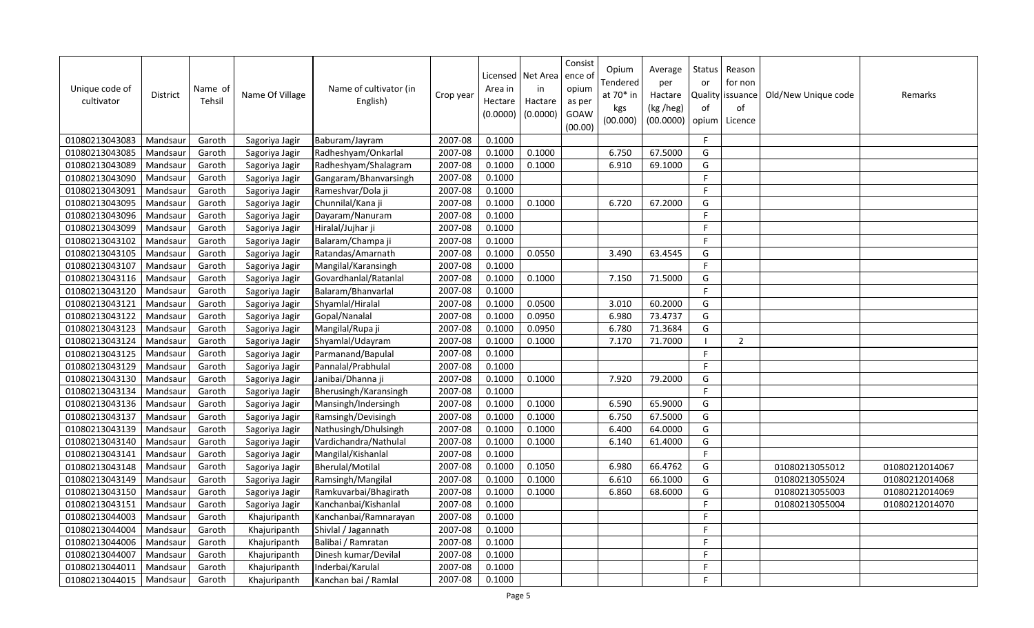| Unique code of<br>cultivator | <b>District</b> | Name of<br>Tehsil | Name Of Village | Name of cultivator (in<br>English) | Crop year | Area in<br>Hectare<br>(0.0000) | Licensed   Net Area<br>in<br>Hactare<br>(0.0000) | Consist<br>ence of<br>opium<br>as per<br>GOAW<br>(00.00) | Opium<br>Tendered<br>at 70* in<br>kgs<br>(00.000) | Average<br>per<br>Hactare<br>(kg /heg)<br>(00.0000) | Status<br>or<br>Quality<br>of<br>opium | Reason<br>for non<br>issuance<br>of<br>Licence | Old/New Unique code | Remarks        |
|------------------------------|-----------------|-------------------|-----------------|------------------------------------|-----------|--------------------------------|--------------------------------------------------|----------------------------------------------------------|---------------------------------------------------|-----------------------------------------------------|----------------------------------------|------------------------------------------------|---------------------|----------------|
| 01080213043083               | Mandsaur        | Garoth            | Sagoriya Jagir  | Baburam/Jayram                     | 2007-08   | 0.1000                         |                                                  |                                                          |                                                   |                                                     | $\mathsf{F}$                           |                                                |                     |                |
| 01080213043085               | Mandsaur        | Garoth            | Sagoriya Jagir  | Radheshyam/Onkarlal                | 2007-08   | 0.1000                         | 0.1000                                           |                                                          | 6.750                                             | 67.5000                                             | G                                      |                                                |                     |                |
| 01080213043089               | Mandsaur        | Garoth            | Sagoriya Jagir  | Radheshyam/Shalagram               | 2007-08   | 0.1000                         | 0.1000                                           |                                                          | 6.910                                             | 69.1000                                             | G                                      |                                                |                     |                |
| 01080213043090               | Mandsaur        | Garoth            | Sagoriya Jagir  | Gangaram/Bhanvarsingh              | 2007-08   | 0.1000                         |                                                  |                                                          |                                                   |                                                     | E                                      |                                                |                     |                |
| 01080213043091               | Mandsaur        | Garoth            | Sagoriya Jagir  | Rameshvar/Dola ji                  | 2007-08   | 0.1000                         |                                                  |                                                          |                                                   |                                                     | F.                                     |                                                |                     |                |
| 01080213043095               | Mandsaur        | Garoth            | Sagoriya Jagir  | Chunnilal/Kana ji                  | 2007-08   | 0.1000                         | 0.1000                                           |                                                          | 6.720                                             | 67.2000                                             | G                                      |                                                |                     |                |
| 01080213043096               | Mandsau         | Garoth            | Sagoriya Jagir  | Dayaram/Nanuram                    | 2007-08   | 0.1000                         |                                                  |                                                          |                                                   |                                                     | E                                      |                                                |                     |                |
| 01080213043099               | Mandsaur        | Garoth            | Sagoriya Jagir  | Hiralal/Jujhar ji                  | 2007-08   | 0.1000                         |                                                  |                                                          |                                                   |                                                     | F                                      |                                                |                     |                |
| 01080213043102               | Mandsaur        | Garoth            | Sagoriya Jagir  | Balaram/Champa ji                  | 2007-08   | 0.1000                         |                                                  |                                                          |                                                   |                                                     | F                                      |                                                |                     |                |
| 01080213043105               | Mandsaur        | Garoth            | Sagoriya Jagir  | Ratandas/Amarnath                  | 2007-08   | 0.1000                         | 0.0550                                           |                                                          | 3.490                                             | 63.4545                                             | G                                      |                                                |                     |                |
| 01080213043107               | Mandsau         | Garoth            | Sagoriya Jagir  | Mangilal/Karansingh                | 2007-08   | 0.1000                         |                                                  |                                                          |                                                   |                                                     | F.                                     |                                                |                     |                |
| 01080213043116               | Mandsaur        | Garoth            | Sagoriya Jagir  | Govardhanlal/Ratanlal              | 2007-08   | 0.1000                         | 0.1000                                           |                                                          | 7.150                                             | 71.5000                                             | G                                      |                                                |                     |                |
| 01080213043120               | Mandsaur        | Garoth            | Sagoriya Jagir  | Balaram/Bhanvarlal                 | 2007-08   | 0.1000                         |                                                  |                                                          |                                                   |                                                     | F                                      |                                                |                     |                |
| 01080213043121               | Mandsaur        | Garoth            | Sagoriya Jagir  | Shyamlal/Hiralal                   | 2007-08   | 0.1000                         | 0.0500                                           |                                                          | 3.010                                             | 60.2000                                             | G                                      |                                                |                     |                |
| 01080213043122               | Mandsau         | Garoth            | Sagoriya Jagir  | Gopal/Nanalal                      | 2007-08   | 0.1000                         | 0.0950                                           |                                                          | 6.980                                             | 73.4737                                             | G                                      |                                                |                     |                |
| 01080213043123               | Mandsaur        | Garoth            | Sagoriya Jagir  | Mangilal/Rupa ji                   | 2007-08   | 0.1000                         | 0.0950                                           |                                                          | 6.780                                             | 71.3684                                             | G                                      |                                                |                     |                |
| 01080213043124               | Mandsaur        | Garoth            | Sagoriya Jagir  | Shyamlal/Udayram                   | 2007-08   | 0.1000                         | 0.1000                                           |                                                          | 7.170                                             | 71.7000                                             | -1                                     | $\overline{2}$                                 |                     |                |
| 01080213043125               | Mandsaur        | Garoth            | Sagoriya Jagir  | Parmanand/Bapulal                  | 2007-08   | 0.1000                         |                                                  |                                                          |                                                   |                                                     | F.                                     |                                                |                     |                |
| 01080213043129               | Mandsaur        | Garoth            | Sagoriya Jagir  | Pannalal/Prabhulal                 | 2007-08   | 0.1000                         |                                                  |                                                          |                                                   |                                                     | F.                                     |                                                |                     |                |
| 01080213043130               | Mandsaur        | Garoth            | Sagoriya Jagir  | Janibai/Dhanna ji                  | 2007-08   | 0.1000                         | 0.1000                                           |                                                          | 7.920                                             | 79.2000                                             | G                                      |                                                |                     |                |
| 01080213043134               | Mandsaur        | Garoth            | Sagoriya Jagir  | Bherusingh/Karansingh              | 2007-08   | 0.1000                         |                                                  |                                                          |                                                   |                                                     | F.                                     |                                                |                     |                |
| 01080213043136               | Mandsaur        | Garoth            | Sagoriya Jagir  | Mansingh/Indersingh                | 2007-08   | 0.1000                         | 0.1000                                           |                                                          | 6.590                                             | 65.9000                                             | G                                      |                                                |                     |                |
| 01080213043137               | Mandsaur        | Garoth            | Sagoriya Jagir  | Ramsingh/Devisingh                 | 2007-08   | 0.1000                         | 0.1000                                           |                                                          | 6.750                                             | 67.5000                                             | G                                      |                                                |                     |                |
| 01080213043139               | Mandsaur        | Garoth            | Sagoriya Jagir  | Nathusingh/Dhulsingh               | 2007-08   | 0.1000                         | 0.1000                                           |                                                          | 6.400                                             | 64.0000                                             | G                                      |                                                |                     |                |
| 01080213043140               | Mandsaur        | Garoth            | Sagoriya Jagir  | Vardichandra/Nathulal              | 2007-08   | 0.1000                         | 0.1000                                           |                                                          | 6.140                                             | 61.4000                                             | G                                      |                                                |                     |                |
| 01080213043141               | Mandsaur        | Garoth            | Sagoriya Jagir  | Mangilal/Kishanlal                 | 2007-08   | 0.1000                         |                                                  |                                                          |                                                   |                                                     | F                                      |                                                |                     |                |
| 01080213043148               | Mandsaur        | Garoth            | Sagoriya Jagir  | Bherulal/Motilal                   | 2007-08   | 0.1000                         | 0.1050                                           |                                                          | 6.980                                             | 66.4762                                             | G                                      |                                                | 01080213055012      | 01080212014067 |
| 01080213043149               | Mandsau         | Garoth            | Sagoriya Jagir  | Ramsingh/Mangilal                  | 2007-08   | 0.1000                         | 0.1000                                           |                                                          | 6.610                                             | 66.1000                                             | G                                      |                                                | 01080213055024      | 01080212014068 |
| 01080213043150               | Mandsaur        | Garoth            | Sagoriya Jagir  | Ramkuvarbai/Bhagirath              | 2007-08   | 0.1000                         | 0.1000                                           |                                                          | 6.860                                             | 68.6000                                             | G                                      |                                                | 01080213055003      | 01080212014069 |
| 01080213043151               | Mandsaur        | Garoth            | Sagoriya Jagir  | Kanchanbai/Kishanlal               | 2007-08   | 0.1000                         |                                                  |                                                          |                                                   |                                                     | F                                      |                                                | 01080213055004      | 01080212014070 |
| 01080213044003               | Mandsaur        | Garoth            | Khajuripanth    | Kanchanbai/Ramnarayan              | 2007-08   | 0.1000                         |                                                  |                                                          |                                                   |                                                     | F.                                     |                                                |                     |                |
| 01080213044004               | Mandsaur        | Garoth            | Khajuripanth    | Shivlal / Jagannath                | 2007-08   | 0.1000                         |                                                  |                                                          |                                                   |                                                     | F                                      |                                                |                     |                |
| 01080213044006               | Mandsaur        | Garoth            | Khajuripanth    | Balibai / Ramratan                 | 2007-08   | 0.1000                         |                                                  |                                                          |                                                   |                                                     | F                                      |                                                |                     |                |
| 01080213044007               | Mandsau         | Garoth            | Khajuripanth    | Dinesh kumar/Devilal               | 2007-08   | 0.1000                         |                                                  |                                                          |                                                   |                                                     | F                                      |                                                |                     |                |
| 01080213044011               | Mandsaur        | Garoth            | Khajuripanth    | Inderbai/Karulal                   | 2007-08   | 0.1000                         |                                                  |                                                          |                                                   |                                                     | E                                      |                                                |                     |                |
| 01080213044015               | Mandsaur        | Garoth            | Khajuripanth    | Kanchan bai / Ramlal               | 2007-08   | 0.1000                         |                                                  |                                                          |                                                   |                                                     | F                                      |                                                |                     |                |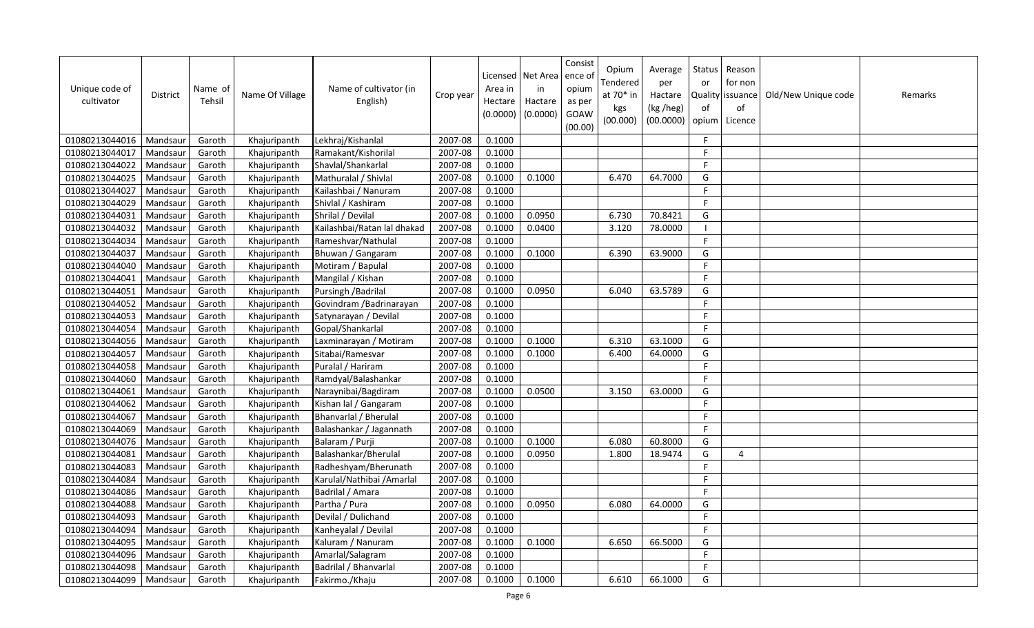| Unique code of<br>cultivator | <b>District</b> | Name of<br>Tehsil | Name Of Village | Name of cultivator (in<br>English) | Crop year | Area in<br>Hectare<br>(0.0000) | Licensed   Net Area<br>in<br>Hactare<br>(0.0000) | Consist<br>ence of<br>opium<br>as per<br>GOAW<br>(00.00) | Opium<br>Tendered<br>at 70* in<br>kgs<br>(00.000) | Average<br>per<br>Hactare<br>(kg /heg)<br>(00.0000) | Status<br>or<br>of<br>opium | Reason<br>for non<br>Quality issuance<br>of<br>Licence | Old/New Unique code | Remarks |
|------------------------------|-----------------|-------------------|-----------------|------------------------------------|-----------|--------------------------------|--------------------------------------------------|----------------------------------------------------------|---------------------------------------------------|-----------------------------------------------------|-----------------------------|--------------------------------------------------------|---------------------|---------|
| 01080213044016               | Mandsaur        | Garoth            | Khajuripanth    | Lekhraj/Kishanlal                  | 2007-08   | 0.1000                         |                                                  |                                                          |                                                   |                                                     | F.                          |                                                        |                     |         |
| 01080213044017               | Mandsaur        | Garoth            | Khajuripanth    | Ramakant/Kishorilal                | 2007-08   | 0.1000                         |                                                  |                                                          |                                                   |                                                     | F.                          |                                                        |                     |         |
| 01080213044022               | Mandsaur        | Garoth            | Khajuripanth    | Shavlal/Shankarlal                 | 2007-08   | 0.1000                         |                                                  |                                                          |                                                   |                                                     | F                           |                                                        |                     |         |
| 01080213044025               | Mandsaur        | Garoth            | Khajuripanth    | Mathuralal / Shivlal               | 2007-08   | 0.1000                         | 0.1000                                           |                                                          | 6.470                                             | 64.7000                                             | G                           |                                                        |                     |         |
| 01080213044027               | Mandsaur        | Garoth            | Khajuripanth    | Kailashbai / Nanuram               | 2007-08   | 0.1000                         |                                                  |                                                          |                                                   |                                                     | F.                          |                                                        |                     |         |
| 01080213044029               | Mandsaur        | Garoth            | Khajuripanth    | Shivlal / Kashiram                 | 2007-08   | 0.1000                         |                                                  |                                                          |                                                   |                                                     | F                           |                                                        |                     |         |
| 01080213044031               | Mandsaur        | Garoth            | Khajuripanth    | Shrilal / Devilal                  | 2007-08   | 0.1000                         | 0.0950                                           |                                                          | 6.730                                             | 70.8421                                             | G                           |                                                        |                     |         |
| 01080213044032               | Mandsaur        | Garoth            | Khajuripanth    | Kailashbai/Ratan lal dhakad        | 2007-08   | 0.1000                         | 0.0400                                           |                                                          | 3.120                                             | 78.0000                                             |                             |                                                        |                     |         |
| 01080213044034               | Mandsaur        | Garoth            | Khajuripanth    | Rameshvar/Nathulal                 | 2007-08   | 0.1000                         |                                                  |                                                          |                                                   |                                                     | F                           |                                                        |                     |         |
| 01080213044037               | Mandsaur        | Garoth            | Khajuripanth    | Bhuwan / Gangaram                  | 2007-08   | 0.1000                         | 0.1000                                           |                                                          | 6.390                                             | 63.9000                                             | G                           |                                                        |                     |         |
| 01080213044040               | Mandsau         | Garoth            | Khajuripanth    | Motiram / Bapulal                  | 2007-08   | 0.1000                         |                                                  |                                                          |                                                   |                                                     | F.                          |                                                        |                     |         |
| 01080213044041               | Mandsaur        | Garoth            | Khajuripanth    | Mangilal / Kishan                  | 2007-08   | 0.1000                         |                                                  |                                                          |                                                   |                                                     | F                           |                                                        |                     |         |
| 01080213044051               | Mandsaur        | Garoth            | Khajuripanth    | Pursingh / Badrilal                | 2007-08   | 0.1000                         | 0.0950                                           |                                                          | 6.040                                             | 63.5789                                             | G                           |                                                        |                     |         |
| 01080213044052               | Mandsaur        | Garoth            | Khajuripanth    | Govindram / Badrinarayan           | 2007-08   | 0.1000                         |                                                  |                                                          |                                                   |                                                     | F.                          |                                                        |                     |         |
| 01080213044053               | Mandsau         | Garoth            | Khajuripanth    | Satynarayan / Devilal              | 2007-08   | 0.1000                         |                                                  |                                                          |                                                   |                                                     | F                           |                                                        |                     |         |
| 01080213044054               | Mandsaur        | Garoth            | Khajuripanth    | Gopal/Shankarlal                   | 2007-08   | 0.1000                         |                                                  |                                                          |                                                   |                                                     | E                           |                                                        |                     |         |
| 01080213044056               | Mandsaur        | Garoth            | Khajuripanth    | Laxminarayan / Motiram             | 2007-08   | 0.1000                         | 0.1000                                           |                                                          | 6.310                                             | 63.1000                                             | G                           |                                                        |                     |         |
| 01080213044057               | Mandsaur        | Garoth            | Khajuripanth    | Sitabai/Ramesvar                   | 2007-08   | 0.1000                         | 0.1000                                           |                                                          | 6.400                                             | 64.0000                                             | G                           |                                                        |                     |         |
| 01080213044058               | Mandsaur        | Garoth            | Khajuripanth    | Puralal / Hariram                  | 2007-08   | 0.1000                         |                                                  |                                                          |                                                   |                                                     | F.                          |                                                        |                     |         |
| 01080213044060               | Mandsaur        | Garoth            | Khajuripanth    | Ramdyal/Balashankar                | 2007-08   | 0.1000                         |                                                  |                                                          |                                                   |                                                     | F                           |                                                        |                     |         |
| 01080213044061               | Mandsaur        | Garoth            | Khajuripanth    | Naraynibai/Bagdiram                | 2007-08   | 0.1000                         | 0.0500                                           |                                                          | 3.150                                             | 63.0000                                             | G                           |                                                        |                     |         |
| 01080213044062               | Mandsaur        | Garoth            | Khajuripanth    | Kishan lal / Gangaram              | 2007-08   | 0.1000                         |                                                  |                                                          |                                                   |                                                     | F.                          |                                                        |                     |         |
| 01080213044067               | Mandsaur        | Garoth            | Khajuripanth    | Bhanvarlal / Bherulal              | 2007-08   | 0.1000                         |                                                  |                                                          |                                                   |                                                     | F.                          |                                                        |                     |         |
| 01080213044069               | Mandsaur        | Garoth            | Khajuripanth    | Balashankar / Jagannath            | 2007-08   | 0.1000                         |                                                  |                                                          |                                                   |                                                     | $\mathsf{F}$                |                                                        |                     |         |
| 01080213044076               | Mandsaur        | Garoth            | Khajuripanth    | Balaram / Purji                    | 2007-08   | 0.1000                         | 0.1000                                           |                                                          | 6.080                                             | 60.8000                                             | G                           |                                                        |                     |         |
| 01080213044081               | Mandsaur        | Garoth            | Khajuripanth    | Balashankar/Bherulal               | 2007-08   | 0.1000                         | 0.0950                                           |                                                          | 1.800                                             | 18.9474                                             | G                           | $\boldsymbol{\Delta}$                                  |                     |         |
| 01080213044083               | Mandsaur        | Garoth            | Khajuripanth    | Radheshyam/Bherunath               | 2007-08   | 0.1000                         |                                                  |                                                          |                                                   |                                                     | $\mathsf{F}$                |                                                        |                     |         |
| 01080213044084               | Mandsau         | Garoth            | Khajuripanth    | Karulal/Nathibai /Amarlal          | 2007-08   | 0.1000                         |                                                  |                                                          |                                                   |                                                     | F.                          |                                                        |                     |         |
| 01080213044086               | Mandsaur        | Garoth            | Khajuripanth    | Badrilal / Amara                   | 2007-08   | 0.1000                         |                                                  |                                                          |                                                   |                                                     | F.                          |                                                        |                     |         |
| 01080213044088               | Mandsau         | Garoth            | Khajuripanth    | Partha / Pura                      | 2007-08   | 0.1000                         | 0.0950                                           |                                                          | 6.080                                             | 64.0000                                             | G                           |                                                        |                     |         |
| 01080213044093               | Mandsaur        | Garoth            | Khajuripanth    | Devilal / Dulichand                | 2007-08   | 0.1000                         |                                                  |                                                          |                                                   |                                                     | F.                          |                                                        |                     |         |
| 01080213044094               | Mandsaur        | Garoth            | Khajuripanth    | Kanheyalal / Devilal               | 2007-08   | 0.1000                         |                                                  |                                                          |                                                   |                                                     | F.                          |                                                        |                     |         |
| 01080213044095               | Mandsaur        | Garoth            | Khajuripanth    | Kaluram / Nanuram                  | 2007-08   | 0.1000                         | 0.1000                                           |                                                          | 6.650                                             | 66.5000                                             | G                           |                                                        |                     |         |
| 01080213044096               | Mandsaur        | Garoth            | Khajuripanth    | Amarlal/Salagram                   | 2007-08   | 0.1000                         |                                                  |                                                          |                                                   |                                                     | F                           |                                                        |                     |         |
| 01080213044098               | Mandsaur        | Garoth            | Khajuripanth    | Badrilal / Bhanvarlal              | 2007-08   | 0.1000                         |                                                  |                                                          |                                                   |                                                     | F.                          |                                                        |                     |         |
| 01080213044099               | Mandsaur        | Garoth            | Khajuripanth    | Fakirmo./Khaju                     | 2007-08   | 0.1000                         | 0.1000                                           |                                                          | 6.610                                             | 66.1000                                             | G                           |                                                        |                     |         |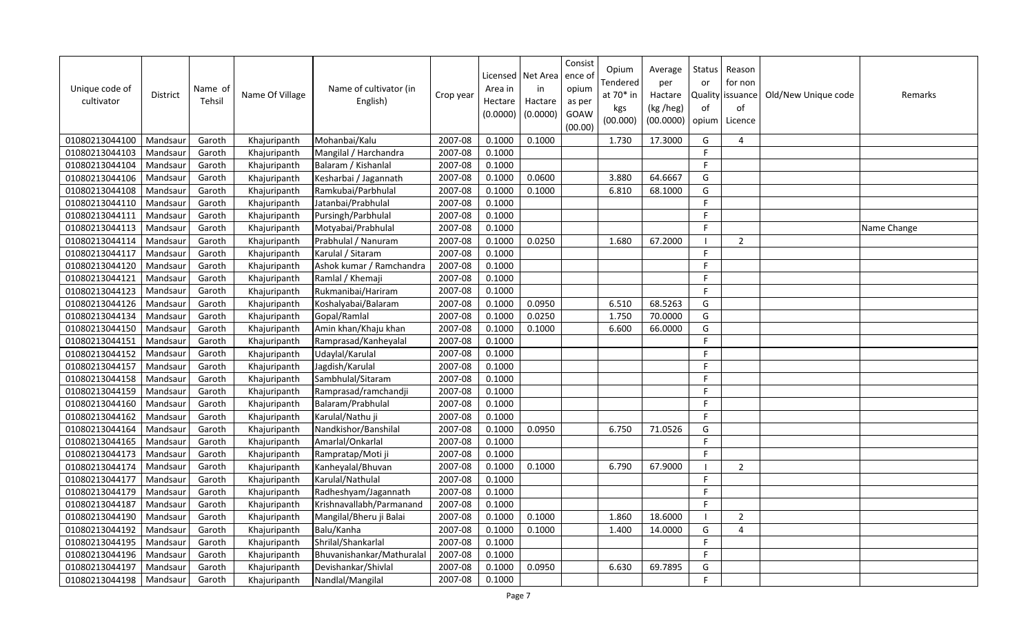| Unique code of<br>cultivator | <b>District</b> | Name of<br>Tehsil | Name Of Village | Name of cultivator (in<br>English) | Crop year | Licensed<br>Area in<br>Hectare<br>(0.0000) | Net Area<br>in<br>Hactare<br>(0.0000) | Consist<br>ence of<br>opium<br>as per<br>GOAW<br>(00.00) | Opium<br>Tendered<br>at $70*$ in<br>kgs<br>(00.000) | Average<br>per<br>Hactare<br>(kg /heg)<br>(00.0000) | <b>Status</b><br>or<br>of<br>opium | Reason<br>for non<br>Quality issuance<br>of<br>Licence | Old/New Unique code | Remarks     |
|------------------------------|-----------------|-------------------|-----------------|------------------------------------|-----------|--------------------------------------------|---------------------------------------|----------------------------------------------------------|-----------------------------------------------------|-----------------------------------------------------|------------------------------------|--------------------------------------------------------|---------------------|-------------|
| 01080213044100               | Mandsaur        | Garoth            | Khajuripanth    | Mohanbai/Kalu                      | 2007-08   | 0.1000                                     | 0.1000                                |                                                          | 1.730                                               | 17.3000                                             | G                                  | 4                                                      |                     |             |
| 01080213044103               | Mandsaur        | Garoth            | Khajuripanth    | Mangilal / Harchandra              | 2007-08   | 0.1000                                     |                                       |                                                          |                                                     |                                                     | F.                                 |                                                        |                     |             |
| 01080213044104               | Mandsaur        | Garoth            | Khajuripanth    | Balaram / Kishanlal                | 2007-08   | 0.1000                                     |                                       |                                                          |                                                     |                                                     | F.                                 |                                                        |                     |             |
| 01080213044106               | Mandsaur        | Garoth            | Khajuripanth    | Kesharbai / Jagannath              | 2007-08   | 0.1000                                     | 0.0600                                |                                                          | 3.880                                               | 64.6667                                             | G                                  |                                                        |                     |             |
| 01080213044108               | Mandsaur        | Garoth            | Khajuripanth    | Ramkubai/Parbhulal                 | 2007-08   | 0.1000                                     | 0.1000                                |                                                          | 6.810                                               | 68.1000                                             | G                                  |                                                        |                     |             |
| 01080213044110               | Mandsaur        | Garoth            | Khajuripanth    | Jatanbai/Prabhulal                 | 2007-08   | 0.1000                                     |                                       |                                                          |                                                     |                                                     | $\mathsf F$                        |                                                        |                     |             |
| 01080213044111               | Mandsaur        | Garoth            | Khajuripanth    | Pursingh/Parbhulal                 | 2007-08   | 0.1000                                     |                                       |                                                          |                                                     |                                                     | $\mathsf{F}$                       |                                                        |                     |             |
| 01080213044113               | Mandsaur        | Garoth            | Khajuripanth    | Motyabai/Prabhulal                 | 2007-08   | 0.1000                                     |                                       |                                                          |                                                     |                                                     | $\mathsf F$                        |                                                        |                     | Name Change |
| 01080213044114               | Mandsaur        | Garoth            | Khajuripanth    | Prabhulal / Nanuram                | 2007-08   | 0.1000                                     | 0.0250                                |                                                          | 1.680                                               | 67.2000                                             |                                    | $\overline{2}$                                         |                     |             |
| 01080213044117               | Mandsaur        | Garoth            | Khajuripanth    | Karulal / Sitaram                  | 2007-08   | 0.1000                                     |                                       |                                                          |                                                     |                                                     | F                                  |                                                        |                     |             |
| 01080213044120               | Mandsaur        | Garoth            | Khajuripanth    | Ashok kumar / Ramchandra           | 2007-08   | 0.1000                                     |                                       |                                                          |                                                     |                                                     | F.                                 |                                                        |                     |             |
| 01080213044121               | Mandsaur        | Garoth            | Khajuripanth    | Ramlal / Khemaji                   | 2007-08   | 0.1000                                     |                                       |                                                          |                                                     |                                                     | F.                                 |                                                        |                     |             |
| 01080213044123               | Mandsaur        | Garoth            | Khajuripanth    | Rukmanibai/Hariram                 | 2007-08   | 0.1000                                     |                                       |                                                          |                                                     |                                                     | F.                                 |                                                        |                     |             |
| 01080213044126               | Mandsaur        | Garoth            | Khajuripanth    | Koshalyabai/Balaram                | 2007-08   | 0.1000                                     | 0.0950                                |                                                          | 6.510                                               | 68.5263                                             | G                                  |                                                        |                     |             |
| 01080213044134               | Mandsau         | Garoth            | Khajuripanth    | Gopal/Ramlal                       | 2007-08   | 0.1000                                     | 0.0250                                |                                                          | 1.750                                               | 70.0000                                             | G                                  |                                                        |                     |             |
| 01080213044150               | Mandsaur        | Garoth            | Khajuripanth    | Amin khan/Khaju khan               | 2007-08   | 0.1000                                     | 0.1000                                |                                                          | 6.600                                               | 66.0000                                             | G                                  |                                                        |                     |             |
| 01080213044151               | Mandsaur        | Garoth            | Khajuripanth    | Ramprasad/Kanheyalal               | 2007-08   | 0.1000                                     |                                       |                                                          |                                                     |                                                     | F                                  |                                                        |                     |             |
| 01080213044152               | Mandsaur        | Garoth            | Khajuripanth    | Udaylal/Karulal                    | 2007-08   | 0.1000                                     |                                       |                                                          |                                                     |                                                     | F.                                 |                                                        |                     |             |
| 01080213044157               | Mandsau         | Garoth            | Khajuripanth    | Jagdish/Karulal                    | 2007-08   | 0.1000                                     |                                       |                                                          |                                                     |                                                     | F.                                 |                                                        |                     |             |
| 01080213044158               | Mandsaur        | Garoth            | Khajuripanth    | Sambhulal/Sitaram                  | 2007-08   | 0.1000                                     |                                       |                                                          |                                                     |                                                     | $\mathsf{F}$                       |                                                        |                     |             |
| 01080213044159               | Mandsaur        | Garoth            | Khajuripanth    | Ramprasad/ramchandji               | 2007-08   | 0.1000                                     |                                       |                                                          |                                                     |                                                     | F.                                 |                                                        |                     |             |
| 01080213044160               | Mandsaur        | Garoth            | Khajuripanth    | Balaram/Prabhulal                  | 2007-08   | 0.1000                                     |                                       |                                                          |                                                     |                                                     | $\mathsf{F}$                       |                                                        |                     |             |
| 01080213044162               | Mandsaur        | Garoth            | Khajuripanth    | Karulal/Nathu ji                   | 2007-08   | 0.1000                                     |                                       |                                                          |                                                     |                                                     | F.                                 |                                                        |                     |             |
| 01080213044164               | Mandsaur        | Garoth            | Khajuripanth    | Nandkishor/Banshilal               | 2007-08   | 0.1000                                     | 0.0950                                |                                                          | 6.750                                               | 71.0526                                             | G                                  |                                                        |                     |             |
| 01080213044165               | Mandsaur        | Garoth            | Khajuripanth    | Amarlal/Onkarlal                   | 2007-08   | 0.1000                                     |                                       |                                                          |                                                     |                                                     | F.                                 |                                                        |                     |             |
| 01080213044173               | Mandsaur        | Garoth            | Khajuripanth    | Rampratap/Moti ji                  | 2007-08   | 0.1000                                     |                                       |                                                          |                                                     |                                                     | F.                                 |                                                        |                     |             |
| 01080213044174               | Mandsaur        | Garoth            | Khajuripanth    | Kanheyalal/Bhuvan                  | 2007-08   | 0.1000                                     | 0.1000                                |                                                          | 6.790                                               | 67.9000                                             |                                    | $\overline{2}$                                         |                     |             |
| 01080213044177               | Mandsau         | Garoth            | Khajuripanth    | Karulal/Nathulal                   | 2007-08   | 0.1000                                     |                                       |                                                          |                                                     |                                                     | $\mathsf{F}$                       |                                                        |                     |             |
| 01080213044179               | Mandsaur        | Garoth            | Khajuripanth    | Radheshyam/Jagannath               | 2007-08   | 0.1000                                     |                                       |                                                          |                                                     |                                                     | F.                                 |                                                        |                     |             |
| 01080213044187               | Mandsaur        | Garoth            | Khajuripanth    | Krishnavallabh/Parmanand           | 2007-08   | 0.1000                                     |                                       |                                                          |                                                     |                                                     | F.                                 |                                                        |                     |             |
| 01080213044190               | Mandsaur        | Garoth            | Khajuripanth    | Mangilal/Bheru ji Balai            | 2007-08   | 0.1000                                     | 0.1000                                |                                                          | 1.860                                               | 18.6000                                             |                                    | $\overline{2}$                                         |                     |             |
| 01080213044192               | Mandsaur        | Garoth            | Khajuripanth    | Balu/Kanha                         | 2007-08   | 0.1000                                     | 0.1000                                |                                                          | 1.400                                               | 14.0000                                             | G                                  | $\overline{4}$                                         |                     |             |
| 01080213044195               | Mandsaur        | Garoth            | Khajuripanth    | Shrilal/Shankarlal                 | 2007-08   | 0.1000                                     |                                       |                                                          |                                                     |                                                     | $\mathsf F$                        |                                                        |                     |             |
| 01080213044196               | Mandsaur        | Garoth            | Khajuripanth    | Bhuvanishankar/Mathuralal          | 2007-08   | 0.1000                                     |                                       |                                                          |                                                     |                                                     | F                                  |                                                        |                     |             |
| 01080213044197               | Mandsaur        | Garoth            | Khajuripanth    | Devishankar/Shivlal                | 2007-08   | 0.1000                                     | 0.0950                                |                                                          | 6.630                                               | 69.7895                                             | G                                  |                                                        |                     |             |
| 01080213044198               | Mandsaur        | Garoth            | Khajuripanth    | Nandlal/Mangilal                   | 2007-08   | 0.1000                                     |                                       |                                                          |                                                     |                                                     | F.                                 |                                                        |                     |             |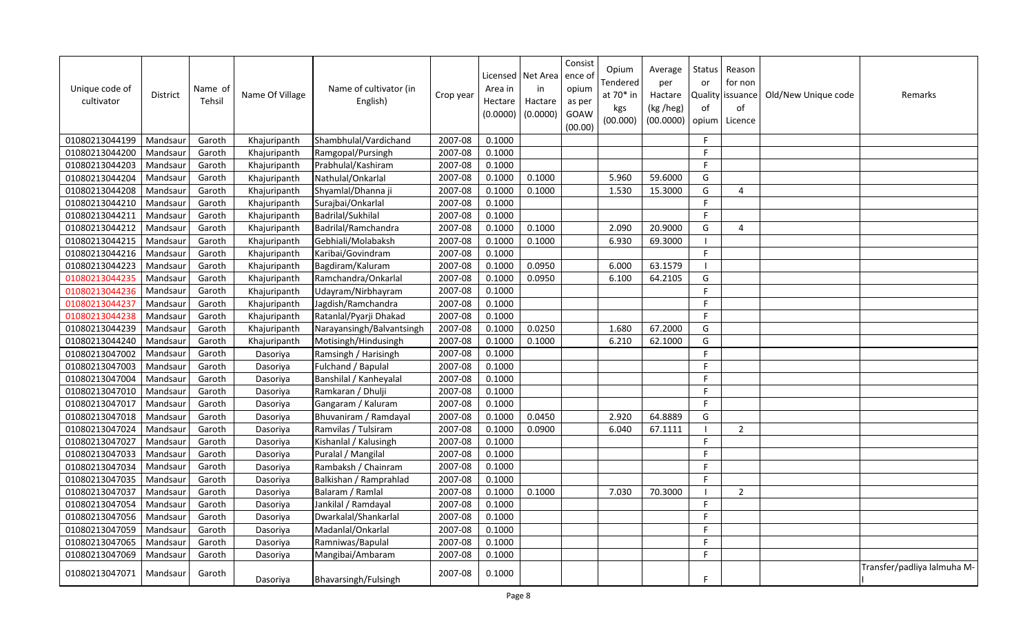| Unique code of<br>cultivator | <b>District</b> | Name of<br>Tehsil | Name Of Village | Name of cultivator (in<br>English) | Crop year | Area in<br>Hectare<br>(0.0000) | Licensed   Net Area   ence o<br>in<br>Hactare<br>(0.0000) | Consist<br>opium<br>as per<br><b>GOAW</b><br>(00.00) | Opium<br>Tendered<br>at 70* in<br>kgs<br>(00.000) | Average<br>per<br>Hactare<br>(kg /heg)<br>(00.0000) | Status<br>or<br>of<br>opium | Reason<br>for non<br>Quality issuance<br>of<br>Licence | Old/New Unique code | Remarks                     |
|------------------------------|-----------------|-------------------|-----------------|------------------------------------|-----------|--------------------------------|-----------------------------------------------------------|------------------------------------------------------|---------------------------------------------------|-----------------------------------------------------|-----------------------------|--------------------------------------------------------|---------------------|-----------------------------|
| 01080213044199               | Mandsaur        | Garoth            | Khajuripanth    | Shambhulal/Vardichand              | 2007-08   | 0.1000                         |                                                           |                                                      |                                                   |                                                     | F.                          |                                                        |                     |                             |
| 01080213044200               | Mandsaur        | Garoth            | Khajuripanth    | Ramgopal/Pursingh                  | 2007-08   | 0.1000                         |                                                           |                                                      |                                                   |                                                     | F                           |                                                        |                     |                             |
| 01080213044203               | Mandsaur        | Garoth            | Khajuripanth    | Prabhulal/Kashiram                 | 2007-08   | 0.1000                         |                                                           |                                                      |                                                   |                                                     | F                           |                                                        |                     |                             |
| 01080213044204               | Mandsaur        | Garoth            | Khajuripanth    | Nathulal/Onkarlal                  | 2007-08   | 0.1000                         | 0.1000                                                    |                                                      | 5.960                                             | 59.6000                                             | G                           |                                                        |                     |                             |
| 01080213044208               | Mandsaur        | Garoth            | Khajuripanth    | Shyamlal/Dhanna ji                 | 2007-08   | 0.1000                         | 0.1000                                                    |                                                      | 1.530                                             | 15.3000                                             | G                           | 4                                                      |                     |                             |
| 01080213044210               | Mandsaur        | Garoth            | Khajuripanth    | Surajbai/Onkarlal                  | 2007-08   | 0.1000                         |                                                           |                                                      |                                                   |                                                     | F.                          |                                                        |                     |                             |
| 01080213044211               | Mandsaur        | Garoth            | Khajuripanth    | Badrilal/Sukhilal                  | 2007-08   | 0.1000                         |                                                           |                                                      |                                                   |                                                     | F.                          |                                                        |                     |                             |
| 01080213044212               | Mandsaur        | Garoth            | Khajuripanth    | Badrilal/Ramchandra                | 2007-08   | 0.1000                         | 0.1000                                                    |                                                      | 2.090                                             | 20.9000                                             | G                           | 4                                                      |                     |                             |
| 01080213044215               | Mandsaur        | Garoth            | Khajuripanth    | Gebhiali/Molabaksh                 | 2007-08   | 0.1000                         | 0.1000                                                    |                                                      | 6.930                                             | 69.3000                                             |                             |                                                        |                     |                             |
| 01080213044216               | Mandsaur        | Garoth            | Khajuripanth    | Karibai/Govindram                  | 2007-08   | 0.1000                         |                                                           |                                                      |                                                   |                                                     | F.                          |                                                        |                     |                             |
| 01080213044223               | Mandsaur        | Garoth            | Khajuripanth    | Bagdiram/Kaluram                   | 2007-08   | 0.1000                         | 0.0950                                                    |                                                      | 6.000                                             | 63.1579                                             | - 1                         |                                                        |                     |                             |
| 01080213044235               | Mandsaur        | Garoth            | Khajuripanth    | Ramchandra/Onkarlal                | 2007-08   | 0.1000                         | 0.0950                                                    |                                                      | 6.100                                             | 64.2105                                             | G                           |                                                        |                     |                             |
| 01080213044236               | Mandsaur        | Garoth            | Khajuripanth    | Udayram/Nirbhayram                 | 2007-08   | 0.1000                         |                                                           |                                                      |                                                   |                                                     | F.                          |                                                        |                     |                             |
| 01080213044237               | Mandsaur        | Garoth            | Khajuripanth    | Jagdish/Ramchandra                 | 2007-08   | 0.1000                         |                                                           |                                                      |                                                   |                                                     | F.                          |                                                        |                     |                             |
| 01080213044238               | Mandsaur        | Garoth            | Khajuripanth    | Ratanlal/Pyarji Dhakad             | 2007-08   | 0.1000                         |                                                           |                                                      |                                                   |                                                     | F.                          |                                                        |                     |                             |
| 01080213044239               | Mandsaur        | Garoth            | Khajuripanth    | Narayansingh/Balvantsingh          | 2007-08   | 0.1000                         | 0.0250                                                    |                                                      | 1.680                                             | 67.2000                                             | G                           |                                                        |                     |                             |
| 01080213044240               | Mandsaur        | Garoth            | Khajuripanth    | Motisingh/Hindusingh               | 2007-08   | 0.1000                         | 0.1000                                                    |                                                      | 6.210                                             | 62.1000                                             | G                           |                                                        |                     |                             |
| 01080213047002               | Mandsaur        | Garoth            | Dasoriya        | Ramsingh / Harisingh               | 2007-08   | 0.1000                         |                                                           |                                                      |                                                   |                                                     | F                           |                                                        |                     |                             |
| 01080213047003               | Mandsaur        | Garoth            | Dasoriya        | Fulchand / Bapulal                 | 2007-08   | 0.1000                         |                                                           |                                                      |                                                   |                                                     | F                           |                                                        |                     |                             |
| 01080213047004               | Mandsaur        | Garoth            | Dasoriya        | Banshilal / Kanheyalal             | 2007-08   | 0.1000                         |                                                           |                                                      |                                                   |                                                     | F                           |                                                        |                     |                             |
| 01080213047010               | Mandsaur        | Garoth            | Dasoriya        | Ramkaran / Dhulji                  | 2007-08   | 0.1000                         |                                                           |                                                      |                                                   |                                                     | F.                          |                                                        |                     |                             |
| 01080213047017               | Mandsaur        | Garoth            | Dasoriya        | Gangaram / Kaluram                 | 2007-08   | 0.1000                         |                                                           |                                                      |                                                   |                                                     | F                           |                                                        |                     |                             |
| 01080213047018               | Mandsaur        | Garoth            | Dasoriya        | Bhuvaniram / Ramdayal              | 2007-08   | 0.1000                         | 0.0450                                                    |                                                      | 2.920                                             | 64.8889                                             | G                           |                                                        |                     |                             |
| 01080213047024               | Mandsaur        | Garoth            | Dasoriya        | Ramvilas / Tulsiram                | 2007-08   | 0.1000                         | 0.0900                                                    |                                                      | 6.040                                             | 67.1111                                             |                             | 2                                                      |                     |                             |
| 01080213047027               | Mandsaur        | Garoth            | Dasoriya        | Kishanlal / Kalusingh              | 2007-08   | 0.1000                         |                                                           |                                                      |                                                   |                                                     | F.                          |                                                        |                     |                             |
| 01080213047033               | Mandsaur        | Garoth            | Dasoriya        | Puralal / Mangilal                 | 2007-08   | 0.1000                         |                                                           |                                                      |                                                   |                                                     | F.                          |                                                        |                     |                             |
| 01080213047034               | Mandsaur        | Garoth            | Dasoriya        | Rambaksh / Chainram                | 2007-08   | 0.1000                         |                                                           |                                                      |                                                   |                                                     | F.                          |                                                        |                     |                             |
| 01080213047035               | Mandsaur        | Garoth            | Dasoriya        | Balkishan / Ramprahlad             | 2007-08   | 0.1000                         |                                                           |                                                      |                                                   |                                                     | F.                          |                                                        |                     |                             |
| 01080213047037               | Mandsaur        | Garoth            | Dasoriya        | Balaram / Ramlal                   | 2007-08   | 0.1000                         | 0.1000                                                    |                                                      | 7.030                                             | 70.3000                                             |                             | $\overline{2}$                                         |                     |                             |
| 01080213047054               | Mandsaur        | Garoth            | Dasoriya        | Jankilal / Ramdayal                | 2007-08   | 0.1000                         |                                                           |                                                      |                                                   |                                                     | F.                          |                                                        |                     |                             |
| 01080213047056               | Mandsaur        | Garoth            | Dasoriya        | Dwarkalal/Shankarlal               | 2007-08   | 0.1000                         |                                                           |                                                      |                                                   |                                                     | F.                          |                                                        |                     |                             |
| 01080213047059               | Mandsaur        | Garoth            | Dasoriya        | Madanlal/Onkarlal                  | 2007-08   | 0.1000                         |                                                           |                                                      |                                                   |                                                     | F.                          |                                                        |                     |                             |
| 01080213047065               | Mandsaur        | Garoth            | Dasoriya        | Ramniwas/Bapulal                   | 2007-08   | 0.1000                         |                                                           |                                                      |                                                   |                                                     | F                           |                                                        |                     |                             |
| 01080213047069               | Mandsaur        | Garoth            | Dasoriya        | Mangibai/Ambaram                   | 2007-08   | 0.1000                         |                                                           |                                                      |                                                   |                                                     | F.                          |                                                        |                     |                             |
| 01080213047071               | Mandsaur        | Garoth            | Dasoriya        | Bhavarsingh/Fulsingh               | 2007-08   | 0.1000                         |                                                           |                                                      |                                                   |                                                     | F.                          |                                                        |                     | Transfer/padliya lalmuha M- |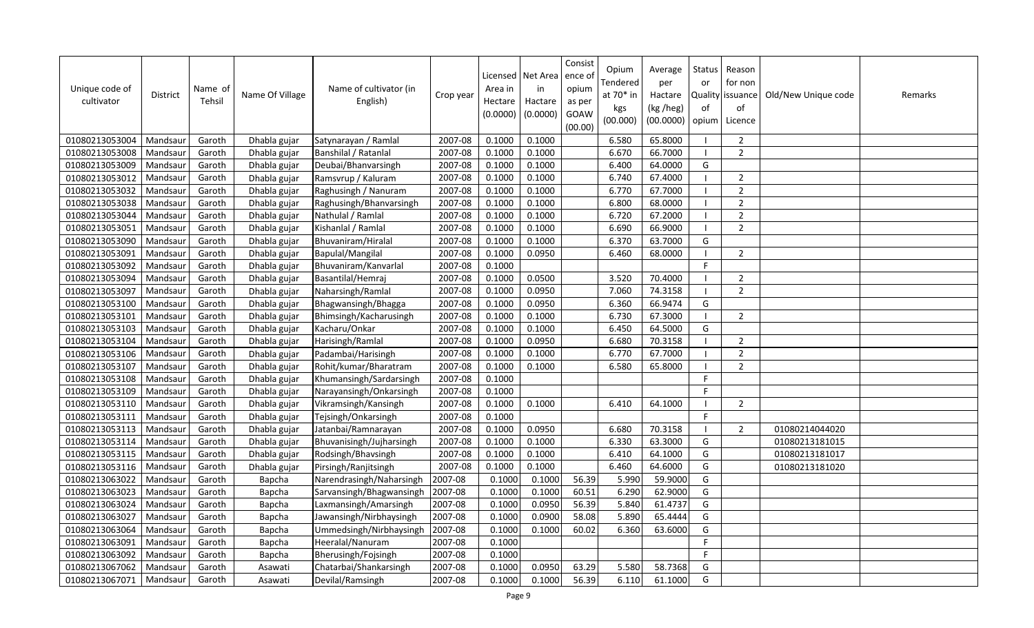| Unique code of<br>cultivator | <b>District</b> | Name of<br>Tehsil | Name Of Village | Name of cultivator (in<br>English) | Crop year | Area in<br>Hectare<br>(0.0000) | Licensed   Net Area<br>in<br>Hactare<br>(0.0000) | Consist<br>ence of<br>opium<br>as per<br>GOAW<br>(00.00) | Opium<br>Tendered<br>at 70* in<br>kgs<br>(00.000) | Average<br>per<br>Hactare<br>(kg /heg)<br>(00.0000) | Status<br>or<br>of<br>opium | Reason<br>for non<br>Quality issuance<br>of<br>Licence | Old/New Unique code | Remarks |
|------------------------------|-----------------|-------------------|-----------------|------------------------------------|-----------|--------------------------------|--------------------------------------------------|----------------------------------------------------------|---------------------------------------------------|-----------------------------------------------------|-----------------------------|--------------------------------------------------------|---------------------|---------|
| 01080213053004               | Mandsaur        | Garoth            | Dhabla gujar    | Satynarayan / Ramlal               | 2007-08   | 0.1000                         | 0.1000                                           |                                                          | 6.580                                             | 65.8000                                             |                             | $\overline{2}$                                         |                     |         |
| 01080213053008               | Mandsaur        | Garoth            | Dhabla gujar    | Banshilal / Ratanlal               | 2007-08   | 0.1000                         | 0.1000                                           |                                                          | 6.670                                             | 66.7000                                             | - 1                         | $\overline{2}$                                         |                     |         |
| 01080213053009               | Mandsaur        | Garoth            | Dhabla gujar    | Deubai/Bhanvarsingh                | 2007-08   | 0.1000                         | 0.1000                                           |                                                          | 6.400                                             | 64.0000                                             | G                           |                                                        |                     |         |
| 01080213053012               | Mandsau         | Garoth            | Dhabla gujar    | Ramsvrup / Kaluram                 | 2007-08   | 0.1000                         | 0.1000                                           |                                                          | 6.740                                             | 67.4000                                             | $\blacksquare$              | $\overline{2}$                                         |                     |         |
| 01080213053032               | Mandsaur        | Garoth            | Dhabla gujar    | Raghusingh / Nanuram               | 2007-08   | 0.1000                         | 0.1000                                           |                                                          | 6.770                                             | 67.7000                                             | -1                          | $\overline{2}$                                         |                     |         |
| 01080213053038               | Mandsaur        | Garoth            | Dhabla gujar    | Raghusingh/Bhanvarsingh            | 2007-08   | 0.1000                         | 0.1000                                           |                                                          | 6.800                                             | 68.0000                                             |                             | $\overline{2}$                                         |                     |         |
| 01080213053044               | Mandsau         | Garoth            | Dhabla gujar    | Nathulal / Ramlal                  | 2007-08   | 0.1000                         | 0.1000                                           |                                                          | 6.720                                             | 67.2000                                             | -1                          | $\overline{2}$                                         |                     |         |
| 01080213053051               | Mandsaur        | Garoth            | Dhabla gujar    | Kishanlal / Ramlal                 | 2007-08   | 0.1000                         | 0.1000                                           |                                                          | 6.690                                             | 66.9000                                             |                             | $\overline{2}$                                         |                     |         |
| 01080213053090               | Mandsaur        | Garoth            | Dhabla gujar    | Bhuvaniram/Hiralal                 | 2007-08   | 0.1000                         | 0.1000                                           |                                                          | 6.370                                             | 63.7000                                             | G                           |                                                        |                     |         |
| 01080213053091               | Mandsaur        | Garoth            | Dhabla gujar    | Bapulal/Mangilal                   | 2007-08   | 0.1000                         | 0.0950                                           |                                                          | 6.460                                             | 68.0000                                             | - 1                         | $\overline{2}$                                         |                     |         |
| 01080213053092               | Mandsaur        | Garoth            | Dhabla gujar    | Bhuvaniram/Kanvarlal               | 2007-08   | 0.1000                         |                                                  |                                                          |                                                   |                                                     | F                           |                                                        |                     |         |
| 01080213053094               | Mandsaur        | Garoth            | Dhabla gujar    | Basantilal/Hemraj                  | 2007-08   | 0.1000                         | 0.0500                                           |                                                          | 3.520                                             | 70.4000                                             | - I                         | $\overline{2}$                                         |                     |         |
| 01080213053097               | Mandsaur        | Garoth            | Dhabla gujar    | Naharsingh/Ramlal                  | 2007-08   | 0.1000                         | 0.0950                                           |                                                          | 7.060                                             | 74.3158                                             | -1                          | $\overline{2}$                                         |                     |         |
| 01080213053100               | Mandsaur        | Garoth            | Dhabla gujar    | Bhagwansingh/Bhagga                | 2007-08   | 0.1000                         | 0.0950                                           |                                                          | 6.360                                             | 66.9474                                             | G                           |                                                        |                     |         |
| 01080213053101               | Mandsau         | Garoth            | Dhabla gujar    | Bhimsingh/Kacharusingh             | 2007-08   | 0.1000                         | 0.1000                                           |                                                          | 6.730                                             | 67.3000                                             | - 1                         | $\overline{2}$                                         |                     |         |
| 01080213053103               | Mandsaur        | Garoth            | Dhabla gujar    | Kacharu/Onkar                      | 2007-08   | 0.1000                         | 0.1000                                           |                                                          | 6.450                                             | 64.5000                                             | G                           |                                                        |                     |         |
| 01080213053104               | Mandsau         | Garoth            | Dhabla gujar    | Harisingh/Ramlal                   | 2007-08   | 0.1000                         | 0.0950                                           |                                                          | 6.680                                             | 70.3158                                             |                             | $\overline{2}$                                         |                     |         |
| 01080213053106               | Mandsaur        | Garoth            | Dhabla gujar    | Padambai/Harisingh                 | 2007-08   | 0.1000                         | 0.1000                                           |                                                          | 6.770                                             | 67.7000                                             |                             | $\overline{2}$                                         |                     |         |
| 01080213053107               | Mandsaur        | Garoth            | Dhabla gujar    | Rohit/kumar/Bharatram              | 2007-08   | 0.1000                         | 0.1000                                           |                                                          | 6.580                                             | 65.8000                                             | $\blacksquare$              | $\overline{2}$                                         |                     |         |
| 01080213053108               | Mandsaur        | Garoth            | Dhabla gujar    | Khumansingh/Sardarsingh            | 2007-08   | 0.1000                         |                                                  |                                                          |                                                   |                                                     | $\mathsf{F}$                |                                                        |                     |         |
| 01080213053109               | Mandsau         | Garoth            | Dhabla gujar    | Narayansingh/Onkarsingh            | 2007-08   | 0.1000                         |                                                  |                                                          |                                                   |                                                     | F                           |                                                        |                     |         |
| 01080213053110               | Mandsaur        | Garoth            | Dhabla gujar    | Vikramsingh/Kansingh               | 2007-08   | 0.1000                         | 0.1000                                           |                                                          | 6.410                                             | 64.1000                                             | - 1                         | $\overline{2}$                                         |                     |         |
| 01080213053111               | Mandsaur        | Garoth            | Dhabla gujar    | Tejsingh/Onkarsingh                | 2007-08   | 0.1000                         |                                                  |                                                          |                                                   |                                                     | F.                          |                                                        |                     |         |
| 01080213053113               | Mandsaur        | Garoth            | Dhabla gujar    | Jatanbai/Ramnarayan                | 2007-08   | 0.1000                         | 0.0950                                           |                                                          | 6.680                                             | 70.3158                                             | - I                         | $\overline{2}$                                         | 01080214044020      |         |
| 01080213053114               | Mandsaur        | Garoth            | Dhabla gujar    | Bhuvanisingh/Jujharsingh           | 2007-08   | 0.1000                         | 0.1000                                           |                                                          | 6.330                                             | 63.3000                                             | G                           |                                                        | 01080213181015      |         |
| 01080213053115               | Mandsaur        | Garoth            | Dhabla gujar    | Rodsingh/Bhavsingh                 | 2007-08   | 0.1000                         | 0.1000                                           |                                                          | 6.410                                             | 64.1000                                             | G                           |                                                        | 01080213181017      |         |
| 01080213053116               | Mandsaur        | Garoth            | Dhabla gujar    | Pirsingh/Ranjitsingh               | 2007-08   | 0.1000                         | 0.1000                                           |                                                          | 6.460                                             | 64.6000                                             | G                           |                                                        | 01080213181020      |         |
| 01080213063022               | Mandsaur        | Garoth            | Bapcha          | Narendrasingh/Naharsingh           | 2007-08   | 0.1000                         | 0.1000                                           | 56.39                                                    | 5.990                                             | 59.9000                                             | G                           |                                                        |                     |         |
| 01080213063023               | Mandsaur        | Garoth            | Bapcha          | Sarvansingh/Bhagwansingh           | 2007-08   | 0.1000                         | 0.1000                                           | 60.51                                                    | 6.290                                             | 62.9000                                             | G                           |                                                        |                     |         |
| 01080213063024               | Mandsau         | Garoth            | Bapcha          | Laxmansingh/Amarsingh              | 2007-08   | 0.1000                         | 0.0950                                           | 56.39                                                    | 5.840                                             | 61.4737                                             | G                           |                                                        |                     |         |
| 01080213063027               | Mandsaur        | Garoth            | Bapcha          | Jawansingh/Nirbhaysingh            | 2007-08   | 0.1000                         | 0.0900                                           | 58.08                                                    | 5.890                                             | 65.4444                                             | G                           |                                                        |                     |         |
| 01080213063064               | Mandsau         | Garoth            | Bapcha          | Ummedsingh/Nirbhaysingh            | 2007-08   | 0.1000                         | 0.1000                                           | 60.02                                                    | 6.360                                             | 63.6000                                             | G                           |                                                        |                     |         |
| 01080213063091               | Mandsaur        | Garoth            | Bapcha          | Heeralal/Nanuram                   | 2007-08   | 0.1000                         |                                                  |                                                          |                                                   |                                                     | F.                          |                                                        |                     |         |
| 01080213063092               | Mandsau         | Garoth            | Bapcha          | Bherusingh/Fojsingh                | 2007-08   | 0.1000                         |                                                  |                                                          |                                                   |                                                     | F.                          |                                                        |                     |         |
| 01080213067062               | Mandsaur        | Garoth            | Asawati         | Chatarbai/Shankarsingh             | 2007-08   | 0.1000                         | 0.0950                                           | 63.29                                                    | 5.580                                             | 58.7368                                             | G                           |                                                        |                     |         |
| 01080213067071               | Mandsaur        | Garoth            | Asawati         | Devilal/Ramsingh                   | 2007-08   | 0.1000                         | 0.1000                                           | 56.39                                                    | 6.110                                             | 61.1000                                             | G                           |                                                        |                     |         |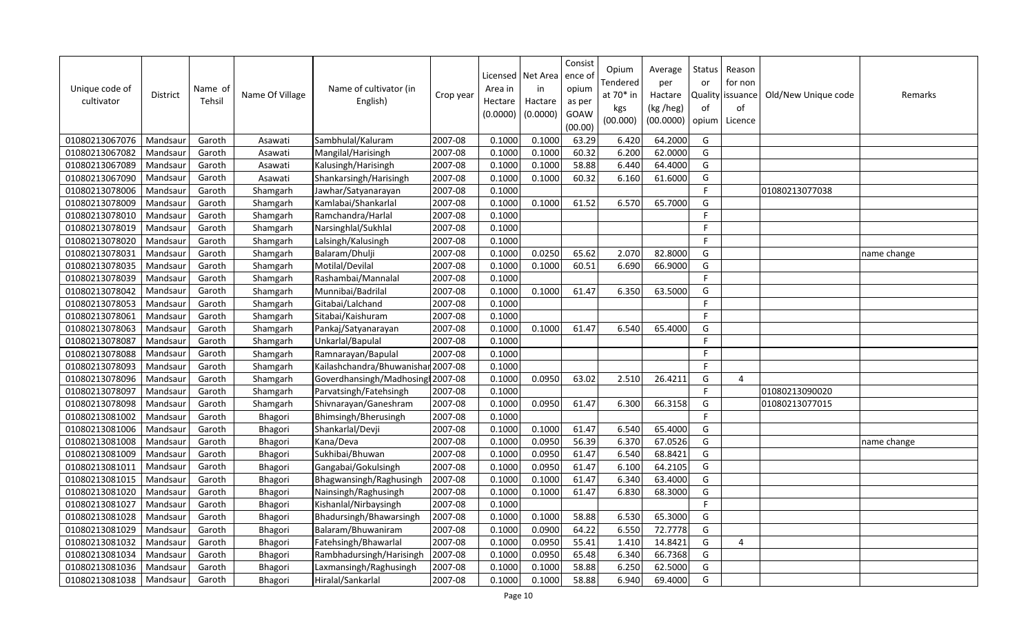| Unique code of<br>cultivator | <b>District</b> | Name of<br>Tehsil | Name Of Village | Name of cultivator (in<br>English) | Crop year | Area in<br>Hectare<br>(0.0000) | Licensed   Net Area<br>in<br>Hactare<br>(0.0000) | Consist<br>ence of<br>opium<br>as per<br>GOAW<br>(00.00) | Opium<br>Tendered<br>at 70* in<br>kgs<br>(00.000) | Average<br>per<br>Hactare<br>(kg /heg)<br>(00.0000) | Status<br>or<br>of<br>opium | Reason<br>for non<br>Quality issuance<br>of<br>Licence | Old/New Unique code | Remarks     |
|------------------------------|-----------------|-------------------|-----------------|------------------------------------|-----------|--------------------------------|--------------------------------------------------|----------------------------------------------------------|---------------------------------------------------|-----------------------------------------------------|-----------------------------|--------------------------------------------------------|---------------------|-------------|
| 01080213067076               | Mandsaur        | Garoth            | Asawati         | Sambhulal/Kaluram                  | 2007-08   | 0.1000                         | 0.1000                                           | 63.29                                                    | 6.420                                             | 64.2000                                             | G                           |                                                        |                     |             |
| 01080213067082               | Mandsau         | Garoth            | Asawati         | Mangilal/Harisingh                 | 2007-08   | 0.1000                         | 0.1000                                           | 60.32                                                    | 6.200                                             | 62.0000                                             | G                           |                                                        |                     |             |
| 01080213067089               | Mandsau         | Garoth            | Asawati         | Kalusingh/Harisingh                | 2007-08   | 0.1000                         | 0.1000                                           | 58.88                                                    | 6.440                                             | 64.4000                                             | G                           |                                                        |                     |             |
| 01080213067090               | Mandsau         | Garoth            | Asawati         | Shankarsingh/Harisingh             | 2007-08   | 0.1000                         | 0.1000                                           | 60.32                                                    | 6.160                                             | 61.6000                                             | G                           |                                                        |                     |             |
| 01080213078006               | Mandsau         | Garoth            | Shamgarh        | Jawhar/Satyanarayan                | 2007-08   | 0.1000                         |                                                  |                                                          |                                                   |                                                     | F.                          |                                                        | 01080213077038      |             |
| 01080213078009               | Mandsaur        | Garoth            | Shamgarh        | Kamlabai/Shankarlal                | 2007-08   | 0.1000                         | 0.1000                                           | 61.52                                                    | 6.570                                             | 65.7000                                             | G                           |                                                        |                     |             |
| 01080213078010               | Mandsau         | Garoth            | Shamgarh        | Ramchandra/Harlal                  | 2007-08   | 0.1000                         |                                                  |                                                          |                                                   |                                                     | F.                          |                                                        |                     |             |
| 01080213078019               | Mandsaur        | Garoth            | Shamgarh        | Narsinghlal/Sukhlal                | 2007-08   | 0.1000                         |                                                  |                                                          |                                                   |                                                     | F                           |                                                        |                     |             |
| 01080213078020               | Mandsau         | Garoth            | Shamgarh        | Lalsingh/Kalusingh                 | 2007-08   | 0.1000                         |                                                  |                                                          |                                                   |                                                     | F.                          |                                                        |                     |             |
| 01080213078031               | Mandsaur        | Garoth            | Shamgarh        | Balaram/Dhulji                     | 2007-08   | 0.1000                         | 0.0250                                           | 65.62                                                    | 2.070                                             | 82.8000                                             | G                           |                                                        |                     | name change |
| 01080213078035               | Mandsaur        | Garoth            | Shamgarh        | Motilal/Devilal                    | 2007-08   | 0.1000                         | 0.1000                                           | 60.51                                                    | 6.690                                             | 66.9000                                             | G                           |                                                        |                     |             |
| 01080213078039               | Mandsaur        | Garoth            | Shamgarh        | Rashambai/Mannalal                 | 2007-08   | 0.1000                         |                                                  |                                                          |                                                   |                                                     | F                           |                                                        |                     |             |
| 01080213078042               | Mandsaur        | Garoth            | Shamgarh        | Munnibai/Badrilal                  | 2007-08   | 0.1000                         | 0.1000                                           | 61.47                                                    | 6.350                                             | 63.5000                                             | G                           |                                                        |                     |             |
| 01080213078053               | Mandsaur        | Garoth            | Shamgarh        | Gitabai/Lalchand                   | 2007-08   | 0.1000                         |                                                  |                                                          |                                                   |                                                     | F.                          |                                                        |                     |             |
| 01080213078061               | Mandsau         | Garoth            | Shamgarh        | Sitabai/Kaishuram                  | 2007-08   | 0.1000                         |                                                  |                                                          |                                                   |                                                     | F                           |                                                        |                     |             |
| 01080213078063               | Mandsau         | Garoth            | Shamgarh        | Pankaj/Satyanarayan                | 2007-08   | 0.1000                         | 0.1000                                           | 61.47                                                    | 6.540                                             | 65.4000                                             | G                           |                                                        |                     |             |
| 01080213078087               | Mandsau         | Garoth            | Shamgarh        | Unkarlal/Bapulal                   | 2007-08   | 0.1000                         |                                                  |                                                          |                                                   |                                                     | F                           |                                                        |                     |             |
| 01080213078088               | Mandsaur        | Garoth            | Shamgarh        | Ramnarayan/Bapulal                 | 2007-08   | 0.1000                         |                                                  |                                                          |                                                   |                                                     | F.                          |                                                        |                     |             |
| 01080213078093               | Mandsaur        | Garoth            | Shamgarh        | Kailashchandra/Bhuwanishar 2007-08 |           | 0.1000                         |                                                  |                                                          |                                                   |                                                     | F.                          |                                                        |                     |             |
| 01080213078096               | Mandsau         | Garoth            | Shamgarh        | Goverdhansingh/Madhosing 2007-08   |           | 0.1000                         | 0.0950                                           | 63.02                                                    | 2.510                                             | 26.4211                                             | G                           | $\overline{4}$                                         |                     |             |
| 01080213078097               | Mandsau         | Garoth            | Shamgarh        | Parvatsingh/Fatehsingh             | 2007-08   | 0.1000                         |                                                  |                                                          |                                                   |                                                     | F                           |                                                        | 01080213090020      |             |
| 01080213078098               | Mandsaur        | Garoth            | Shamgarh        | Shivnarayan/Ganeshram              | 2007-08   | 0.1000                         | 0.0950                                           | 61.47                                                    | 6.300                                             | 66.3158                                             | G                           |                                                        | 01080213077015      |             |
| 01080213081002               | Mandsaur        | Garoth            | Bhagori         | Bhimsingh/Bherusingh               | 2007-08   | 0.1000                         |                                                  |                                                          |                                                   |                                                     | $\mathsf F$                 |                                                        |                     |             |
| 01080213081006               | Mandsau         | Garoth            | Bhagori         | Shankarlal/Devji                   | 2007-08   | 0.1000                         | 0.1000                                           | 61.47                                                    | 6.540                                             | 65.4000                                             | G                           |                                                        |                     |             |
| 01080213081008               | Mandsaur        | Garoth            | Bhagori         | Kana/Deva                          | 2007-08   | 0.1000                         | 0.0950                                           | 56.39                                                    | 6.370                                             | 67.0526                                             | G                           |                                                        |                     | name change |
| 01080213081009               | Mandsau         | Garoth            | Bhagori         | Sukhibai/Bhuwan                    | 2007-08   | 0.1000                         | 0.0950                                           | 61.47                                                    | 6.540                                             | 68.8421                                             | G                           |                                                        |                     |             |
| 01080213081011               | Mandsaur        | Garoth            | Bhagori         | Gangabai/Gokulsingh                | 2007-08   | 0.1000                         | 0.0950                                           | 61.47                                                    | 6.100                                             | 64.2105                                             | G                           |                                                        |                     |             |
| 01080213081015               | Mandsaur        | Garoth            | Bhagori         | Bhagwansingh/Raghusingh            | 2007-08   | 0.1000                         | 0.1000                                           | 61.47                                                    | 6.340                                             | 63.4000                                             | G                           |                                                        |                     |             |
| 01080213081020               | Mandsaur        | Garoth            | Bhagori         | Nainsingh/Raghusingh               | 2007-08   | 0.1000                         | 0.1000                                           | 61.47                                                    | 6.830                                             | 68.3000                                             | G                           |                                                        |                     |             |
| 01080213081027               | Mandsau         | Garoth            | Bhagori         | Kishanlal/Nirbaysingh              | 2007-08   | 0.1000                         |                                                  |                                                          |                                                   |                                                     | F                           |                                                        |                     |             |
| 01080213081028               | Mandsaur        | Garoth            | Bhagori         | Bhadursingh/Bhawarsingh            | 2007-08   | 0.1000                         | 0.1000                                           | 58.88                                                    | 6.530                                             | 65.3000                                             | G                           |                                                        |                     |             |
| 01080213081029               | Mandsau         | Garoth            | Bhagori         | Balaram/Bhuwaniram                 | 2007-08   | 0.1000                         | 0.0900                                           | 64.22                                                    | 6.550                                             | 72.7778                                             | G                           |                                                        |                     |             |
| 01080213081032               | Mandsau         | Garoth            | Bhagori         | Fatehsingh/Bhawarlal               | 2007-08   | 0.1000                         | 0.0950                                           | 55.41                                                    | 1.410                                             | 14.8421                                             | G                           | $\overline{4}$                                         |                     |             |
| 01080213081034               | Mandsau         | Garoth            | Bhagori         | Rambhadursingh/Harisingh           | 2007-08   | 0.1000                         | 0.0950                                           | 65.48                                                    | 6.340                                             | 66.7368                                             | G                           |                                                        |                     |             |
| 01080213081036               | Mandsaur        | Garoth            | Bhagori         | Laxmansingh/Raghusingh             | 2007-08   | 0.1000                         | 0.1000                                           | 58.88                                                    | 6.250                                             | 62.5000                                             | G                           |                                                        |                     |             |
| 01080213081038               | Mandsaur        | Garoth            | Bhagori         | Hiralal/Sankarlal                  | 2007-08   | 0.1000                         | 0.1000                                           | 58.88                                                    | 6.940                                             | 69.4000                                             | G                           |                                                        |                     |             |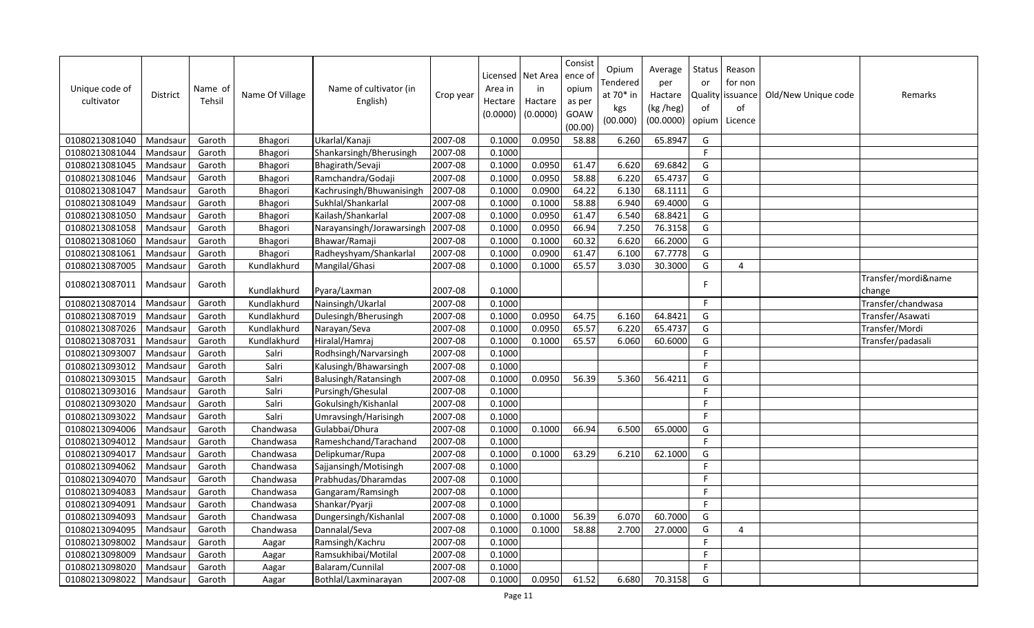| Unique code of<br>cultivator | <b>District</b> | Name of<br>Tehsil | Name Of Village | Name of cultivator (in<br>English) | Crop year | Area in<br>Hectare<br>(0.0000) | Licensed   Net Area<br>in<br>Hactare<br>(0.0000) | Consist<br>ence of<br>opium<br>as per<br>GOAW<br>(00.00) | Opium<br>Tendered<br>at 70* in<br>kgs<br>(00.000) | Average<br>per<br>Hactare<br>(kg /heg)<br>(00.0000) | Status<br>or<br>Quality<br>of<br>opium | Reason<br>for non<br>issuance<br>of<br>Licence | Old/New Unique code | Remarks                       |
|------------------------------|-----------------|-------------------|-----------------|------------------------------------|-----------|--------------------------------|--------------------------------------------------|----------------------------------------------------------|---------------------------------------------------|-----------------------------------------------------|----------------------------------------|------------------------------------------------|---------------------|-------------------------------|
| 01080213081040               | Mandsaur        | Garoth            | Bhagori         | Ukarlal/Kanaji                     | 2007-08   | 0.1000                         | 0.0950                                           | 58.88                                                    | 6.260                                             | 65.8947                                             | G                                      |                                                |                     |                               |
| 01080213081044               | Mandsaur        | Garoth            | Bhagori         | Shankarsingh/Bherusingh            | 2007-08   | 0.1000                         |                                                  |                                                          |                                                   |                                                     | F.                                     |                                                |                     |                               |
| 01080213081045               | Mandsaur        | Garoth            | Bhagori         | Bhagirath/Sevaji                   | 2007-08   | 0.1000                         | 0.0950                                           | 61.47                                                    | 6.620                                             | 69.6842                                             | G                                      |                                                |                     |                               |
| 01080213081046               | Mandsaur        | Garoth            | Bhagori         | Ramchandra/Godaji                  | 2007-08   | 0.1000                         | 0.0950                                           | 58.88                                                    | 6.220                                             | 65.4737                                             | G                                      |                                                |                     |                               |
| 01080213081047               | Mandsaur        | Garoth            | Bhagori         | Kachrusingh/Bhuwanisingh           | 2007-08   | 0.1000                         | 0.0900                                           | 64.22                                                    | 6.130                                             | 68.1111                                             | G                                      |                                                |                     |                               |
| 01080213081049               | Mandsau         | Garoth            | Bhagori         | Sukhlal/Shankarlal                 | 2007-08   | 0.1000                         | 0.1000                                           | 58.88                                                    | 6.940                                             | 69.4000                                             | G                                      |                                                |                     |                               |
| 01080213081050               | Mandsau         | Garoth            | Bhagori         | Kailash/Shankarlal                 | 2007-08   | 0.1000                         | 0.0950                                           | 61.47                                                    | 6.540                                             | 68.8421                                             | G                                      |                                                |                     |                               |
| 01080213081058               | Mandsau         | Garoth            | Bhagori         | Narayansingh/Jorawarsingh          | 2007-08   | 0.1000                         | 0.0950                                           | 66.94                                                    | 7.250                                             | 76.3158                                             | G                                      |                                                |                     |                               |
| 01080213081060               | Mandsaur        | Garoth            | Bhagori         | Bhawar/Ramaji                      | 2007-08   | 0.1000                         | 0.1000                                           | 60.32                                                    | 6.620                                             | 66.2000                                             | G                                      |                                                |                     |                               |
| 01080213081061               | Mandsau         | Garoth            | Bhagori         | Radheyshyam/Shankarlal             | 2007-08   | 0.1000                         | 0.0900                                           | 61.47                                                    | 6.100                                             | 67.7778                                             | G                                      |                                                |                     |                               |
| 01080213087005               | Mandsau         | Garoth            | Kundlakhurd     | Mangilal/Ghasi                     | 2007-08   | 0.1000                         | 0.1000                                           | 65.57                                                    | 3.030                                             | 30.3000                                             | G                                      | $\overline{4}$                                 |                     |                               |
| 01080213087011               | Mandsaur        | Garoth            | Kundlakhurd     | Pyara/Laxman                       | 2007-08   | 0.1000                         |                                                  |                                                          |                                                   |                                                     | F                                      |                                                |                     | Transfer/mordi&name<br>change |
| 01080213087014               | Mandsaur        | Garoth            | Kundlakhurd     | Nainsingh/Ukarlal                  | 2007-08   | 0.1000                         |                                                  |                                                          |                                                   |                                                     | F                                      |                                                |                     | Transfer/chandwasa            |
| 01080213087019               | Mandsaur        | Garoth            | Kundlakhurd     | Dulesingh/Bherusingh               | 2007-08   | 0.1000                         | 0.0950                                           | 64.75                                                    | 6.160                                             | 64.8421                                             | G                                      |                                                |                     | Transfer/Asawati              |
| 01080213087026               | Mandsaur        | Garoth            | Kundlakhurd     | Narayan/Seva                       | 2007-08   | 0.1000                         | 0.0950                                           | 65.57                                                    | 6.220                                             | 65.4737                                             | G                                      |                                                |                     | Transfer/Mordi                |
| 01080213087031               | Mandsau         | Garoth            | Kundlakhurd     | Hiralal/Hamraj                     | 2007-08   | 0.1000                         | 0.1000                                           | 65.57                                                    | 6.060                                             | 60.6000                                             | G                                      |                                                |                     | Transfer/padasali             |
| 01080213093007               | Mandsaur        | Garoth            | Salri           | Rodhsingh/Narvarsingh              | 2007-08   | 0.1000                         |                                                  |                                                          |                                                   |                                                     | F                                      |                                                |                     |                               |
| 01080213093012               | Mandsau         | Garoth            | Salri           | Kalusingh/Bhawarsingh              | 2007-08   | 0.1000                         |                                                  |                                                          |                                                   |                                                     | E                                      |                                                |                     |                               |
| 01080213093015               | Mandsaur        | Garoth            | Salri           | Balusingh/Ratansingh               | 2007-08   | 0.1000                         | 0.0950                                           | 56.39                                                    | 5.360                                             | 56.4211                                             | G                                      |                                                |                     |                               |
| 01080213093016               | Mandsau         | Garoth            | Salri           | Pursingh/Ghesulal                  | 2007-08   | 0.1000                         |                                                  |                                                          |                                                   |                                                     | F                                      |                                                |                     |                               |
| 01080213093020               | Mandsaur        | Garoth            | Salri           | Gokulsingh/Kishanlal               | 2007-08   | 0.1000                         |                                                  |                                                          |                                                   |                                                     | F.                                     |                                                |                     |                               |
| 01080213093022               | Mandsau         | Garoth            | Salri           | Umravsingh/Harisingh               | 2007-08   | 0.1000                         |                                                  |                                                          |                                                   |                                                     | E                                      |                                                |                     |                               |
| 01080213094006               | Mandsau         | Garoth            | Chandwasa       | Gulabbai/Dhura                     | 2007-08   | 0.1000                         | 0.1000                                           | 66.94                                                    | 6.500                                             | 65.0000                                             | G                                      |                                                |                     |                               |
| 01080213094012               | Mandsaur        | Garoth            | Chandwasa       | Rameshchand/Tarachand              | 2007-08   | 0.1000                         |                                                  |                                                          |                                                   |                                                     | F.                                     |                                                |                     |                               |
| 01080213094017               | Mandsaur        | Garoth            | Chandwasa       | Delipkumar/Rupa                    | 2007-08   | 0.1000                         | 0.1000                                           | 63.29                                                    | 6.210                                             | 62.1000                                             | G                                      |                                                |                     |                               |
| 01080213094062               | Mandsaur        | Garoth            | Chandwasa       | Sajjansingh/Motisingh              | 2007-08   | 0.1000                         |                                                  |                                                          |                                                   |                                                     | F.                                     |                                                |                     |                               |
| 01080213094070               | Mandsau         | Garoth            | Chandwasa       | Prabhudas/Dharamdas                | 2007-08   | 0.1000                         |                                                  |                                                          |                                                   |                                                     | F                                      |                                                |                     |                               |
| 01080213094083               | Mandsaur        | Garoth            | Chandwasa       | Gangaram/Ramsingh                  | 2007-08   | 0.1000                         |                                                  |                                                          |                                                   |                                                     | F                                      |                                                |                     |                               |
| 01080213094091               | Mandsau         | Garoth            | Chandwasa       | Shankar/Pyarji                     | 2007-08   | 0.1000                         |                                                  |                                                          |                                                   |                                                     | F.                                     |                                                |                     |                               |
| 01080213094093               | Mandsaur        | Garoth            | Chandwasa       | Dungersingh/Kishanlal              | 2007-08   | 0.1000                         | 0.1000                                           | 56.39                                                    | 6.070                                             | 60.7000                                             | G                                      |                                                |                     |                               |
| 01080213094095               | Mandsaur        | Garoth            | Chandwasa       | Dannalal/Seva                      | 2007-08   | 0.1000                         | 0.1000                                           | 58.88                                                    | 2.700                                             | 27.0000                                             | G                                      | $\overline{4}$                                 |                     |                               |
| 01080213098002               | Mandsaur        | Garoth            | Aagar           | Ramsingh/Kachru                    | 2007-08   | 0.1000                         |                                                  |                                                          |                                                   |                                                     | F                                      |                                                |                     |                               |
| 01080213098009               | Mandsau         | Garoth            | Aagar           | Ramsukhibai/Motilal                | 2007-08   | 0.1000                         |                                                  |                                                          |                                                   |                                                     | F                                      |                                                |                     |                               |
| 01080213098020               | Mandsaur        | Garoth            | Aagar           | Balaram/Cunnilal                   | 2007-08   | 0.1000                         |                                                  |                                                          |                                                   |                                                     | F                                      |                                                |                     |                               |
| 01080213098022               | Mandsaur        | Garoth            | Aagar           | Bothlal/Laxminarayan               | 2007-08   | 0.1000                         | 0.0950                                           | 61.52                                                    | 6.680                                             | 70.3158                                             | G                                      |                                                |                     |                               |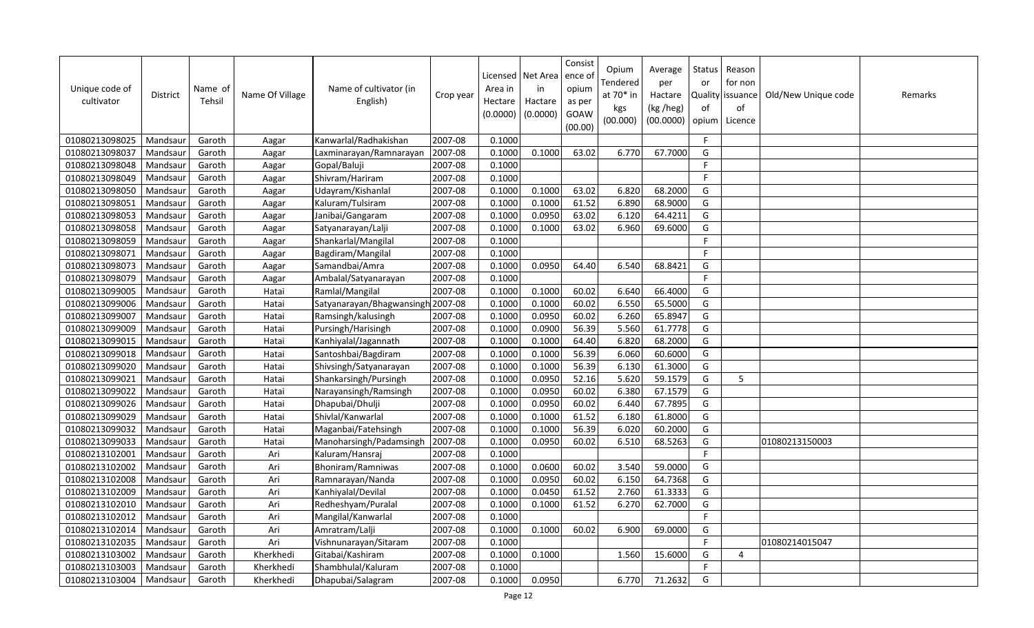| Unique code of<br>cultivator | District | Name of<br>Tehsil | Name Of Village | Name of cultivator (in<br>English) | Crop year | Area in<br>Hectare<br>(0.0000) | Licensed Net Area<br>in<br>Hactare<br>(0.0000) | Consist<br>ence o<br>opium<br>as per<br>GOAW<br>(00.00) | Opium<br>Tendered<br>at 70* in<br>kgs<br>(00.000) | Average<br>per<br>Hactare<br>(kg /heg)<br>(00.0000) | Status<br>or<br>Quality<br>of | Reason<br>for non<br>issuance<br>of<br>opium   Licence | Old/New Unique code | Remarks |
|------------------------------|----------|-------------------|-----------------|------------------------------------|-----------|--------------------------------|------------------------------------------------|---------------------------------------------------------|---------------------------------------------------|-----------------------------------------------------|-------------------------------|--------------------------------------------------------|---------------------|---------|
| 01080213098025               | Mandsaur | Garoth            | Aagar           | Kanwarlal/Radhakishan              | 2007-08   | 0.1000                         |                                                |                                                         |                                                   |                                                     | F                             |                                                        |                     |         |
| 01080213098037               | Mandsaur | Garoth            | Aagar           | Laxminarayan/Ramnarayan            | 2007-08   | 0.1000                         | 0.1000                                         | 63.02                                                   | 6.770                                             | 67.7000                                             | G                             |                                                        |                     |         |
| 01080213098048               | Mandsaur | Garoth            | Aagar           | Gopal/Baluji                       | 2007-08   | 0.1000                         |                                                |                                                         |                                                   |                                                     | E                             |                                                        |                     |         |
| 01080213098049               | Mandsaur | Garoth            | Aagar           | Shivram/Hariram                    | 2007-08   | 0.1000                         |                                                |                                                         |                                                   |                                                     | F                             |                                                        |                     |         |
| 01080213098050               | Mandsaur | Garoth            | Aagar           | Udayram/Kishanlal                  | 2007-08   | 0.1000                         | 0.1000                                         | 63.02                                                   | 6.820                                             | 68.2000                                             | G                             |                                                        |                     |         |
| 01080213098051               | Mandsaur | Garoth            | Aagar           | Kaluram/Tulsiram                   | 2007-08   | 0.1000                         | 0.1000                                         | 61.52                                                   | 6.890                                             | 68.9000                                             | G                             |                                                        |                     |         |
| 01080213098053               | Mandsaur | Garoth            | Aagar           | Janibai/Gangaram                   | 2007-08   | 0.1000                         | 0.0950                                         | 63.02                                                   | 6.120                                             | 64.4211                                             | G                             |                                                        |                     |         |
| 01080213098058               | Mandsaur | Garoth            | Aagar           | Satyanarayan/Lalji                 | 2007-08   | 0.1000                         | 0.1000                                         | 63.02                                                   | 6.960                                             | 69.6000                                             | G                             |                                                        |                     |         |
| 01080213098059               | Mandsaur | Garoth            | Aagar           | Shankarlal/Mangilal                | 2007-08   | 0.1000                         |                                                |                                                         |                                                   |                                                     | E                             |                                                        |                     |         |
| 01080213098071               | Mandsaur | Garoth            | Aagar           | Bagdiram/Mangilal                  | 2007-08   | 0.1000                         |                                                |                                                         |                                                   |                                                     | F                             |                                                        |                     |         |
| 01080213098073               | Mandsaur | Garoth            | Aagar           | Samandbai/Amra                     | 2007-08   | 0.1000                         | 0.0950                                         | 64.40                                                   | 6.540                                             | 68.8421                                             | G                             |                                                        |                     |         |
| 01080213098079               | Mandsaur | Garoth            | Aagar           | Ambalal/Satyanarayan               | 2007-08   | 0.1000                         |                                                |                                                         |                                                   |                                                     | F                             |                                                        |                     |         |
| 01080213099005               | Mandsaur | Garoth            | Hatai           | Ramlal/Mangilal                    | 2007-08   | 0.1000                         | 0.1000                                         | 60.02                                                   | 6.640                                             | 66.4000                                             | G                             |                                                        |                     |         |
| 01080213099006               | Mandsaur | Garoth            | Hatai           | Satyanarayan/Bhagwansingh 2007-08  |           | 0.1000                         | 0.1000                                         | 60.02                                                   | 6.550                                             | 65.5000                                             | G                             |                                                        |                     |         |
| 01080213099007               | Mandsaur | Garoth            | Hatai           | Ramsingh/kalusingh                 | 2007-08   | 0.1000                         | 0.0950                                         | 60.02                                                   | 6.260                                             | 65.8947                                             | G                             |                                                        |                     |         |
| 01080213099009               | Mandsaur | Garoth            | Hatai           | Pursingh/Harisingh                 | 2007-08   | 0.1000                         | 0.0900                                         | 56.39                                                   | 5.560                                             | 61.7778                                             | G                             |                                                        |                     |         |
| 01080213099015               | Mandsaur | Garoth            | Hatai           | Kanhiyalal/Jagannath               | 2007-08   | 0.1000                         | 0.1000                                         | 64.40                                                   | 6.820                                             | 68.2000                                             | G                             |                                                        |                     |         |
| 01080213099018               | Mandsaur | Garoth            | Hatai           | Santoshbai/Bagdiram                | 2007-08   | 0.1000                         | 0.1000                                         | 56.39                                                   | 6.060                                             | 60.6000                                             | G                             |                                                        |                     |         |
| 01080213099020               | Mandsaur | Garoth            | Hatai           | Shivsingh/Satyanarayan             | 2007-08   | 0.1000                         | 0.1000                                         | 56.39                                                   | 6.130                                             | 61.3000                                             | G                             |                                                        |                     |         |
| 01080213099021               | Mandsaur | Garoth            | Hatai           | Shankarsingh/Pursingh              | 2007-08   | 0.1000                         | 0.0950                                         | 52.16                                                   | 5.620                                             | 59.1579                                             | G                             | 5                                                      |                     |         |
| 01080213099022               | Mandsaur | Garoth            | Hatai           | Narayansingh/Ramsingh              | 2007-08   | 0.1000                         | 0.0950                                         | 60.02                                                   | 6.380                                             | 67.1579                                             | G                             |                                                        |                     |         |
| 01080213099026               | Mandsaur | Garoth            | Hatai           | Dhapubai/Dhulji                    | 2007-08   | 0.1000                         | 0.0950                                         | 60.02                                                   | 6.440                                             | 67.7895                                             | G                             |                                                        |                     |         |
| 01080213099029               | Mandsaur | Garoth            | Hatai           | Shivlal/Kanwarlal                  | 2007-08   | 0.1000                         | 0.1000                                         | 61.52                                                   | 6.180                                             | 61.8000                                             | G                             |                                                        |                     |         |
| 01080213099032               | Mandsaur | Garoth            | Hatai           | Maganbai/Fatehsingh                | 2007-08   | 0.1000                         | 0.1000                                         | 56.39                                                   | 6.020                                             | 60.2000                                             | G                             |                                                        |                     |         |
| 01080213099033               | Mandsaur | Garoth            | Hatai           | Manoharsingh/Padamsingh            | 2007-08   | 0.1000                         | 0.0950                                         | 60.02                                                   | 6.510                                             | 68.5263                                             | G                             |                                                        | 01080213150003      |         |
| 01080213102001               | Mandsaur | Garoth            | Ari             | Kaluram/Hansraj                    | 2007-08   | 0.1000                         |                                                |                                                         |                                                   |                                                     | F                             |                                                        |                     |         |
| 01080213102002               | Mandsaur | Garoth            | Ari             | Bhoniram/Ramniwas                  | 2007-08   | 0.1000                         | 0.0600                                         | 60.02                                                   | 3.540                                             | 59.0000                                             | G                             |                                                        |                     |         |
| 01080213102008               | Mandsaur | Garoth            | Ari             | Ramnarayan/Nanda                   | 2007-08   | 0.1000                         | 0.0950                                         | 60.02                                                   | 6.150                                             | 64.7368                                             | G                             |                                                        |                     |         |
| 01080213102009               | Mandsaur | Garoth            | Ari             | Kanhiyalal/Devilal                 | 2007-08   | 0.1000                         | 0.0450                                         | 61.52                                                   | 2.760                                             | 61.3333                                             | G                             |                                                        |                     |         |
| 01080213102010               | Mandsaur | Garoth            | Ari             | Redheshyam/Puralal                 | 2007-08   | 0.1000                         | 0.1000                                         | 61.52                                                   | 6.270                                             | 62.7000                                             | G                             |                                                        |                     |         |
| 01080213102012               | Mandsaur | Garoth            | Ari             | Mangilal/Kanwarlal                 | 2007-08   | 0.1000                         |                                                |                                                         |                                                   |                                                     | F                             |                                                        |                     |         |
| 01080213102014               | Mandsaur | Garoth            | Ari             | Amratram/Lalji                     | 2007-08   | 0.1000                         | 0.1000                                         | 60.02                                                   | 6.900                                             | 69.0000                                             | G                             |                                                        |                     |         |
| 01080213102035               | Mandsaur | Garoth            | Ari             | Vishnunarayan/Sitaram              | 2007-08   | 0.1000                         |                                                |                                                         |                                                   |                                                     | F                             |                                                        | 01080214015047      |         |
| 01080213103002               | Mandsaur | Garoth            | Kherkhedi       | Gitabai/Kashiram                   | 2007-08   | 0.1000                         | 0.1000                                         |                                                         | 1.560                                             | 15.6000                                             | G                             | $\overline{4}$                                         |                     |         |
| 01080213103003               | Mandsaur | Garoth            | Kherkhedi       | Shambhulal/Kaluram                 | 2007-08   | 0.1000                         |                                                |                                                         |                                                   |                                                     | F                             |                                                        |                     |         |
| 01080213103004               | Mandsaur | Garoth            | Kherkhedi       | Dhapubai/Salagram                  | 2007-08   | 0.1000                         | 0.0950                                         |                                                         | 6.770                                             | 71.2632                                             | G                             |                                                        |                     |         |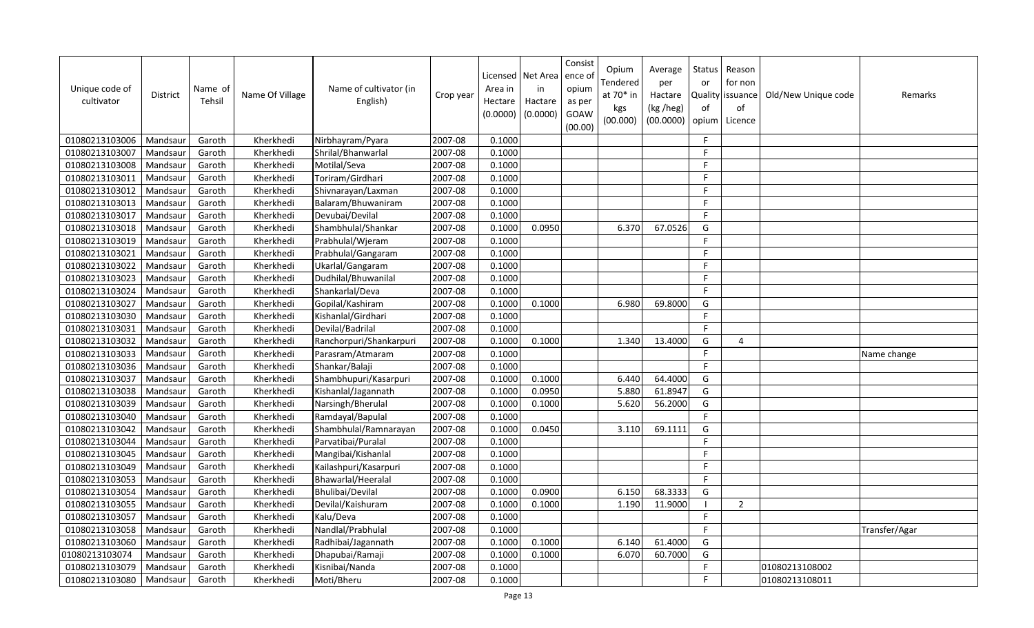| Unique code of<br>cultivator | <b>District</b> | Name of<br>Tehsil | Name Of Village | Name of cultivator (in<br>English) | Crop year | Area in<br>Hectare<br>(0.0000) | Licensed   Net Area<br>in<br>Hactare<br>(0.0000) | Consist<br>ence of<br>opium<br>as per<br>GOAW<br>(00.00) | Opium<br>Tendered<br>at 70* in<br>kgs<br>(00.000) | Average<br>per<br>Hactare<br>(kg /heg)<br>(00.0000) | Status<br>or<br>Quality<br>of<br>opium | Reason<br>for non<br>issuance<br>of<br>Licence | Old/New Unique code | Remarks       |
|------------------------------|-----------------|-------------------|-----------------|------------------------------------|-----------|--------------------------------|--------------------------------------------------|----------------------------------------------------------|---------------------------------------------------|-----------------------------------------------------|----------------------------------------|------------------------------------------------|---------------------|---------------|
| 01080213103006               | Mandsaur        | Garoth            | Kherkhedi       | Nirbhayram/Pyara                   | 2007-08   | 0.1000                         |                                                  |                                                          |                                                   |                                                     | $\mathsf{F}$                           |                                                |                     |               |
| 01080213103007               | Mandsaur        | Garoth            | Kherkhedi       | Shrilal/Bhanwarlal                 | 2007-08   | 0.1000                         |                                                  |                                                          |                                                   |                                                     | F.                                     |                                                |                     |               |
| 01080213103008               | Mandsaur        | Garoth            | Kherkhedi       | Motilal/Seva                       | 2007-08   | 0.1000                         |                                                  |                                                          |                                                   |                                                     | F                                      |                                                |                     |               |
| 01080213103011               | Mandsaur        | Garoth            | Kherkhedi       | Toriram/Girdhari                   | 2007-08   | 0.1000                         |                                                  |                                                          |                                                   |                                                     | F.                                     |                                                |                     |               |
| 01080213103012               | Mandsaur        | Garoth            | Kherkhedi       | Shivnarayan/Laxman                 | 2007-08   | 0.1000                         |                                                  |                                                          |                                                   |                                                     | F.                                     |                                                |                     |               |
| 01080213103013               | Mandsaur        | Garoth            | Kherkhedi       | Balaram/Bhuwaniram                 | 2007-08   | 0.1000                         |                                                  |                                                          |                                                   |                                                     | F.                                     |                                                |                     |               |
| 01080213103017               | Mandsaur        | Garoth            | Kherkhedi       | Devubai/Devilal                    | 2007-08   | 0.1000                         |                                                  |                                                          |                                                   |                                                     | F.                                     |                                                |                     |               |
| 01080213103018               | Mandsau         | Garoth            | Kherkhedi       | Shambhulal/Shankar                 | 2007-08   | 0.1000                         | 0.0950                                           |                                                          | 6.370                                             | 67.0526                                             | G                                      |                                                |                     |               |
| 01080213103019               | Mandsaur        | Garoth            | Kherkhedi       | Prabhulal/Wjeram                   | 2007-08   | 0.1000                         |                                                  |                                                          |                                                   |                                                     | E                                      |                                                |                     |               |
| 01080213103021               | Mandsau         | Garoth            | Kherkhedi       | Prabhulal/Gangaram                 | 2007-08   | 0.1000                         |                                                  |                                                          |                                                   |                                                     | F.                                     |                                                |                     |               |
| 01080213103022               | Mandsaur        | Garoth            | Kherkhedi       | Ukarlal/Gangaram                   | 2007-08   | 0.1000                         |                                                  |                                                          |                                                   |                                                     | F.                                     |                                                |                     |               |
| 01080213103023               | Mandsau         | Garoth            | Kherkhedi       | Dudhilal/Bhuwanilal                | 2007-08   | 0.1000                         |                                                  |                                                          |                                                   |                                                     | F                                      |                                                |                     |               |
| 01080213103024               | Mandsaur        | Garoth            | Kherkhedi       | Shankarlal/Deva                    | 2007-08   | 0.1000                         |                                                  |                                                          |                                                   |                                                     | F.                                     |                                                |                     |               |
| 01080213103027               | Mandsaur        | Garoth            | Kherkhedi       | Gopilal/Kashiram                   | 2007-08   | 0.1000                         | 0.1000                                           |                                                          | 6.980                                             | 69.8000                                             | G                                      |                                                |                     |               |
| 01080213103030               | Mandsau         | Garoth            | Kherkhedi       | Kishanlal/Girdhari                 | 2007-08   | 0.1000                         |                                                  |                                                          |                                                   |                                                     | F.                                     |                                                |                     |               |
| 01080213103031               | Mandsaur        | Garoth            | Kherkhedi       | Devilal/Badrilal                   | 2007-08   | 0.1000                         |                                                  |                                                          |                                                   |                                                     | F                                      |                                                |                     |               |
| 01080213103032               | Mandsaur        | Garoth            | Kherkhedi       | Ranchorpuri/Shankarpuri            | 2007-08   | 0.1000                         | 0.1000                                           |                                                          | 1.340                                             | 13.4000                                             | G                                      | 4                                              |                     |               |
| 01080213103033               | Mandsaur        | Garoth            | Kherkhedi       | Parasram/Atmaram                   | 2007-08   | 0.1000                         |                                                  |                                                          |                                                   |                                                     | F                                      |                                                |                     | Name change   |
| 01080213103036               | Mandsau         | Garoth            | Kherkhedi       | Shankar/Balaji                     | 2007-08   | 0.1000                         |                                                  |                                                          |                                                   |                                                     | F.                                     |                                                |                     |               |
| 01080213103037               | Mandsaur        | Garoth            | Kherkhedi       | Shambhupuri/Kasarpuri              | 2007-08   | 0.1000                         | 0.1000                                           |                                                          | 6.440                                             | 64.4000                                             | G                                      |                                                |                     |               |
| 01080213103038               | Mandsaur        | Garoth            | Kherkhedi       | Kishanlal/Jagannath                | 2007-08   | 0.1000                         | 0.0950                                           |                                                          | 5.880                                             | 61.8947                                             | G                                      |                                                |                     |               |
| 01080213103039               | Mandsaur        | Garoth            | Kherkhedi       | Narsingh/Bherulal                  | 2007-08   | 0.1000                         | 0.1000                                           |                                                          | 5.620                                             | 56.2000                                             | G                                      |                                                |                     |               |
| 01080213103040               | Mandsaur        | Garoth            | Kherkhedi       | Ramdayal/Bapulal                   | 2007-08   | 0.1000                         |                                                  |                                                          |                                                   |                                                     | F.                                     |                                                |                     |               |
| 01080213103042               | Mandsau         | Garoth            | Kherkhedi       | Shambhulal/Ramnarayan              | 2007-08   | 0.1000                         | 0.0450                                           |                                                          | 3.110                                             | 69.1111                                             | G                                      |                                                |                     |               |
| 01080213103044               | Mandsaur        | Garoth            | Kherkhedi       | Parvatibai/Puralal                 | 2007-08   | 0.1000                         |                                                  |                                                          |                                                   |                                                     | E                                      |                                                |                     |               |
| 01080213103045               | Mandsaur        | Garoth            | Kherkhedi       | Mangibai/Kishanlal                 | 2007-08   | 0.1000                         |                                                  |                                                          |                                                   |                                                     | F.                                     |                                                |                     |               |
| 01080213103049               | Mandsaur        | Garoth            | Kherkhedi       | Kailashpuri/Kasarpuri              | 2007-08   | 0.1000                         |                                                  |                                                          |                                                   |                                                     | $\mathsf{F}$                           |                                                |                     |               |
| 01080213103053               | Mandsaur        | Garoth            | Kherkhedi       | Bhawarlal/Heeralal                 | 2007-08   | 0.1000                         |                                                  |                                                          |                                                   |                                                     | $\mathsf F$                            |                                                |                     |               |
| 01080213103054               | Mandsau         | Garoth            | Kherkhedi       | Bhulibai/Devilal                   | 2007-08   | 0.1000                         | 0.0900                                           |                                                          | 6.150                                             | 68.3333                                             | G                                      |                                                |                     |               |
| 01080213103055               | Mandsau         | Garoth            | Kherkhedi       | Devilal/Kaishuram                  | 2007-08   | 0.1000                         | 0.1000                                           |                                                          | 1.190                                             | 11.9000                                             | $\blacksquare$                         | $\overline{2}$                                 |                     |               |
| 01080213103057               | Mandsaur        | Garoth            | Kherkhedi       | Kalu/Deva                          | 2007-08   | 0.1000                         |                                                  |                                                          |                                                   |                                                     | F                                      |                                                |                     |               |
| 01080213103058               | Mandsaur        | Garoth            | Kherkhedi       | Nandlal/Prabhulal                  | 2007-08   | 0.1000                         |                                                  |                                                          |                                                   |                                                     | F                                      |                                                |                     | Transfer/Agar |
| 01080213103060               | Mandsaur        | Garoth            | Kherkhedi       | Radhibai/Jagannath                 | 2007-08   | 0.1000                         | 0.1000                                           |                                                          | 6.140                                             | 61.4000                                             | G                                      |                                                |                     |               |
| 01080213103074               | Mandsau         | Garoth            | Kherkhedi       | Dhapubai/Ramaji                    | 2007-08   | 0.1000                         | 0.1000                                           |                                                          | 6.070                                             | 60.7000                                             | G                                      |                                                |                     |               |
| 01080213103079               | Mandsaur        | Garoth            | Kherkhedi       | Kisnibai/Nanda                     | 2007-08   | 0.1000                         |                                                  |                                                          |                                                   |                                                     | F                                      |                                                | 01080213108002      |               |
| 01080213103080               | Mandsaur        | Garoth            | Kherkhedi       | Moti/Bheru                         | 2007-08   | 0.1000                         |                                                  |                                                          |                                                   |                                                     | F                                      |                                                | 01080213108011      |               |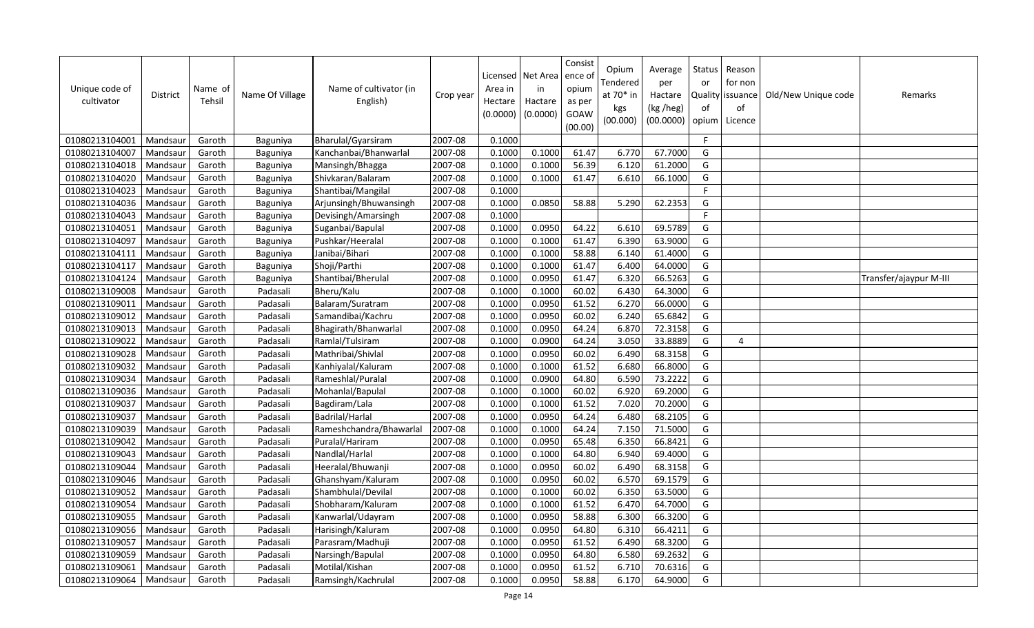| Unique code of<br>cultivator | District | Name of<br>Tehsil | Name Of Village | Name of cultivator (in<br>English) | Crop year | Area in<br>Hectare<br>(0.0000) | Licensed Net Area<br>in<br>Hactare<br>(0.0000) | Consist<br>ence of<br>opium<br>as per<br>GOAW<br>(00.00) | Opium<br>Tendered<br>at 70* in<br>kgs<br>(00.000) | Average<br>per<br>Hactare<br>(kg /heg)<br>(00.0000) | Status<br>or<br><b>Quality</b><br>of<br>opium | Reason<br>for non<br>issuance<br>of<br>Licence | Old/New Unique code | Remarks                |
|------------------------------|----------|-------------------|-----------------|------------------------------------|-----------|--------------------------------|------------------------------------------------|----------------------------------------------------------|---------------------------------------------------|-----------------------------------------------------|-----------------------------------------------|------------------------------------------------|---------------------|------------------------|
| 01080213104001               | Mandsaur | Garoth            | Baguniya        | Bharulal/Gyarsiram                 | 2007-08   | 0.1000                         |                                                |                                                          |                                                   |                                                     | F                                             |                                                |                     |                        |
| 01080213104007               | Mandsaur | Garoth            | Baguniya        | Kanchanbai/Bhanwarlal              | 2007-08   | 0.1000                         | 0.1000                                         | 61.47                                                    | 6.770                                             | 67.7000                                             | G                                             |                                                |                     |                        |
| 01080213104018               | Mandsau  | Garoth            | Baguniya        | Mansingh/Bhagga                    | 2007-08   | 0.1000                         | 0.1000                                         | 56.39                                                    | 6.120                                             | 61.2000                                             | G                                             |                                                |                     |                        |
| 01080213104020               | Mandsau  | Garoth            | Baguniya        | Shivkaran/Balaram                  | 2007-08   | 0.1000                         | 0.1000                                         | 61.47                                                    | 6.610                                             | 66.1000                                             | G                                             |                                                |                     |                        |
| 01080213104023               | Mandsaur | Garoth            | Baguniya        | Shantibai/Mangilal                 | 2007-08   | 0.1000                         |                                                |                                                          |                                                   |                                                     | E                                             |                                                |                     |                        |
| 01080213104036               | Mandsau  | Garoth            | Baguniya        | Arjunsingh/Bhuwansingh             | 2007-08   | 0.1000                         | 0.0850                                         | 58.88                                                    | 5.290                                             | 62.2353                                             | G                                             |                                                |                     |                        |
| 01080213104043               | Mandsaur | Garoth            | Baguniya        | Devisingh/Amarsingh                | 2007-08   | 0.1000                         |                                                |                                                          |                                                   |                                                     | F                                             |                                                |                     |                        |
| 01080213104051               | Mandsau  | Garoth            | Baguniya        | Suganbai/Bapulal                   | 2007-08   | 0.1000                         | 0.0950                                         | 64.22                                                    | 6.610                                             | 69.5789                                             | G                                             |                                                |                     |                        |
| 01080213104097               | Mandsau  | Garoth            | Baguniya        | Pushkar/Heeralal                   | 2007-08   | 0.1000                         | 0.1000                                         | 61.47                                                    | 6.390                                             | 63.9000                                             | G                                             |                                                |                     |                        |
| 01080213104111               | Mandsaur | Garoth            | Baguniya        | Janibai/Bihari                     | 2007-08   | 0.1000                         | 0.1000                                         | 58.88                                                    | 6.140                                             | 61.4000                                             | G                                             |                                                |                     |                        |
| 01080213104117               | Mandsau  | Garoth            | Baguniya        | Shoji/Parthi                       | 2007-08   | 0.1000                         | 0.1000                                         | 61.47                                                    | 6.400                                             | 64.0000                                             | G                                             |                                                |                     |                        |
| 01080213104124               | Mandsau  | Garoth            | Baguniya        | Shantibai/Bherulal                 | 2007-08   | 0.1000                         | 0.0950                                         | 61.47                                                    | 6.320                                             | 66.5263                                             | G                                             |                                                |                     | Transfer/ajaypur M-III |
| 01080213109008               | Mandsau  | Garoth            | Padasali        | Bheru/Kalu                         | 2007-08   | 0.1000                         | 0.1000                                         | 60.02                                                    | 6.430                                             | 64.3000                                             | G                                             |                                                |                     |                        |
| 01080213109011               | Mandsaur | Garoth            | Padasali        | Balaram/Suratram                   | 2007-08   | 0.1000                         | 0.0950                                         | 61.52                                                    | 6.270                                             | 66.0000                                             | G                                             |                                                |                     |                        |
| 01080213109012               | Mandsau  | Garoth            | Padasali        | Samandibai/Kachru                  | 2007-08   | 0.1000                         | 0.0950                                         | 60.02                                                    | 6.240                                             | 65.6842                                             | G                                             |                                                |                     |                        |
| 01080213109013               | Mandsau  | Garoth            | Padasali        | Bhagirath/Bhanwarlal               | 2007-08   | 0.1000                         | 0.0950                                         | 64.24                                                    | 6.870                                             | 72.3158                                             | G                                             |                                                |                     |                        |
| 01080213109022               | Mandsau  | Garoth            | Padasali        | Ramlal/Tulsiram                    | 2007-08   | 0.1000                         | 0.0900                                         | 64.24                                                    | 3.050                                             | 33.8889                                             | G                                             | $\boldsymbol{\Delta}$                          |                     |                        |
| 01080213109028               | Mandsaur | Garoth            | Padasali        | Mathribai/Shivlal                  | 2007-08   | 0.1000                         | 0.0950                                         | 60.02                                                    | 6.490                                             | 68.3158                                             | G                                             |                                                |                     |                        |
| 01080213109032               | Mandsau  | Garoth            | Padasali        | Kanhiyalal/Kaluram                 | 2007-08   | 0.1000                         | 0.1000                                         | 61.52                                                    | 6.680                                             | 66.8000                                             | G                                             |                                                |                     |                        |
| 01080213109034               | Mandsau  | Garoth            | Padasali        | Rameshlal/Puralal                  | 2007-08   | 0.1000                         | 0.0900                                         | 64.80                                                    | 6.590                                             | 73.2222                                             | G                                             |                                                |                     |                        |
| 01080213109036               | Mandsau  | Garoth            | Padasali        | Mohanlal/Bapulal                   | 2007-08   | 0.1000                         | 0.1000                                         | 60.02                                                    | 6.920                                             | 69.2000                                             | G                                             |                                                |                     |                        |
| 01080213109037               | Mandsau  | Garoth            | Padasali        | Bagdiram/Lala                      | 2007-08   | 0.1000                         | 0.1000                                         | 61.52                                                    | 7.020                                             | 70.2000                                             | G                                             |                                                |                     |                        |
| 01080213109037               | Mandsaur | Garoth            | Padasali        | Badrilal/Harlal                    | 2007-08   | 0.1000                         | 0.0950                                         | 64.24                                                    | 6.480                                             | 68.2105                                             | G                                             |                                                |                     |                        |
| 01080213109039               | Mandsaur | Garoth            | Padasali        | Rameshchandra/Bhawarlal            | 2007-08   | 0.1000                         | 0.1000                                         | 64.24                                                    | 7.150                                             | 71.5000                                             | G                                             |                                                |                     |                        |
| 01080213109042               | Mandsau  | Garoth            | Padasali        | Puralal/Hariram                    | 2007-08   | 0.1000                         | 0.0950                                         | 65.48                                                    | 6.350                                             | 66.8421                                             | G                                             |                                                |                     |                        |
| 01080213109043               | Mandsau  | Garoth            | Padasali        | Nandlal/Harlal                     | 2007-08   | 0.1000                         | 0.1000                                         | 64.80                                                    | 6.940                                             | 69.4000                                             | G                                             |                                                |                     |                        |
| 01080213109044               | Mandsaur | Garoth            | Padasali        | Heeralal/Bhuwanji                  | 2007-08   | 0.1000                         | 0.0950                                         | 60.02                                                    | 6.490                                             | 68.3158                                             | G                                             |                                                |                     |                        |
| 01080213109046               | Mandsau  | Garoth            | Padasali        | Ghanshyam/Kaluram                  | 2007-08   | 0.1000                         | 0.0950                                         | 60.02                                                    | 6.570                                             | 69.1579                                             | G                                             |                                                |                     |                        |
| 01080213109052               | Mandsau  | Garoth            | Padasali        | Shambhulal/Devilal                 | 2007-08   | 0.1000                         | 0.1000                                         | 60.02                                                    | 6.350                                             | 63.5000                                             | G                                             |                                                |                     |                        |
| 01080213109054               | Mandsau  | Garoth            | Padasali        | Shobharam/Kaluram                  | 2007-08   | 0.1000                         | 0.1000                                         | 61.52                                                    | 6.470                                             | 64.7000                                             | G                                             |                                                |                     |                        |
| 01080213109055               | Mandsaur | Garoth            | Padasali        | Kanwarlal/Udayram                  | 2007-08   | 0.1000                         | 0.0950                                         | 58.88                                                    | 6.300                                             | 66.3200                                             | G                                             |                                                |                     |                        |
| 01080213109056               | Mandsaur | Garoth            | Padasali        | Harisingh/Kaluram                  | 2007-08   | 0.1000                         | 0.0950                                         | 64.80                                                    | 6.310                                             | 66.4211                                             | G                                             |                                                |                     |                        |
| 01080213109057               | Mandsau  | Garoth            | Padasali        | Parasram/Madhuji                   | 2007-08   | 0.1000                         | 0.0950                                         | 61.52                                                    | 6.490                                             | 68.3200                                             | G                                             |                                                |                     |                        |
| 01080213109059               | Mandsau  | Garoth            | Padasali        | Narsingh/Bapulal                   | 2007-08   | 0.1000                         | 0.0950                                         | 64.80                                                    | 6.580                                             | 69.2632                                             | G                                             |                                                |                     |                        |
| 01080213109061               | Mandsaur | Garoth            | Padasali        | Motilal/Kishan                     | 2007-08   | 0.1000                         | 0.0950                                         | 61.52                                                    | 6.710                                             | 70.6316                                             | G                                             |                                                |                     |                        |
| 01080213109064               | Mandsaur | Garoth            | Padasali        | Ramsingh/Kachrulal                 | 2007-08   | 0.1000                         | 0.0950                                         | 58.88                                                    | 6.170                                             | 64.9000                                             | G                                             |                                                |                     |                        |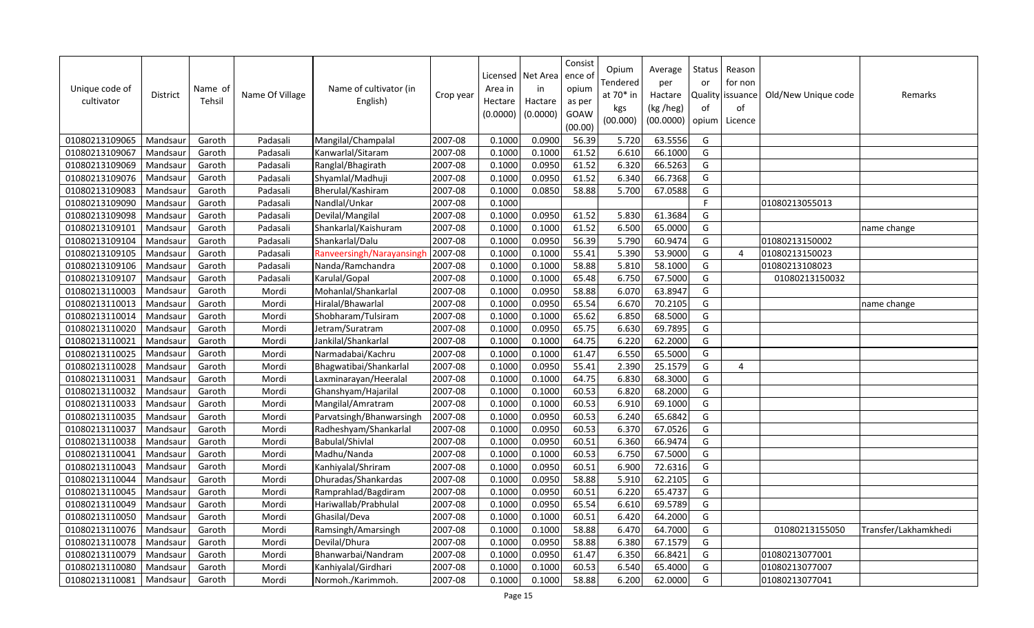| Unique code of<br>cultivator | <b>District</b> | Name of<br>Tehsil | Name Of Village | Name of cultivator (in<br>English) | Crop year | Area in<br>Hectare<br>(0.0000) | Licensed   Net Area<br>in<br>Hactare<br>(0.0000) | Consist<br>ence of<br>opium<br>as per<br>GOAW<br>(00.00) | Opium<br>Tendered<br>at 70* in<br>kgs<br>(00.000) | Average<br>per<br>Hactare<br>(kg /heg)<br>(00.0000) | Status<br>or<br>Quality<br>of<br>opium | Reason<br>for non<br>issuance<br>of<br>Licence | Old/New Unique code | Remarks              |
|------------------------------|-----------------|-------------------|-----------------|------------------------------------|-----------|--------------------------------|--------------------------------------------------|----------------------------------------------------------|---------------------------------------------------|-----------------------------------------------------|----------------------------------------|------------------------------------------------|---------------------|----------------------|
| 01080213109065               | Mandsaur        | Garoth            | Padasali        | Mangilal/Champalal                 | 2007-08   | 0.1000                         | 0.0900                                           | 56.39                                                    | 5.720                                             | 63.5556                                             | G                                      |                                                |                     |                      |
| 01080213109067               | Mandsaur        | Garoth            | Padasali        | Kanwarlal/Sitaram                  | 2007-08   | 0.1000                         | 0.1000                                           | 61.52                                                    | 6.610                                             | 66.1000                                             | G                                      |                                                |                     |                      |
| 01080213109069               | Mandsaur        | Garoth            | Padasali        | Ranglal/Bhagirath                  | 2007-08   | 0.1000                         | 0.0950                                           | 61.52                                                    | 6.320                                             | 66.5263                                             | G                                      |                                                |                     |                      |
| 01080213109076               | Mandsau         | Garoth            | Padasali        | Shyamlal/Madhuji                   | 2007-08   | 0.1000                         | 0.0950                                           | 61.52                                                    | 6.340                                             | 66.7368                                             | G                                      |                                                |                     |                      |
| 01080213109083               | Mandsaur        | Garoth            | Padasali        | Bherulal/Kashiram                  | 2007-08   | 0.1000                         | 0.0850                                           | 58.88                                                    | 5.700                                             | 67.0588                                             | G                                      |                                                |                     |                      |
| 01080213109090               | Mandsaur        | Garoth            | Padasali        | Nandlal/Unkar                      | 2007-08   | 0.1000                         |                                                  |                                                          |                                                   |                                                     | F.                                     |                                                | 01080213055013      |                      |
| 01080213109098               | Mandsau         | Garoth            | Padasali        | Devilal/Mangilal                   | 2007-08   | 0.1000                         | 0.0950                                           | 61.52                                                    | 5.830                                             | 61.3684                                             | G                                      |                                                |                     |                      |
| 01080213109101               | Mandsau         | Garoth            | Padasali        | Shankarlal/Kaishuram               | 2007-08   | 0.1000                         | 0.1000                                           | 61.52                                                    | 6.500                                             | 65.0000                                             | G                                      |                                                |                     | name change          |
| 01080213109104               | Mandsaur        | Garoth            | Padasali        | Shankarlal/Dalu                    | 2007-08   | 0.1000                         | 0.0950                                           | 56.39                                                    | 5.790                                             | 60.9474                                             | G                                      |                                                | 01080213150002      |                      |
| 01080213109105               | Mandsaur        | Garoth            | Padasali        | Ranveersingh/Narayansingh          | 2007-08   | 0.1000                         | 0.1000                                           | 55.41                                                    | 5.390                                             | 53.9000                                             | G                                      | $\boldsymbol{\Delta}$                          | 01080213150023      |                      |
| 01080213109106               | Mandsau         | Garoth            | Padasali        | Nanda/Ramchandra                   | 2007-08   | 0.1000                         | 0.1000                                           | 58.88                                                    | 5.810                                             | 58.1000                                             | G                                      |                                                | 01080213108023      |                      |
| 01080213109107               | Mandsau         | Garoth            | Padasali        | Karulal/Gopal                      | 2007-08   | 0.1000                         | 0.1000                                           | 65.48                                                    | 6.750                                             | 67.5000                                             | G                                      |                                                | 01080213150032      |                      |
| 01080213110003               | Mandsau         | Garoth            | Mordi           | Mohanlal/Shankarlal                | 2007-08   | 0.1000                         | 0.0950                                           | 58.88                                                    | 6.070                                             | 63.8947                                             | G                                      |                                                |                     |                      |
| 01080213110013               | Mandsaur        | Garoth            | Mordi           | Hiralal/Bhawarlal                  | 2007-08   | 0.1000                         | 0.0950                                           | 65.54                                                    | 6.670                                             | 70.2105                                             | G                                      |                                                |                     | name change          |
| 01080213110014               | Mandsau         | Garoth            | Mordi           | Shobharam/Tulsiram                 | 2007-08   | 0.1000                         | 0.1000                                           | 65.62                                                    | 6.850                                             | 68.5000                                             | G                                      |                                                |                     |                      |
| 01080213110020               | Mandsaur        | Garoth            | Mordi           | Jetram/Suratram                    | 2007-08   | 0.1000                         | 0.0950                                           | 65.75                                                    | 6.630                                             | 69.7895                                             | G                                      |                                                |                     |                      |
| 01080213110021               | Mandsau         | Garoth            | Mordi           | Jankilal/Shankarlal                | 2007-08   | 0.1000                         | 0.1000                                           | 64.75                                                    | 6.220                                             | 62.2000                                             | G                                      |                                                |                     |                      |
| 01080213110025               | Mandsaur        | Garoth            | Mordi           | Narmadabai/Kachru                  | 2007-08   | 0.1000                         | 0.1000                                           | 61.47                                                    | 6.550                                             | 65.5000                                             | G                                      |                                                |                     |                      |
| 01080213110028               | Mandsau         | Garoth            | Mordi           | Bhagwatibai/Shankarlal             | 2007-08   | 0.1000                         | 0.0950                                           | 55.41                                                    | 2.390                                             | 25.1579                                             | G                                      | $\overline{a}$                                 |                     |                      |
| 01080213110031               | Mandsau         | Garoth            | Mordi           | Laxminarayan/Heeralal              | 2007-08   | 0.1000                         | 0.1000                                           | 64.75                                                    | 6.830                                             | 68.3000                                             | G                                      |                                                |                     |                      |
| 01080213110032               | Mandsaur        | Garoth            | Mordi           | Ghanshyam/Hajarilal                | 2007-08   | 0.1000                         | 0.1000                                           | 60.53                                                    | 6.820                                             | 68.2000                                             | G                                      |                                                |                     |                      |
| 01080213110033               | Mandsaur        | Garoth            | Mordi           | Mangilal/Amratram                  | 2007-08   | 0.1000                         | 0.1000                                           | 60.53                                                    | 6.910                                             | 69.1000                                             | G                                      |                                                |                     |                      |
| 01080213110035               | Mandsaur        | Garoth            | Mordi           | Parvatsingh/Bhanwarsingh           | 2007-08   | 0.1000                         | 0.0950                                           | 60.53                                                    | 6.240                                             | 65.6842                                             | G                                      |                                                |                     |                      |
| 01080213110037               | Mandsau         | Garoth            | Mordi           | Radheshyam/Shankarlal              | 2007-08   | 0.1000                         | 0.0950                                           | 60.53                                                    | 6.370                                             | 67.0526                                             | G                                      |                                                |                     |                      |
| 01080213110038               | Mandsau         | Garoth            | Mordi           | <b>Babulal/Shivlal</b>             | 2007-08   | 0.1000                         | 0.0950                                           | 60.51                                                    | 6.360                                             | 66.9474                                             | G                                      |                                                |                     |                      |
| 01080213110041               | Mandsaur        | Garoth            | Mordi           | Madhu/Nanda                        | 2007-08   | 0.1000                         | 0.1000                                           | 60.53                                                    | 6.750                                             | 67.5000                                             | G                                      |                                                |                     |                      |
| 01080213110043               | Mandsaur        | Garoth            | Mordi           | Kanhiyalal/Shriram                 | 2007-08   | 0.1000                         | 0.0950                                           | 60.51                                                    | 6.900                                             | 72.6316                                             | G                                      |                                                |                     |                      |
| 01080213110044               | Mandsau         | Garoth            | Mordi           | Dhuradas/Shankardas                | 2007-08   | 0.1000                         | 0.0950                                           | 58.88                                                    | 5.910                                             | 62.2105                                             | G                                      |                                                |                     |                      |
| 01080213110045               | Mandsau         | Garoth            | Mordi           | Ramprahlad/Bagdiram                | 2007-08   | 0.1000                         | 0.0950                                           | 60.51                                                    | 6.220                                             | 65.4737                                             | G                                      |                                                |                     |                      |
| 01080213110049               | Mandsau         | Garoth            | Mordi           | Hariwallab/Prabhulal               | 2007-08   | 0.1000                         | 0.0950                                           | 65.54                                                    | 6.610                                             | 69.5789                                             | G                                      |                                                |                     |                      |
| 01080213110050               | Mandsaur        | Garoth            | Mordi           | Ghasilal/Deva                      | 2007-08   | 0.1000                         | 0.1000                                           | 60.51                                                    | 6.420                                             | 64.2000                                             | G                                      |                                                |                     |                      |
| 01080213110076               | Mandsaur        | Garoth            | Mordi           | Ramsingh/Amarsingh                 | 2007-08   | 0.1000                         | 0.1000                                           | 58.88                                                    | 6.470                                             | 64.7000                                             | G                                      |                                                | 01080213155050      | Transfer/Lakhamkhedi |
| 01080213110078               | Mandsaur        | Garoth            | Mordi           | Devilal/Dhura                      | 2007-08   | 0.1000                         | 0.0950                                           | 58.88                                                    | 6.380                                             | 67.1579                                             | G                                      |                                                |                     |                      |
| 01080213110079               | Mandsaur        | Garoth            | Mordi           | Bhanwarbai/Nandram                 | 2007-08   | 0.1000                         | 0.0950                                           | 61.47                                                    | 6.350                                             | 66.8421                                             | G                                      |                                                | 01080213077001      |                      |
| 01080213110080               | Mandsaur        | Garoth            | Mordi           | Kanhiyalal/Girdhari                | 2007-08   | 0.1000                         | 0.1000                                           | 60.53                                                    | 6.540                                             | 65.4000                                             | G                                      |                                                | 01080213077007      |                      |
| 01080213110081               | Mandsaur        | Garoth            | Mordi           | Normoh./Karimmoh.                  | 2007-08   | 0.1000                         | 0.1000                                           | 58.88                                                    | 6.200                                             | 62.0000                                             | G                                      |                                                | 01080213077041      |                      |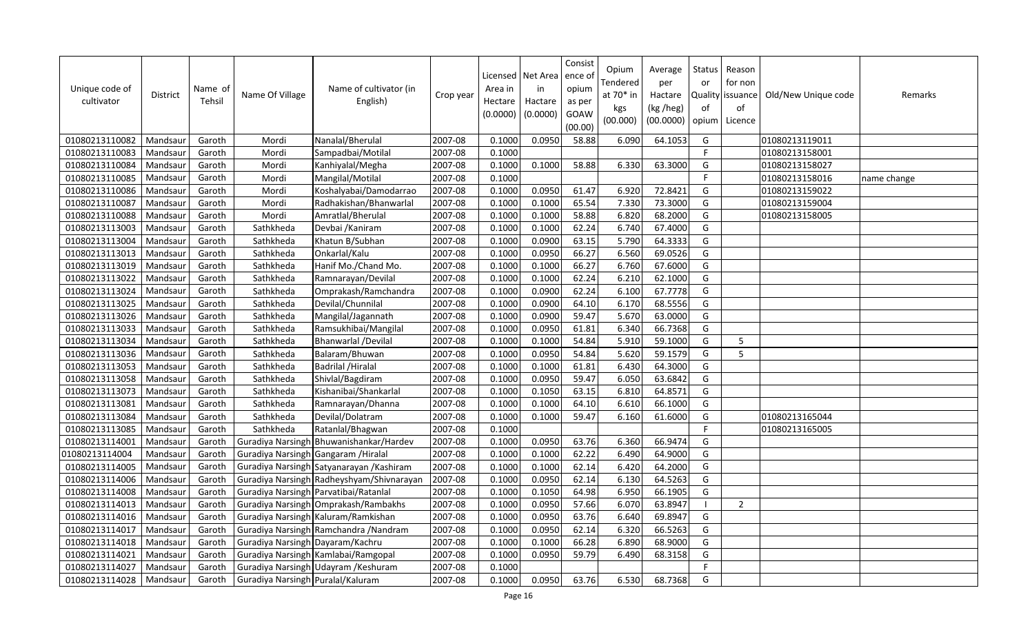| Unique code of<br>cultivator | <b>District</b> | Name of<br>Tehsil | Name Of Village                      | Name of cultivator (in<br>English)        | Crop year | Area in<br>Hectare<br>(0.0000) | Licensed   Net Area<br>in<br>Hactare<br>(0.0000) | Consist<br>ence of<br>opium<br>as per<br>GOAW<br>(00.00) | Opium<br>Tendered<br>at 70* in<br>kgs<br>(00.000) | Average<br>per<br>Hactare<br>(kg /heg)<br>(00.0000) | <b>Status</b><br>or<br>of<br>opium | Reason<br>for non<br>Quality issuance<br>of<br>Licence | Old/New Unique code | Remarks     |
|------------------------------|-----------------|-------------------|--------------------------------------|-------------------------------------------|-----------|--------------------------------|--------------------------------------------------|----------------------------------------------------------|---------------------------------------------------|-----------------------------------------------------|------------------------------------|--------------------------------------------------------|---------------------|-------------|
| 01080213110082               | Mandsaur        | Garoth            | Mordi                                | Nanalal/Bherulal                          | 2007-08   | 0.1000                         | 0.0950                                           | 58.88                                                    | 6.090                                             | 64.1053                                             | G                                  |                                                        | 01080213119011      |             |
| 01080213110083               | Mandsaur        | Garoth            | Mordi                                | Sampadbai/Motilal                         | 2007-08   | 0.1000                         |                                                  |                                                          |                                                   |                                                     | F.                                 |                                                        | 01080213158001      |             |
| 01080213110084               | Mandsaur        | Garoth            | Mordi                                | Kanhiyalal/Megha                          | 2007-08   | 0.1000                         | 0.1000                                           | 58.88                                                    | 6.330                                             | 63.3000                                             | G                                  |                                                        | 01080213158027      |             |
| 01080213110085               | Mandsaur        | Garoth            | Mordi                                | Mangilal/Motilal                          | 2007-08   | 0.1000                         |                                                  |                                                          |                                                   |                                                     | F                                  |                                                        | 01080213158016      | name change |
| 01080213110086               | Mandsaur        | Garoth            | Mordi                                | Koshalyabai/Damodarrao                    | 2007-08   | 0.1000                         | 0.0950                                           | 61.47                                                    | 6.920                                             | 72.8421                                             | G                                  |                                                        | 01080213159022      |             |
| 01080213110087               | Mandsau         | Garoth            | Mordi                                | Radhakishan/Bhanwarlal                    | 2007-08   | 0.1000                         | 0.1000                                           | 65.54                                                    | 7.330                                             | 73.3000                                             | G                                  |                                                        | 01080213159004      |             |
| 01080213110088               | Mandsau         | Garoth            | Mordi                                | Amratlal/Bherulal                         | 2007-08   | 0.1000                         | 0.1000                                           | 58.88                                                    | 6.820                                             | 68.2000                                             | G                                  |                                                        | 01080213158005      |             |
| 01080213113003               | Mandsau         | Garoth            | Sathkheda                            | Devbai / Kaniram                          | 2007-08   | 0.1000                         | 0.1000                                           | 62.24                                                    | 6.740                                             | 67.4000                                             | G                                  |                                                        |                     |             |
| 01080213113004               | Mandsaur        | Garoth            | Sathkheda                            | Khatun B/Subhan                           | 2007-08   | 0.1000                         | 0.0900                                           | 63.15                                                    | 5.790                                             | 64.3333                                             | G                                  |                                                        |                     |             |
| 01080213113013               | Mandsaur        | Garoth            | Sathkheda                            | Onkarlal/Kalu                             | 2007-08   | 0.1000                         | 0.0950                                           | 66.27                                                    | 6.560                                             | 69.0526                                             | G                                  |                                                        |                     |             |
| 01080213113019               | Mandsau         | Garoth            | Sathkheda                            | Hanif Mo./Chand Mo.                       | 2007-08   | 0.1000                         | 0.1000                                           | 66.27                                                    | 6.760                                             | 67.6000                                             | G                                  |                                                        |                     |             |
| 01080213113022               | Mandsau         | Garoth            | Sathkheda                            | Ramnarayan/Devilal                        | 2007-08   | 0.1000                         | 0.1000                                           | 62.24                                                    | 6.210                                             | 62.1000                                             | G                                  |                                                        |                     |             |
| 01080213113024               | Mandsau         | Garoth            | Sathkheda                            | Omprakash/Ramchandra                      | 2007-08   | 0.1000                         | 0.0900                                           | 62.24                                                    | 6.100                                             | 67.7778                                             | G                                  |                                                        |                     |             |
| 01080213113025               | Mandsaur        | Garoth            | Sathkheda                            | Devilal/Chunnilal                         | 2007-08   | 0.1000                         | 0.0900                                           | 64.10                                                    | 6.170                                             | 68.5556                                             | G                                  |                                                        |                     |             |
| 01080213113026               | Mandsaur        | Garoth            | Sathkheda                            | Mangilal/Jagannath                        | 2007-08   | 0.1000                         | 0.0900                                           | 59.47                                                    | 5.670                                             | 63.0000                                             | G                                  |                                                        |                     |             |
| 01080213113033               | Mandsaur        | Garoth            | Sathkheda                            | Ramsukhibai/Mangilal                      | 2007-08   | 0.1000                         | 0.0950                                           | 61.81                                                    | 6.340                                             | 66.7368                                             | G                                  |                                                        |                     |             |
| 01080213113034               | Mandsau         | Garoth            | Sathkheda                            | Bhanwarlal /Devilal                       | 2007-08   | 0.1000                         | 0.1000                                           | 54.84                                                    | 5.910                                             | 59.1000                                             | G                                  | 5                                                      |                     |             |
| 01080213113036               | Mandsaur        | Garoth            | Sathkheda                            | Balaram/Bhuwan                            | 2007-08   | 0.1000                         | 0.0950                                           | 54.84                                                    | 5.620                                             | 59.1579                                             | G                                  | 5                                                      |                     |             |
| 01080213113053               | Mandsaur        | Garoth            | Sathkheda                            | <b>Badrilal / Hiralal</b>                 | 2007-08   | 0.1000                         | 0.1000                                           | 61.81                                                    | 6.430                                             | 64.3000                                             | G                                  |                                                        |                     |             |
| 01080213113058               | Mandsaur        | Garoth            | Sathkheda                            | Shivlal/Bagdiram                          | 2007-08   | 0.1000                         | 0.0950                                           | 59.47                                                    | 6.050                                             | 63.6842                                             | G                                  |                                                        |                     |             |
| 01080213113073               | Mandsaur        | Garoth            | Sathkheda                            | Kishanibai/Shankarlal                     | 2007-08   | 0.1000                         | 0.1050                                           | 63.15                                                    | 6.810                                             | 64.8571                                             | G                                  |                                                        |                     |             |
| 01080213113081               | Mandsaur        | Garoth            | Sathkheda                            | Ramnarayan/Dhanna                         | 2007-08   | 0.1000                         | 0.1000                                           | 64.10                                                    | 6.610                                             | 66.1000                                             | G                                  |                                                        |                     |             |
| 01080213113084               | Mandsaur        | Garoth            | Sathkheda                            | Devilal/Dolatram                          | 2007-08   | 0.1000                         | 0.1000                                           | 59.47                                                    | 6.160                                             | 61.6000                                             | G                                  |                                                        | 01080213165044      |             |
| 01080213113085               | Mandsau         | Garoth            | Sathkheda                            | Ratanlal/Bhagwan                          | 2007-08   | 0.1000                         |                                                  |                                                          |                                                   |                                                     | F                                  |                                                        | 01080213165005      |             |
| 01080213114001               | Mandsaur        | Garoth            |                                      | Guradiya Narsingh Bhuwanishankar/Hardev   | 2007-08   | 0.1000                         | 0.0950                                           | 63.76                                                    | 6.360                                             | 66.9474                                             | G                                  |                                                        |                     |             |
| 01080213114004               | Mandsaur        | Garoth            | Guradiya Narsingh Gangaram / Hiralal |                                           | 2007-08   | 0.1000                         | 0.1000                                           | 62.22                                                    | 6.490                                             | 64.9000                                             | G                                  |                                                        |                     |             |
| 01080213114005               | Mandsaur        | Garoth            |                                      | Guradiya Narsingh Satyanarayan / Kashiram | 2007-08   | 0.1000                         | 0.1000                                           | 62.14                                                    | 6.420                                             | 64.2000                                             | G                                  |                                                        |                     |             |
| 01080213114006               | Mandsau         | Garoth            |                                      | Guradiya Narsingh Radheyshyam/Shivnarayan | 2007-08   | 0.1000                         | 0.0950                                           | 62.14                                                    | 6.130                                             | 64.5263                                             | G                                  |                                                        |                     |             |
| 01080213114008               | Mandsau         | Garoth            |                                      | Guradiya Narsingh Parvatibai/Ratanlal     | 2007-08   | 0.1000                         | 0.1050                                           | 64.98                                                    | 6.950                                             | 66.1905                                             | G                                  |                                                        |                     |             |
| 01080213114013               | Mandsau         | Garoth            |                                      | Guradiya Narsingh Omprakash/Rambakhs      | 2007-08   | 0.1000                         | 0.0950                                           | 57.66                                                    | 6.070                                             | 63.8947                                             | $\overline{\phantom{a}}$           | $\overline{2}$                                         |                     |             |
| 01080213114016               | Mandsaur        | Garoth            |                                      | Guradiya Narsingh Kaluram/Ramkishan       | 2007-08   | 0.1000                         | 0.0950                                           | 63.76                                                    | 6.640                                             | 69.8947                                             | G                                  |                                                        |                     |             |
| 01080213114017               | Mandsau         | Garoth            |                                      | Guradiya Narsingh Ramchandra / Nandram    | 2007-08   | 0.1000                         | 0.0950                                           | 62.14                                                    | 6.320                                             | 66.5263                                             | G                                  |                                                        |                     |             |
| 01080213114018               | Mandsaur        | Garoth            | Guradiya Narsingh Dayaram/Kachru     |                                           | 2007-08   | 0.1000                         | 0.1000                                           | 66.28                                                    | 6.890                                             | 68.9000                                             | G                                  |                                                        |                     |             |
| 01080213114021               | Mandsau         | Garoth            |                                      | Guradiya Narsingh Kamlabai/Ramgopal       | 2007-08   | 0.1000                         | 0.0950                                           | 59.79                                                    | 6.490                                             | 68.3158                                             | G                                  |                                                        |                     |             |
| 01080213114027               | Mandsaur        | Garoth            |                                      | Guradiya Narsingh Udayram / Keshuram      | 2007-08   | 0.1000                         |                                                  |                                                          |                                                   |                                                     | F                                  |                                                        |                     |             |
| 01080213114028               | Mandsaur        | Garoth            | Guradiya Narsingh Puralal/Kaluram    |                                           | 2007-08   | 0.1000                         | 0.0950                                           | 63.76                                                    | 6.530                                             | 68.7368                                             | G                                  |                                                        |                     |             |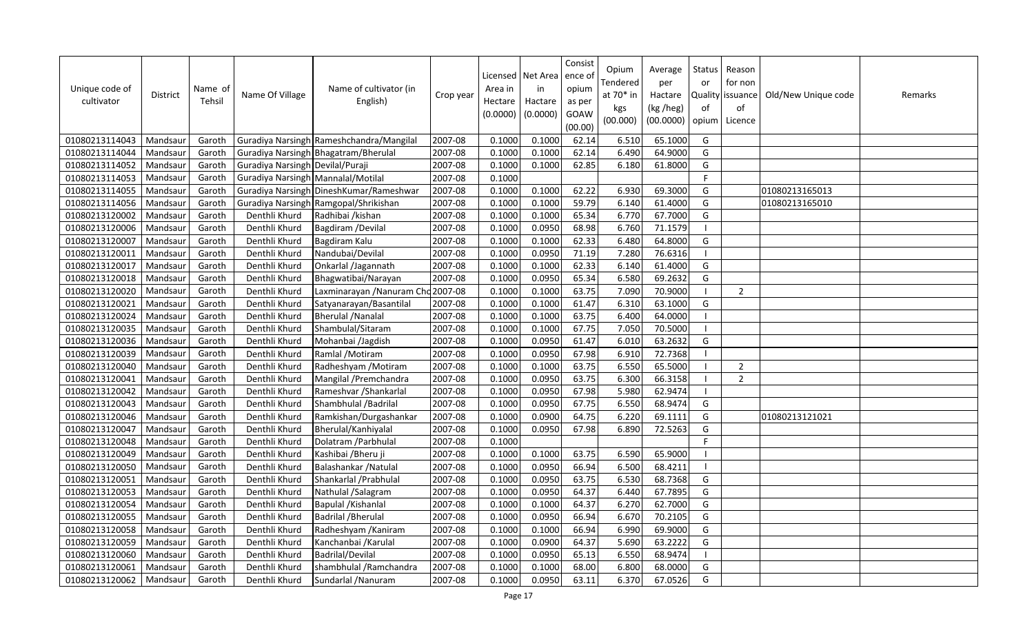| Unique code of<br>cultivator | District | Name of<br>Tehsil | Name Of Village                    | Name of cultivator (in<br>English)       | Crop year | Area in<br>Hectare<br>(0.0000) | Licensed Net Area<br>in<br>Hactare<br>(0.0000) | Consist<br>ence of<br>opium<br>as per<br>GOAW<br>(00.00) | Opium<br>Tendered<br>at 70* in<br>kgs<br>(00.000) | Average<br>per<br>Hactare<br>(kg /heg)<br>(00.0000) | Status<br>or<br>of<br>opium | Reason<br>for non<br>Quality issuance<br>of<br>Licence | Old/New Unique code | Remarks |
|------------------------------|----------|-------------------|------------------------------------|------------------------------------------|-----------|--------------------------------|------------------------------------------------|----------------------------------------------------------|---------------------------------------------------|-----------------------------------------------------|-----------------------------|--------------------------------------------------------|---------------------|---------|
| 01080213114043               | Mandsaur | Garoth            |                                    | Guradiya Narsingh Rameshchandra/Mangilal | 2007-08   | 0.1000                         | 0.1000                                         | 62.14                                                    | 6.510                                             | 65.1000                                             | G                           |                                                        |                     |         |
| 01080213114044               | Mandsaur | Garoth            |                                    | Guradiya Narsingh Bhagatram/Bherulal     | 2007-08   | 0.1000                         | 0.1000                                         | 62.14                                                    | 6.490                                             | 64.9000                                             | G                           |                                                        |                     |         |
| 01080213114052               | Mandsaur | Garoth            | Guradiya Narsingh Devilal/Puraji   |                                          | 2007-08   | 0.1000                         | 0.1000                                         | 62.85                                                    | 6.180                                             | 61.8000                                             | G                           |                                                        |                     |         |
| 01080213114053               | Mandsaur | Garoth            | Guradiya Narsingh Mannalal/Motilal |                                          | 2007-08   | 0.1000                         |                                                |                                                          |                                                   |                                                     | F                           |                                                        |                     |         |
| 01080213114055               | Mandsaur | Garoth            |                                    | Guradiya Narsingh DineshKumar/Rameshwar  | 2007-08   | 0.1000                         | 0.1000                                         | 62.22                                                    | 6.930                                             | 69.3000                                             | G                           |                                                        | 01080213165013      |         |
| 01080213114056               | Mandsaur | Garoth            |                                    | Guradiya Narsingh Ramgopal/Shrikishan    | 2007-08   | 0.1000                         | 0.1000                                         | 59.79                                                    | 6.140                                             | 61.4000                                             | G                           |                                                        | 01080213165010      |         |
| 01080213120002               | Mandsau  | Garoth            | Denthli Khurd                      | Radhibai /kishan                         | 2007-08   | 0.1000                         | 0.1000                                         | 65.34                                                    | 6.770                                             | 67.7000                                             | G                           |                                                        |                     |         |
| 01080213120006               | Mandsaur | Garoth            | Denthli Khurd                      | Bagdiram / Devilal                       | 2007-08   | 0.1000                         | 0.0950                                         | 68.98                                                    | 6.760                                             | 71.1579                                             | $\overline{\phantom{a}}$    |                                                        |                     |         |
| 01080213120007               | Mandsau  | Garoth            | Denthli Khurd                      | Bagdiram Kalu                            | 2007-08   | 0.1000                         | 0.1000                                         | 62.33                                                    | 6.480                                             | 64.8000                                             | G                           |                                                        |                     |         |
| 01080213120011               | Mandsaur | Garoth            | Denthli Khurd                      | Nandubai/Devilal                         | 2007-08   | 0.1000                         | 0.0950                                         | 71.19                                                    | 7.280                                             | 76.6316                                             | - I                         |                                                        |                     |         |
| 01080213120017               | Mandsaur | Garoth            | Denthli Khurd                      | Onkarlal /Jagannath                      | 2007-08   | 0.1000                         | 0.1000                                         | 62.33                                                    | 6.140                                             | 61.4000                                             | G                           |                                                        |                     |         |
| 01080213120018               | Mandsaur | Garoth            | Denthli Khurd                      | Bhagwatibai/Narayan                      | 2007-08   | 0.1000                         | 0.0950                                         | 65.34                                                    | 6.580                                             | 69.2632                                             | G                           |                                                        |                     |         |
| 01080213120020               | Mandsau  | Garoth            | Denthli Khurd                      | Laxminarayan / Nanuram Cho 2007-08       |           | 0.1000                         | 0.1000                                         | 63.75                                                    | 7.090                                             | 70.9000                                             | - 1                         | $\overline{2}$                                         |                     |         |
| 01080213120021               | Mandsaur | Garoth            | Denthli Khurd                      | Satyanarayan/Basantilal                  | 2007-08   | 0.1000                         | 0.1000                                         | 61.47                                                    | 6.310                                             | 63.1000                                             | G                           |                                                        |                     |         |
| 01080213120024               | Mandsau  | Garoth            | Denthli Khurd                      | <b>Bherulal / Nanalal</b>                | 2007-08   | 0.1000                         | 0.1000                                         | 63.75                                                    | 6.400                                             | 64.0000                                             | $\blacksquare$              |                                                        |                     |         |
| 01080213120035               | Mandsau  | Garoth            | Denthli Khurd                      | Shambulal/Sitaram                        | 2007-08   | 0.1000                         | 0.1000                                         | 67.75                                                    | 7.050                                             | 70.5000                                             | - 1                         |                                                        |                     |         |
| 01080213120036               | Mandsau  | Garoth            | Denthli Khurd                      | Mohanbai /Jagdish                        | 2007-08   | 0.1000                         | 0.0950                                         | 61.47                                                    | 6.010                                             | 63.2632                                             | G                           |                                                        |                     |         |
| 01080213120039               | Mandsaur | Garoth            | Denthli Khurd                      | Ramlal / Motiram                         | 2007-08   | 0.1000                         | 0.0950                                         | 67.98                                                    | 6.910                                             | 72.7368                                             | -1                          |                                                        |                     |         |
| 01080213120040               | Mandsaur | Garoth            | Denthli Khurd                      | Radheshyam / Motiram                     | 2007-08   | 0.1000                         | 0.1000                                         | 63.75                                                    | 6.550                                             | 65.5000                                             | - I                         | $\overline{2}$                                         |                     |         |
| 01080213120041               | Mandsaur | Garoth            | Denthli Khurd                      | Mangilal / Premchandra                   | 2007-08   | 0.1000                         | 0.0950                                         | 63.75                                                    | 6.300                                             | 66.3158                                             | -1                          | $\overline{2}$                                         |                     |         |
| 01080213120042               | Mandsau  | Garoth            | Denthli Khurd                      | Rameshvar / Shankarlal                   | 2007-08   | 0.1000                         | 0.0950                                         | 67.98                                                    | 5.980                                             | 62.9474                                             | $\blacksquare$              |                                                        |                     |         |
| 01080213120043               | Mandsau  | Garoth            | Denthli Khurd                      | Shambhulal / Badrilal                    | 2007-08   | 0.1000                         | 0.0950                                         | 67.75                                                    | 6.550                                             | 68.9474                                             | G                           |                                                        |                     |         |
| 01080213120046               | Mandsaur | Garoth            | Denthli Khurd                      | Ramkishan/Durgashankar                   | 2007-08   | 0.1000                         | 0.0900                                         | 64.75                                                    | 6.220                                             | 69.1111                                             | G                           |                                                        | 01080213121021      |         |
| 01080213120047               | Mandsaur | Garoth            | Denthli Khurd                      | Bherulal/Kanhiyalal                      | 2007-08   | 0.1000                         | 0.0950                                         | 67.98                                                    | 6.890                                             | 72.5263                                             | G                           |                                                        |                     |         |
| 01080213120048               | Mandsaur | Garoth            | Denthli Khurd                      | Dolatram / Parbhulal                     | 2007-08   | 0.1000                         |                                                |                                                          |                                                   |                                                     | F                           |                                                        |                     |         |
| 01080213120049               | Mandsau  | Garoth            | Denthli Khurd                      | Kashibai / Bheru ji                      | 2007-08   | 0.1000                         | 0.1000                                         | 63.75                                                    | 6.590                                             | 65.9000                                             |                             |                                                        |                     |         |
| 01080213120050               | Mandsaur | Garoth            | Denthli Khurd                      | Balashankar / Natulal                    | 2007-08   | 0.1000                         | 0.0950                                         | 66.94                                                    | 6.500                                             | 68.4211                                             | $\blacksquare$              |                                                        |                     |         |
| 01080213120051               | Mandsau  | Garoth            | Denthli Khurd                      | Shankarlal / Prabhulal                   | 2007-08   | 0.1000                         | 0.0950                                         | 63.75                                                    | 6.530                                             | 68.7368                                             | G                           |                                                        |                     |         |
| 01080213120053               | Mandsaur | Garoth            | Denthli Khurd                      | Nathulal /Salagram                       | 2007-08   | 0.1000                         | 0.0950                                         | 64.37                                                    | 6.440                                             | 67.7895                                             | G                           |                                                        |                     |         |
| 01080213120054               | Mandsau  | Garoth            | Denthli Khurd                      | Bapulal / Kishanlal                      | 2007-08   | 0.1000                         | 0.1000                                         | 64.37                                                    | 6.270                                             | 62.7000                                             | G                           |                                                        |                     |         |
| 01080213120055               | Mandsaur | Garoth            | Denthli Khurd                      | <b>Badrilal / Bherulal</b>               | 2007-08   | 0.1000                         | 0.0950                                         | 66.94                                                    | 6.670                                             | 70.2105                                             | G                           |                                                        |                     |         |
| 01080213120058               | Mandsaur | Garoth            | Denthli Khurd                      | Radheshyam / Kaniram                     | 2007-08   | 0.1000                         | 0.1000                                         | 66.94                                                    | 6.990                                             | 69.9000                                             | G                           |                                                        |                     |         |
| 01080213120059               | Mandsau  | Garoth            | Denthli Khurd                      | Kanchanbai / Karulal                     | 2007-08   | 0.1000                         | 0.0900                                         | 64.37                                                    | 5.690                                             | 63.2222                                             | G                           |                                                        |                     |         |
| 01080213120060               | Mandsau  | Garoth            | Denthli Khurd                      | <b>Badrilal/Devilal</b>                  | 2007-08   | 0.1000                         | 0.0950                                         | 65.13                                                    | 6.550                                             | 68.9474                                             | ı                           |                                                        |                     |         |
| 01080213120061               | Mandsaur | Garoth            | Denthli Khurd                      | shambhulal / Ramchandra                  | 2007-08   | 0.1000                         | 0.1000                                         | 68.00                                                    | 6.800                                             | 68.0000                                             | G                           |                                                        |                     |         |
| 01080213120062               | Mandsaur | Garoth            | Denthli Khurd                      | Sundarlal / Nanuram                      | 2007-08   | 0.1000                         | 0.0950                                         | 63.11                                                    | 6.370                                             | 67.0526                                             | G                           |                                                        |                     |         |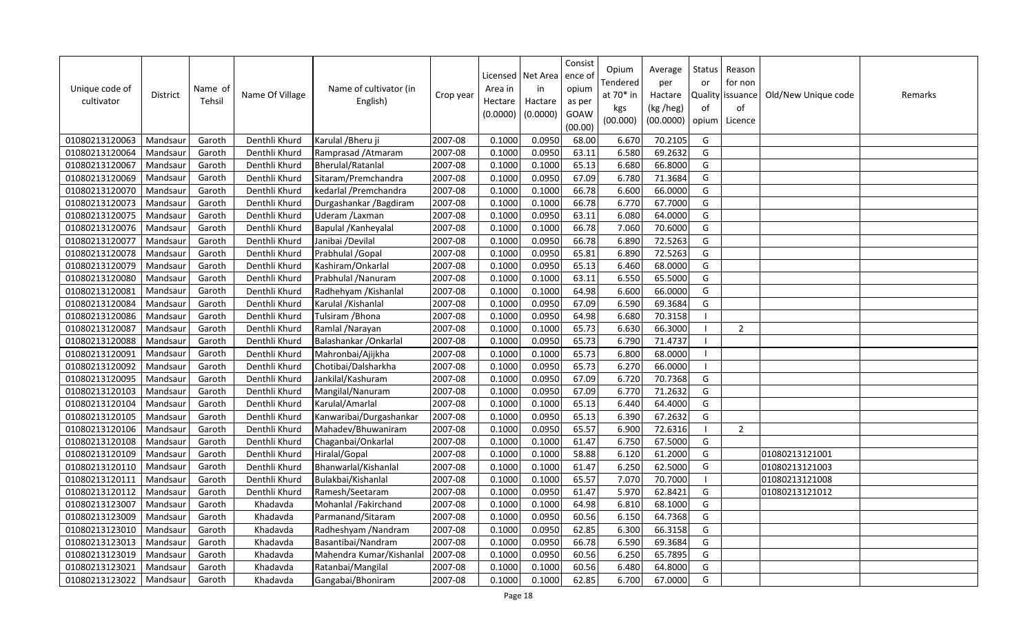| Unique code of<br>cultivator | <b>District</b> | Name of<br>Tehsil | Name Of Village | Name of cultivator (in<br>English) | Crop year | Area in<br>Hectare<br>(0.0000) | Licensed   Net Area<br>in<br>Hactare<br>(0.0000) | Consist<br>ence of<br>opium<br>as per<br>GOAW<br>(00.00) | Opium<br>Tendered<br>at 70* in<br>kgs<br>(00.000) | Average<br>per<br>Hactare<br>(kg /heg)<br>(00.0000) | Status<br>or<br>of<br>opium | Reason<br>for non<br>Quality   issuance  <br>of<br>Licence | Old/New Unique code | Remarks |
|------------------------------|-----------------|-------------------|-----------------|------------------------------------|-----------|--------------------------------|--------------------------------------------------|----------------------------------------------------------|---------------------------------------------------|-----------------------------------------------------|-----------------------------|------------------------------------------------------------|---------------------|---------|
| 01080213120063               | Mandsaur        | Garoth            | Denthli Khurd   | Karulal / Bheru ji                 | 2007-08   | 0.1000                         | 0.0950                                           | 68.00                                                    | 6.670                                             | 70.2105                                             | G                           |                                                            |                     |         |
| 01080213120064               | Mandsaur        | Garoth            | Denthli Khurd   | Ramprasad / Atmaram                | 2007-08   | 0.1000                         | 0.0950                                           | 63.11                                                    | 6.580                                             | 69.2632                                             | G                           |                                                            |                     |         |
| 01080213120067               | Mandsau         | Garoth            | Denthli Khurd   | Bherulal/Ratanlal                  | 2007-08   | 0.1000                         | 0.1000                                           | 65.13                                                    | 6.680                                             | 66.8000                                             | G                           |                                                            |                     |         |
| 01080213120069               | Mandsaur        | Garoth            | Denthli Khurd   | Sitaram/Premchandra                | 2007-08   | 0.1000                         | 0.0950                                           | 67.09                                                    | 6.780                                             | 71.3684                                             | G                           |                                                            |                     |         |
| 01080213120070               | Mandsau         | Garoth            | Denthli Khurd   | kedarlal /Premchandra              | 2007-08   | 0.1000                         | 0.1000                                           | 66.78                                                    | 6.600                                             | 66.0000                                             | G                           |                                                            |                     |         |
| 01080213120073               | Mandsaur        | Garoth            | Denthli Khurd   | Durgashankar / Bagdiram            | 2007-08   | 0.1000                         | 0.1000                                           | 66.78                                                    | 6.770                                             | 67.7000                                             | G                           |                                                            |                     |         |
| 01080213120075               | Mandsaur        | Garoth            | Denthli Khurd   | Uderam /Laxman                     | 2007-08   | 0.1000                         | 0.0950                                           | 63.11                                                    | 6.080                                             | 64.0000                                             | G                           |                                                            |                     |         |
| 01080213120076               | Mandsau         | Garoth            | Denthli Khurd   | Bapulal / Kanheyalal               | 2007-08   | 0.1000                         | 0.1000                                           | 66.78                                                    | 7.060                                             | 70.6000                                             | G                           |                                                            |                     |         |
| 01080213120077               | Mandsaur        | Garoth            | Denthli Khurd   | Janibai /Devilal                   | 2007-08   | 0.1000                         | 0.0950                                           | 66.78                                                    | 6.890                                             | 72.5263                                             | G                           |                                                            |                     |         |
| 01080213120078               | Mandsaur        | Garoth            | Denthli Khurd   | Prabhulal / Gopal                  | 2007-08   | 0.1000                         | 0.0950                                           | 65.81                                                    | 6.890                                             | 72.5263                                             | G                           |                                                            |                     |         |
| 01080213120079               | Mandsau         | Garoth            | Denthli Khurd   | Kashiram/Onkarlal                  | 2007-08   | 0.1000                         | 0.0950                                           | 65.13                                                    | 6.460                                             | 68.0000                                             | G                           |                                                            |                     |         |
| 01080213120080               | Mandsaur        | Garoth            | Denthli Khurd   | Prabhulal / Nanuram                | 2007-08   | 0.1000                         | 0.1000                                           | 63.11                                                    | 6.550                                             | 65.5000                                             | G                           |                                                            |                     |         |
| 01080213120081               | Mandsau         | Garoth            | Denthli Khurd   | Radhehyam / Kishanlal              | 2007-08   | 0.1000                         | 0.1000                                           | 64.98                                                    | 6.600                                             | 66.0000                                             | G                           |                                                            |                     |         |
| 01080213120084               | Mandsaur        | Garoth            | Denthli Khurd   | Karulal / Kishanlal                | 2007-08   | 0.1000                         | 0.0950                                           | 67.09                                                    | 6.590                                             | 69.3684                                             | G                           |                                                            |                     |         |
| 01080213120086               | Mandsaur        | Garoth            | Denthli Khurd   | Tulsiram / Bhona                   | 2007-08   | 0.1000                         | 0.0950                                           | 64.98                                                    | 6.680                                             | 70.3158                                             |                             |                                                            |                     |         |
| 01080213120087               | Mandsau         | Garoth            | Denthli Khurd   | Ramlal / Narayan                   | 2007-08   | 0.1000                         | 0.1000                                           | 65.73                                                    | 6.630                                             | 66.3000                                             | - 1                         | $\overline{2}$                                             |                     |         |
| 01080213120088               | Mandsau         | Garoth            | Denthli Khurd   | Balashankar / Onkarlal             | 2007-08   | 0.1000                         | 0.0950                                           | 65.73                                                    | 6.790                                             | 71.4737                                             |                             |                                                            |                     |         |
| 01080213120091               | Mandsau         | Garoth            | Denthli Khurd   | Mahronbai/Ajijkha                  | 2007-08   | 0.1000                         | 0.1000                                           | 65.73                                                    | 6.800                                             | 68.0000                                             | - 1                         |                                                            |                     |         |
| 01080213120092               | Mandsau         | Garoth            | Denthli Khurd   | Chotibai/Dalsharkha                | 2007-08   | 0.1000                         | 0.0950                                           | 65.73                                                    | 6.270                                             | 66.0000                                             | $\overline{\phantom{a}}$    |                                                            |                     |         |
| 01080213120095               | Mandsau         | Garoth            | Denthli Khurd   | Jankilal/Kashuram                  | 2007-08   | 0.1000                         | 0.0950                                           | 67.09                                                    | 6.720                                             | 70.7368                                             | G                           |                                                            |                     |         |
| 01080213120103               | Mandsau         | Garoth            | Denthli Khurd   | Mangilal/Nanuram                   | 2007-08   | 0.1000                         | 0.0950                                           | 67.09                                                    | 6.770                                             | 71.2632                                             | G                           |                                                            |                     |         |
| 01080213120104               | Mandsau         | Garoth            | Denthli Khurd   | Karulal/Amarlal                    | 2007-08   | 0.1000                         | 0.1000                                           | 65.13                                                    | 6.440                                             | 64.4000                                             | G                           |                                                            |                     |         |
| 01080213120105               | Mandsaur        | Garoth            | Denthli Khurd   | Kanwaribai/Durgashankar            | 2007-08   | 0.1000                         | 0.0950                                           | 65.13                                                    | 6.390                                             | 67.2632                                             | G                           |                                                            |                     |         |
| 01080213120106               | Mandsau         | Garoth            | Denthli Khurd   | Mahadev/Bhuwaniram                 | 2007-08   | 0.1000                         | 0.0950                                           | 65.57                                                    | 6.900                                             | 72.6316                                             | - 1                         | 2                                                          |                     |         |
| 01080213120108               | Mandsaur        | Garoth            | Denthli Khurd   | Chaganbai/Onkarlal                 | 2007-08   | 0.1000                         | 0.1000                                           | 61.47                                                    | 6.750                                             | 67.5000                                             | G                           |                                                            |                     |         |
| 01080213120109               | Mandsau         | Garoth            | Denthli Khurd   | Hiralal/Gopal                      | 2007-08   | 0.1000                         | 0.1000                                           | 58.88                                                    | 6.120                                             | 61.2000                                             | G                           |                                                            | 01080213121001      |         |
| 01080213120110               | Mandsaur        | Garoth            | Denthli Khurd   | Bhanwarlal/Kishanlal               | 2007-08   | 0.1000                         | 0.1000                                           | 61.47                                                    | 6.250                                             | 62.5000                                             | G                           |                                                            | 01080213121003      |         |
| 01080213120111               | Mandsau         | Garoth            | Denthli Khurd   | Bulakbai/Kishanlal                 | 2007-08   | 0.1000                         | 0.1000                                           | 65.57                                                    | 7.070                                             | 70.7000                                             | $\blacksquare$              |                                                            | 01080213121008      |         |
| 01080213120112               | Mandsau         | Garoth            | Denthli Khurd   | Ramesh/Seetaram                    | 2007-08   | 0.1000                         | 0.0950                                           | 61.47                                                    | 5.970                                             | 62.8421                                             | G                           |                                                            | 01080213121012      |         |
| 01080213123007               | Mandsau         | Garoth            | Khadavda        | Mohanlal /Fakirchand               | 2007-08   | 0.1000                         | 0.1000                                           | 64.98                                                    | 6.810                                             | 68.1000                                             | G                           |                                                            |                     |         |
| 01080213123009               | Mandsaur        | Garoth            | Khadavda        | Parmanand/Sitaram                  | 2007-08   | 0.1000                         | 0.0950                                           | 60.56                                                    | 6.150                                             | 64.7368                                             | G                           |                                                            |                     |         |
| 01080213123010               | Mandsaur        | Garoth            | Khadavda        | Radheshyam / Nandram               | 2007-08   | 0.1000                         | 0.0950                                           | 62.85                                                    | 6.300                                             | 66.3158                                             | G                           |                                                            |                     |         |
| 01080213123013               | Mandsau         | Garoth            | Khadavda        | Basantibai/Nandram                 | 2007-08   | 0.1000                         | 0.0950                                           | 66.78                                                    | 6.590                                             | 69.3684                                             | G                           |                                                            |                     |         |
| 01080213123019               | Mandsau         | Garoth            | Khadavda        | Mahendra Kumar/Kishanlal           | 2007-08   | 0.1000                         | 0.0950                                           | 60.56                                                    | 6.250                                             | 65.7895                                             | G                           |                                                            |                     |         |
| 01080213123021               | Mandsau         | Garoth            | Khadavda        | Ratanbai/Mangilal                  | 2007-08   | 0.1000                         | 0.1000                                           | 60.56                                                    | 6.480                                             | 64.8000                                             | G                           |                                                            |                     |         |
| 01080213123022               | Mandsaur        | Garoth            | Khadavda        | Gangabai/Bhoniram                  | 2007-08   | 0.1000                         | 0.1000                                           | 62.85                                                    | 6.700                                             | 67.0000                                             | G                           |                                                            |                     |         |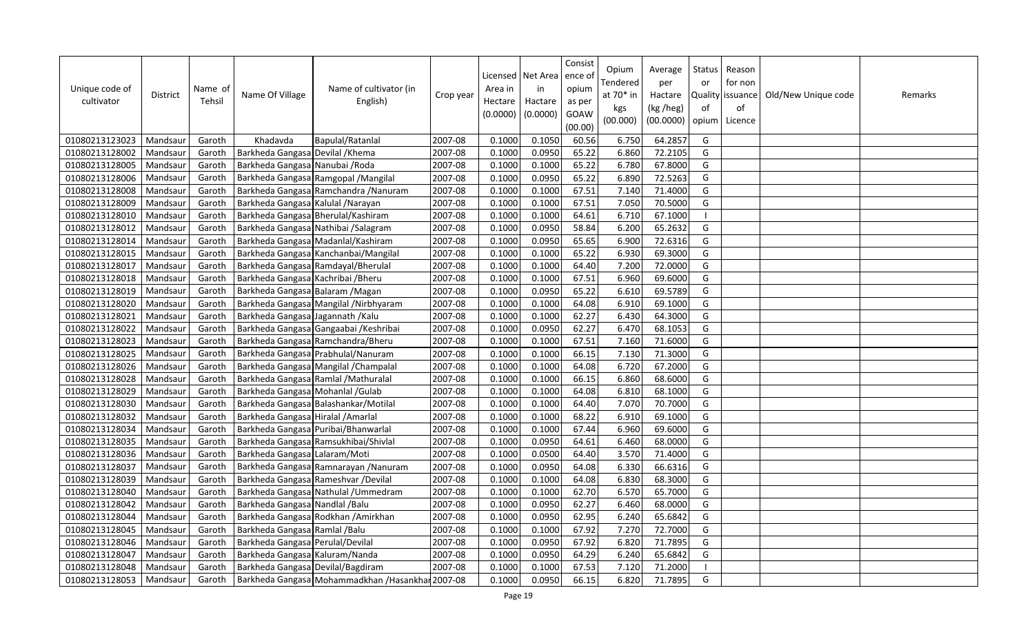| Unique code of<br>cultivator | <b>District</b> | Name of<br>Tehsil | Name Of Village                    | Name of cultivator (in<br>English)                | Crop year | Area in<br>Hectare<br>(0.0000) | Licensed   Net Area<br>in<br>Hactare<br>(0.0000) | Consist<br>ence of<br>opium<br>as per<br>GOAW<br>(00.00) | Opium<br>Tendered<br>at 70* in<br>kgs<br>(00.000) | Average<br>per<br>Hactare<br>(kg /heg)<br>(00.0000) | Status<br>or<br>of<br>opium | Reason<br>for non<br>Quality issuance<br>of<br>Licence | Old/New Unique code | Remarks |
|------------------------------|-----------------|-------------------|------------------------------------|---------------------------------------------------|-----------|--------------------------------|--------------------------------------------------|----------------------------------------------------------|---------------------------------------------------|-----------------------------------------------------|-----------------------------|--------------------------------------------------------|---------------------|---------|
| 01080213123023               | Mandsaur        | Garoth            | Khadavda                           | Bapulal/Ratanlal                                  | 2007-08   | 0.1000                         | 0.1050                                           | 60.56                                                    | 6.750                                             | 64.2857                                             | G                           |                                                        |                     |         |
| 01080213128002               | Mandsaur        | Garoth            | Barkheda Gangasa Devilal / Khema   |                                                   | 2007-08   | 0.1000                         | 0.0950                                           | 65.22                                                    | 6.860                                             | 72.2105                                             | G                           |                                                        |                     |         |
| 01080213128005               | Mandsaur        | Garoth            | Barkheda Gangasa Nanubai / Roda    |                                                   | 2007-08   | 0.1000                         | 0.1000                                           | 65.22                                                    | 6.780                                             | 67.8000                                             | G                           |                                                        |                     |         |
| 01080213128006               | Mandsaur        | Garoth            |                                    | Barkheda Gangasa Ramgopal / Mangilal              | 2007-08   | 0.1000                         | 0.0950                                           | 65.22                                                    | 6.890                                             | 72.5263                                             | G                           |                                                        |                     |         |
| 01080213128008               | Mandsaur        | Garoth            |                                    | Barkheda Gangasa Ramchandra / Nanuram             | 2007-08   | 0.1000                         | 0.1000                                           | 67.51                                                    | 7.140                                             | 71.4000                                             | G                           |                                                        |                     |         |
| 01080213128009               | Mandsaur        | Garoth            | Barkheda Gangasa Kalulal / Narayan |                                                   | 2007-08   | 0.1000                         | 0.1000                                           | 67.51                                                    | 7.050                                             | 70.5000                                             | G                           |                                                        |                     |         |
| 01080213128010               | Mandsaur        | Garoth            | Barkheda Gangasa Bherulal/Kashiram |                                                   | 2007-08   | 0.1000                         | 0.1000                                           | 64.61                                                    | 6.710                                             | 67.1000                                             | $\blacksquare$              |                                                        |                     |         |
| 01080213128012               | Mandsaur        | Garoth            |                                    | Barkheda Gangasa Nathibai / Salagram              | 2007-08   | 0.1000                         | 0.0950                                           | 58.84                                                    | 6.200                                             | 65.2632                                             | G                           |                                                        |                     |         |
| 01080213128014               | Mandsau         | Garoth            |                                    | Barkheda Gangasa Madanlal/Kashiram                | 2007-08   | 0.1000                         | 0.0950                                           | 65.65                                                    | 6.900                                             | 72.6316                                             | G                           |                                                        |                     |         |
| 01080213128015               | Mandsaur        | Garoth            |                                    | Barkheda Gangasa Kanchanbai/Mangilal              | 2007-08   | 0.1000                         | 0.1000                                           | 65.22                                                    | 6.930                                             | 69.3000                                             | G                           |                                                        |                     |         |
| 01080213128017               | Mandsaur        | Garoth            |                                    | Barkheda Gangasa Ramdayal/Bherulal                | 2007-08   | 0.1000                         | 0.1000                                           | 64.40                                                    | 7.200                                             | 72.0000                                             | G                           |                                                        |                     |         |
| 01080213128018               | Mandsaur        | Garoth            | Barkheda Gangasa Kachribai / Bheru |                                                   | 2007-08   | 0.1000                         | 0.1000                                           | 67.51                                                    | 6.960                                             | 69.6000                                             | G                           |                                                        |                     |         |
| 01080213128019               | Mandsaur        | Garoth            | Barkheda Gangasa Balaram / Magan   |                                                   | 2007-08   | 0.1000                         | 0.0950                                           | 65.22                                                    | 6.610                                             | 69.5789                                             | G                           |                                                        |                     |         |
| 01080213128020               | Mandsaur        | Garoth            |                                    | Barkheda Gangasa Mangilal / Nirbhyaram            | 2007-08   | 0.1000                         | 0.1000                                           | 64.08                                                    | 6.910                                             | 69.1000                                             | G                           |                                                        |                     |         |
| 01080213128021               | Mandsau         | Garoth            | Barkheda Gangasa Jagannath / Kalu  |                                                   | 2007-08   | 0.1000                         | 0.1000                                           | 62.27                                                    | 6.430                                             | 64.3000                                             | G                           |                                                        |                     |         |
| 01080213128022               | Mandsau         | Garoth            |                                    | Barkheda Gangasa Gangaabai / Keshribai            | 2007-08   | 0.1000                         | 0.0950                                           | 62.27                                                    | 6.470                                             | 68.1053                                             | G                           |                                                        |                     |         |
| 01080213128023               | Mandsau         | Garoth            |                                    | Barkheda Gangasa Ramchandra/Bheru                 | 2007-08   | 0.1000                         | 0.1000                                           | 67.51                                                    | 7.160                                             | 71.6000                                             | G                           |                                                        |                     |         |
| 01080213128025               | Mandsaur        | Garoth            |                                    | Barkheda Gangasa Prabhulal/Nanuram                | 2007-08   | 0.1000                         | 0.1000                                           | 66.15                                                    | 7.130                                             | 71.3000                                             | G                           |                                                        |                     |         |
| 01080213128026               | Mandsaur        | Garoth            |                                    | Barkheda Gangasa Mangilal / Champalal             | 2007-08   | 0.1000                         | 0.1000                                           | 64.08                                                    | 6.720                                             | 67.2000                                             | G                           |                                                        |                     |         |
| 01080213128028               | Mandsaur        | Garoth            |                                    | Barkheda Gangasa Ramlal / Mathuralal              | 2007-08   | 0.1000                         | 0.1000                                           | 66.15                                                    | 6.860                                             | 68.6000                                             | G                           |                                                        |                     |         |
| 01080213128029               | Mandsaur        | Garoth            | Barkheda Gangasa Mohanlal / Gulab  |                                                   | 2007-08   | 0.1000                         | 0.1000                                           | 64.08                                                    | 6.810                                             | 68.1000                                             | G                           |                                                        |                     |         |
| 01080213128030               | Mandsaur        | Garoth            |                                    | Barkheda Gangasa Balashankar/Motilal              | 2007-08   | 0.1000                         | 0.1000                                           | 64.40                                                    | 7.070                                             | 70.7000                                             | G                           |                                                        |                     |         |
| 01080213128032               | Mandsaur        | Garoth            | Barkheda Gangasa Hiralal / Amarlal |                                                   | 2007-08   | 0.1000                         | 0.1000                                           | 68.22                                                    | 6.910                                             | 69.1000                                             | G                           |                                                        |                     |         |
| 01080213128034               | Mandsaur        | Garoth            |                                    | Barkheda Gangasa Puribai/Bhanwarlal               | 2007-08   | 0.1000                         | 0.1000                                           | 67.44                                                    | 6.960                                             | 69.6000                                             | G                           |                                                        |                     |         |
| 01080213128035               | Mandsaur        | Garoth            |                                    | Barkheda Gangasa Ramsukhibai/Shivlal              | 2007-08   | 0.1000                         | 0.0950                                           | 64.61                                                    | 6.460                                             | 68.0000                                             | G                           |                                                        |                     |         |
| 01080213128036               | Mandsaur        | Garoth            | Barkheda Gangasa Lalaram/Moti      |                                                   | 2007-08   | 0.1000                         | 0.0500                                           | 64.40                                                    | 3.570                                             | 71.4000                                             | G                           |                                                        |                     |         |
| 01080213128037               | Mandsaur        | Garoth            |                                    | Barkheda Gangasa Ramnarayan / Nanuram             | 2007-08   | 0.1000                         | 0.0950                                           | 64.08                                                    | 6.330                                             | 66.6316                                             | G                           |                                                        |                     |         |
| 01080213128039               | Mandsau         | Garoth            |                                    | Barkheda Gangasa Rameshvar / Devilal              | 2007-08   | 0.1000                         | 0.1000                                           | 64.08                                                    | 6.830                                             | 68.3000                                             | G                           |                                                        |                     |         |
| 01080213128040               | Mandsaur        | Garoth            |                                    | Barkheda Gangasa Nathulal / Ummedram              | 2007-08   | 0.1000                         | 0.1000                                           | 62.70                                                    | 6.570                                             | 65.7000                                             | G                           |                                                        |                     |         |
| 01080213128042               | Mandsau         | Garoth            | Barkheda Gangasa Nandlal / Balu    |                                                   | 2007-08   | 0.1000                         | 0.0950                                           | 62.27                                                    | 6.460                                             | 68.0000                                             | G                           |                                                        |                     |         |
| 01080213128044               | Mandsaur        | Garoth            |                                    | Barkheda Gangasa Rodkhan / Amirkhan               | 2007-08   | 0.1000                         | 0.0950                                           | 62.95                                                    | 6.240                                             | 65.6842                                             | G                           |                                                        |                     |         |
| 01080213128045               | Mandsau         | Garoth            | Barkheda Gangasa Ramlal / Balu     |                                                   | 2007-08   | 0.1000                         | 0.1000                                           | 67.92                                                    | 7.270                                             | 72.7000                                             | G                           |                                                        |                     |         |
| 01080213128046               | Mandsau         | Garoth            | Barkheda Gangasa Perulal/Devilal   |                                                   | 2007-08   | 0.1000                         | 0.0950                                           | 67.92                                                    | 6.820                                             | 71.7895                                             | G                           |                                                        |                     |         |
| 01080213128047               | Mandsau         | Garoth            | Barkheda Gangasa Kaluram/Nanda     |                                                   | 2007-08   | 0.1000                         | 0.0950                                           | 64.29                                                    | 6.240                                             | 65.6842                                             | G                           |                                                        |                     |         |
| 01080213128048               | Mandsaur        | Garoth            | Barkheda Gangasa Devilal/Bagdiram  |                                                   | 2007-08   | 0.1000                         | 0.1000                                           | 67.53                                                    | 7.120                                             | 71.2000                                             |                             |                                                        |                     |         |
| 01080213128053               | Mandsaur        | Garoth            |                                    | Barkheda Gangasa Mohammadkhan / Hasankhar 2007-08 |           | 0.1000                         | 0.0950                                           | 66.15                                                    | 6.820                                             | 71.7895                                             | G                           |                                                        |                     |         |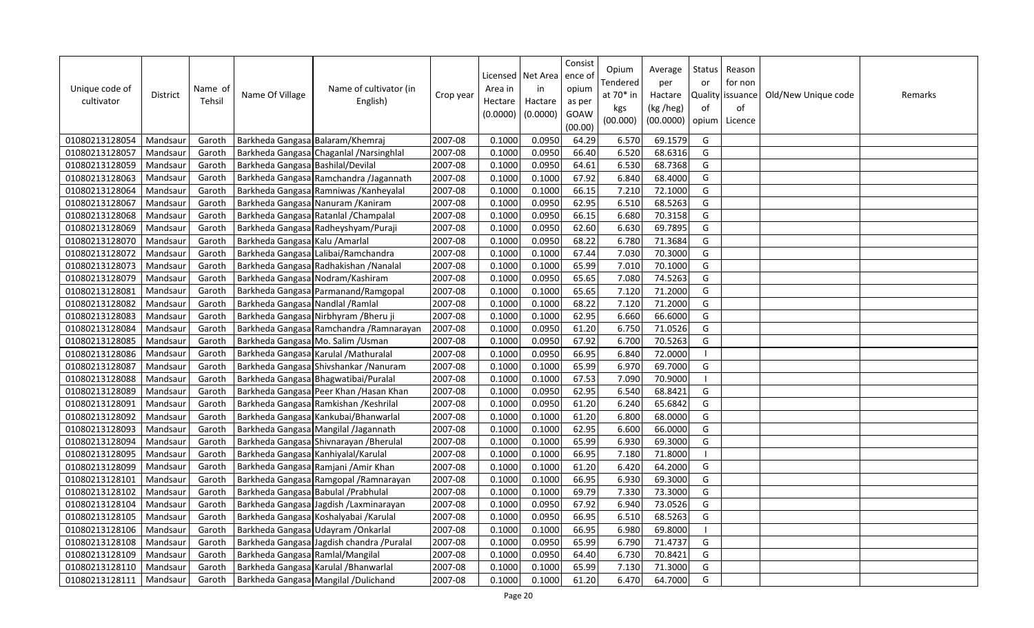| Unique code of<br>cultivator | District | Name of<br>Tehsil | Name Of Village                      | Name of cultivator (in<br>English)         | Crop year | Area in<br>Hectare<br>(0.0000) | Licensed   Net Area<br>in<br>Hactare<br>(0.0000) | Consist<br>ence of<br>opium<br>as per<br>GOAW<br>(00.00) | Opium<br>Tendered<br>at 70* in<br>kgs<br>(00.000) | Average<br>per<br>Hactare<br>(kg /heg)<br>(00.0000) | Status<br>or<br>of<br>opium | Reason<br>for non<br>Quality   issuance  <br>of<br>Licence | Old/New Unique code | Remarks |
|------------------------------|----------|-------------------|--------------------------------------|--------------------------------------------|-----------|--------------------------------|--------------------------------------------------|----------------------------------------------------------|---------------------------------------------------|-----------------------------------------------------|-----------------------------|------------------------------------------------------------|---------------------|---------|
| 01080213128054               | Mandsaur | Garoth            | Barkheda Gangasa Balaram/Khemraj     |                                            | 2007-08   | 0.1000                         | 0.0950                                           | 64.29                                                    | 6.570                                             | 69.1579                                             | G                           |                                                            |                     |         |
| 01080213128057               | Mandsaur | Garoth            |                                      | Barkheda Gangasa Chaganlal / Narsinghlal   | 2007-08   | 0.1000                         | 0.0950                                           | 66.40                                                    | 6.520                                             | 68.6316                                             | G                           |                                                            |                     |         |
| 01080213128059               | Mandsaur | Garoth            | Barkheda Gangasa Bashilal/Devilal    |                                            | 2007-08   | 0.1000                         | 0.0950                                           | 64.61                                                    | 6.530                                             | 68.7368                                             | G                           |                                                            |                     |         |
| 01080213128063               | Mandsaur | Garoth            |                                      | Barkheda Gangasa Ramchandra /Jagannath     | 2007-08   | 0.1000                         | 0.1000                                           | 67.92                                                    | 6.840                                             | 68.4000                                             | G                           |                                                            |                     |         |
| 01080213128064               | Mandsaur | Garoth            |                                      | Barkheda Gangasa Ramniwas / Kanheyalal     | 2007-08   | 0.1000                         | 0.1000                                           | 66.15                                                    | 7.210                                             | 72.1000                                             | G                           |                                                            |                     |         |
| 01080213128067               | Mandsaur | Garoth            |                                      | Barkheda Gangasa Nanuram / Kaniram         | 2007-08   | 0.1000                         | 0.0950                                           | 62.95                                                    | 6.510                                             | 68.5263                                             | G                           |                                                            |                     |         |
| 01080213128068               | Mandsau  | Garoth            |                                      | Barkheda Gangasa Ratanlal / Champalal      | 2007-08   | 0.1000                         | 0.0950                                           | 66.15                                                    | 6.680                                             | 70.3158                                             | G                           |                                                            |                     |         |
| 01080213128069               | Mandsaur | Garoth            |                                      | Barkheda Gangasa Radheyshyam/Puraji        | 2007-08   | 0.1000                         | 0.0950                                           | 62.60                                                    | 6.630                                             | 69.7895                                             | G                           |                                                            |                     |         |
| 01080213128070               | Mandsaur | Garoth            | Barkheda Gangasa Kalu / Amarlal      |                                            | 2007-08   | 0.1000                         | 0.0950                                           | 68.22                                                    | 6.780                                             | 71.3684                                             | G                           |                                                            |                     |         |
| 01080213128072               | Mandsaur | Garoth            |                                      | Barkheda Gangasa Lalibai/Ramchandra        | 2007-08   | 0.1000                         | 0.1000                                           | 67.44                                                    | 7.030                                             | 70.3000                                             | G                           |                                                            |                     |         |
| 01080213128073               | Mandsaur | Garoth            |                                      | Barkheda Gangasa Radhakishan / Nanalal     | 2007-08   | 0.1000                         | 0.1000                                           | 65.99                                                    | 7.010                                             | 70.1000                                             | G                           |                                                            |                     |         |
| 01080213128079               | Mandsaur | Garoth            |                                      | Barkheda Gangasa Nodram/Kashiram           | 2007-08   | 0.1000                         | 0.0950                                           | 65.65                                                    | 7.080                                             | 74.5263                                             | G                           |                                                            |                     |         |
| 01080213128081               | Mandsaur | Garoth            |                                      | Barkheda Gangasa Parmanand/Ramgopal        | 2007-08   | 0.1000                         | 0.1000                                           | 65.65                                                    | 7.120                                             | 71.2000                                             | G                           |                                                            |                     |         |
| 01080213128082               | Mandsaur | Garoth            | Barkheda Gangasa Nandlal / Ramlal    |                                            | 2007-08   | 0.1000                         | 0.1000                                           | 68.22                                                    | 7.120                                             | 71.2000                                             | G                           |                                                            |                     |         |
| 01080213128083               | Mandsau  | Garoth            |                                      | Barkheda Gangasa Nirbhyram / Bheru ji      | 2007-08   | 0.1000                         | 0.1000                                           | 62.95                                                    | 6.660                                             | 66.6000                                             | G                           |                                                            |                     |         |
| 01080213128084               | Mandsaur | Garoth            |                                      | Barkheda Gangasa Ramchandra / Ramnarayan   | 2007-08   | 0.1000                         | 0.0950                                           | 61.20                                                    | 6.750                                             | 71.0526                                             | G                           |                                                            |                     |         |
| 01080213128085               | Mandsaur | Garoth            |                                      | Barkheda Gangasa Mo. Salim / Usman         | 2007-08   | 0.1000                         | 0.0950                                           | 67.92                                                    | 6.700                                             | 70.5263                                             | G                           |                                                            |                     |         |
| 01080213128086               | Mandsaur | Garoth            |                                      | Barkheda Gangasa Karulal / Mathuralal      | 2007-08   | 0.1000                         | 0.0950                                           | 66.95                                                    | 6.840                                             | 72.0000                                             | -1                          |                                                            |                     |         |
| 01080213128087               | Mandsau  | Garoth            |                                      | Barkheda Gangasa Shivshankar / Nanuram     | 2007-08   | 0.1000                         | 0.1000                                           | 65.99                                                    | 6.970                                             | 69.7000                                             | G                           |                                                            |                     |         |
| 01080213128088               | Mandsaur | Garoth            |                                      | Barkheda Gangasa Bhagwatibai/Puralal       | 2007-08   | 0.1000                         | 0.1000                                           | 67.53                                                    | 7.090                                             | 70.9000                                             | $\blacksquare$              |                                                            |                     |         |
| 01080213128089               | Mandsaur | Garoth            |                                      | Barkheda Gangasa Peer Khan / Hasan Khan    | 2007-08   | 0.1000                         | 0.0950                                           | 62.95                                                    | 6.540                                             | 68.8421                                             | G                           |                                                            |                     |         |
| 01080213128091               | Mandsaur | Garoth            |                                      | Barkheda Gangasa Ramkishan / Keshrilal     | 2007-08   | 0.1000                         | 0.0950                                           | 61.20                                                    | 6.240                                             | 65.6842                                             | G                           |                                                            |                     |         |
| 01080213128092               | Mandsaur | Garoth            |                                      | Barkheda Gangasa Kankubai/Bhanwarlal       | 2007-08   | 0.1000                         | 0.1000                                           | 61.20                                                    | 6.800                                             | 68.0000                                             | G                           |                                                            |                     |         |
| 01080213128093               | Mandsau  | Garoth            |                                      | Barkheda Gangasa Mangilal /Jagannath       | 2007-08   | 0.1000                         | 0.1000                                           | 62.95                                                    | 6.600                                             | 66.0000                                             | G                           |                                                            |                     |         |
| 01080213128094               | Mandsaur | Garoth            |                                      | Barkheda Gangasa Shivnarayan / Bherulal    | 2007-08   | 0.1000                         | 0.1000                                           | 65.99                                                    | 6.930                                             | 69.3000                                             | G                           |                                                            |                     |         |
| 01080213128095               | Mandsaur | Garoth            | Barkheda Gangasa Kanhiyalal/Karulal  |                                            | 2007-08   | 0.1000                         | 0.1000                                           | 66.95                                                    | 7.180                                             | 71.8000                                             | $\overline{\phantom{a}}$    |                                                            |                     |         |
| 01080213128099               | Mandsaur | Garoth            |                                      | Barkheda Gangasa Ramjani / Amir Khan       | 2007-08   | 0.1000                         | 0.1000                                           | 61.20                                                    | 6.420                                             | 64.2000                                             | G                           |                                                            |                     |         |
| 01080213128101               | Mandsau  | Garoth            |                                      | Barkheda Gangasa Ramgopal / Ramnarayan     | 2007-08   | 0.1000                         | 0.1000                                           | 66.95                                                    | 6.930                                             | 69.3000                                             | G                           |                                                            |                     |         |
| 01080213128102               | Mandsaur | Garoth            | Barkheda Gangasa Babulal / Prabhulal |                                            | 2007-08   | 0.1000                         | 0.1000                                           | 69.79                                                    | 7.330                                             | 73.3000                                             | G                           |                                                            |                     |         |
| 01080213128104               | Mandsaur | Garoth            |                                      | Barkheda Gangasa Jagdish / Laxminarayan    | 2007-08   | 0.1000                         | 0.0950                                           | 67.92                                                    | 6.940                                             | 73.0526                                             | G                           |                                                            |                     |         |
| 01080213128105               | Mandsaur | Garoth            |                                      | Barkheda Gangasa Koshalyabai / Karulal     | 2007-08   | 0.1000                         | 0.0950                                           | 66.95                                                    | 6.510                                             | 68.5263                                             | G                           |                                                            |                     |         |
| 01080213128106               | Mandsaur | Garoth            |                                      | Barkheda Gangasa Udayram / Onkarlal        | 2007-08   | 0.1000                         | 0.1000                                           | 66.95                                                    | 6.980                                             | 69.8000                                             | $\blacksquare$              |                                                            |                     |         |
| 01080213128108               | Mandsaur | Garoth            |                                      | Barkheda Gangasa Jagdish chandra / Puralal | 2007-08   | 0.1000                         | 0.0950                                           | 65.99                                                    | 6.790                                             | 71.4737                                             | G                           |                                                            |                     |         |
| 01080213128109               | Mandsau  | Garoth            | Barkheda Gangasa Ramlal/Mangilal     |                                            | 2007-08   | 0.1000                         | 0.0950                                           | 64.40                                                    | 6.730                                             | 70.8421                                             | G                           |                                                            |                     |         |
| 01080213128110               | Mandsaur | Garoth            |                                      | Barkheda Gangasa Karulal / Bhanwarlal      | 2007-08   | 0.1000                         | 0.1000                                           | 65.99                                                    | 7.130                                             | 71.3000                                             | G                           |                                                            |                     |         |
| 01080213128111               | Mandsaur | Garoth            |                                      | Barkheda Gangasa Mangilal / Dulichand      | 2007-08   | 0.1000                         | 0.1000                                           | 61.20                                                    | 6.470                                             | 64.7000                                             | G                           |                                                            |                     |         |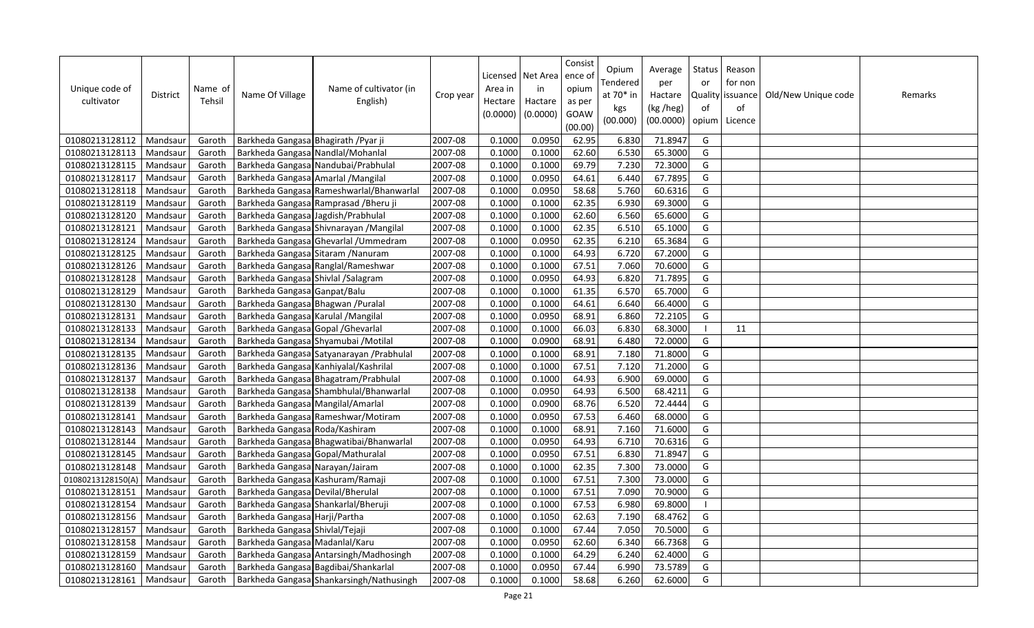| Unique code of<br>cultivator | District | Name of<br>Tehsil | Name Of Village                      | Name of cultivator (in<br>English)        | Crop year | Area in<br>Hectare<br>(0.0000) | Licensed   Net Area<br>in<br>Hactare<br>(0.0000) | Consist<br>ence of<br>opium<br>as per<br>GOAW<br>(00.00) | Opium<br>Tendered<br>at 70* in<br>kgs<br>(00.000) | Average<br>per<br>Hactare<br>(kg /heg)<br>(00.0000) | Status<br>or<br><b>Quality</b><br>of<br>opium | Reason<br>for non<br>issuance<br>of<br>Licence | Old/New Unique code | Remarks |
|------------------------------|----------|-------------------|--------------------------------------|-------------------------------------------|-----------|--------------------------------|--------------------------------------------------|----------------------------------------------------------|---------------------------------------------------|-----------------------------------------------------|-----------------------------------------------|------------------------------------------------|---------------------|---------|
| 01080213128112               | Mandsaur | Garoth            | Barkheda Gangasa Bhagirath / Pyar ji |                                           | 2007-08   | 0.1000                         | 0.0950                                           | 62.95                                                    | 6.830                                             | 71.8947                                             | G                                             |                                                |                     |         |
| 01080213128113               | Mandsaur | Garoth            | Barkheda Gangasa Nandlal/Mohanlal    |                                           | 2007-08   | 0.1000                         | 0.1000                                           | 62.60                                                    | 6.530                                             | 65.3000                                             | G                                             |                                                |                     |         |
| 01080213128115               | Mandsaur | Garoth            |                                      | Barkheda Gangasa Nandubai/Prabhulal       | 2007-08   | 0.1000                         | 0.1000                                           | 69.79                                                    | 7.230                                             | 72.3000                                             | G                                             |                                                |                     |         |
| 01080213128117               | Mandsaur | Garoth            | Barkheda Gangasa Amarlal / Mangilal  |                                           | 2007-08   | 0.1000                         | 0.0950                                           | 64.61                                                    | 6.440                                             | 67.7895                                             | G                                             |                                                |                     |         |
| 01080213128118               | Mandsaur | Garoth            |                                      | Barkheda Gangasa Rameshwarlal/Bhanwarlal  | 2007-08   | 0.1000                         | 0.0950                                           | 58.68                                                    | 5.760                                             | 60.6316                                             | G                                             |                                                |                     |         |
| 01080213128119               | Mandsaur | Garoth            |                                      | Barkheda Gangasa Ramprasad / Bheru ji     | 2007-08   | 0.1000                         | 0.1000                                           | 62.35                                                    | 6.930                                             | 69.3000                                             | G                                             |                                                |                     |         |
| 01080213128120               | Mandsaur | Garoth            | Barkheda Gangasa Jagdish/Prabhulal   |                                           | 2007-08   | 0.1000                         | 0.1000                                           | 62.60                                                    | 6.560                                             | 65.6000                                             | G                                             |                                                |                     |         |
| 01080213128121               | Mandsaur | Garoth            |                                      | Barkheda Gangasa Shivnarayan / Mangilal   | 2007-08   | 0.1000                         | 0.1000                                           | 62.35                                                    | 6.510                                             | 65.1000                                             | G                                             |                                                |                     |         |
| 01080213128124               | Mandsaur | Garoth            |                                      | Barkheda Gangasa Ghevarlal / Ummedram     | 2007-08   | 0.1000                         | 0.0950                                           | 62.35                                                    | 6.210                                             | 65.3684                                             | G                                             |                                                |                     |         |
| 01080213128125               | Mandsaur | Garoth            |                                      | Barkheda Gangasa Sitaram / Nanuram        | 2007-08   | 0.1000                         | 0.1000                                           | 64.93                                                    | 6.720                                             | 67.2000                                             | G                                             |                                                |                     |         |
| 01080213128126               | Mandsaur | Garoth            |                                      | Barkheda Gangasa Ranglal/Rameshwar        | 2007-08   | 0.1000                         | 0.1000                                           | 67.51                                                    | 7.060                                             | 70.6000                                             | G                                             |                                                |                     |         |
| 01080213128128               | Mandsaur | Garoth            | Barkheda Gangasa Shivlal / Salagram  |                                           | 2007-08   | 0.1000                         | 0.0950                                           | 64.93                                                    | 6.820                                             | 71.7895                                             | G                                             |                                                |                     |         |
| 01080213128129               | Mandsaur | Garoth            | Barkheda Gangasa Ganpat/Balu         |                                           | 2007-08   | 0.1000                         | 0.1000                                           | 61.35                                                    | 6.570                                             | 65.7000                                             | G                                             |                                                |                     |         |
| 01080213128130               | Mandsaur | Garoth            | Barkheda Gangasa Bhagwan / Puralal   |                                           | 2007-08   | 0.1000                         | 0.1000                                           | 64.61                                                    | 6.640                                             | 66.4000                                             | G                                             |                                                |                     |         |
| 01080213128131               | Mandsau  | Garoth            | Barkheda Gangasa Karulal / Mangilal  |                                           | 2007-08   | 0.1000                         | 0.0950                                           | 68.91                                                    | 6.860                                             | 72.2105                                             | G                                             |                                                |                     |         |
| 01080213128133               | Mandsaur | Garoth            | Barkheda Gangasa Gopal / Ghevarlal   |                                           | 2007-08   | 0.1000                         | 0.1000                                           | 66.03                                                    | 6.830                                             | 68.3000                                             | - I                                           | 11                                             |                     |         |
| 01080213128134               | Mandsaur | Garoth            |                                      | Barkheda Gangasa Shyamubai / Motilal      | 2007-08   | 0.1000                         | 0.0900                                           | 68.91                                                    | 6.480                                             | 72.0000                                             | G                                             |                                                |                     |         |
| 01080213128135               | Mandsaur | Garoth            |                                      | Barkheda Gangasa Satyanarayan / Prabhulal | 2007-08   | 0.1000                         | 0.1000                                           | 68.91                                                    | 7.180                                             | 71.8000                                             | G                                             |                                                |                     |         |
| 01080213128136               | Mandsaur | Garoth            |                                      | Barkheda Gangasa Kanhiyalal/Kashrilal     | 2007-08   | 0.1000                         | 0.1000                                           | 67.51                                                    | 7.120                                             | 71.2000                                             | G                                             |                                                |                     |         |
| 01080213128137               | Mandsaur | Garoth            |                                      | Barkheda Gangasa Bhagatram/Prabhulal      | 2007-08   | 0.1000                         | 0.1000                                           | 64.93                                                    | 6.900                                             | 69.0000                                             | G                                             |                                                |                     |         |
| 01080213128138               | Mandsaur | Garoth            |                                      | Barkheda Gangasa Shambhulal/Bhanwarlal    | 2007-08   | 0.1000                         | 0.0950                                           | 64.93                                                    | 6.500                                             | 68.4211                                             | G                                             |                                                |                     |         |
| 01080213128139               | Mandsaur | Garoth            | Barkheda Gangasa Mangilal/Amarlal    |                                           | 2007-08   | 0.1000                         | 0.0900                                           | 68.76                                                    | 6.520                                             | 72.4444                                             | G                                             |                                                |                     |         |
| 01080213128141               | Mandsaur | Garoth            |                                      | Barkheda Gangasa Rameshwar/Motiram        | 2007-08   | 0.1000                         | 0.0950                                           | 67.53                                                    | 6.460                                             | 68.0000                                             | G                                             |                                                |                     |         |
| 01080213128143               | Mandsaur | Garoth            | Barkheda Gangasa Roda/Kashiram       |                                           | 2007-08   | 0.1000                         | 0.1000                                           | 68.91                                                    | 7.160                                             | 71.6000                                             | G                                             |                                                |                     |         |
| 01080213128144               | Mandsaur | Garoth            |                                      | Barkheda Gangasa Bhagwatibai/Bhanwarlal   | 2007-08   | 0.1000                         | 0.0950                                           | 64.93                                                    | 6.710                                             | 70.6316                                             | G                                             |                                                |                     |         |
| 01080213128145               | Mandsaur | Garoth            | Barkheda Gangasa Gopal/Mathuralal    |                                           | 2007-08   | 0.1000                         | 0.0950                                           | 67.51                                                    | 6.830                                             | 71.8947                                             | G                                             |                                                |                     |         |
| 01080213128148               | Mandsaur | Garoth            | Barkheda Gangasa Narayan/Jairam      |                                           | 2007-08   | 0.1000                         | 0.1000                                           | 62.35                                                    | 7.300                                             | 73.0000                                             | G                                             |                                                |                     |         |
| 01080213128150(A)            | Mandsau  | Garoth            | Barkheda Gangasa Kashuram/Ramaji     |                                           | 2007-08   | 0.1000                         | 0.1000                                           | 67.51                                                    | 7.300                                             | 73.0000                                             | G                                             |                                                |                     |         |
| 01080213128151               | Mandsaur | Garoth            | Barkheda Gangasa Devilal/Bherulal    |                                           | 2007-08   | 0.1000                         | 0.1000                                           | 67.51                                                    | 7.090                                             | 70.9000                                             | G                                             |                                                |                     |         |
| 01080213128154               | Mandsaur | Garoth            |                                      | Barkheda Gangasa Shankarlal/Bheruji       | 2007-08   | 0.1000                         | 0.1000                                           | 67.53                                                    | 6.980                                             | 69.8000                                             | $\blacksquare$                                |                                                |                     |         |
| 01080213128156               | Mandsaur | Garoth            | Barkheda Gangasa Harji/Partha        |                                           | 2007-08   | 0.1000                         | 0.1050                                           | 62.63                                                    | 7.190                                             | 68.4762                                             | G                                             |                                                |                     |         |
| 01080213128157               | Mandsaur | Garoth            | Barkheda Gangasa Shivlal/Tejaji      |                                           | 2007-08   | 0.1000                         | 0.1000                                           | 67.44                                                    | 7.050                                             | 70.5000                                             | G                                             |                                                |                     |         |
| 01080213128158               | Mandsaur | Garoth            | Barkheda Gangasa Madanlal/Karu       |                                           | 2007-08   | 0.1000                         | 0.0950                                           | 62.60                                                    | 6.340                                             | 66.7368                                             | G                                             |                                                |                     |         |
| 01080213128159               | Mandsau  | Garoth            |                                      | Barkheda Gangasa Antarsingh/Madhosingh    | 2007-08   | 0.1000                         | 0.1000                                           | 64.29                                                    | 6.240                                             | 62.4000                                             | G                                             |                                                |                     |         |
| 01080213128160               | Mandsaur | Garoth            |                                      | Barkheda Gangasa Bagdibai/Shankarlal      | 2007-08   | 0.1000                         | 0.0950                                           | 67.44                                                    | 6.990                                             | 73.5789                                             | G                                             |                                                |                     |         |
| 01080213128161               | Mandsaur | Garoth            |                                      | Barkheda Gangasa Shankarsingh/Nathusingh  | 2007-08   | 0.1000                         | 0.1000                                           | 58.68                                                    | 6.260                                             | 62.6000                                             | G                                             |                                                |                     |         |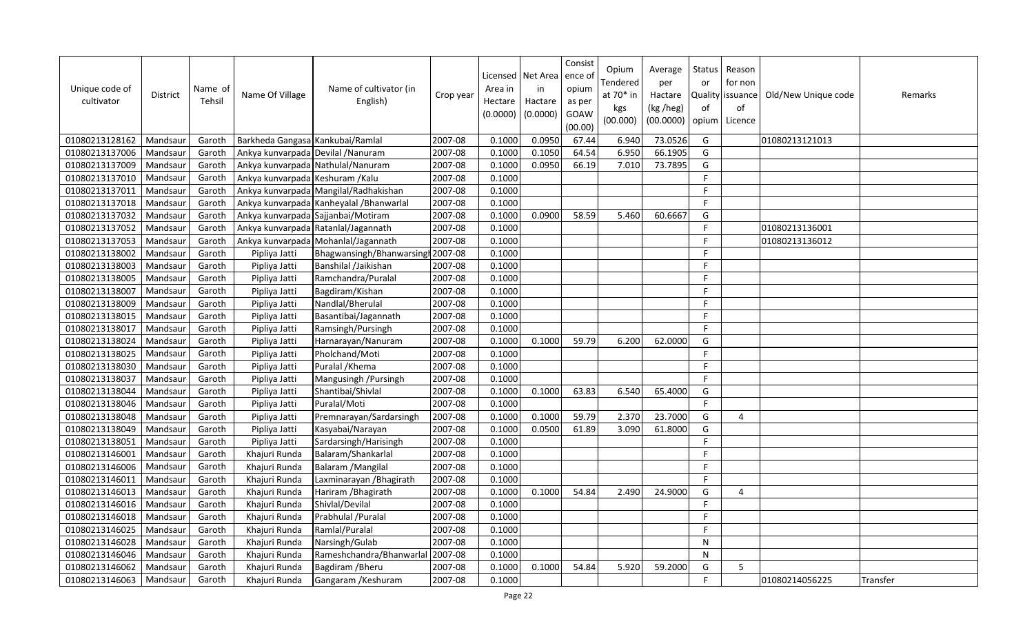| Unique code of<br>cultivator | <b>District</b> | Name of<br>Tehsil | Name Of Village                    | Name of cultivator (in<br>English)       | Crop year | Area in<br>Hectare<br>(0.0000) | Licensed   Net Area<br>in<br>Hactare<br>(0.0000) | Consist<br>ence of<br>opium<br>as per<br>GOAW<br>(00.00) | Opium<br>Tendered<br>at 70* in<br>kgs<br>(00.000) | Average<br>per<br>Hactare<br>(kg /heg)<br>(00.0000) | <b>Status</b><br>or<br>of<br>opium | Reason<br>for non<br>Quality   issuance<br>of<br>Licence | Old/New Unique code | Remarks  |
|------------------------------|-----------------|-------------------|------------------------------------|------------------------------------------|-----------|--------------------------------|--------------------------------------------------|----------------------------------------------------------|---------------------------------------------------|-----------------------------------------------------|------------------------------------|----------------------------------------------------------|---------------------|----------|
| 01080213128162               | Mandsaur        | Garoth            | Barkheda Gangasa Kankubai/Ramlal   |                                          | 2007-08   | 0.1000                         | 0.0950                                           | 67.44                                                    | 6.940                                             | 73.0526                                             | G                                  |                                                          | 01080213121013      |          |
| 01080213137006               | Mandsaur        | Garoth            | Ankya kunvarpada Devilal / Nanuram |                                          | 2007-08   | 0.1000                         | 0.1050                                           | 64.54                                                    | 6.950                                             | 66.1905                                             | G                                  |                                                          |                     |          |
| 01080213137009               | Mandsaur        | Garoth            |                                    | Ankya kunvarpada Nathulal/Nanuram        | 2007-08   | 0.1000                         | 0.0950                                           | 66.19                                                    | 7.010                                             | 73.7895                                             | G                                  |                                                          |                     |          |
| 01080213137010               | Mandsaur        | Garoth            | Ankya kunvarpada Keshuram /Kalu    |                                          | 2007-08   | 0.1000                         |                                                  |                                                          |                                                   |                                                     | F.                                 |                                                          |                     |          |
| 01080213137011               | Mandsaur        | Garoth            |                                    | Ankya kunvarpada Mangilal/Radhakishan    | 2007-08   | 0.1000                         |                                                  |                                                          |                                                   |                                                     | F.                                 |                                                          |                     |          |
| 01080213137018               | Mandsaur        | Garoth            |                                    | Ankya kunvarpada Kanheyalal / Bhanwarlal | 2007-08   | 0.1000                         |                                                  |                                                          |                                                   |                                                     | F                                  |                                                          |                     |          |
| 01080213137032               | Mandsaur        | Garoth            |                                    | Ankya kunvarpada Sajjanbai/Motiram       | 2007-08   | 0.1000                         | 0.0900                                           | 58.59                                                    | 5.460                                             | 60.6667                                             | G                                  |                                                          |                     |          |
| 01080213137052               | Mandsaur        | Garoth            |                                    | Ankya kunvarpada Ratanlal/Jagannath      | 2007-08   | 0.1000                         |                                                  |                                                          |                                                   |                                                     | F                                  |                                                          | 01080213136001      |          |
| 01080213137053               | Mandsaur        | Garoth            |                                    | Ankya kunvarpada Mohanlal/Jagannath      | 2007-08   | 0.1000                         |                                                  |                                                          |                                                   |                                                     | F                                  |                                                          | 01080213136012      |          |
| 01080213138002               | Mandsaur        | Garoth            | Pipliya Jatti                      | Bhagwansingh/Bhanwarsingh 2007-08        |           | 0.1000                         |                                                  |                                                          |                                                   |                                                     | F.                                 |                                                          |                     |          |
| 01080213138003               | Mandsau         | Garoth            | Pipliya Jatti                      | Banshilal /Jaikishan                     | 2007-08   | 0.1000                         |                                                  |                                                          |                                                   |                                                     | F.                                 |                                                          |                     |          |
| 01080213138005               | Mandsaur        | Garoth            | Pipliya Jatti                      | Ramchandra/Puralal                       | 2007-08   | 0.1000                         |                                                  |                                                          |                                                   |                                                     | F                                  |                                                          |                     |          |
| 01080213138007               | Mandsaur        | Garoth            | Pipliya Jatti                      | Bagdiram/Kishan                          | 2007-08   | 0.1000                         |                                                  |                                                          |                                                   |                                                     | F.                                 |                                                          |                     |          |
| 01080213138009               | Mandsaur        | Garoth            | Pipliya Jatti                      | Nandlal/Bherulal                         | 2007-08   | 0.1000                         |                                                  |                                                          |                                                   |                                                     | F.                                 |                                                          |                     |          |
| 01080213138015               | Mandsau         | Garoth            | Pipliya Jatti                      | Basantibai/Jagannath                     | 2007-08   | 0.1000                         |                                                  |                                                          |                                                   |                                                     | F                                  |                                                          |                     |          |
| 01080213138017               | Mandsaur        | Garoth            | Pipliya Jatti                      | Ramsingh/Pursingh                        | 2007-08   | 0.1000                         |                                                  |                                                          |                                                   |                                                     | F                                  |                                                          |                     |          |
| 01080213138024               | Mandsaur        | Garoth            | Pipliya Jatti                      | Harnarayan/Nanuram                       | 2007-08   | 0.1000                         | 0.1000                                           | 59.79                                                    | 6.200                                             | 62.0000                                             | G                                  |                                                          |                     |          |
| 01080213138025               | Mandsaur        | Garoth            | Pipliya Jatti                      | Pholchand/Moti                           | 2007-08   | 0.1000                         |                                                  |                                                          |                                                   |                                                     | F                                  |                                                          |                     |          |
| 01080213138030               | Mandsau         | Garoth            | Pipliya Jatti                      | Puralal / Khema                          | 2007-08   | 0.1000                         |                                                  |                                                          |                                                   |                                                     | F                                  |                                                          |                     |          |
| 01080213138037               | Mandsaur        | Garoth            | Pipliya Jatti                      | Mangusingh / Pursingh                    | 2007-08   | 0.1000                         |                                                  |                                                          |                                                   |                                                     | F                                  |                                                          |                     |          |
| 01080213138044               | Mandsaur        | Garoth            | Pipliya Jatti                      | Shantibai/Shivlal                        | 2007-08   | 0.1000                         | 0.1000                                           | 63.83                                                    | 6.540                                             | 65.4000                                             | G                                  |                                                          |                     |          |
| 01080213138046               | Mandsaur        | Garoth            | Pipliya Jatti                      | Puralal/Moti                             | 2007-08   | 0.1000                         |                                                  |                                                          |                                                   |                                                     | F.                                 |                                                          |                     |          |
| 01080213138048               | Mandsaur        | Garoth            | Pipliya Jatti                      | Premnarayan/Sardarsingh                  | 2007-08   | 0.1000                         | 0.1000                                           | 59.79                                                    | 2.370                                             | 23.7000                                             | G                                  | 4                                                        |                     |          |
| 01080213138049               | Mandsaur        | Garoth            | Pipliya Jatti                      | Kasyabai/Narayan                         | 2007-08   | 0.1000                         | 0.0500                                           | 61.89                                                    | 3.090                                             | 61.8000                                             | G                                  |                                                          |                     |          |
| 01080213138051               | Mandsaur        | Garoth            | Pipliya Jatti                      | Sardarsingh/Harisingh                    | 2007-08   | 0.1000                         |                                                  |                                                          |                                                   |                                                     | F.                                 |                                                          |                     |          |
| 01080213146001               | Mandsaur        | Garoth            | Khajuri Runda                      | Balaram/Shankarlal                       | 2007-08   | 0.1000                         |                                                  |                                                          |                                                   |                                                     | F.                                 |                                                          |                     |          |
| 01080213146006               | Mandsaur        | Garoth            | Khajuri Runda                      | Balaram / Mangilal                       | 2007-08   | 0.1000                         |                                                  |                                                          |                                                   |                                                     | $\mathsf{F}$                       |                                                          |                     |          |
| 01080213146011               | Mandsau         | Garoth            | Khajuri Runda                      | Laxminarayan / Bhagirath                 | 2007-08   | 0.1000                         |                                                  |                                                          |                                                   |                                                     | F.                                 |                                                          |                     |          |
| 01080213146013               | Mandsaur        | Garoth            | Khajuri Runda                      | Hariram / Bhagirath                      | 2007-08   | 0.1000                         | 0.1000                                           | 54.84                                                    | 2.490                                             | 24.9000                                             | G                                  | 4                                                        |                     |          |
| 01080213146016               | Mandsau         | Garoth            | Khajuri Runda                      | Shivlal/Devilal                          | 2007-08   | 0.1000                         |                                                  |                                                          |                                                   |                                                     | F.                                 |                                                          |                     |          |
| 01080213146018               | Mandsaur        | Garoth            | Khajuri Runda                      | Prabhulal / Puralal                      | 2007-08   | 0.1000                         |                                                  |                                                          |                                                   |                                                     | F                                  |                                                          |                     |          |
| 01080213146025               | Mandsau         | Garoth            | Khajuri Runda                      | Ramlal/Puralal                           | 2007-08   | 0.1000                         |                                                  |                                                          |                                                   |                                                     | F                                  |                                                          |                     |          |
| 01080213146028               | Mandsaur        | Garoth            | Khajuri Runda                      | Narsingh/Gulab                           | 2007-08   | 0.1000                         |                                                  |                                                          |                                                   |                                                     | ${\sf N}$                          |                                                          |                     |          |
| 01080213146046               | Mandsaur        | Garoth            | Khajuri Runda                      | Rameshchandra/Bhanwarlal                 | 2007-08   | 0.1000                         |                                                  |                                                          |                                                   |                                                     | N                                  |                                                          |                     |          |
| 01080213146062               | Mandsaur        | Garoth            | Khajuri Runda                      | Bagdiram / Bheru                         | 2007-08   | 0.1000                         | 0.1000                                           | 54.84                                                    | 5.920                                             | 59.2000                                             | G                                  | 5.                                                       |                     |          |
| 01080213146063               | Mandsaur        | Garoth            | Khajuri Runda                      | Gangaram / Keshuram                      | 2007-08   | 0.1000                         |                                                  |                                                          |                                                   |                                                     | F                                  |                                                          | 01080214056225      | Transfer |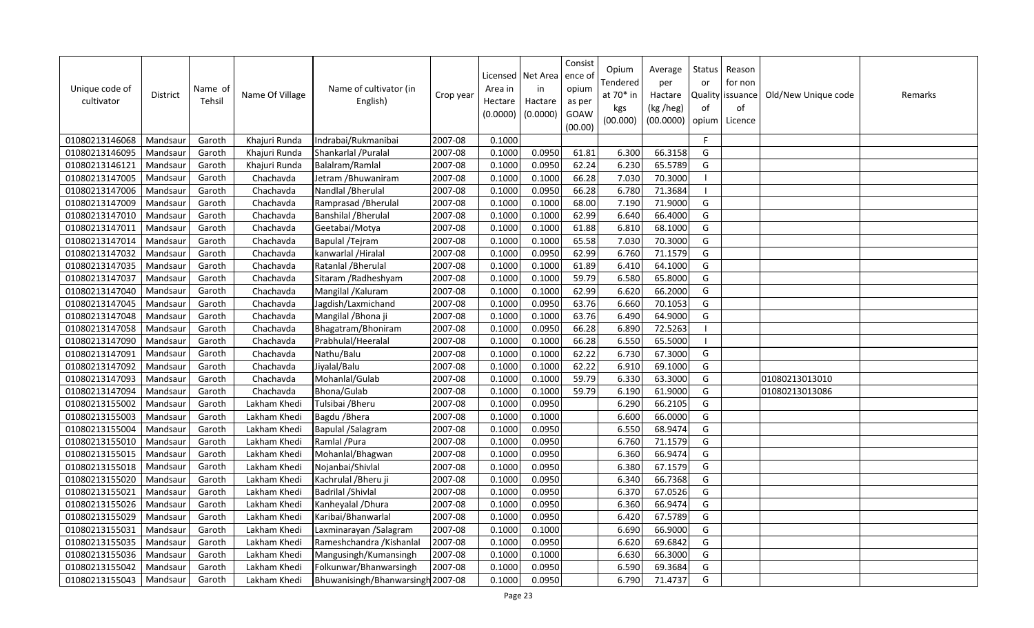| Unique code of<br>cultivator | District | Name of<br>Tehsil | Name Of Village | Name of cultivator (in<br>English) | Crop year | Area in<br>Hectare<br>(0.0000) | Licensed   Net Area<br>in<br>Hactare<br>(0.0000) | Consist<br>ence of<br>opium<br>as per<br>GOAW<br>(00.00) | Opium<br>Tendered<br>at 70* in<br>kgs<br>(00.000) | Average<br>per<br>Hactare<br>(kg /heg)<br>(00.0000) | Status<br>or<br><b>Quality</b><br>of<br>opium | Reason<br>for non<br>issuance<br>of<br>Licence | Old/New Unique code | Remarks |
|------------------------------|----------|-------------------|-----------------|------------------------------------|-----------|--------------------------------|--------------------------------------------------|----------------------------------------------------------|---------------------------------------------------|-----------------------------------------------------|-----------------------------------------------|------------------------------------------------|---------------------|---------|
| 01080213146068               | Mandsaur | Garoth            | Khajuri Runda   | Indrabai/Rukmanibai                | 2007-08   | 0.1000                         |                                                  |                                                          |                                                   |                                                     | F                                             |                                                |                     |         |
| 01080213146095               | Mandsaur | Garoth            | Khajuri Runda   | Shankarlal / Puralal               | 2007-08   | 0.1000                         | 0.0950                                           | 61.81                                                    | 6.300                                             | 66.3158                                             | G                                             |                                                |                     |         |
| 01080213146121               | Mandsaur | Garoth            | Khajuri Runda   | Balalram/Ramlal                    | 2007-08   | 0.1000                         | 0.0950                                           | 62.24                                                    | 6.230                                             | 65.5789                                             | G                                             |                                                |                     |         |
| 01080213147005               | Mandsau  | Garoth            | Chachavda       | Jetram / Bhuwaniram                | 2007-08   | 0.1000                         | 0.1000                                           | 66.28                                                    | 7.030                                             | 70.3000                                             | - 1                                           |                                                |                     |         |
| 01080213147006               | Mandsaur | Garoth            | Chachavda       | Nandlal / Bherulal                 | 2007-08   | 0.1000                         | 0.0950                                           | 66.28                                                    | 6.780                                             | 71.3684                                             | -1                                            |                                                |                     |         |
| 01080213147009               | Mandsaur | Garoth            | Chachavda       | Ramprasad / Bherulal               | 2007-08   | 0.1000                         | 0.1000                                           | 68.00                                                    | 7.190                                             | 71.9000                                             | G                                             |                                                |                     |         |
| 01080213147010               | Mandsau  | Garoth            | Chachavda       | <b>Banshilal / Bherulal</b>        | 2007-08   | 0.1000                         | 0.1000                                           | 62.99                                                    | 6.640                                             | 66.4000                                             | G                                             |                                                |                     |         |
| 01080213147011               | Mandsau  | Garoth            | Chachavda       | Geetabai/Motya                     | 2007-08   | 0.1000                         | 0.1000                                           | 61.88                                                    | 6.810                                             | 68.1000                                             | G                                             |                                                |                     |         |
| 01080213147014               | Mandsaur | Garoth            | Chachavda       | Bapulal / Tejram                   | 2007-08   | 0.1000                         | 0.1000                                           | 65.58                                                    | 7.030                                             | 70.3000                                             | G                                             |                                                |                     |         |
| 01080213147032               | Mandsaur | Garoth            | Chachavda       | kanwarlal / Hiralal                | 2007-08   | 0.1000                         | 0.0950                                           | 62.99                                                    | 6.760                                             | 71.1579                                             | G                                             |                                                |                     |         |
| 01080213147035               | Mandsau  | Garoth            | Chachavda       | Ratanlal / Bherulal                | 2007-08   | 0.1000                         | 0.1000                                           | 61.89                                                    | 6.410                                             | 64.1000                                             | G                                             |                                                |                     |         |
| 01080213147037               | Mandsau  | Garoth            | Chachavda       | Sitaram / Radheshyam               | 2007-08   | 0.1000                         | 0.1000                                           | 59.79                                                    | 6.580                                             | 65.8000                                             | G                                             |                                                |                     |         |
| 01080213147040               | Mandsau  | Garoth            | Chachavda       | Mangilal / Kaluram                 | 2007-08   | 0.1000                         | 0.1000                                           | 62.99                                                    | 6.620                                             | 66.2000                                             | G                                             |                                                |                     |         |
| 01080213147045               | Mandsaur | Garoth            | Chachavda       | Jagdish/Laxmichand                 | 2007-08   | 0.1000                         | 0.0950                                           | 63.76                                                    | 6.660                                             | 70.1053                                             | G                                             |                                                |                     |         |
| 01080213147048               | Mandsaur | Garoth            | Chachavda       | Mangilal / Bhona ji                | 2007-08   | 0.1000                         | 0.1000                                           | 63.76                                                    | 6.490                                             | 64.9000                                             | G                                             |                                                |                     |         |
| 01080213147058               | Mandsaur | Garoth            | Chachavda       | Bhagatram/Bhoniram                 | 2007-08   | 0.1000                         | 0.0950                                           | 66.28                                                    | 6.890                                             | 72.5263                                             | $\blacksquare$                                |                                                |                     |         |
| 01080213147090               | Mandsau  | Garoth            | Chachavda       | Prabhulal/Heeralal                 | 2007-08   | 0.1000                         | 0.1000                                           | 66.28                                                    | 6.550                                             | 65.5000                                             | - 1                                           |                                                |                     |         |
| 01080213147091               | Mandsaur | Garoth            | Chachavda       | Nathu/Balu                         | 2007-08   | 0.1000                         | 0.1000                                           | 62.22                                                    | 6.730                                             | 67.3000                                             | G                                             |                                                |                     |         |
| 01080213147092               | Mandsaur | Garoth            | Chachavda       | Jiyalal/Balu                       | 2007-08   | 0.1000                         | 0.1000                                           | 62.22                                                    | 6.910                                             | 69.1000                                             | G                                             |                                                |                     |         |
| 01080213147093               | Mandsau  | Garoth            | Chachavda       | Mohanlal/Gulab                     | 2007-08   | 0.1000                         | 0.1000                                           | 59.79                                                    | 6.330                                             | 63.3000                                             | G                                             |                                                | 01080213013010      |         |
| 01080213147094               | Mandsau  | Garoth            | Chachavda       | <b>Bhona/Gulab</b>                 | 2007-08   | 0.1000                         | 0.1000                                           | 59.79                                                    | 6.190                                             | 61.9000                                             | G                                             |                                                | 01080213013086      |         |
| 01080213155002               | Mandsau  | Garoth            | Lakham Khedi    | Tulsibai / Bheru                   | 2007-08   | 0.1000                         | 0.0950                                           |                                                          | 6.290                                             | 66.2105                                             | G                                             |                                                |                     |         |
| 01080213155003               | Mandsaur | Garoth            | Lakham Khedi    | Bagdu / Bhera                      | 2007-08   | 0.1000                         | 0.1000                                           |                                                          | 6.600                                             | 66.0000                                             | G                                             |                                                |                     |         |
| 01080213155004               | Mandsau  | Garoth            | Lakham Khedi    | Bapulal /Salagram                  | 2007-08   | 0.1000                         | 0.0950                                           |                                                          | 6.550                                             | 68.9474                                             | G                                             |                                                |                     |         |
| 01080213155010               | Mandsau  | Garoth            | Lakham Khedi    | Ramlal / Pura                      | 2007-08   | 0.1000                         | 0.0950                                           |                                                          | 6.760                                             | 71.1579                                             | G                                             |                                                |                     |         |
| 01080213155015               | Mandsaur | Garoth            | Lakham Khedi    | Mohanlal/Bhagwan                   | 2007-08   | 0.1000                         | 0.0950                                           |                                                          | 6.360                                             | 66.9474                                             | G                                             |                                                |                     |         |
| 01080213155018               | Mandsaur | Garoth            | Lakham Khedi    | Nojanbai/Shivlal                   | 2007-08   | 0.1000                         | 0.0950                                           |                                                          | 6.380                                             | 67.1579                                             | G                                             |                                                |                     |         |
| 01080213155020               | Mandsau  | Garoth            | Lakham Khedi    | Kachrulal / Bheru ji               | 2007-08   | 0.1000                         | 0.0950                                           |                                                          | 6.340                                             | 66.7368                                             | G                                             |                                                |                     |         |
| 01080213155021               | Mandsaur | Garoth            | Lakham Khedi    | Badrilal / Shivlal                 | 2007-08   | 0.1000                         | 0.0950                                           |                                                          | 6.370                                             | 67.0526                                             | G                                             |                                                |                     |         |
| 01080213155026               | Mandsau  | Garoth            | Lakham Khedi    | Kanheyalal / Dhura                 | 2007-08   | 0.1000                         | 0.0950                                           |                                                          | 6.360                                             | 66.9474                                             | G                                             |                                                |                     |         |
| 01080213155029               | Mandsaur | Garoth            | Lakham Khedi    | Karibai/Bhanwarlal                 | 2007-08   | 0.1000                         | 0.0950                                           |                                                          | 6.420                                             | 67.5789                                             | G                                             |                                                |                     |         |
| 01080213155031               | Mandsaur | Garoth            | Lakham Khedi    | Laxminarayan / Salagram            | 2007-08   | 0.1000                         | 0.1000                                           |                                                          | 6.690                                             | 66.9000                                             | G                                             |                                                |                     |         |
| 01080213155035               | Mandsaur | Garoth            | Lakham Khedi    | Rameshchandra / Kishanlal          | 2007-08   | 0.1000                         | 0.0950                                           |                                                          | 6.620                                             | 69.6842                                             | G                                             |                                                |                     |         |
| 01080213155036               | Mandsaur | Garoth            | Lakham Khedi    | Mangusingh/Kumansingh              | 2007-08   | 0.1000                         | 0.1000                                           |                                                          | 6.630                                             | 66.3000                                             | G                                             |                                                |                     |         |
| 01080213155042               | Mandsaur | Garoth            | Lakham Khedi    | Folkunwar/Bhanwarsingh             | 2007-08   | 0.1000                         | 0.0950                                           |                                                          | 6.590                                             | 69.3684                                             | G                                             |                                                |                     |         |
| 01080213155043               | Mandsaur | Garoth            | Lakham Khedi    | Bhuwanisingh/Bhanwarsingh 2007-08  |           | 0.1000                         | 0.0950                                           |                                                          | 6.790                                             | 71.4737                                             | G                                             |                                                |                     |         |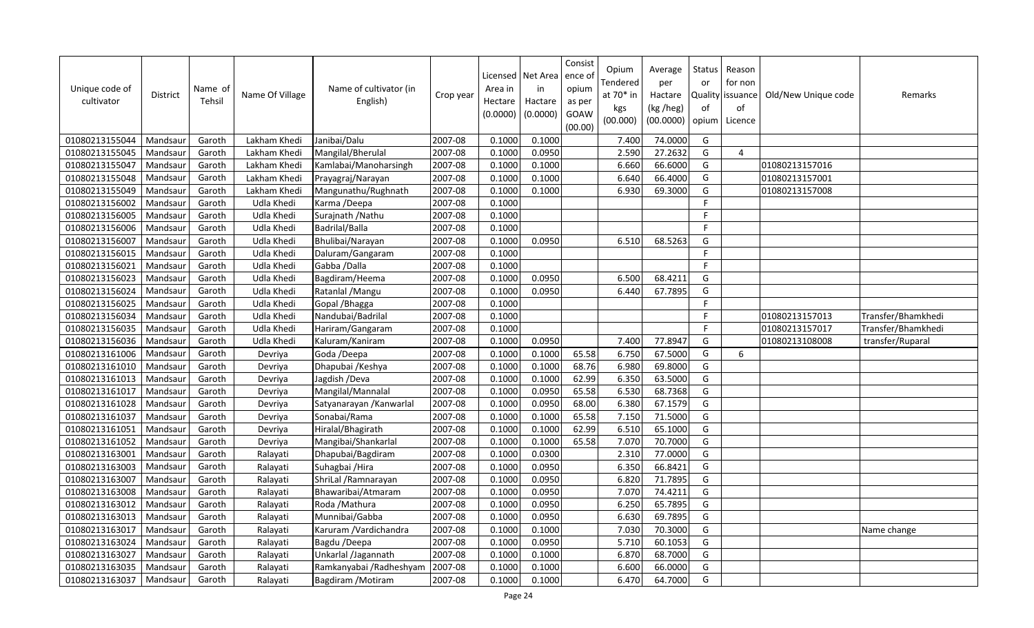| Unique code of<br>cultivator | <b>District</b> | Name of<br>Tehsil | Name Of Village | Name of cultivator (in<br>English) | Crop year | Area in<br>Hectare<br>(0.0000) | Licensed   Net Area<br>in<br>Hactare<br>(0.0000) | Consist<br>ence of<br>opium<br>as per<br>GOAW<br>(00.00) | Opium<br>Tendered<br>at 70* in<br>kgs<br>(00.000) | Average<br>per<br>Hactare<br>(kg /heg)<br>(00.0000) | Status<br>or<br>of<br>opium | Reason<br>for non<br>Quality issuance<br>of<br>Licence | Old/New Unique code | Remarks            |
|------------------------------|-----------------|-------------------|-----------------|------------------------------------|-----------|--------------------------------|--------------------------------------------------|----------------------------------------------------------|---------------------------------------------------|-----------------------------------------------------|-----------------------------|--------------------------------------------------------|---------------------|--------------------|
| 01080213155044               | Mandsaur        | Garoth            | Lakham Khedi    | Janibai/Dalu                       | 2007-08   | 0.1000                         | 0.1000                                           |                                                          | 7.400                                             | 74.0000                                             | G                           |                                                        |                     |                    |
| 01080213155045               | Mandsaur        | Garoth            | Lakham Khedi    | Mangilal/Bherulal                  | 2007-08   | 0.1000                         | 0.0950                                           |                                                          | 2.590                                             | 27.2632                                             | G                           | $\overline{4}$                                         |                     |                    |
| 01080213155047               | Mandsaur        | Garoth            | Lakham Khedi    | Kamlabai/Manoharsingh              | 2007-08   | 0.1000                         | 0.1000                                           |                                                          | 6.660                                             | 66.6000                                             | G                           |                                                        | 01080213157016      |                    |
| 01080213155048               | Mandsau         | Garoth            | Lakham Khedi    | Prayagraj/Narayan                  | 2007-08   | 0.1000                         | 0.1000                                           |                                                          | 6.640                                             | 66.4000                                             | G                           |                                                        | 01080213157001      |                    |
| 01080213155049               | Mandsaur        | Garoth            | Lakham Khedi    | Mangunathu/Rughnath                | 2007-08   | 0.1000                         | 0.1000                                           |                                                          | 6.930                                             | 69.3000                                             | G                           |                                                        | 01080213157008      |                    |
| 01080213156002               | Mandsaur        | Garoth            | Udla Khedi      | Karma /Deepa                       | 2007-08   | 0.1000                         |                                                  |                                                          |                                                   |                                                     | $\mathsf F$                 |                                                        |                     |                    |
| 01080213156005               | Mandsau         | Garoth            | Udla Khedi      | Surajnath / Nathu                  | 2007-08   | 0.1000                         |                                                  |                                                          |                                                   |                                                     | F                           |                                                        |                     |                    |
| 01080213156006               | Mandsaur        | Garoth            | Udla Khedi      | Badrilal/Balla                     | 2007-08   | 0.1000                         |                                                  |                                                          |                                                   |                                                     | $\mathsf F$                 |                                                        |                     |                    |
| 01080213156007               | Mandsaur        | Garoth            | Udla Khedi      | Bhulibai/Narayan                   | 2007-08   | 0.1000                         | 0.0950                                           |                                                          | 6.510                                             | 68.5263                                             | G                           |                                                        |                     |                    |
| 01080213156015               | Mandsaur        | Garoth            | Udla Khedi      | Daluram/Gangaram                   | 2007-08   | 0.1000                         |                                                  |                                                          |                                                   |                                                     | F                           |                                                        |                     |                    |
| 01080213156021               | Mandsau         | Garoth            | Udla Khedi      | Gabba /Dalla                       | 2007-08   | 0.1000                         |                                                  |                                                          |                                                   |                                                     | F                           |                                                        |                     |                    |
| 01080213156023               | Mandsaur        | Garoth            | Udla Khedi      | Bagdiram/Heema                     | 2007-08   | 0.1000                         | 0.0950                                           |                                                          | 6.500                                             | 68.4211                                             | G                           |                                                        |                     |                    |
| 01080213156024               | Mandsaur        | Garoth            | Udla Khedi      | Ratanlal / Mangu                   | 2007-08   | 0.1000                         | 0.0950                                           |                                                          | 6.440                                             | 67.7895                                             | G                           |                                                        |                     |                    |
| 01080213156025               | Mandsaur        | Garoth            | Udla Khedi      | Gopal / Bhagga                     | 2007-08   | 0.1000                         |                                                  |                                                          |                                                   |                                                     | F                           |                                                        |                     |                    |
| 01080213156034               | Mandsau         | Garoth            | Udla Khedi      | Nandubai/Badrilal                  | 2007-08   | 0.1000                         |                                                  |                                                          |                                                   |                                                     | F                           |                                                        | 01080213157013      | Transfer/Bhamkhedi |
| 01080213156035               | Mandsaur        | Garoth            | Udla Khedi      | Hariram/Gangaram                   | 2007-08   | 0.1000                         |                                                  |                                                          |                                                   |                                                     | F                           |                                                        | 01080213157017      | Transfer/Bhamkhedi |
| 01080213156036               | Mandsau         | Garoth            | Udla Khedi      | Kaluram/Kaniram                    | 2007-08   | 0.1000                         | 0.0950                                           |                                                          | 7.400                                             | 77.8947                                             | G                           |                                                        | 01080213108008      | transfer/Ruparal   |
| 01080213161006               | Mandsaur        | Garoth            | Devriya         | Goda /Deepa                        | 2007-08   | 0.1000                         | 0.1000                                           | 65.58                                                    | 6.750                                             | 67.5000                                             | G                           | 6                                                      |                     |                    |
| 01080213161010               | Mandsau         | Garoth            | Devriya         | Dhapubai / Keshya                  | 2007-08   | 0.1000                         | 0.1000                                           | 68.76                                                    | 6.980                                             | 69.8000                                             | G                           |                                                        |                     |                    |
| 01080213161013               | Mandsau         | Garoth            | Devriya         | Jagdish /Deva                      | 2007-08   | 0.1000                         | 0.1000                                           | 62.99                                                    | 6.350                                             | 63.5000                                             | G                           |                                                        |                     |                    |
| 01080213161017               | Mandsau         | Garoth            | Devriya         | Mangilal/Mannalal                  | 2007-08   | 0.1000                         | 0.0950                                           | 65.58                                                    | 6.530                                             | 68.7368                                             | G                           |                                                        |                     |                    |
| 01080213161028               | Mandsaur        | Garoth            | Devriya         | Satyanarayan / Kanwarlal           | 2007-08   | 0.1000                         | 0.0950                                           | 68.00                                                    | 6.380                                             | 67.1579                                             | G                           |                                                        |                     |                    |
| 01080213161037               | Mandsaur        | Garoth            | Devriya         | Sonabai/Rama                       | 2007-08   | 0.1000                         | 0.1000                                           | 65.58                                                    | 7.150                                             | 71.5000                                             | G                           |                                                        |                     |                    |
| 01080213161051               | Mandsau         | Garoth            | Devriya         | Hiralal/Bhagirath                  | 2007-08   | 0.1000                         | 0.1000                                           | 62.99                                                    | 6.510                                             | 65.1000                                             | G                           |                                                        |                     |                    |
| 01080213161052               | Mandsaur        | Garoth            | Devriya         | Mangibai/Shankarlal                | 2007-08   | 0.1000                         | 0.1000                                           | 65.58                                                    | 7.070                                             | 70.7000                                             | G                           |                                                        |                     |                    |
| 01080213163001               | Mandsaur        | Garoth            | Ralayati        | Dhapubai/Bagdiram                  | 2007-08   | 0.1000                         | 0.0300                                           |                                                          | 2.310                                             | 77.0000                                             | G                           |                                                        |                     |                    |
| 01080213163003               | Mandsaur        | Garoth            | Ralayati        | Suhagbai / Hira                    | 2007-08   | 0.1000                         | 0.0950                                           |                                                          | 6.350                                             | 66.8421                                             | G                           |                                                        |                     |                    |
| 01080213163007               | Mandsau         | Garoth            | Ralayati        | ShriLal / Ramnarayan               | 2007-08   | 0.1000                         | 0.0950                                           |                                                          | 6.820                                             | 71.7895                                             | G                           |                                                        |                     |                    |
| 01080213163008               | Mandsau         | Garoth            | Ralayati        | Bhawaribai/Atmaram                 | 2007-08   | 0.1000                         | 0.0950                                           |                                                          | 7.070                                             | 74.4211                                             | G                           |                                                        |                     |                    |
| 01080213163012               | Mandsaur        | Garoth            | Ralayati        | Roda / Mathura                     | 2007-08   | 0.1000                         | 0.0950                                           |                                                          | 6.250                                             | 65.7895                                             | G                           |                                                        |                     |                    |
| 01080213163013               | Mandsaur        | Garoth            | Ralayati        | Munnibai/Gabba                     | 2007-08   | 0.1000                         | 0.0950                                           |                                                          | 6.630                                             | 69.7895                                             | G                           |                                                        |                     |                    |
| 01080213163017               | Mandsaur        | Garoth            | Ralayati        | Karuram /Vardichandra              | 2007-08   | 0.1000                         | 0.1000                                           |                                                          | 7.030                                             | 70.3000                                             | G                           |                                                        |                     | Name change        |
| 01080213163024               | Mandsaur        | Garoth            | Ralayati        | Bagdu /Deepa                       | 2007-08   | 0.1000                         | 0.0950                                           |                                                          | 5.710                                             | 60.1053                                             | G                           |                                                        |                     |                    |
| 01080213163027               | Mandsaur        | Garoth            | Ralayati        | Unkarlal /Jagannath                | 2007-08   | 0.1000                         | 0.1000                                           |                                                          | 6.870                                             | 68.7000                                             | G                           |                                                        |                     |                    |
| 01080213163035               | Mandsaur        | Garoth            | Ralayati        | Ramkanyabai / Radheshyam           | 2007-08   | 0.1000                         | 0.1000                                           |                                                          | 6.600                                             | 66.0000                                             | G                           |                                                        |                     |                    |
| 01080213163037               | Mandsaur        | Garoth            | Ralayati        | Bagdiram / Motiram                 | 2007-08   | 0.1000                         | 0.1000                                           |                                                          | 6.470                                             | 64.7000                                             | G                           |                                                        |                     |                    |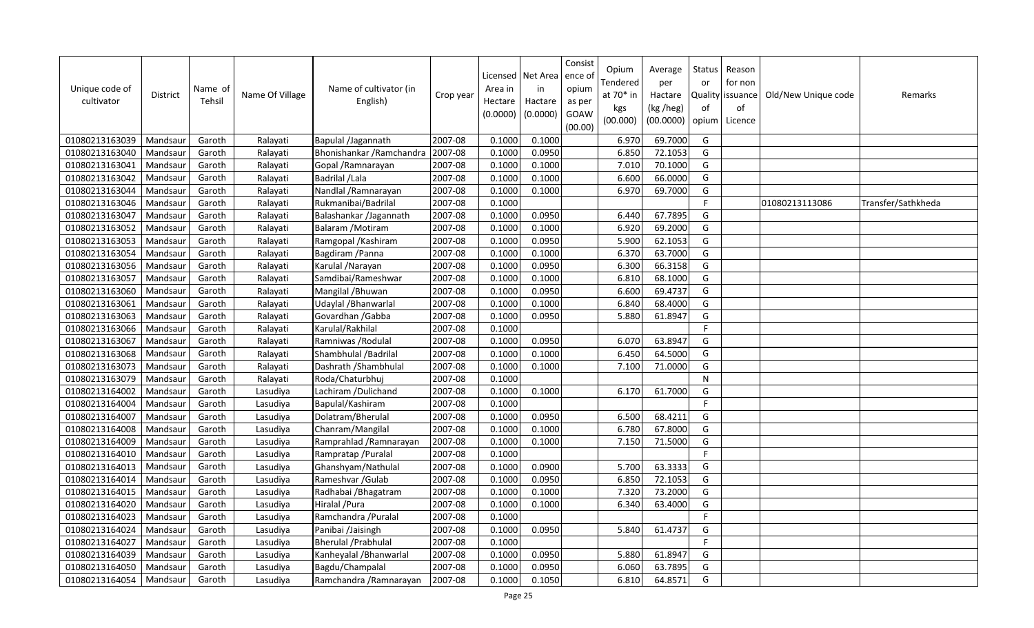| Unique code of<br>cultivator | <b>District</b> | Name of<br>Tehsil | Name Of Village | Name of cultivator (in<br>English) | Crop year | Area in<br>Hectare<br>(0.0000) | Licensed   Net Area<br>in<br>Hactare<br>(0.0000) | Consist<br>ence of<br>opium<br>as per<br>GOAW<br>(00.00) | Opium<br>Tendered<br>at 70* in<br>kgs<br>(00.000) | Average<br>per<br>Hactare<br>(kg /heg)<br>(00.0000) | <b>Status</b><br>or<br>of<br>opium | Reason<br>for non<br>Quality issuance<br>of<br>Licence | Old/New Unique code | Remarks            |
|------------------------------|-----------------|-------------------|-----------------|------------------------------------|-----------|--------------------------------|--------------------------------------------------|----------------------------------------------------------|---------------------------------------------------|-----------------------------------------------------|------------------------------------|--------------------------------------------------------|---------------------|--------------------|
| 01080213163039               | Mandsaur        | Garoth            | Ralayati        | Bapulal /Jagannath                 | 2007-08   | 0.1000                         | 0.1000                                           |                                                          | 6.970                                             | 69.7000                                             | G                                  |                                                        |                     |                    |
| 01080213163040               | Mandsaur        | Garoth            | Ralayati        | Bhonishankar / Ramchandra          | 2007-08   | 0.1000                         | 0.0950                                           |                                                          | 6.850                                             | 72.1053                                             | G                                  |                                                        |                     |                    |
| 01080213163041               | Mandsaur        | Garoth            | Ralayati        | Gopal / Ramnarayan                 | 2007-08   | 0.1000                         | 0.1000                                           |                                                          | 7.010                                             | 70.1000                                             | G                                  |                                                        |                     |                    |
| 01080213163042               | Mandsaur        | Garoth            | Ralayati        | Badrilal / Lala                    | 2007-08   | 0.1000                         | 0.1000                                           |                                                          | 6.600                                             | 66.0000                                             | G                                  |                                                        |                     |                    |
| 01080213163044               | Mandsaur        | Garoth            | Ralayati        | Nandlal / Ramnarayan               | 2007-08   | 0.1000                         | 0.1000                                           |                                                          | 6.970                                             | 69.7000                                             | G                                  |                                                        |                     |                    |
| 01080213163046               | Mandsaur        | Garoth            | Ralayati        | Rukmanibai/Badrilal                | 2007-08   | 0.1000                         |                                                  |                                                          |                                                   |                                                     | F                                  |                                                        | 01080213113086      | Transfer/Sathkheda |
| 01080213163047               | Mandsaur        | Garoth            | Ralayati        | Balashankar /Jagannath             | 2007-08   | 0.1000                         | 0.0950                                           |                                                          | 6.440                                             | 67.7895                                             | G                                  |                                                        |                     |                    |
| 01080213163052               | Mandsaur        | Garoth            | Ralayati        | Balaram / Motiram                  | 2007-08   | 0.1000                         | 0.1000                                           |                                                          | 6.920                                             | 69.2000                                             | G                                  |                                                        |                     |                    |
| 01080213163053               | Mandsaur        | Garoth            | Ralayati        | Ramgopal / Kashiram                | 2007-08   | 0.1000                         | 0.0950                                           |                                                          | 5.900                                             | 62.1053                                             | G                                  |                                                        |                     |                    |
| 01080213163054               | Mandsaur        | Garoth            | Ralayati        | Bagdiram / Panna                   | 2007-08   | 0.1000                         | 0.1000                                           |                                                          | 6.370                                             | 63.7000                                             | G                                  |                                                        |                     |                    |
| 01080213163056               | Mandsau         | Garoth            | Ralayati        | Karulal / Narayan                  | 2007-08   | 0.1000                         | 0.0950                                           |                                                          | 6.300                                             | 66.3158                                             | G                                  |                                                        |                     |                    |
| 01080213163057               | Mandsau         | Garoth            | Ralayati        | Samdibai/Rameshwar                 | 2007-08   | 0.1000                         | 0.1000                                           |                                                          | 6.810                                             | 68.1000                                             | G                                  |                                                        |                     |                    |
| 01080213163060               | Mandsaur        | Garoth            | Ralayati        | Mangilal / Bhuwan                  | 2007-08   | 0.1000                         | 0.0950                                           |                                                          | 6.600                                             | 69.4737                                             | G                                  |                                                        |                     |                    |
| 01080213163061               | Mandsaur        | Garoth            | Ralayati        | Udaylal / Bhanwarlal               | 2007-08   | 0.1000                         | 0.1000                                           |                                                          | 6.840                                             | 68.4000                                             | G                                  |                                                        |                     |                    |
| 01080213163063               | Mandsau         | Garoth            | Ralayati        | Govardhan / Gabba                  | 2007-08   | 0.1000                         | 0.0950                                           |                                                          | 5.880                                             | 61.8947                                             | G                                  |                                                        |                     |                    |
| 01080213163066               | Mandsaur        | Garoth            | Ralayati        | Karulal/Rakhilal                   | 2007-08   | 0.1000                         |                                                  |                                                          |                                                   |                                                     | F                                  |                                                        |                     |                    |
| 01080213163067               | Mandsaur        | Garoth            | Ralayati        | Ramniwas / Rodulal                 | 2007-08   | 0.1000                         | 0.0950                                           |                                                          | 6.070                                             | 63.8947                                             | G                                  |                                                        |                     |                    |
| 01080213163068               | Mandsaur        | Garoth            | Ralayati        | Shambhulal / Badrilal              | 2007-08   | 0.1000                         | 0.1000                                           |                                                          | 6.450                                             | 64.5000                                             | G                                  |                                                        |                     |                    |
| 01080213163073               | Mandsaur        | Garoth            | Ralayati        | Dashrath / Shambhulal              | 2007-08   | 0.1000                         | 0.1000                                           |                                                          | 7.100                                             | 71.0000                                             | G                                  |                                                        |                     |                    |
| 01080213163079               | Mandsaur        | Garoth            | Ralayati        | Roda/Chaturbhuj                    | 2007-08   | 0.1000                         |                                                  |                                                          |                                                   |                                                     | ${\sf N}$                          |                                                        |                     |                    |
| 01080213164002               | Mandsaur        | Garoth            | Lasudiya        | Lachiram / Dulichand               | 2007-08   | 0.1000                         | 0.1000                                           |                                                          | 6.170                                             | 61.7000                                             | G                                  |                                                        |                     |                    |
| 01080213164004               | Mandsaur        | Garoth            | Lasudiya        | Bapulal/Kashiram                   | 2007-08   | 0.1000                         |                                                  |                                                          |                                                   |                                                     | F.                                 |                                                        |                     |                    |
| 01080213164007               | Mandsaur        | Garoth            | Lasudiya        | Dolatram/Bherulal                  | 2007-08   | 0.1000                         | 0.0950                                           |                                                          | 6.500                                             | 68.4211                                             | G                                  |                                                        |                     |                    |
| 01080213164008               | Mandsaur        | Garoth            | Lasudiya        | Chanram/Mangilal                   | 2007-08   | 0.1000                         | 0.1000                                           |                                                          | 6.780                                             | 67.8000                                             | G                                  |                                                        |                     |                    |
| 01080213164009               | Mandsaur        | Garoth            | Lasudiya        | Ramprahlad / Ramnarayan            | 2007-08   | 0.1000                         | 0.1000                                           |                                                          | 7.150                                             | 71.5000                                             | G                                  |                                                        |                     |                    |
| 01080213164010               | Mandsaur        | Garoth            | Lasudiya        | Rampratap / Puralal                | 2007-08   | 0.1000                         |                                                  |                                                          |                                                   |                                                     | F                                  |                                                        |                     |                    |
| 01080213164013               | Mandsaur        | Garoth            | Lasudiya        | Ghanshyam/Nathulal                 | 2007-08   | 0.1000                         | 0.0900                                           |                                                          | 5.700                                             | 63.3333                                             | G                                  |                                                        |                     |                    |
| 01080213164014               | Mandsau         | Garoth            | Lasudiya        | Rameshvar / Gulab                  | 2007-08   | 0.1000                         | 0.0950                                           |                                                          | 6.850                                             | 72.1053                                             | G                                  |                                                        |                     |                    |
| 01080213164015               | Mandsaur        | Garoth            | Lasudiya        | Radhabai / Bhagatram               | 2007-08   | 0.1000                         | 0.1000                                           |                                                          | 7.320                                             | 73.2000                                             | G                                  |                                                        |                     |                    |
| 01080213164020               | Mandsau         | Garoth            | Lasudiya        | Hiralal / Pura                     | 2007-08   | 0.1000                         | 0.1000                                           |                                                          | 6.340                                             | 63.4000                                             | G                                  |                                                        |                     |                    |
| 01080213164023               | Mandsaur        | Garoth            | Lasudiya        | Ramchandra / Puralal               | 2007-08   | 0.1000                         |                                                  |                                                          |                                                   |                                                     | $\mathsf F$                        |                                                        |                     |                    |
| 01080213164024               | Mandsaur        | Garoth            | Lasudiya        | Panibai /Jaisingh                  | 2007-08   | 0.1000                         | 0.0950                                           |                                                          | 5.840                                             | 61.4737                                             | G                                  |                                                        |                     |                    |
| 01080213164027               | Mandsaur        | Garoth            | Lasudiya        | <b>Bherulal / Prabhulal</b>        | 2007-08   | 0.1000                         |                                                  |                                                          |                                                   |                                                     | F                                  |                                                        |                     |                    |
| 01080213164039               | Mandsaur        | Garoth            | Lasudiya        | Kanheyalal / Bhanwarlal            | 2007-08   | 0.1000                         | 0.0950                                           |                                                          | 5.880                                             | 61.8947                                             | G                                  |                                                        |                     |                    |
| 01080213164050               | Mandsaur        | Garoth            | Lasudiya        | Bagdu/Champalal                    | 2007-08   | 0.1000                         | 0.0950                                           |                                                          | 6.060                                             | 63.7895                                             | G                                  |                                                        |                     |                    |
| 01080213164054               | Mandsaur        | Garoth            | Lasudiya        | Ramchandra / Ramnarayan            | 2007-08   | 0.1000                         | 0.1050                                           |                                                          | 6.810                                             | 64.8571                                             | G                                  |                                                        |                     |                    |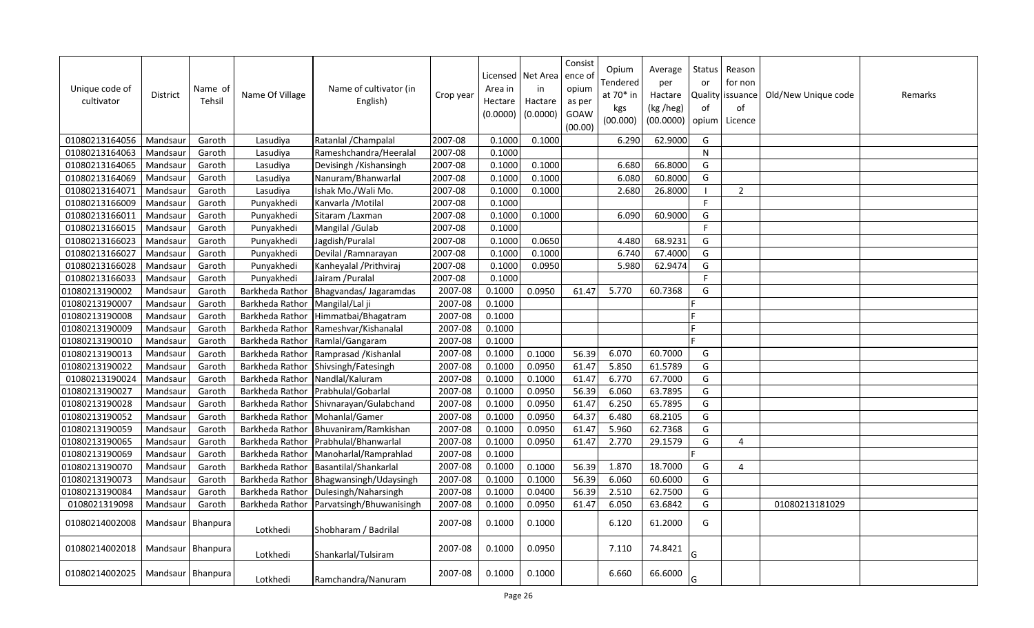| Unique code of<br>cultivator | District            | Name of<br>Tehsil | Name Of Village | Name of cultivator (in<br>English) | Crop year | Area in<br>Hectare<br>(0.0000) | Licensed   Net Area<br>in<br>Hactare<br>(0.0000) | Consist<br>ence of<br>opium<br>as per<br>GOAW<br>(00.00) | Opium<br>Tendered<br>at 70* in<br>kgs<br>(00.000) | Average<br>per<br>Hactare<br>(kg /heg)<br>(00.0000) | Status<br>or<br>Quality<br>of<br>opium | Reason<br>for non<br>issuance<br>of<br>Licence | Old/New Unique code | Remarks |
|------------------------------|---------------------|-------------------|-----------------|------------------------------------|-----------|--------------------------------|--------------------------------------------------|----------------------------------------------------------|---------------------------------------------------|-----------------------------------------------------|----------------------------------------|------------------------------------------------|---------------------|---------|
| 01080213164056               | Mandsaur            | Garoth            | Lasudiya        | Ratanlal / Champalal               | 2007-08   | 0.1000                         | 0.1000                                           |                                                          | 6.290                                             | 62.9000                                             | G                                      |                                                |                     |         |
| 01080213164063               | Mandsaur            | Garoth            | Lasudiya        | Rameshchandra/Heeralal             | 2007-08   | 0.1000                         |                                                  |                                                          |                                                   |                                                     | N                                      |                                                |                     |         |
| 01080213164065               | Mandsaur            | Garoth            | Lasudiya        | Devisingh / Kishansingh            | 2007-08   | 0.1000                         | 0.1000                                           |                                                          | 6.680                                             | 66.8000                                             | G                                      |                                                |                     |         |
| 01080213164069               | Mandsaur            | Garoth            | Lasudiya        | Nanuram/Bhanwarlal                 | 2007-08   | 0.1000                         | 0.1000                                           |                                                          | 6.080                                             | 60.8000                                             | G                                      |                                                |                     |         |
| 01080213164071               | Mandsaur            | Garoth            | Lasudiya        | Ishak Mo./Wali Mo.                 | 2007-08   | 0.1000                         | 0.1000                                           |                                                          | 2.680                                             | 26.8000                                             | - 1                                    | $\overline{2}$                                 |                     |         |
| 01080213166009               | Mandsaur            | Garoth            | Punyakhedi      | Kanvarla / Motilal                 | 2007-08   | 0.1000                         |                                                  |                                                          |                                                   |                                                     | F                                      |                                                |                     |         |
| 01080213166011               | Mandsau             | Garoth            | Punyakhedi      | Sitaram / Laxman                   | 2007-08   | 0.1000                         | 0.1000                                           |                                                          | 6.090                                             | 60.9000                                             | G                                      |                                                |                     |         |
| 01080213166015               | Mandsaur            | Garoth            | Punyakhedi      | Mangilal /Gulab                    | 2007-08   | 0.1000                         |                                                  |                                                          |                                                   |                                                     | F                                      |                                                |                     |         |
| 01080213166023               | Mandsaur            | Garoth            | Punyakhedi      | Jagdish/Puralal                    | 2007-08   | 0.1000                         | 0.0650                                           |                                                          | 4.480                                             | 68.9231                                             | G                                      |                                                |                     |         |
| 01080213166027               | Mandsaur            | Garoth            | Punyakhedi      | Devilal / Ramnarayan               | 2007-08   | 0.1000                         | 0.1000                                           |                                                          | 6.740                                             | 67.4000                                             | G                                      |                                                |                     |         |
| 01080213166028               | Mandsau             | Garoth            | Punyakhedi      | Kanheyalal / Prithviraj            | 2007-08   | 0.1000                         | 0.0950                                           |                                                          | 5.980                                             | 62.9474                                             | G                                      |                                                |                     |         |
| 01080213166033               | Mandsaur            | Garoth            | Punyakhedi      | Jairam / Puralal                   | 2007-08   | 0.1000                         |                                                  |                                                          |                                                   |                                                     | F                                      |                                                |                     |         |
| 01080213190002               | Mandsaur            | Garoth            | Barkheda Rathor | Bhagvandas/Jagaramdas              | 2007-08   | 0.1000                         | 0.0950                                           | 61.47                                                    | 5.770                                             | 60.7368                                             | G                                      |                                                |                     |         |
| 01080213190007               | Mandsaur            | Garoth            | Barkheda Rathor | Mangilal/Lal ji                    | 2007-08   | 0.1000                         |                                                  |                                                          |                                                   |                                                     |                                        |                                                |                     |         |
| 01080213190008               | Mandsau             | Garoth            | Barkheda Rathor | Himmatbai/Bhagatram                | 2007-08   | 0.1000                         |                                                  |                                                          |                                                   |                                                     |                                        |                                                |                     |         |
| 01080213190009               | Mandsaur            | Garoth            | Barkheda Rathor | Rameshvar/Kishanalal               | 2007-08   | 0.1000                         |                                                  |                                                          |                                                   |                                                     |                                        |                                                |                     |         |
| 01080213190010               | Mandsaur            | Garoth            | Barkheda Rathor | Ramlal/Gangaram                    | 2007-08   | 0.1000                         |                                                  |                                                          |                                                   |                                                     |                                        |                                                |                     |         |
| 01080213190013               | Mandsaur            | Garoth            | Barkheda Rathor | Ramprasad / Kishanlal              | 2007-08   | 0.1000                         | 0.1000                                           | 56.39                                                    | 6.070                                             | 60.7000                                             | G                                      |                                                |                     |         |
| 01080213190022               | Mandsau             | Garoth            | Barkheda Rathor | Shivsingh/Fatesingh                | 2007-08   | 0.1000                         | 0.0950                                           | 61.47                                                    | 5.850                                             | 61.5789                                             | G                                      |                                                |                     |         |
| 01080213190024               | Mandsaur            | Garoth            | Barkheda Rathor | Nandlal/Kaluram                    | 2007-08   | 0.1000                         | 0.1000                                           | 61.47                                                    | 6.770                                             | 67.7000                                             | G                                      |                                                |                     |         |
| 01080213190027               | Mandsaur            | Garoth            | Barkheda Rathor | Prabhulal/Gobarlal                 | 2007-08   | 0.1000                         | 0.0950                                           | 56.39                                                    | 6.060                                             | 63.7895                                             | G                                      |                                                |                     |         |
| 01080213190028               | Mandsaur            | Garoth            | Barkheda Rathor | Shivnarayan/Gulabchand             | 2007-08   | 0.1000                         | 0.0950                                           | 61.47                                                    | 6.250                                             | 65.7895                                             | G                                      |                                                |                     |         |
| 01080213190052               | Mandsaur            | Garoth            | Barkheda Rathor | Mohanlal/Gamer                     | 2007-08   | 0.1000                         | 0.0950                                           | 64.37                                                    | 6.480                                             | 68.2105                                             | G                                      |                                                |                     |         |
| 01080213190059               | Mandsau             | Garoth            | Barkheda Rathor | Bhuvaniram/Ramkishan               | 2007-08   | 0.1000                         | 0.0950                                           | 61.47                                                    | 5.960                                             | 62.7368                                             | G                                      |                                                |                     |         |
| 01080213190065               | Mandsaur            | Garoth            | Barkheda Rathor | Prabhulal/Bhanwarlal               | 2007-08   | 0.1000                         | 0.0950                                           | 61.47                                                    | 2.770                                             | 29.1579                                             | G                                      | $\overline{4}$                                 |                     |         |
| 01080213190069               | Mandsau             | Garoth            | Barkheda Rathor | Manoharlal/Ramprahlad              | 2007-08   | 0.1000                         |                                                  |                                                          |                                                   |                                                     |                                        |                                                |                     |         |
| 01080213190070               | Mandsaur            | Garoth            | Barkheda Rathor | Basantilal/Shankarlal              | 2007-08   | 0.1000                         | 0.1000                                           | 56.39                                                    | 1.870                                             | 18.7000                                             | G                                      | $\overline{4}$                                 |                     |         |
| 01080213190073               | Mandsau             | Garoth            | Barkheda Rathor | Bhagwansingh/Udaysingh             | 2007-08   | 0.1000                         | 0.1000                                           | 56.39                                                    | 6.060                                             | 60.6000                                             | G                                      |                                                |                     |         |
| 01080213190084               | Mandsaur            | Garoth            | Barkheda Rathor | Dulesingh/Naharsingh               | 2007-08   | 0.1000                         | 0.0400                                           | 56.39                                                    | 2.510                                             | 62.7500                                             | G                                      |                                                |                     |         |
| 0108021319098                | Mandsaur            | Garoth            | Barkheda Rathor | Parvatsingh/Bhuwanisingh           | 2007-08   | 0.1000                         | 0.0950                                           | 61.47                                                    | 6.050                                             | 63.6842                                             | G                                      |                                                | 01080213181029      |         |
| 01080214002008               | Mandsaur   Bhanpura |                   | Lotkhedi        | Shobharam / Badrilal               | 2007-08   | 0.1000                         | 0.1000                                           |                                                          | 6.120                                             | 61.2000                                             | G                                      |                                                |                     |         |
| 01080214002018               | Mandsaur Bhanpura   |                   | Lotkhedi        | Shankarlal/Tulsiram                | 2007-08   | 0.1000                         | 0.0950                                           |                                                          | 7.110                                             | 74.8421                                             | G                                      |                                                |                     |         |
| 01080214002025               | Mandsaur Bhanpura   |                   | Lotkhedi        | Ramchandra/Nanuram                 | 2007-08   | 0.1000                         | 0.1000                                           |                                                          | 6.660                                             | 66.6000                                             | G                                      |                                                |                     |         |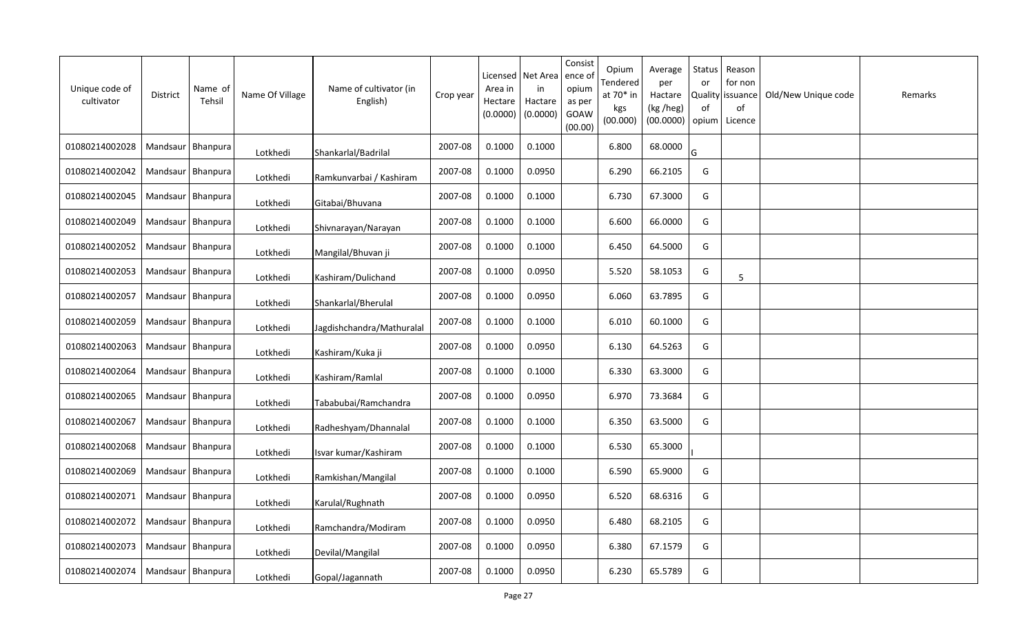| Unique code of<br>cultivator | <b>District</b>     | Name of<br>Tehsil | Name Of Village | Name of cultivator (in<br>English) | Crop year | Licensed<br>Area in<br>Hectare<br>(0.0000) | Net Area<br>in<br>Hactare<br>(0.0000) | Consist<br>ence of<br>opium<br>as per<br>GOAW<br>(00.00) | Opium<br>Tendered<br>at 70* in<br>kgs<br>(00.000) | Average<br>per<br>Hactare<br>(kg /heg)<br>(00.0000) | Status<br>or<br><b>Quality</b><br>0f<br>opium | Reason<br>for non<br>issuance<br>of<br>Licence | Old/New Unique code | Remarks |
|------------------------------|---------------------|-------------------|-----------------|------------------------------------|-----------|--------------------------------------------|---------------------------------------|----------------------------------------------------------|---------------------------------------------------|-----------------------------------------------------|-----------------------------------------------|------------------------------------------------|---------------------|---------|
| 01080214002028               | Mandsaur   Bhanpura |                   | Lotkhedi        | Shankarlal/Badrilal                | 2007-08   | 0.1000                                     | 0.1000                                |                                                          | 6.800                                             | 68.0000                                             | G                                             |                                                |                     |         |
| 01080214002042               | Mandsaur   Bhanpura |                   | Lotkhedi        | Ramkunvarbai / Kashiram            | 2007-08   | 0.1000                                     | 0.0950                                |                                                          | 6.290                                             | 66.2105                                             | G                                             |                                                |                     |         |
| 01080214002045               | Mandsaur   Bhanpura |                   | Lotkhedi        | Gitabai/Bhuvana                    | 2007-08   | 0.1000                                     | 0.1000                                |                                                          | 6.730                                             | 67.3000                                             | G                                             |                                                |                     |         |
| 01080214002049               | Mandsaur   Bhanpura |                   | Lotkhedi        | Shivnarayan/Narayan                | 2007-08   | 0.1000                                     | 0.1000                                |                                                          | 6.600                                             | 66.0000                                             | G                                             |                                                |                     |         |
| 01080214002052               | Mandsaur   Bhanpura |                   | Lotkhedi        | Mangilal/Bhuvan ji                 | 2007-08   | 0.1000                                     | 0.1000                                |                                                          | 6.450                                             | 64.5000                                             | G                                             |                                                |                     |         |
| 01080214002053               | Mandsaur   Bhanpura |                   | Lotkhedi        | Kashiram/Dulichand                 | 2007-08   | 0.1000                                     | 0.0950                                |                                                          | 5.520                                             | 58.1053                                             | G                                             | 5                                              |                     |         |
| 01080214002057               | Mandsaur   Bhanpura |                   | Lotkhedi        | Shankarlal/Bherulal                | 2007-08   | 0.1000                                     | 0.0950                                |                                                          | 6.060                                             | 63.7895                                             | G                                             |                                                |                     |         |
| 01080214002059               | Mandsaur   Bhanpura |                   | Lotkhedi        | Jagdishchandra/Mathuralal          | 2007-08   | 0.1000                                     | 0.1000                                |                                                          | 6.010                                             | 60.1000                                             | G                                             |                                                |                     |         |
| 01080214002063               | Mandsaur   Bhanpura |                   | Lotkhedi        | Kashiram/Kuka ji                   | 2007-08   | 0.1000                                     | 0.0950                                |                                                          | 6.130                                             | 64.5263                                             | G                                             |                                                |                     |         |
| 01080214002064               | Mandsaur Bhanpura   |                   | Lotkhedi        | Kashiram/Ramlal                    | 2007-08   | 0.1000                                     | 0.1000                                |                                                          | 6.330                                             | 63.3000                                             | G                                             |                                                |                     |         |
| 01080214002065               | Mandsaur            | Bhanpura          | Lotkhedi        | Tababubai/Ramchandra               | 2007-08   | 0.1000                                     | 0.0950                                |                                                          | 6.970                                             | 73.3684                                             | G                                             |                                                |                     |         |
| 01080214002067               | Mandsaur            | Bhanpura          | Lotkhedi        | Radheshyam/Dhannalal               | 2007-08   | 0.1000                                     | 0.1000                                |                                                          | 6.350                                             | 63.5000                                             | G                                             |                                                |                     |         |
| 01080214002068               | Mandsaur   Bhanpura |                   | Lotkhedi        | Isvar kumar/Kashiram               | 2007-08   | 0.1000                                     | 0.1000                                |                                                          | 6.530                                             | 65.3000                                             |                                               |                                                |                     |         |
| 01080214002069               | Mandsaur Bhanpura   |                   | Lotkhedi        | Ramkishan/Mangilal                 | 2007-08   | 0.1000                                     | 0.1000                                |                                                          | 6.590                                             | 65.9000                                             | G                                             |                                                |                     |         |
| 01080214002071               | Mandsaur Bhanpura   |                   | Lotkhedi        | Karulal/Rughnath                   | 2007-08   | 0.1000                                     | 0.0950                                |                                                          | 6.520                                             | 68.6316                                             | G                                             |                                                |                     |         |
| 01080214002072               | Mandsaur   Bhanpura |                   | Lotkhedi        | Ramchandra/Modiram                 | 2007-08   | 0.1000                                     | 0.0950                                |                                                          | 6.480                                             | 68.2105                                             | G                                             |                                                |                     |         |
| 01080214002073               | Mandsaur Bhanpura   |                   | Lotkhedi        | Devilal/Mangilal                   | 2007-08   | 0.1000                                     | 0.0950                                |                                                          | 6.380                                             | 67.1579                                             | G                                             |                                                |                     |         |
| 01080214002074               | Mandsaur   Bhanpura |                   | Lotkhedi        | Gopal/Jagannath                    | 2007-08   | 0.1000                                     | 0.0950                                |                                                          | 6.230                                             | 65.5789                                             | G                                             |                                                |                     |         |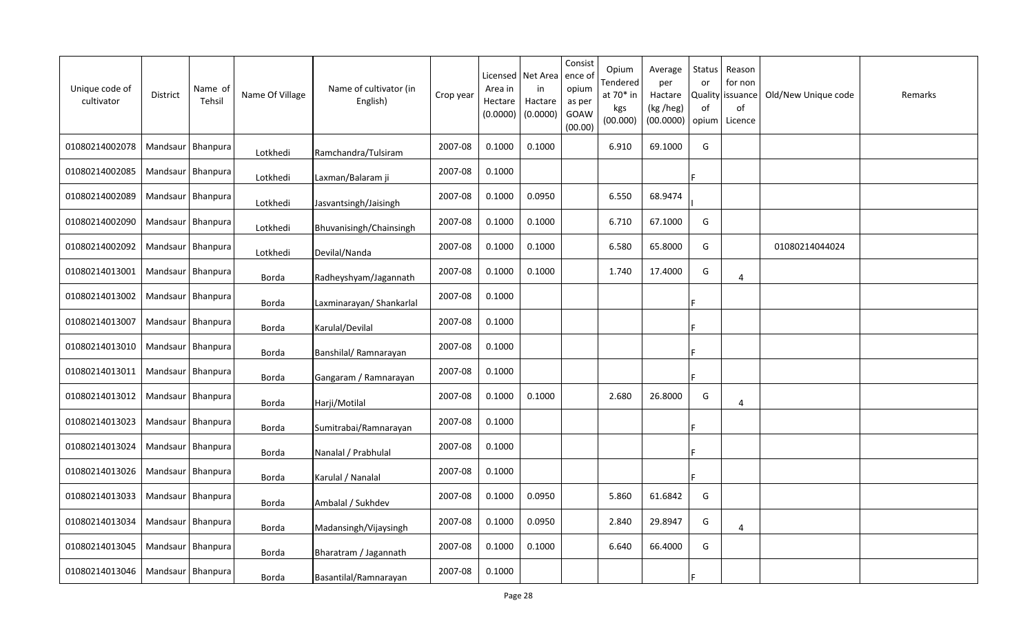| Unique code of<br>cultivator | <b>District</b>     | Name of<br>Tehsil | Name Of Village | Name of cultivator (in<br>English) | Crop year | Licensed<br>Area in<br>Hectare<br>(0.0000) | Net Area<br>in<br>Hactare<br>(0.0000) | Consist<br>ence of<br>opium<br>as per<br>GOAW<br>(00.00) | Opium<br>Tendered<br>at 70* in<br>kgs<br>(00.000) | Average<br>per<br>Hactare<br>(kg /heg)<br>(00.0000) | Status<br>or<br><b>Quality</b><br>of<br>opium | Reason<br>for non<br>issuance<br>of<br>Licence | Old/New Unique code | Remarks |
|------------------------------|---------------------|-------------------|-----------------|------------------------------------|-----------|--------------------------------------------|---------------------------------------|----------------------------------------------------------|---------------------------------------------------|-----------------------------------------------------|-----------------------------------------------|------------------------------------------------|---------------------|---------|
| 01080214002078               | Mandsaur   Bhanpura |                   | Lotkhedi        | Ramchandra/Tulsiram                | 2007-08   | 0.1000                                     | 0.1000                                |                                                          | 6.910                                             | 69.1000                                             | G                                             |                                                |                     |         |
| 01080214002085               | Mandsaur Bhanpura   |                   | Lotkhedi        | Laxman/Balaram ji                  | 2007-08   | 0.1000                                     |                                       |                                                          |                                                   |                                                     |                                               |                                                |                     |         |
| 01080214002089               | Mandsaur   Bhanpura |                   | Lotkhedi        | Jasvantsingh/Jaisingh              | 2007-08   | 0.1000                                     | 0.0950                                |                                                          | 6.550                                             | 68.9474                                             |                                               |                                                |                     |         |
| 01080214002090               | Mandsaur Bhanpura   |                   | Lotkhedi        | Bhuvanisingh/Chainsingh            | 2007-08   | 0.1000                                     | 0.1000                                |                                                          | 6.710                                             | 67.1000                                             | G                                             |                                                |                     |         |
| 01080214002092               | Mandsaur   Bhanpura |                   | Lotkhedi        | Devilal/Nanda                      | 2007-08   | 0.1000                                     | 0.1000                                |                                                          | 6.580                                             | 65.8000                                             | G                                             |                                                | 01080214044024      |         |
| 01080214013001               | Mandsaur Bhanpura   |                   | Borda           | Radheyshyam/Jagannath              | 2007-08   | 0.1000                                     | 0.1000                                |                                                          | 1.740                                             | 17.4000                                             | G                                             | $\overline{4}$                                 |                     |         |
| 01080214013002               | Mandsaur            | Bhanpura          | Borda           | Laxminarayan/ Shankarlal           | 2007-08   | 0.1000                                     |                                       |                                                          |                                                   |                                                     |                                               |                                                |                     |         |
| 01080214013007               | Mandsaur   Bhanpura |                   | <b>Borda</b>    | Karulal/Devilal                    | 2007-08   | 0.1000                                     |                                       |                                                          |                                                   |                                                     |                                               |                                                |                     |         |
| 01080214013010               | Mandsaur            | Bhanpura          | Borda           | Banshilal/ Ramnarayan              | 2007-08   | 0.1000                                     |                                       |                                                          |                                                   |                                                     |                                               |                                                |                     |         |
| 01080214013011               | Mandsaur   Bhanpura |                   | Borda           | Gangaram / Ramnarayan              | 2007-08   | 0.1000                                     |                                       |                                                          |                                                   |                                                     |                                               |                                                |                     |         |
| 01080214013012               | Mandsaur            | Bhanpura          | Borda           | Harji/Motilal                      | 2007-08   | 0.1000                                     | 0.1000                                |                                                          | 2.680                                             | 26.8000                                             | G                                             | 4                                              |                     |         |
| 01080214013023               | Mandsaur   Bhanpura |                   | Borda           | Sumitrabai/Ramnarayan              | 2007-08   | 0.1000                                     |                                       |                                                          |                                                   |                                                     |                                               |                                                |                     |         |
| 01080214013024               | Mandsaur   Bhanpura |                   | Borda           | Nanalal / Prabhulal                | 2007-08   | 0.1000                                     |                                       |                                                          |                                                   |                                                     |                                               |                                                |                     |         |
| 01080214013026               | Mandsaur Bhanpura   |                   | Borda           | Karulal / Nanalal                  | 2007-08   | 0.1000                                     |                                       |                                                          |                                                   |                                                     |                                               |                                                |                     |         |
| 01080214013033               | Mandsaur Bhanpura   |                   | Borda           | Ambalal / Sukhdev                  | 2007-08   | 0.1000                                     | 0.0950                                |                                                          | 5.860                                             | 61.6842                                             | G                                             |                                                |                     |         |
| 01080214013034               | Mandsaur   Bhanpura |                   | Borda           | Madansingh/Vijaysingh              | 2007-08   | 0.1000                                     | 0.0950                                |                                                          | 2.840                                             | 29.8947                                             | G                                             | 4                                              |                     |         |
| 01080214013045               | Mandsaur   Bhanpura |                   | Borda           | Bharatram / Jagannath              | 2007-08   | 0.1000                                     | 0.1000                                |                                                          | 6.640                                             | 66.4000                                             | G                                             |                                                |                     |         |
| 01080214013046               | Mandsaur   Bhanpura |                   | Borda           | Basantilal/Ramnarayan              | 2007-08   | 0.1000                                     |                                       |                                                          |                                                   |                                                     |                                               |                                                |                     |         |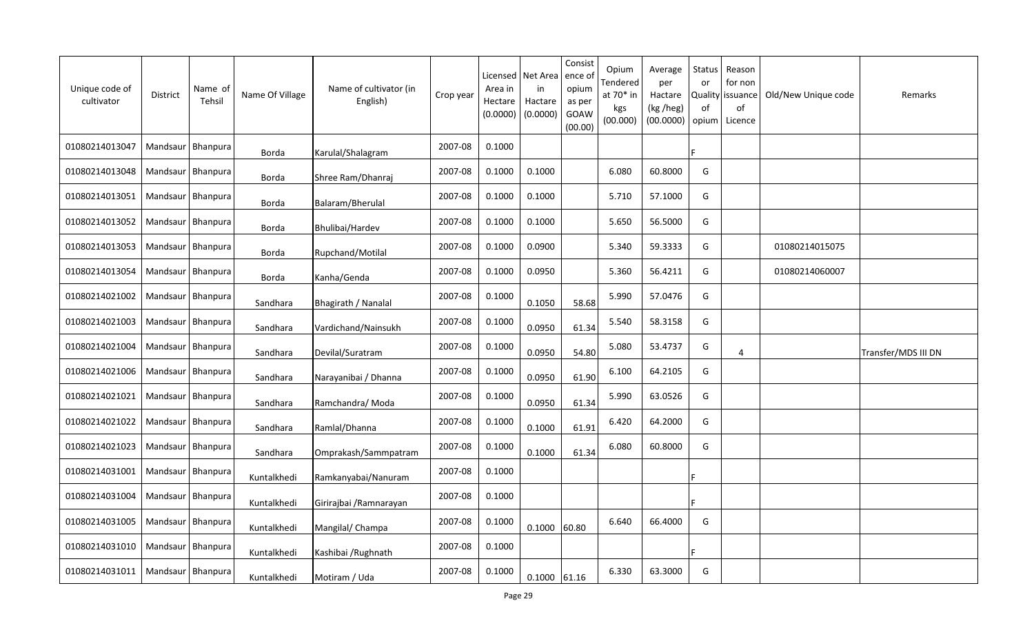| Unique code of<br>cultivator | <b>District</b>     | Name of<br>Tehsil | Name Of Village | Name of cultivator (in<br>English) | Crop year | Licensed<br>Area in<br>Hectare<br>(0.0000) | Net Area<br>in<br>Hactare<br>(0.0000) | Consist<br>ence of<br>opium<br>as per<br>GOAW<br>(00.00) | Opium<br>Tendered<br>at 70* in<br>kgs<br>(00.000) | Average<br>per<br>Hactare<br>(kg /heg)<br>(00.0000) | Status<br>or<br><b>Quality</b><br>of<br>opium | Reason<br>for non<br>issuance<br>of<br>Licence | Old/New Unique code | Remarks             |
|------------------------------|---------------------|-------------------|-----------------|------------------------------------|-----------|--------------------------------------------|---------------------------------------|----------------------------------------------------------|---------------------------------------------------|-----------------------------------------------------|-----------------------------------------------|------------------------------------------------|---------------------|---------------------|
| 01080214013047               | Mandsaur   Bhanpura |                   | Borda           | Karulal/Shalagram                  | 2007-08   | 0.1000                                     |                                       |                                                          |                                                   |                                                     |                                               |                                                |                     |                     |
| 01080214013048               | Mandsaur   Bhanpura |                   | Borda           | Shree Ram/Dhanraj                  | 2007-08   | 0.1000                                     | 0.1000                                |                                                          | 6.080                                             | 60.8000                                             | G                                             |                                                |                     |                     |
| 01080214013051               | Mandsaur   Bhanpura |                   | Borda           | Balaram/Bherulal                   | 2007-08   | 0.1000                                     | 0.1000                                |                                                          | 5.710                                             | 57.1000                                             | G                                             |                                                |                     |                     |
| 01080214013052               | Mandsaur   Bhanpura |                   | Borda           | Bhulibai/Hardev                    | 2007-08   | 0.1000                                     | 0.1000                                |                                                          | 5.650                                             | 56.5000                                             | G                                             |                                                |                     |                     |
| 01080214013053               | Mandsaur   Bhanpura |                   | Borda           | Rupchand/Motilal                   | 2007-08   | 0.1000                                     | 0.0900                                |                                                          | 5.340                                             | 59.3333                                             | G                                             |                                                | 01080214015075      |                     |
| 01080214013054               | Mandsaur   Bhanpura |                   | Borda           | Kanha/Genda                        | 2007-08   | 0.1000                                     | 0.0950                                |                                                          | 5.360                                             | 56.4211                                             | G                                             |                                                | 01080214060007      |                     |
| 01080214021002               | Mandsaur   Bhanpura |                   | Sandhara        | Bhagirath / Nanalal                | 2007-08   | 0.1000                                     | 0.1050                                | 58.68                                                    | 5.990                                             | 57.0476                                             | G                                             |                                                |                     |                     |
| 01080214021003               | Mandsaur   Bhanpura |                   | Sandhara        | Vardichand/Nainsukh                | 2007-08   | 0.1000                                     | 0.0950                                | 61.34                                                    | 5.540                                             | 58.3158                                             | G                                             |                                                |                     |                     |
| 01080214021004               | Mandsaur   Bhanpura |                   | Sandhara        | Devilal/Suratram                   | 2007-08   | 0.1000                                     | 0.0950                                | 54.80                                                    | 5.080                                             | 53.4737                                             | G                                             | $\overline{4}$                                 |                     | Transfer/MDS III DN |
| 01080214021006               | Mandsaur Bhanpura   |                   | Sandhara        | Narayanibai / Dhanna               | 2007-08   | 0.1000                                     | 0.0950                                | 61.90                                                    | 6.100                                             | 64.2105                                             | G                                             |                                                |                     |                     |
| 01080214021021               | Mandsaur            | Bhanpura          | Sandhara        | Ramchandra/Moda                    | 2007-08   | 0.1000                                     | 0.0950                                | 61.34                                                    | 5.990                                             | 63.0526                                             | G                                             |                                                |                     |                     |
| 01080214021022               | Mandsaur   Bhanpura |                   | Sandhara        | Ramlal/Dhanna                      | 2007-08   | 0.1000                                     | 0.1000                                | 61.91                                                    | 6.420                                             | 64.2000                                             | G                                             |                                                |                     |                     |
| 01080214021023               | Mandsaur   Bhanpura |                   | Sandhara        | Omprakash/Sammpatram               | 2007-08   | 0.1000                                     | 0.1000                                | 61.34                                                    | 6.080                                             | 60.8000                                             | G                                             |                                                |                     |                     |
| 01080214031001               | Mandsaur   Bhanpura |                   | Kuntalkhedi     | Ramkanyabai/Nanuram                | 2007-08   | 0.1000                                     |                                       |                                                          |                                                   |                                                     |                                               |                                                |                     |                     |
| 01080214031004               | Mandsaur            | Bhanpura          | Kuntalkhedi     | Girirajbai / Ramnarayan            | 2007-08   | 0.1000                                     |                                       |                                                          |                                                   |                                                     |                                               |                                                |                     |                     |
| 01080214031005               | Mandsaur            | Bhanpura          | Kuntalkhedi     | Mangilal/ Champa                   | 2007-08   | 0.1000                                     | 0.1000                                | 60.80                                                    | 6.640                                             | 66.4000                                             | G                                             |                                                |                     |                     |
| 01080214031010               | Mandsaur   Bhanpura |                   | Kuntalkhedi     | Kashibai / Rughnath                | 2007-08   | 0.1000                                     |                                       |                                                          |                                                   |                                                     |                                               |                                                |                     |                     |
| 01080214031011               | Mandsaur   Bhanpura |                   | Kuntalkhedi     | Motiram / Uda                      | 2007-08   | 0.1000                                     | $0.1000$ 61.16                        |                                                          | 6.330                                             | 63.3000                                             | G                                             |                                                |                     |                     |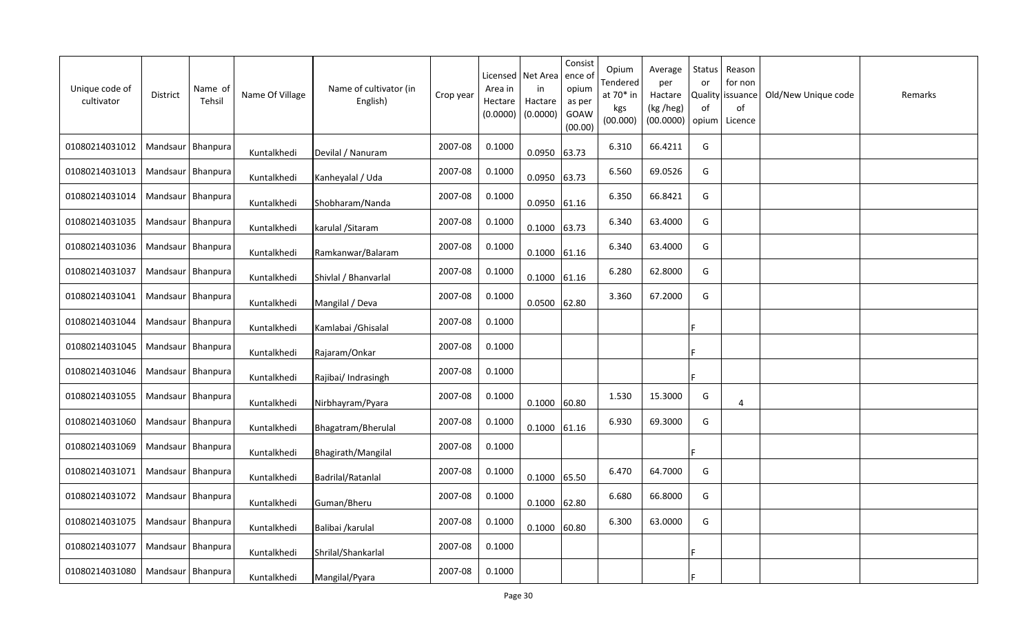| Unique code of<br>cultivator | District            | Name of<br>Tehsil | Name Of Village | Name of cultivator (in<br>English) | Crop year | Area in<br>Hectare<br>(0.0000) | Licensed   Net Area<br>in<br>Hactare<br>(0.0000) | Consist<br>ence o<br>opium<br>as per<br>GOAW<br>(00.00) | Opium<br>Tendered<br>at 70* in<br>kgs<br>(00.000) | Average<br>per<br>Hactare<br>(kg /heg)<br>(00.0000) | Status<br>or<br>of<br>opium | Reason<br>for non<br>Quality issuance<br>of<br>Licence | Old/New Unique code | Remarks |
|------------------------------|---------------------|-------------------|-----------------|------------------------------------|-----------|--------------------------------|--------------------------------------------------|---------------------------------------------------------|---------------------------------------------------|-----------------------------------------------------|-----------------------------|--------------------------------------------------------|---------------------|---------|
| 01080214031012               | Mandsaur   Bhanpura |                   | Kuntalkhedi     | Devilal / Nanuram                  | 2007-08   | 0.1000                         | 0.0950 63.73                                     |                                                         | 6.310                                             | 66.4211                                             | G                           |                                                        |                     |         |
| 01080214031013               | Mandsaur   Bhanpura |                   | Kuntalkhedi     | Kanheyalal / Uda                   | 2007-08   | 0.1000                         | 0.0950 63.73                                     |                                                         | 6.560                                             | 69.0526                                             | G                           |                                                        |                     |         |
| 01080214031014               | Mandsaur   Bhanpura |                   | Kuntalkhedi     | Shobharam/Nanda                    | 2007-08   | 0.1000                         | $0.0950$ 61.16                                   |                                                         | 6.350                                             | 66.8421                                             | G                           |                                                        |                     |         |
| 01080214031035               | Mandsaur   Bhanpura |                   | Kuntalkhedi     | karulal / Sitaram                  | 2007-08   | 0.1000                         | $0.1000$ 63.73                                   |                                                         | 6.340                                             | 63.4000                                             | G                           |                                                        |                     |         |
| 01080214031036               | Mandsaur   Bhanpura |                   | Kuntalkhedi     | Ramkanwar/Balaram                  | 2007-08   | 0.1000                         | $0.1000$ 61.16                                   |                                                         | 6.340                                             | 63.4000                                             | G                           |                                                        |                     |         |
| 01080214031037               | Mandsaur Bhanpura   |                   | Kuntalkhedi     | Shivlal / Bhanvarlal               | 2007-08   | 0.1000                         | $0.1000$ 61.16                                   |                                                         | 6.280                                             | 62.8000                                             | G                           |                                                        |                     |         |
| 01080214031041               | Mandsaur   Bhanpura |                   | Kuntalkhedi     | Mangilal / Deva                    | 2007-08   | 0.1000                         | $0.0500$ 62.80                                   |                                                         | 3.360                                             | 67.2000                                             | G                           |                                                        |                     |         |
| 01080214031044               | Mandsaur Bhanpura   |                   | Kuntalkhedi     | Kamlabai / Ghisalal                | 2007-08   | 0.1000                         |                                                  |                                                         |                                                   |                                                     |                             |                                                        |                     |         |
| 01080214031045               | Mandsaur   Bhanpura |                   | Kuntalkhedi     | Rajaram/Onkar                      | 2007-08   | 0.1000                         |                                                  |                                                         |                                                   |                                                     |                             |                                                        |                     |         |
| 01080214031046               | Mandsaur Bhanpura   |                   | Kuntalkhedi     | Rajibai/ Indrasingh                | 2007-08   | 0.1000                         |                                                  |                                                         |                                                   |                                                     |                             |                                                        |                     |         |
| 01080214031055               | Mandsaur            | <b>Bhanpura</b>   | Kuntalkhedi     | Nirbhayram/Pyara                   | 2007-08   | 0.1000                         | $0.1000$ 60.80                                   |                                                         | 1.530                                             | 15.3000                                             | G                           | 4                                                      |                     |         |
| 01080214031060               | Mandsaur   Bhanpura |                   | Kuntalkhedi     | Bhagatram/Bherulal                 | 2007-08   | 0.1000                         | $0.1000$ 61.16                                   |                                                         | 6.930                                             | 69.3000                                             | G                           |                                                        |                     |         |
| 01080214031069               | Mandsaur   Bhanpura |                   | Kuntalkhedi     | Bhagirath/Mangilal                 | 2007-08   | 0.1000                         |                                                  |                                                         |                                                   |                                                     |                             |                                                        |                     |         |
| 01080214031071               | Mandsaur   Bhanpura |                   | Kuntalkhedi     | Badrilal/Ratanlal                  | 2007-08   | 0.1000                         | 0.1000                                           | 65.50                                                   | 6.470                                             | 64.7000                                             | G                           |                                                        |                     |         |
| 01080214031072               | Mandsaur Bhanpura   |                   | Kuntalkhedi     | Guman/Bheru                        | 2007-08   | 0.1000                         | $0.1000$ 62.80                                   |                                                         | 6.680                                             | 66.8000                                             | G                           |                                                        |                     |         |
| 01080214031075               | Mandsaur   Bhanpura |                   | Kuntalkhedi     | Balibai /karulal                   | 2007-08   | 0.1000                         | $0.1000$ 60.80                                   |                                                         | 6.300                                             | 63.0000                                             | G                           |                                                        |                     |         |
| 01080214031077               | Mandsaur Bhanpura   |                   | Kuntalkhedi     | Shrilal/Shankarlal                 | 2007-08   | 0.1000                         |                                                  |                                                         |                                                   |                                                     |                             |                                                        |                     |         |
| 01080214031080               | Mandsaur   Bhanpura |                   | Kuntalkhedi     | Mangilal/Pyara                     | 2007-08   | 0.1000                         |                                                  |                                                         |                                                   |                                                     |                             |                                                        |                     |         |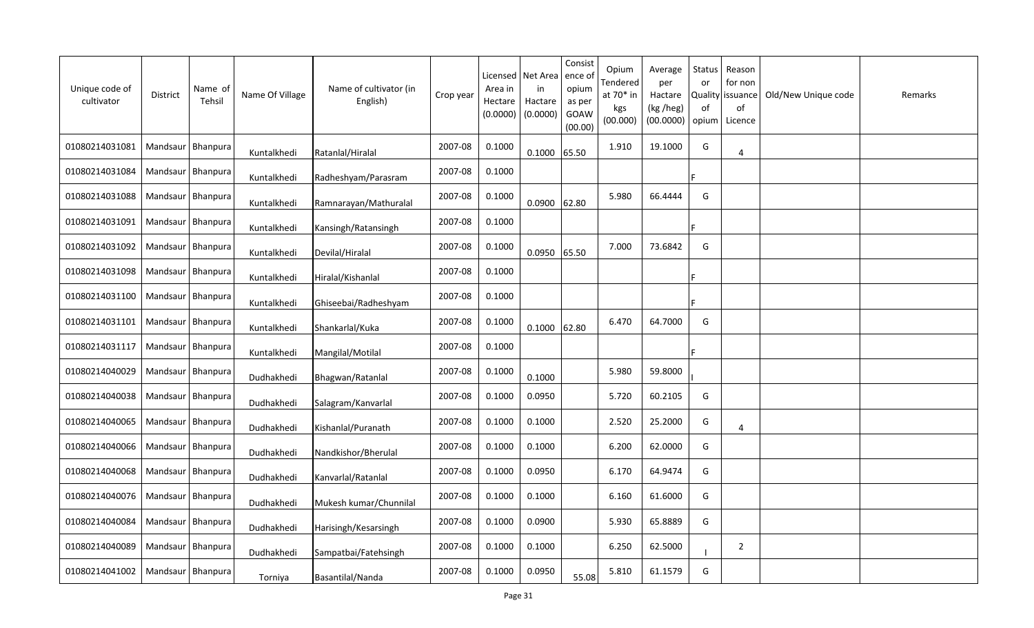| Unique code of<br>cultivator | <b>District</b>     | Name of<br>Tehsil | Name Of Village | Name of cultivator (in<br>English) | Crop year | Area in<br>Hectare<br>(0.0000) | Licensed   Net Area<br>in<br>Hactare<br>(0.0000) | Consist<br>ence o<br>opium<br>as per<br>GOAW<br>(00.00) | Opium<br>Tendered<br>at 70* in<br>kgs<br>(00.000) | Average<br>per<br>Hactare<br>(kg /heg)<br>(00.0000) | <b>Status</b><br>or<br>of<br>opium | Reason<br>for non<br>Quality issuance<br>of<br>Licence | Old/New Unique code | Remarks |
|------------------------------|---------------------|-------------------|-----------------|------------------------------------|-----------|--------------------------------|--------------------------------------------------|---------------------------------------------------------|---------------------------------------------------|-----------------------------------------------------|------------------------------------|--------------------------------------------------------|---------------------|---------|
| 01080214031081               | Mandsaur   Bhanpura |                   | Kuntalkhedi     | Ratanlal/Hiralal                   | 2007-08   | 0.1000                         | $0.1000$ 65.50                                   |                                                         | 1.910                                             | 19.1000                                             | G                                  | 4                                                      |                     |         |
| 01080214031084               | Mandsaur   Bhanpura |                   | Kuntalkhedi     | Radheshyam/Parasram                | 2007-08   | 0.1000                         |                                                  |                                                         |                                                   |                                                     |                                    |                                                        |                     |         |
| 01080214031088               | Mandsaur   Bhanpura |                   | Kuntalkhedi     | Ramnarayan/Mathuralal              | 2007-08   | 0.1000                         | $0.0900$ 62.80                                   |                                                         | 5.980                                             | 66.4444                                             | G                                  |                                                        |                     |         |
| 01080214031091               | Mandsaur   Bhanpura |                   | Kuntalkhedi     | Kansingh/Ratansingh                | 2007-08   | 0.1000                         |                                                  |                                                         |                                                   |                                                     |                                    |                                                        |                     |         |
| 01080214031092               | Mandsaur Bhanpura   |                   | Kuntalkhedi     | Devilal/Hiralal                    | 2007-08   | 0.1000                         | 0.0950 65.50                                     |                                                         | 7.000                                             | 73.6842                                             | G                                  |                                                        |                     |         |
| 01080214031098               | Mandsaur Bhanpura   |                   | Kuntalkhedi     | Hiralal/Kishanlal                  | 2007-08   | 0.1000                         |                                                  |                                                         |                                                   |                                                     |                                    |                                                        |                     |         |
| 01080214031100               | Mandsaur Bhanpura   |                   | Kuntalkhedi     | Ghiseebai/Radheshyam               | 2007-08   | 0.1000                         |                                                  |                                                         |                                                   |                                                     |                                    |                                                        |                     |         |
| 01080214031101               | Mandsaur   Bhanpura |                   | Kuntalkhedi     | Shankarlal/Kuka                    | 2007-08   | 0.1000                         | $0.1000$ 62.80                                   |                                                         | 6.470                                             | 64.7000                                             | G                                  |                                                        |                     |         |
| 01080214031117               | Mandsaur   Bhanpura |                   | Kuntalkhedi     | Mangilal/Motilal                   | 2007-08   | 0.1000                         |                                                  |                                                         |                                                   |                                                     |                                    |                                                        |                     |         |
| 01080214040029               | Mandsaur   Bhanpura |                   | Dudhakhedi      | Bhagwan/Ratanlal                   | 2007-08   | 0.1000                         | 0.1000                                           |                                                         | 5.980                                             | 59.8000                                             |                                    |                                                        |                     |         |
| 01080214040038               | Mandsaur            | Bhanpura          | Dudhakhedi      | Salagram/Kanvarlal                 | 2007-08   | 0.1000                         | 0.0950                                           |                                                         | 5.720                                             | 60.2105                                             | G                                  |                                                        |                     |         |
| 01080214040065               | Mandsaur   Bhanpura |                   | Dudhakhedi      | Kishanlal/Puranath                 | 2007-08   | 0.1000                         | 0.1000                                           |                                                         | 2.520                                             | 25.2000                                             | G                                  | 4                                                      |                     |         |
| 01080214040066               | Mandsaur            | Bhanpura          | Dudhakhedi      | Nandkishor/Bherulal                | 2007-08   | 0.1000                         | 0.1000                                           |                                                         | 6.200                                             | 62.0000                                             | G                                  |                                                        |                     |         |
| 01080214040068               | Mandsaur Bhanpura   |                   | Dudhakhedi      | Kanvarlal/Ratanlal                 | 2007-08   | 0.1000                         | 0.0950                                           |                                                         | 6.170                                             | 64.9474                                             | G                                  |                                                        |                     |         |
| 01080214040076               | Mandsaur            | Bhanpura          | Dudhakhedi      | Mukesh kumar/Chunnilal             | 2007-08   | 0.1000                         | 0.1000                                           |                                                         | 6.160                                             | 61.6000                                             | G                                  |                                                        |                     |         |
| 01080214040084               | Mandsaur   Bhanpura |                   | Dudhakhedi      | Harisingh/Kesarsingh               | 2007-08   | 0.1000                         | 0.0900                                           |                                                         | 5.930                                             | 65.8889                                             | G                                  |                                                        |                     |         |
| 01080214040089               | Mandsaur   Bhanpura |                   | Dudhakhedi      | Sampatbai/Fatehsingh               | 2007-08   | 0.1000                         | 0.1000                                           |                                                         | 6.250                                             | 62.5000                                             |                                    | 2                                                      |                     |         |
| 01080214041002               | Mandsaur   Bhanpura |                   | Torniya         | Basantilal/Nanda                   | 2007-08   | 0.1000                         | 0.0950                                           | 55.08                                                   | 5.810                                             | 61.1579                                             | G                                  |                                                        |                     |         |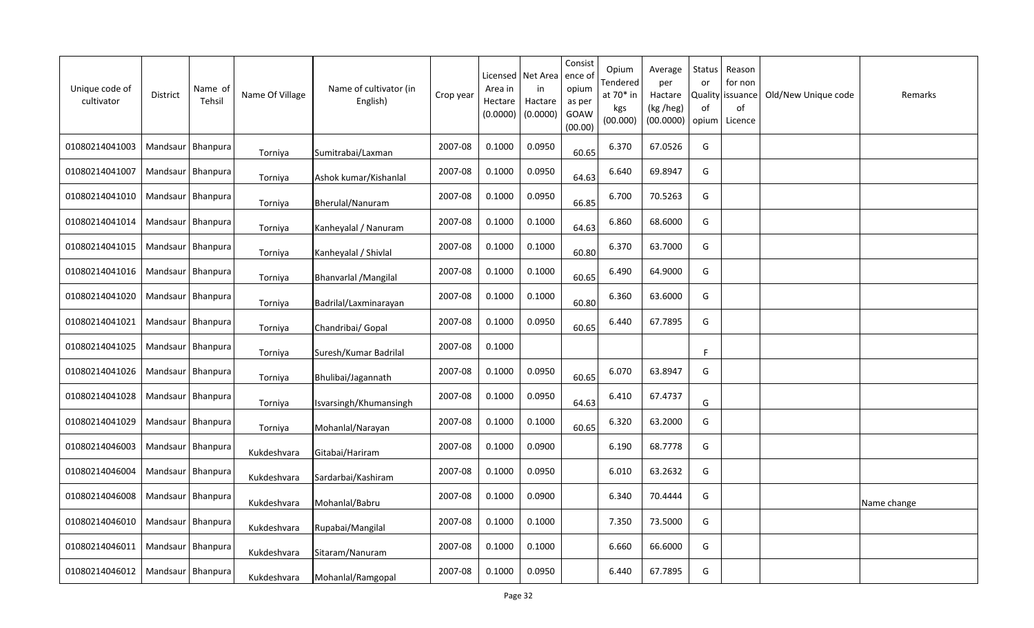| Unique code of<br>cultivator | <b>District</b>     | Name of<br>Tehsil | Name Of Village | Name of cultivator (in<br>English) | Crop year | Licensed<br>Area in<br>Hectare<br>(0.0000) | Net Area<br>in<br>Hactare<br>(0.0000) | Consist<br>ence of<br>opium<br>as per<br>GOAW<br>(00.00) | Opium<br>Tendered<br>at 70* in<br>kgs<br>(00.000) | Average<br>per<br>Hactare<br>(kg /heg)<br>(00.0000) | Status<br>or<br><b>Quality</b><br>of<br>opium | Reason<br>for non<br>issuance<br>of<br>Licence | Old/New Unique code | Remarks     |
|------------------------------|---------------------|-------------------|-----------------|------------------------------------|-----------|--------------------------------------------|---------------------------------------|----------------------------------------------------------|---------------------------------------------------|-----------------------------------------------------|-----------------------------------------------|------------------------------------------------|---------------------|-------------|
| 01080214041003               | Mandsaur   Bhanpura |                   | Torniya         | Sumitrabai/Laxman                  | 2007-08   | 0.1000                                     | 0.0950                                | 60.65                                                    | 6.370                                             | 67.0526                                             | G                                             |                                                |                     |             |
| 01080214041007               | Mandsaur   Bhanpura |                   | Torniya         | Ashok kumar/Kishanlal              | 2007-08   | 0.1000                                     | 0.0950                                | 64.63                                                    | 6.640                                             | 69.8947                                             | G                                             |                                                |                     |             |
| 01080214041010               | Mandsaur   Bhanpura |                   | Torniya         | Bherulal/Nanuram                   | 2007-08   | 0.1000                                     | 0.0950                                | 66.85                                                    | 6.700                                             | 70.5263                                             | G                                             |                                                |                     |             |
| 01080214041014               | Mandsaur   Bhanpura |                   | Torniya         | Kanheyalal / Nanuram               | 2007-08   | 0.1000                                     | 0.1000                                | 64.63                                                    | 6.860                                             | 68.6000                                             | G                                             |                                                |                     |             |
| 01080214041015               | Mandsaur   Bhanpura |                   | Torniya         | Kanheyalal / Shivlal               | 2007-08   | 0.1000                                     | 0.1000                                | 60.80                                                    | 6.370                                             | 63.7000                                             | G                                             |                                                |                     |             |
| 01080214041016               | Mandsaur Bhanpura   |                   | Torniya         | Bhanvarlal / Mangilal              | 2007-08   | 0.1000                                     | 0.1000                                | 60.65                                                    | 6.490                                             | 64.9000                                             | G                                             |                                                |                     |             |
| 01080214041020               | Mandsaur   Bhanpura |                   | Torniya         | Badrilal/Laxminarayan              | 2007-08   | 0.1000                                     | 0.1000                                | 60.80                                                    | 6.360                                             | 63.6000                                             | G                                             |                                                |                     |             |
| 01080214041021               | Mandsaur   Bhanpura |                   | Torniya         | Chandribai/ Gopal                  | 2007-08   | 0.1000                                     | 0.0950                                | 60.65                                                    | 6.440                                             | 67.7895                                             | G                                             |                                                |                     |             |
| 01080214041025               | Mandsaur   Bhanpura |                   | Torniya         | Suresh/Kumar Badrilal              | 2007-08   | 0.1000                                     |                                       |                                                          |                                                   |                                                     | F                                             |                                                |                     |             |
| 01080214041026               | Mandsaur   Bhanpura |                   | Torniya         | Bhulibai/Jagannath                 | 2007-08   | 0.1000                                     | 0.0950                                | 60.65                                                    | 6.070                                             | 63.8947                                             | G                                             |                                                |                     |             |
| 01080214041028               | Mandsaur            | <b>Bhanpura</b>   | Torniya         | Isvarsingh/Khumansingh             | 2007-08   | 0.1000                                     | 0.0950                                | 64.63                                                    | 6.410                                             | 67.4737                                             | G                                             |                                                |                     |             |
| 01080214041029               | Mandsaur   Bhanpura |                   | Torniya         | Mohanlal/Narayan                   | 2007-08   | 0.1000                                     | 0.1000                                | 60.65                                                    | 6.320                                             | 63.2000                                             | G                                             |                                                |                     |             |
| 01080214046003               | Mandsaur   Bhanpura |                   | Kukdeshvara     | Gitabai/Hariram                    | 2007-08   | 0.1000                                     | 0.0900                                |                                                          | 6.190                                             | 68.7778                                             | G                                             |                                                |                     |             |
| 01080214046004               | Mandsaur Bhanpura   |                   | Kukdeshvara     | Sardarbai/Kashiram                 | 2007-08   | 0.1000                                     | 0.0950                                |                                                          | 6.010                                             | 63.2632                                             | G                                             |                                                |                     |             |
| 01080214046008               | Mandsaur            | Bhanpura          | Kukdeshvara     | Mohanlal/Babru                     | 2007-08   | 0.1000                                     | 0.0900                                |                                                          | 6.340                                             | 70.4444                                             | G                                             |                                                |                     | Name change |
| 01080214046010               | Mandsaur Bhanpura   |                   | Kukdeshvara     | Rupabai/Mangilal                   | 2007-08   | 0.1000                                     | 0.1000                                |                                                          | 7.350                                             | 73.5000                                             | G                                             |                                                |                     |             |
| 01080214046011               | Mandsaur Bhanpura   |                   | Kukdeshvara     | Sitaram/Nanuram                    | 2007-08   | 0.1000                                     | 0.1000                                |                                                          | 6.660                                             | 66.6000                                             | G                                             |                                                |                     |             |
| 01080214046012               | Mandsaur   Bhanpura |                   | Kukdeshvara     | Mohanlal/Ramgopal                  | 2007-08   | 0.1000                                     | 0.0950                                |                                                          | 6.440                                             | 67.7895                                             | G                                             |                                                |                     |             |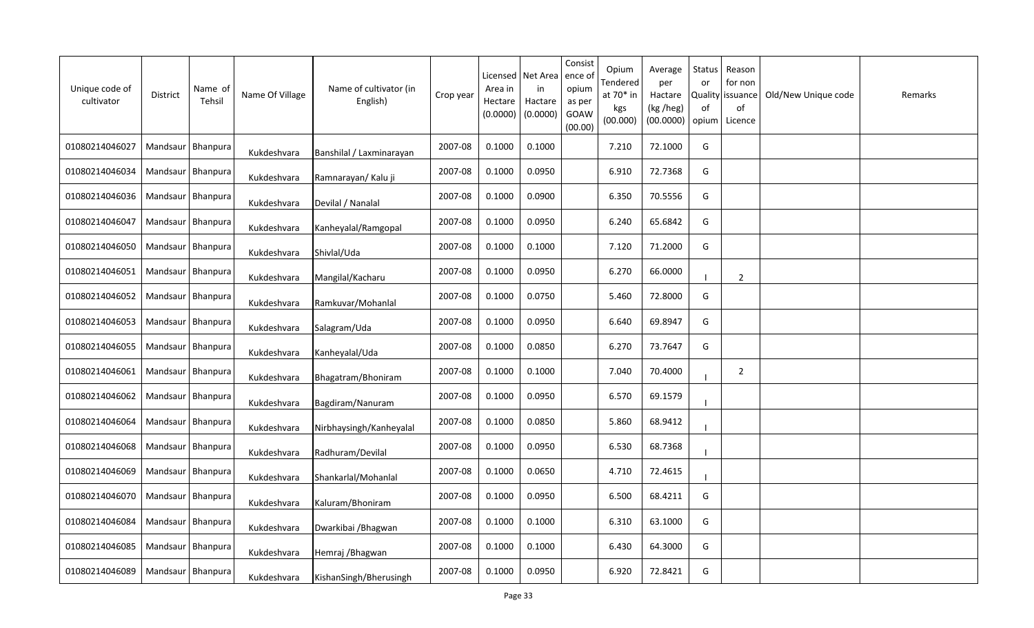| Unique code of<br>cultivator | <b>District</b>     | Name of<br>Tehsil | Name Of Village | Name of cultivator (in<br>English) | Crop year | Licensed<br>Area in<br>Hectare<br>(0.0000) | Net Area<br>in<br>Hactare<br>(0.0000) | Consist<br>ence of<br>opium<br>as per<br>GOAW<br>(00.00) | Opium<br>Tendered<br>at 70* in<br>kgs<br>(00.000) | Average<br>per<br>Hactare<br>(kg /heg)<br>(00.0000) | Status<br>or<br><b>Quality</b><br>0f<br>opium | Reason<br>for non<br>issuance<br>of<br>Licence | Old/New Unique code | Remarks |
|------------------------------|---------------------|-------------------|-----------------|------------------------------------|-----------|--------------------------------------------|---------------------------------------|----------------------------------------------------------|---------------------------------------------------|-----------------------------------------------------|-----------------------------------------------|------------------------------------------------|---------------------|---------|
| 01080214046027               | Mandsaur   Bhanpura |                   | Kukdeshvara     | Banshilal / Laxminarayan           | 2007-08   | 0.1000                                     | 0.1000                                |                                                          | 7.210                                             | 72.1000                                             | G                                             |                                                |                     |         |
| 01080214046034               | Mandsaur   Bhanpura |                   | Kukdeshvara     | Ramnarayan/ Kalu ji                | 2007-08   | 0.1000                                     | 0.0950                                |                                                          | 6.910                                             | 72.7368                                             | G                                             |                                                |                     |         |
| 01080214046036               | Mandsaur   Bhanpura |                   | Kukdeshvara     | Devilal / Nanalal                  | 2007-08   | 0.1000                                     | 0.0900                                |                                                          | 6.350                                             | 70.5556                                             | G                                             |                                                |                     |         |
| 01080214046047               | Mandsaur   Bhanpura |                   | Kukdeshvara     | Kanheyalal/Ramgopal                | 2007-08   | 0.1000                                     | 0.0950                                |                                                          | 6.240                                             | 65.6842                                             | G                                             |                                                |                     |         |
| 01080214046050               | Mandsaur Bhanpura   |                   | Kukdeshvara     | Shivlal/Uda                        | 2007-08   | 0.1000                                     | 0.1000                                |                                                          | 7.120                                             | 71.2000                                             | G                                             |                                                |                     |         |
| 01080214046051               | Mandsaur   Bhanpura |                   | Kukdeshvara     | Mangilal/Kacharu                   | 2007-08   | 0.1000                                     | 0.0950                                |                                                          | 6.270                                             | 66.0000                                             |                                               | $\overline{2}$                                 |                     |         |
| 01080214046052               | Mandsaur   Bhanpura |                   | Kukdeshvara     | Ramkuvar/Mohanlal                  | 2007-08   | 0.1000                                     | 0.0750                                |                                                          | 5.460                                             | 72.8000                                             | G                                             |                                                |                     |         |
| 01080214046053               | Mandsaur   Bhanpura |                   | Kukdeshvara     | Salagram/Uda                       | 2007-08   | 0.1000                                     | 0.0950                                |                                                          | 6.640                                             | 69.8947                                             | G                                             |                                                |                     |         |
| 01080214046055               | Mandsaur            | Bhanpura          | Kukdeshvara     | Kanheyalal/Uda                     | 2007-08   | 0.1000                                     | 0.0850                                |                                                          | 6.270                                             | 73.7647                                             | G                                             |                                                |                     |         |
| 01080214046061               | Mandsaur   Bhanpura |                   | Kukdeshvara     | Bhagatram/Bhoniram                 | 2007-08   | 0.1000                                     | 0.1000                                |                                                          | 7.040                                             | 70.4000                                             |                                               | $\overline{2}$                                 |                     |         |
| 01080214046062               | Mandsaur            | Bhanpura          | Kukdeshvara     | Bagdiram/Nanuram                   | 2007-08   | 0.1000                                     | 0.0950                                |                                                          | 6.570                                             | 69.1579                                             |                                               |                                                |                     |         |
| 01080214046064               | Mandsaur            | Bhanpura          | Kukdeshvara     | Nirbhaysingh/Kanheyalal            | 2007-08   | 0.1000                                     | 0.0850                                |                                                          | 5.860                                             | 68.9412                                             |                                               |                                                |                     |         |
| 01080214046068               | Mandsaur Bhanpura   |                   | Kukdeshvara     | Radhuram/Devilal                   | 2007-08   | 0.1000                                     | 0.0950                                |                                                          | 6.530                                             | 68.7368                                             |                                               |                                                |                     |         |
| 01080214046069               | Mandsaur Bhanpura   |                   | Kukdeshvara     | Shankarlal/Mohanlal                | 2007-08   | 0.1000                                     | 0.0650                                |                                                          | 4.710                                             | 72.4615                                             |                                               |                                                |                     |         |
| 01080214046070               | Mandsaur Bhanpura   |                   | Kukdeshvara     | Kaluram/Bhoniram                   | 2007-08   | 0.1000                                     | 0.0950                                |                                                          | 6.500                                             | 68.4211                                             | G                                             |                                                |                     |         |
| 01080214046084               | Mandsaur   Bhanpura |                   | Kukdeshvara     | Dwarkibai / Bhagwan                | 2007-08   | 0.1000                                     | 0.1000                                |                                                          | 6.310                                             | 63.1000                                             | G                                             |                                                |                     |         |
| 01080214046085               | Mandsaur Bhanpura   |                   | Kukdeshvara     | Hemraj / Bhagwan                   | 2007-08   | 0.1000                                     | 0.1000                                |                                                          | 6.430                                             | 64.3000                                             | G                                             |                                                |                     |         |
| 01080214046089               | Mandsaur   Bhanpura |                   | Kukdeshvara     | KishanSingh/Bherusingh             | 2007-08   | 0.1000                                     | 0.0950                                |                                                          | 6.920                                             | 72.8421                                             | G                                             |                                                |                     |         |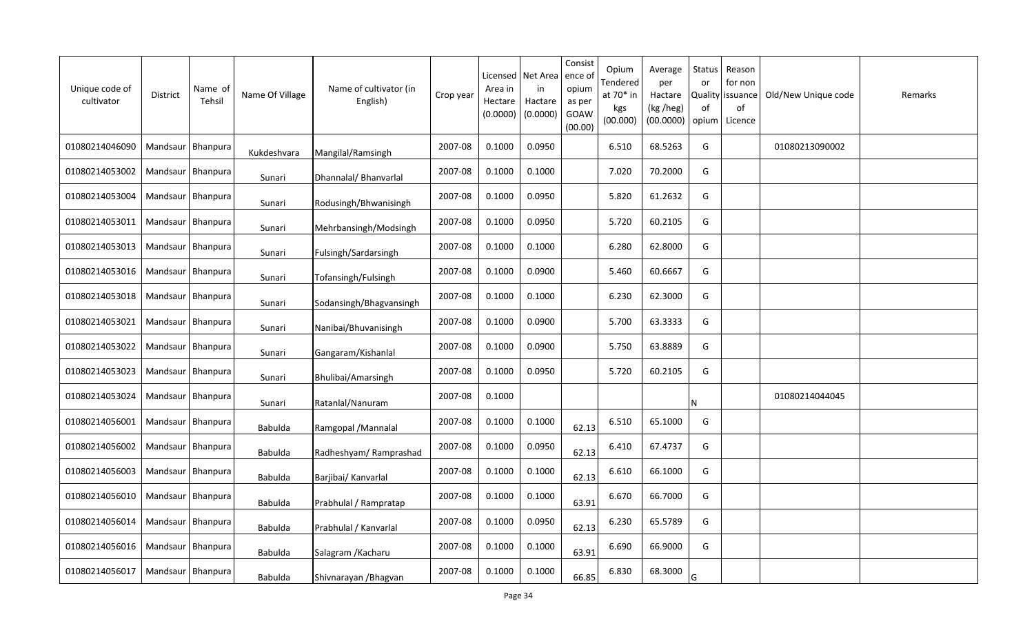| Unique code of<br>cultivator | District            | Name of<br>Tehsil   | Name Of Village | Name of cultivator (in<br>English) | Crop year | Licensed<br>Area in<br>Hectare<br>(0.0000) | Net Area<br>in<br>Hactare<br>(0.0000) | Consist<br>ence of<br>opium<br>as per<br>GOAW<br>(00.00) | Opium<br>Tendered<br>at 70* in<br>kgs<br>(00.000) | Average<br>per<br>Hactare<br>(kg /heg)<br>(00.0000) | Status<br>or<br>0f<br>opium | Reason<br>for non<br>Quality   issuance<br>of<br>Licence | Old/New Unique code | Remarks |
|------------------------------|---------------------|---------------------|-----------------|------------------------------------|-----------|--------------------------------------------|---------------------------------------|----------------------------------------------------------|---------------------------------------------------|-----------------------------------------------------|-----------------------------|----------------------------------------------------------|---------------------|---------|
| 01080214046090               |                     | Mandsaur   Bhanpura | Kukdeshvara     | Mangilal/Ramsingh                  | 2007-08   | 0.1000                                     | 0.0950                                |                                                          | 6.510                                             | 68.5263                                             | G                           |                                                          | 01080213090002      |         |
| 01080214053002               |                     | Mandsaur   Bhanpura | Sunari          | Dhannalal/ Bhanvarlal              | 2007-08   | 0.1000                                     | 0.1000                                |                                                          | 7.020                                             | 70.2000                                             | G                           |                                                          |                     |         |
| 01080214053004               | Mandsaur   Bhanpura |                     | Sunari          | Rodusingh/Bhwanisingh              | 2007-08   | 0.1000                                     | 0.0950                                |                                                          | 5.820                                             | 61.2632                                             | G                           |                                                          |                     |         |
| 01080214053011               | Mandsaur   Bhanpura |                     | Sunari          | Mehrbansingh/Modsingh              | 2007-08   | 0.1000                                     | 0.0950                                |                                                          | 5.720                                             | 60.2105                                             | G                           |                                                          |                     |         |
| 01080214053013               | Mandsaur   Bhanpura |                     | Sunari          | Fulsingh/Sardarsingh               | 2007-08   | 0.1000                                     | 0.1000                                |                                                          | 6.280                                             | 62.8000                                             | G                           |                                                          |                     |         |
| 01080214053016               | Mandsaur Bhanpura   |                     | Sunari          | Tofansingh/Fulsingh                | 2007-08   | 0.1000                                     | 0.0900                                |                                                          | 5.460                                             | 60.6667                                             | G                           |                                                          |                     |         |
| 01080214053018               |                     | Mandsaur   Bhanpura | Sunari          | Sodansingh/Bhagvansingh            | 2007-08   | 0.1000                                     | 0.1000                                |                                                          | 6.230                                             | 62.3000                                             | G                           |                                                          |                     |         |
| 01080214053021               | Mandsaur Bhanpura   |                     | Sunari          | Nanibai/Bhuvanisingh               | 2007-08   | 0.1000                                     | 0.0900                                |                                                          | 5.700                                             | 63.3333                                             | G                           |                                                          |                     |         |
| 01080214053022               |                     | Mandsaur   Bhanpura | Sunari          | Gangaram/Kishanlal                 | 2007-08   | 0.1000                                     | 0.0900                                |                                                          | 5.750                                             | 63.8889                                             | G                           |                                                          |                     |         |
| 01080214053023               | Mandsaur Bhanpura   |                     | Sunari          | Bhulibai/Amarsingh                 | 2007-08   | 0.1000                                     | 0.0950                                |                                                          | 5.720                                             | 60.2105                                             | G                           |                                                          |                     |         |
| 01080214053024               |                     | Mandsaur   Bhanpura | Sunari          | Ratanlal/Nanuram                   | 2007-08   | 0.1000                                     |                                       |                                                          |                                                   |                                                     | N                           |                                                          | 01080214044045      |         |
| 01080214056001               | Mandsaur   Bhanpura |                     | Babulda         | Ramgopal / Mannalal                | 2007-08   | 0.1000                                     | 0.1000                                | 62.13                                                    | 6.510                                             | 65.1000                                             | G                           |                                                          |                     |         |
| 01080214056002               |                     | Mandsaur   Bhanpura | <b>Babulda</b>  | Radheshyam/Ramprashad              | 2007-08   | 0.1000                                     | 0.0950                                | 62.13                                                    | 6.410                                             | 67.4737                                             | G                           |                                                          |                     |         |
| 01080214056003               |                     | Mandsaur   Bhanpura | Babulda         | Barjibai/ Kanvarlal                | 2007-08   | 0.1000                                     | 0.1000                                | 62.13                                                    | 6.610                                             | 66.1000                                             | G                           |                                                          |                     |         |
| 01080214056010               | Mandsaur Bhanpura   |                     | <b>Babulda</b>  | Prabhulal / Rampratap              | 2007-08   | 0.1000                                     | 0.1000                                | 63.91                                                    | 6.670                                             | 66.7000                                             | G                           |                                                          |                     |         |
| 01080214056014               |                     | Mandsaur   Bhanpura | <b>Babulda</b>  | Prabhulal / Kanvarlal              | 2007-08   | 0.1000                                     | 0.0950                                | 62.13                                                    | 6.230                                             | 65.5789                                             | G                           |                                                          |                     |         |
| 01080214056016               |                     | Mandsaur   Bhanpura | <b>Babulda</b>  | Salagram / Kacharu                 | 2007-08   | 0.1000                                     | 0.1000                                | 63.91                                                    | 6.690                                             | 66.9000                                             | G                           |                                                          |                     |         |
| 01080214056017               | Mandsaur   Bhanpura |                     | <b>Babulda</b>  | Shivnarayan / Bhagvan              | 2007-08   | 0.1000                                     | 0.1000                                | 66.85                                                    | 6.830                                             | 68.3000                                             | G                           |                                                          |                     |         |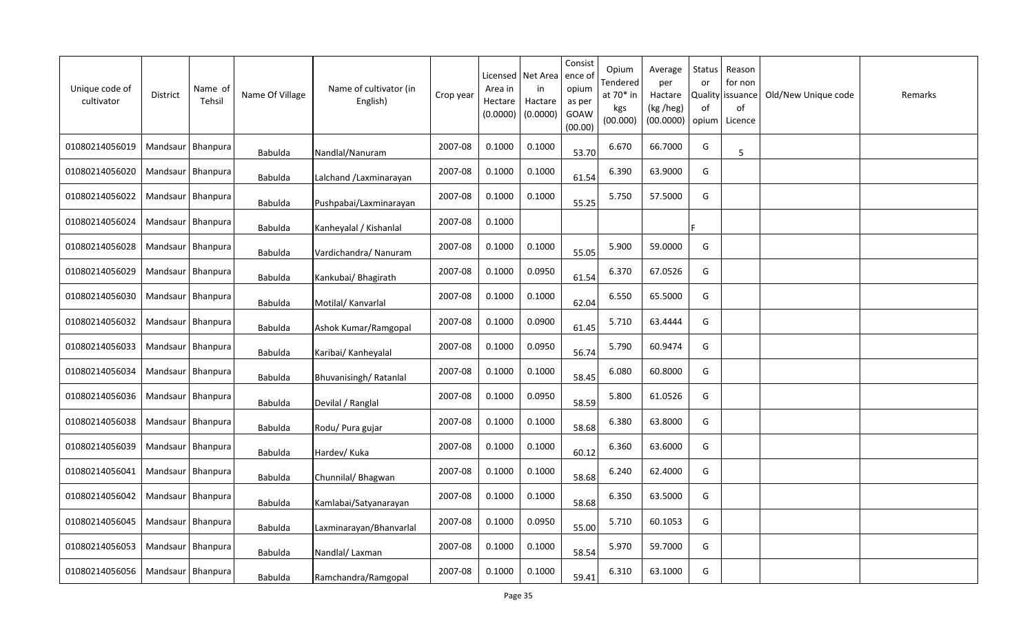| Unique code of<br>cultivator | <b>District</b>     | Name of<br>Tehsil | Name Of Village | Name of cultivator (in<br>English) | Crop year | Licensed<br>Area in<br>Hectare<br>(0.0000) | Net Area<br>in<br>Hactare<br>(0.0000) | Consist<br>ence of<br>opium<br>as per<br>GOAW<br>(00.00) | Opium<br>Tendered<br>at 70* in<br>kgs<br>(00.000) | Average<br>per<br>Hactare<br>(kg /heg)<br>(00.0000) | Status<br>or<br><b>Quality</b><br>0f<br>opium | Reason<br>for non<br>issuance<br>of<br>Licence | Old/New Unique code | Remarks |
|------------------------------|---------------------|-------------------|-----------------|------------------------------------|-----------|--------------------------------------------|---------------------------------------|----------------------------------------------------------|---------------------------------------------------|-----------------------------------------------------|-----------------------------------------------|------------------------------------------------|---------------------|---------|
| 01080214056019               | Mandsaur   Bhanpura |                   | Babulda         | Nandlal/Nanuram                    | 2007-08   | 0.1000                                     | 0.1000                                | 53.70                                                    | 6.670                                             | 66.7000                                             | G                                             | 5                                              |                     |         |
| 01080214056020               | Mandsaur   Bhanpura |                   | Babulda         | Lalchand /Laxminarayan             | 2007-08   | 0.1000                                     | 0.1000                                | 61.54                                                    | 6.390                                             | 63.9000                                             | G                                             |                                                |                     |         |
| 01080214056022               | Mandsaur   Bhanpura |                   | Babulda         | Pushpabai/Laxminarayan             | 2007-08   | 0.1000                                     | 0.1000                                | 55.25                                                    | 5.750                                             | 57.5000                                             | G                                             |                                                |                     |         |
| 01080214056024               | Mandsaur   Bhanpura |                   | <b>Babulda</b>  | Kanheyalal / Kishanlal             | 2007-08   | 0.1000                                     |                                       |                                                          |                                                   |                                                     |                                               |                                                |                     |         |
| 01080214056028               | Mandsaur   Bhanpura |                   | <b>Babulda</b>  | Vardichandra/ Nanuram              | 2007-08   | 0.1000                                     | 0.1000                                | 55.05                                                    | 5.900                                             | 59.0000                                             | G                                             |                                                |                     |         |
| 01080214056029               | Mandsaur   Bhanpura |                   | Babulda         | Kankubai/ Bhagirath                | 2007-08   | 0.1000                                     | 0.0950                                | 61.54                                                    | 6.370                                             | 67.0526                                             | G                                             |                                                |                     |         |
| 01080214056030               | Mandsaur            | Bhanpura          | <b>Babulda</b>  | Motilal/ Kanvarlal                 | 2007-08   | 0.1000                                     | 0.1000                                | 62.04                                                    | 6.550                                             | 65.5000                                             | G                                             |                                                |                     |         |
| 01080214056032               | Mandsaur   Bhanpura |                   | Babulda         | Ashok Kumar/Ramgopal               | 2007-08   | 0.1000                                     | 0.0900                                | 61.45                                                    | 5.710                                             | 63.4444                                             | G                                             |                                                |                     |         |
| 01080214056033               | Mandsaur   Bhanpura |                   | <b>Babulda</b>  | Karibai/ Kanheyalal                | 2007-08   | 0.1000                                     | 0.0950                                | 56.74                                                    | 5.790                                             | 60.9474                                             | G                                             |                                                |                     |         |
| 01080214056034               | Mandsaur Bhanpura   |                   | <b>Babulda</b>  | Bhuvanisingh/Ratanlal              | 2007-08   | 0.1000                                     | 0.1000                                | 58.45                                                    | 6.080                                             | 60.8000                                             | G                                             |                                                |                     |         |
| 01080214056036               | Mandsaur            | Bhanpura          | <b>Babulda</b>  | Devilal / Ranglal                  | 2007-08   | 0.1000                                     | 0.0950                                | 58.59                                                    | 5.800                                             | 61.0526                                             | G                                             |                                                |                     |         |
| 01080214056038               | Mandsaur            | Bhanpura          | Babulda         | Rodu/ Pura gujar                   | 2007-08   | 0.1000                                     | 0.1000                                | 58.68                                                    | 6.380                                             | 63.8000                                             | G                                             |                                                |                     |         |
| 01080214056039               | Mandsaur   Bhanpura |                   | <b>Babulda</b>  | Hardev/ Kuka                       | 2007-08   | 0.1000                                     | 0.1000                                | 60.12                                                    | 6.360                                             | 63.6000                                             | G                                             |                                                |                     |         |
| 01080214056041               | Mandsaur   Bhanpura |                   | Babulda         | Chunnilal/ Bhagwan                 | 2007-08   | 0.1000                                     | 0.1000                                | 58.68                                                    | 6.240                                             | 62.4000                                             | G                                             |                                                |                     |         |
| 01080214056042               | Mandsaur   Bhanpura |                   | <b>Babulda</b>  | Kamlabai/Satyanarayan              | 2007-08   | 0.1000                                     | 0.1000                                | 58.68                                                    | 6.350                                             | 63.5000                                             | G                                             |                                                |                     |         |
| 01080214056045               | Mandsaur   Bhanpura |                   | <b>Babulda</b>  | Laxminarayan/Bhanvarlal            | 2007-08   | 0.1000                                     | 0.0950                                | 55.00                                                    | 5.710                                             | 60.1053                                             | G                                             |                                                |                     |         |
| 01080214056053               | Mandsaur Bhanpura   |                   | <b>Babulda</b>  | Nandlal/Laxman                     | 2007-08   | 0.1000                                     | 0.1000                                | 58.54                                                    | 5.970                                             | 59.7000                                             | G                                             |                                                |                     |         |
| 01080214056056               | Mandsaur   Bhanpura |                   | Babulda         | Ramchandra/Ramgopal                | 2007-08   | 0.1000                                     | 0.1000                                | 59.41                                                    | 6.310                                             | 63.1000                                             | G                                             |                                                |                     |         |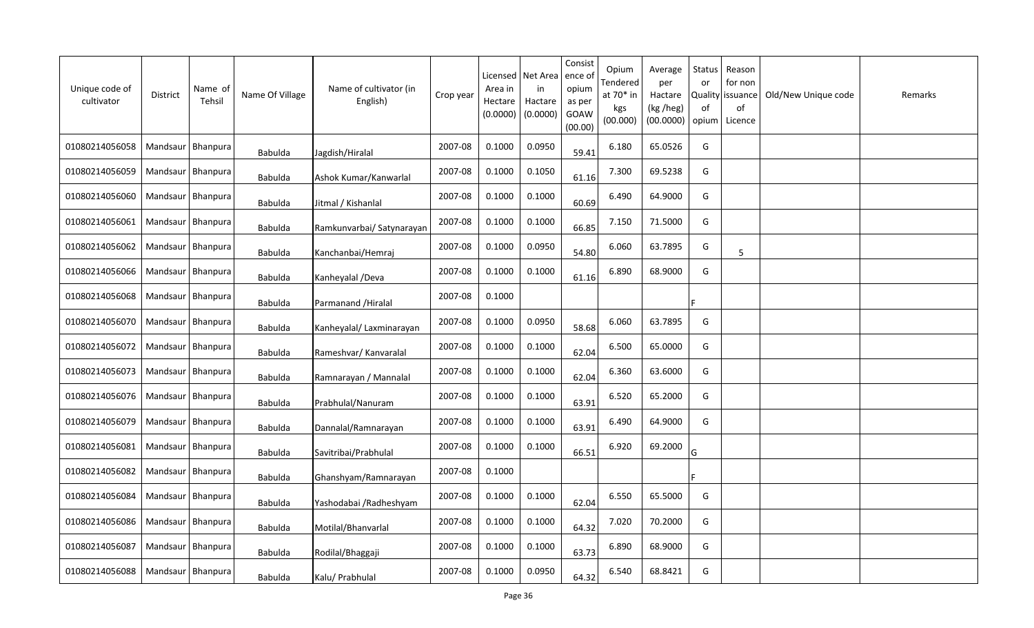| Unique code of<br>cultivator | <b>District</b>     | Name of<br>Tehsil | Name Of Village | Name of cultivator (in<br>English) | Crop year | Licensed<br>Area in<br>Hectare<br>(0.0000) | Net Area<br>in<br>Hactare<br>(0.0000) | Consist<br>ence of<br>opium<br>as per<br>GOAW<br>(00.00) | Opium<br>Tendered<br>at 70* in<br>kgs<br>(00.000) | Average<br>per<br>Hactare<br>(kg /heg)<br>(00.0000) | Status<br>or<br><b>Quality</b><br>0f<br>opium | Reason<br>for non<br>issuance<br>of<br>Licence | Old/New Unique code | Remarks |
|------------------------------|---------------------|-------------------|-----------------|------------------------------------|-----------|--------------------------------------------|---------------------------------------|----------------------------------------------------------|---------------------------------------------------|-----------------------------------------------------|-----------------------------------------------|------------------------------------------------|---------------------|---------|
| 01080214056058               | Mandsaur   Bhanpura |                   | Babulda         | Jagdish/Hiralal                    | 2007-08   | 0.1000                                     | 0.0950                                | 59.41                                                    | 6.180                                             | 65.0526                                             | G                                             |                                                |                     |         |
| 01080214056059               | Mandsaur   Bhanpura |                   | <b>Babulda</b>  | Ashok Kumar/Kanwarlal              | 2007-08   | 0.1000                                     | 0.1050                                | 61.16                                                    | 7.300                                             | 69.5238                                             | G                                             |                                                |                     |         |
| 01080214056060               | Mandsaur   Bhanpura |                   | <b>Babulda</b>  | Jitmal / Kishanlal                 | 2007-08   | 0.1000                                     | 0.1000                                | 60.69                                                    | 6.490                                             | 64.9000                                             | G                                             |                                                |                     |         |
| 01080214056061               | Mandsaur   Bhanpura |                   | <b>Babulda</b>  | Ramkunvarbai/ Satynarayan          | 2007-08   | 0.1000                                     | 0.1000                                | 66.85                                                    | 7.150                                             | 71.5000                                             | G                                             |                                                |                     |         |
| 01080214056062               | Mandsaur   Bhanpura |                   | <b>Babulda</b>  | Kanchanbai/Hemraj                  | 2007-08   | 0.1000                                     | 0.0950                                | 54.80                                                    | 6.060                                             | 63.7895                                             | G                                             | 5                                              |                     |         |
| 01080214056066               | Mandsaur   Bhanpura |                   | <b>Babulda</b>  | Kanheyalal /Deva                   | 2007-08   | 0.1000                                     | 0.1000                                | 61.16                                                    | 6.890                                             | 68.9000                                             | G                                             |                                                |                     |         |
| 01080214056068               | Mandsaur            | Bhanpura          | <b>Babulda</b>  | Parmanand / Hiralal                | 2007-08   | 0.1000                                     |                                       |                                                          |                                                   |                                                     |                                               |                                                |                     |         |
| 01080214056070               | Mandsaur   Bhanpura |                   | <b>Babulda</b>  | Kanheyalal/ Laxminarayan           | 2007-08   | 0.1000                                     | 0.0950                                | 58.68                                                    | 6.060                                             | 63.7895                                             | G                                             |                                                |                     |         |
| 01080214056072               | Mandsaur            | Bhanpura          | <b>Babulda</b>  | Rameshvar/ Kanvaralal              | 2007-08   | 0.1000                                     | 0.1000                                | 62.04                                                    | 6.500                                             | 65.0000                                             | G                                             |                                                |                     |         |
| 01080214056073               | Mandsaur   Bhanpura |                   | <b>Babulda</b>  | Ramnarayan / Mannalal              | 2007-08   | 0.1000                                     | 0.1000                                | 62.04                                                    | 6.360                                             | 63.6000                                             | G                                             |                                                |                     |         |
| 01080214056076               | Mandsaur            | Bhanpura          | <b>Babulda</b>  | Prabhulal/Nanuram                  | 2007-08   | 0.1000                                     | 0.1000                                | 63.91                                                    | 6.520                                             | 65.2000                                             | G                                             |                                                |                     |         |
| 01080214056079               | Mandsaur            | <b>Bhanpura</b>   | <b>Babulda</b>  | Dannalal/Ramnarayan                | 2007-08   | 0.1000                                     | 0.1000                                | 63.91                                                    | 6.490                                             | 64.9000                                             | G                                             |                                                |                     |         |
| 01080214056081               | Mandsaur   Bhanpura |                   | <b>Babulda</b>  | Savitribai/Prabhulal               | 2007-08   | 0.1000                                     | 0.1000                                | 66.51                                                    | 6.920                                             | 69.2000                                             | G                                             |                                                |                     |         |
| 01080214056082               | Mandsaur   Bhanpura |                   | <b>Babulda</b>  | Ghanshyam/Ramnarayan               | 2007-08   | 0.1000                                     |                                       |                                                          |                                                   |                                                     |                                               |                                                |                     |         |
| 01080214056084               | Mandsaur   Bhanpura |                   | <b>Babulda</b>  | Yashodabai / Radheshyam            | 2007-08   | 0.1000                                     | 0.1000                                | 62.04                                                    | 6.550                                             | 65.5000                                             | G                                             |                                                |                     |         |
| 01080214056086               | Mandsaur   Bhanpura |                   | <b>Babulda</b>  | Motilal/Bhanvarlal                 | 2007-08   | 0.1000                                     | 0.1000                                | 64.32                                                    | 7.020                                             | 70.2000                                             | G                                             |                                                |                     |         |
| 01080214056087               | Mandsaur   Bhanpura |                   | <b>Babulda</b>  | Rodilal/Bhaggaji                   | 2007-08   | 0.1000                                     | 0.1000                                | 63.73                                                    | 6.890                                             | 68.9000                                             | G                                             |                                                |                     |         |
| 01080214056088               | Mandsaur   Bhanpura |                   | <b>Babulda</b>  | Kalu/ Prabhulal                    | 2007-08   | 0.1000                                     | 0.0950                                | 64.32                                                    | 6.540                                             | 68.8421                                             | G                                             |                                                |                     |         |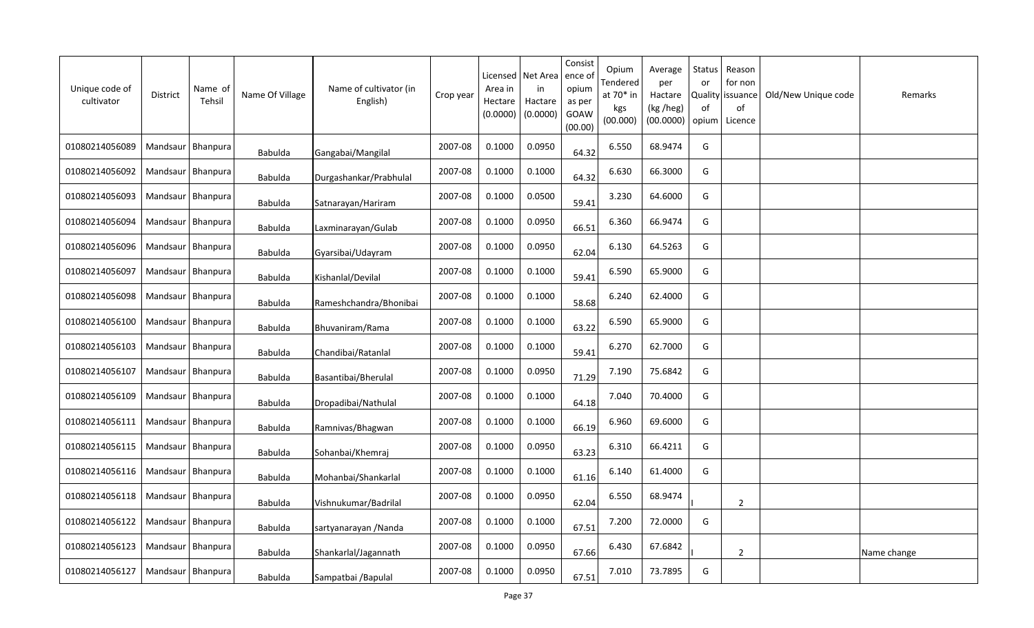| Unique code of<br>cultivator | <b>District</b>     | Name of<br>Tehsil | Name Of Village | Name of cultivator (in<br>English) | Crop year | Licensed<br>Area in<br>Hectare<br>(0.0000) | Net Area<br>in<br>Hactare<br>(0.0000) | Consist<br>ence of<br>opium<br>as per<br>GOAW<br>(00.00) | Opium<br>Tendered<br>at $70*$ in<br>kgs<br>(00.000) | Average<br>per<br>Hactare<br>(kg /heg)<br>(00.0000) | <b>Status</b><br>or<br>of<br>opium | Reason<br>for non<br>Quality issuance<br>of<br>Licence | Old/New Unique code | Remarks     |
|------------------------------|---------------------|-------------------|-----------------|------------------------------------|-----------|--------------------------------------------|---------------------------------------|----------------------------------------------------------|-----------------------------------------------------|-----------------------------------------------------|------------------------------------|--------------------------------------------------------|---------------------|-------------|
| 01080214056089               | Mandsaur   Bhanpura |                   | Babulda         | Gangabai/Mangilal                  | 2007-08   | 0.1000                                     | 0.0950                                | 64.32                                                    | 6.550                                               | 68.9474                                             | G                                  |                                                        |                     |             |
| 01080214056092               | Mandsaur   Bhanpura |                   | Babulda         | Durgashankar/Prabhulal             | 2007-08   | 0.1000                                     | 0.1000                                | 64.32                                                    | 6.630                                               | 66.3000                                             | G                                  |                                                        |                     |             |
| 01080214056093               | Mandsaur   Bhanpura |                   | <b>Babulda</b>  | Satnarayan/Hariram                 | 2007-08   | 0.1000                                     | 0.0500                                | 59.41                                                    | 3.230                                               | 64.6000                                             | G                                  |                                                        |                     |             |
| 01080214056094               | Mandsaur   Bhanpura |                   | Babulda         | Laxminarayan/Gulab                 | 2007-08   | 0.1000                                     | 0.0950                                | 66.51                                                    | 6.360                                               | 66.9474                                             | G                                  |                                                        |                     |             |
| 01080214056096               | Mandsaur   Bhanpura |                   | Babulda         | Gyarsibai/Udayram                  | 2007-08   | 0.1000                                     | 0.0950                                | 62.04                                                    | 6.130                                               | 64.5263                                             | G                                  |                                                        |                     |             |
| 01080214056097               | Mandsaur Bhanpura   |                   | Babulda         | Kishanlal/Devilal                  | 2007-08   | 0.1000                                     | 0.1000                                | 59.41                                                    | 6.590                                               | 65.9000                                             | G                                  |                                                        |                     |             |
| 01080214056098               |                     | Mandsaur Bhanpura | Babulda         | Rameshchandra/Bhonibai             | 2007-08   | 0.1000                                     | 0.1000                                | 58.68                                                    | 6.240                                               | 62.4000                                             | G                                  |                                                        |                     |             |
| 01080214056100               | Mandsaur Bhanpura   |                   | Babulda         | Bhuvaniram/Rama                    | 2007-08   | 0.1000                                     | 0.1000                                | 63.22                                                    | 6.590                                               | 65.9000                                             | G                                  |                                                        |                     |             |
| 01080214056103               | Mandsaur   Bhanpura |                   | <b>Babulda</b>  | Chandibai/Ratanlal                 | 2007-08   | 0.1000                                     | 0.1000                                | 59.41                                                    | 6.270                                               | 62.7000                                             | G                                  |                                                        |                     |             |
| 01080214056107               | Mandsaur Bhanpura   |                   | <b>Babulda</b>  | Basantibai/Bherulal                | 2007-08   | 0.1000                                     | 0.0950                                | 71.29                                                    | 7.190                                               | 75.6842                                             | G                                  |                                                        |                     |             |
| 01080214056109               | Mandsaur            | <b>Bhanpura</b>   | <b>Babulda</b>  | Dropadibai/Nathulal                | 2007-08   | 0.1000                                     | 0.1000                                | 64.18                                                    | 7.040                                               | 70.4000                                             | G                                  |                                                        |                     |             |
| 01080214056111               | Mandsaur Bhanpura   |                   | <b>Babulda</b>  | Ramnivas/Bhagwan                   | 2007-08   | 0.1000                                     | 0.1000                                | 66.19                                                    | 6.960                                               | 69.6000                                             | G                                  |                                                        |                     |             |
| 01080214056115               | Mandsaur   Bhanpura |                   | <b>Babulda</b>  | Sohanbai/Khemraj                   | 2007-08   | 0.1000                                     | 0.0950                                | 63.23                                                    | 6.310                                               | 66.4211                                             | G                                  |                                                        |                     |             |
| 01080214056116               | Mandsaur Bhanpura   |                   | Babulda         | Mohanbai/Shankarlal                | 2007-08   | 0.1000                                     | 0.1000                                | 61.16                                                    | 6.140                                               | 61.4000                                             | G                                  |                                                        |                     |             |
| 01080214056118               |                     | Mandsaur Bhanpura | Babulda         | Vishnukumar/Badrilal               | 2007-08   | 0.1000                                     | 0.0950                                | 62.04                                                    | 6.550                                               | 68.9474                                             |                                    | $\overline{2}$                                         |                     |             |
| 01080214056122               | Mandsaur   Bhanpura |                   | Babulda         | sartyanarayan / Nanda              | 2007-08   | 0.1000                                     | 0.1000                                | 67.51                                                    | 7.200                                               | 72.0000                                             | G                                  |                                                        |                     |             |
| 01080214056123               | Mandsaur   Bhanpura |                   | <b>Babulda</b>  | Shankarlal/Jagannath               | 2007-08   | 0.1000                                     | 0.0950                                | 67.66                                                    | 6.430                                               | 67.6842                                             |                                    | 2                                                      |                     | Name change |
| 01080214056127               | Mandsaur   Bhanpura |                   | <b>Babulda</b>  | Sampatbai / Bapulal                | 2007-08   | 0.1000                                     | 0.0950                                | 67.51                                                    | 7.010                                               | 73.7895                                             | G                                  |                                                        |                     |             |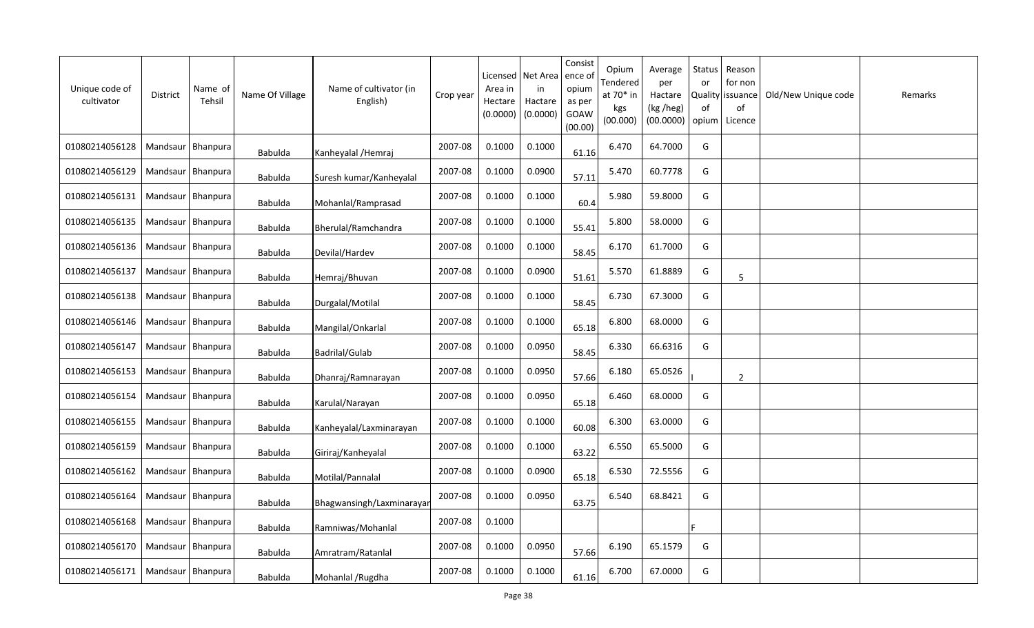| Unique code of<br>cultivator | <b>District</b>     | Name of<br>Tehsil | Name Of Village | Name of cultivator (in<br>English) | Crop year | Licensed<br>Area in<br>Hectare<br>(0.0000) | Net Area<br>in<br>Hactare<br>(0.0000) | Consist<br>ence of<br>opium<br>as per<br>GOAW<br>(00.00) | Opium<br>Tendered<br>at 70* in<br>kgs<br>(00.000) | Average<br>per<br>Hactare<br>(kg /heg)<br>(00.0000) | Status<br>or<br><b>Quality</b><br>of<br>opium | Reason<br>for non<br>issuance<br>of<br>Licence | Old/New Unique code | Remarks |
|------------------------------|---------------------|-------------------|-----------------|------------------------------------|-----------|--------------------------------------------|---------------------------------------|----------------------------------------------------------|---------------------------------------------------|-----------------------------------------------------|-----------------------------------------------|------------------------------------------------|---------------------|---------|
| 01080214056128               | Mandsaur   Bhanpura |                   | <b>Babulda</b>  | Kanheyalal / Hemraj                | 2007-08   | 0.1000                                     | 0.1000                                | 61.16                                                    | 6.470                                             | 64.7000                                             | G                                             |                                                |                     |         |
| 01080214056129               | Mandsaur   Bhanpura |                   | Babulda         | Suresh kumar/Kanheyalal            | 2007-08   | 0.1000                                     | 0.0900                                | 57.11                                                    | 5.470                                             | 60.7778                                             | G                                             |                                                |                     |         |
| 01080214056131               | Mandsaur   Bhanpura |                   | Babulda         | Mohanlal/Ramprasad                 | 2007-08   | 0.1000                                     | 0.1000                                | 60.4                                                     | 5.980                                             | 59.8000                                             | G                                             |                                                |                     |         |
| 01080214056135               | Mandsaur   Bhanpura |                   | Babulda         | Bherulal/Ramchandra                | 2007-08   | 0.1000                                     | 0.1000                                | 55.41                                                    | 5.800                                             | 58.0000                                             | G                                             |                                                |                     |         |
| 01080214056136               | Mandsaur   Bhanpura |                   | Babulda         | Devilal/Hardev                     | 2007-08   | 0.1000                                     | 0.1000                                | 58.45                                                    | 6.170                                             | 61.7000                                             | G                                             |                                                |                     |         |
| 01080214056137               | Mandsaur Bhanpura   |                   | <b>Babulda</b>  | Hemraj/Bhuvan                      | 2007-08   | 0.1000                                     | 0.0900                                | 51.61                                                    | 5.570                                             | 61.8889                                             | G                                             | 5                                              |                     |         |
| 01080214056138               | Mandsaur   Bhanpura |                   | <b>Babulda</b>  | Durgalal/Motilal                   | 2007-08   | 0.1000                                     | 0.1000                                | 58.45                                                    | 6.730                                             | 67.3000                                             | G                                             |                                                |                     |         |
| 01080214056146               | Mandsaur   Bhanpura |                   | <b>Babulda</b>  | Mangilal/Onkarlal                  | 2007-08   | 0.1000                                     | 0.1000                                | 65.18                                                    | 6.800                                             | 68.0000                                             | G                                             |                                                |                     |         |
| 01080214056147               | Mandsaur   Bhanpura |                   | <b>Babulda</b>  | Badrilal/Gulab                     | 2007-08   | 0.1000                                     | 0.0950                                | 58.45                                                    | 6.330                                             | 66.6316                                             | G                                             |                                                |                     |         |
| 01080214056153               | Mandsaur Bhanpura   |                   | <b>Babulda</b>  | Dhanraj/Ramnarayan                 | 2007-08   | 0.1000                                     | 0.0950                                | 57.66                                                    | 6.180                                             | 65.0526                                             |                                               | $\overline{2}$                                 |                     |         |
| 01080214056154               | Mandsaur            | Bhanpura          | <b>Babulda</b>  | Karulal/Narayan                    | 2007-08   | 0.1000                                     | 0.0950                                | 65.18                                                    | 6.460                                             | 68.0000                                             | G                                             |                                                |                     |         |
| 01080214056155               | Mandsaur   Bhanpura |                   | Babulda         | Kanheyalal/Laxminarayan            | 2007-08   | 0.1000                                     | 0.1000                                | 60.08                                                    | 6.300                                             | 63.0000                                             | G                                             |                                                |                     |         |
| 01080214056159               | Mandsaur   Bhanpura |                   | <b>Babulda</b>  | Giriraj/Kanheyalal                 | 2007-08   | 0.1000                                     | 0.1000                                | 63.22                                                    | 6.550                                             | 65.5000                                             | G                                             |                                                |                     |         |
| 01080214056162               | Mandsaur   Bhanpura |                   | <b>Babulda</b>  | Motilal/Pannalal                   | 2007-08   | 0.1000                                     | 0.0900                                | 65.18                                                    | 6.530                                             | 72.5556                                             | G                                             |                                                |                     |         |
| 01080214056164               | Mandsaur            | Bhanpura          | <b>Babulda</b>  | Bhagwansingh/Laxminarayar          | 2007-08   | 0.1000                                     | 0.0950                                | 63.75                                                    | 6.540                                             | 68.8421                                             | G                                             |                                                |                     |         |
| 01080214056168               | Mandsaur            | Bhanpura          | Babulda         | Ramniwas/Mohanlal                  | 2007-08   | 0.1000                                     |                                       |                                                          |                                                   |                                                     |                                               |                                                |                     |         |
| 01080214056170               | Mandsaur            | Bhanpura          | <b>Babulda</b>  | Amratram/Ratanlal                  | 2007-08   | 0.1000                                     | 0.0950                                | 57.66                                                    | 6.190                                             | 65.1579                                             | G                                             |                                                |                     |         |
| 01080214056171               | Mandsaur   Bhanpura |                   | Babulda         | Mohanlal / Rugdha                  | 2007-08   | 0.1000                                     | 0.1000                                | 61.16                                                    | 6.700                                             | 67.0000                                             | G                                             |                                                |                     |         |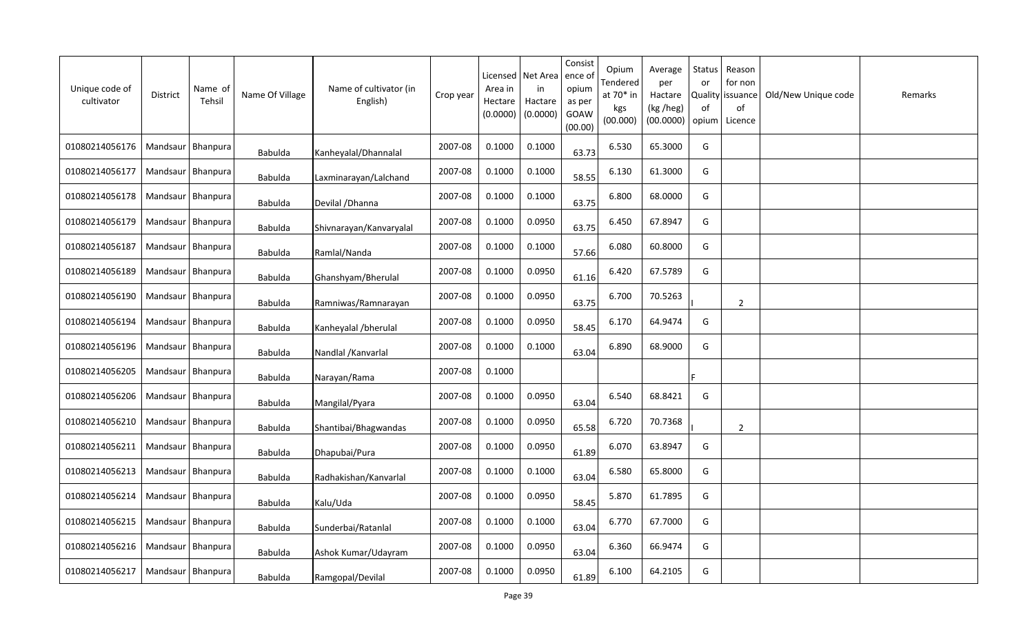| Unique code of<br>cultivator | District            | Name of<br>Tehsil | Name Of Village | Name of cultivator (in<br>English) | Crop year | Licensed<br>Area in<br>Hectare<br>(0.0000) | Net Area<br>in<br>Hactare<br>(0.0000) | Consist<br>ence of<br>opium<br>as per<br>GOAW<br>(00.00) | Opium<br>Tendered<br>at 70* in<br>kgs<br>(00.000) | Average<br>per<br>Hactare<br>(kg /heg)<br>(00.0000) | Status<br>or<br>0f<br>opium | Reason<br>for non<br>Quality   issuance<br>of<br>Licence | Old/New Unique code | Remarks |
|------------------------------|---------------------|-------------------|-----------------|------------------------------------|-----------|--------------------------------------------|---------------------------------------|----------------------------------------------------------|---------------------------------------------------|-----------------------------------------------------|-----------------------------|----------------------------------------------------------|---------------------|---------|
| 01080214056176               | Mandsaur   Bhanpura |                   | Babulda         | Kanheyalal/Dhannalal               | 2007-08   | 0.1000                                     | 0.1000                                | 63.73                                                    | 6.530                                             | 65.3000                                             | G                           |                                                          |                     |         |
| 01080214056177               | Mandsaur   Bhanpura |                   | Babulda         | Laxminarayan/Lalchand              | 2007-08   | 0.1000                                     | 0.1000                                | 58.55                                                    | 6.130                                             | 61.3000                                             | G                           |                                                          |                     |         |
| 01080214056178               | Mandsaur   Bhanpura |                   | Babulda         | Devilal / Dhanna                   | 2007-08   | 0.1000                                     | 0.1000                                | 63.75                                                    | 6.800                                             | 68.0000                                             | G                           |                                                          |                     |         |
| 01080214056179               | Mandsaur   Bhanpura |                   | <b>Babulda</b>  | Shivnarayan/Kanvaryalal            | 2007-08   | 0.1000                                     | 0.0950                                | 63.75                                                    | 6.450                                             | 67.8947                                             | G                           |                                                          |                     |         |
| 01080214056187               | Mandsaur   Bhanpura |                   | Babulda         | Ramlal/Nanda                       | 2007-08   | 0.1000                                     | 0.1000                                | 57.66                                                    | 6.080                                             | 60.8000                                             | G                           |                                                          |                     |         |
| 01080214056189               | Mandsaur Bhanpura   |                   | Babulda         | Ghanshyam/Bherulal                 | 2007-08   | 0.1000                                     | 0.0950                                | 61.16                                                    | 6.420                                             | 67.5789                                             | G                           |                                                          |                     |         |
| 01080214056190               | Mandsaur   Bhanpura |                   | <b>Babulda</b>  | Ramniwas/Ramnarayan                | 2007-08   | 0.1000                                     | 0.0950                                | 63.75                                                    | 6.700                                             | 70.5263                                             |                             | $\overline{2}$                                           |                     |         |
| 01080214056194               | Mandsaur Bhanpura   |                   | <b>Babulda</b>  | Kanheyalal /bherulal               | 2007-08   | 0.1000                                     | 0.0950                                | 58.45                                                    | 6.170                                             | 64.9474                                             | G                           |                                                          |                     |         |
| 01080214056196               | Mandsaur   Bhanpura |                   | <b>Babulda</b>  | Nandlal / Kanvarlal                | 2007-08   | 0.1000                                     | 0.1000                                | 63.04                                                    | 6.890                                             | 68.9000                                             | G                           |                                                          |                     |         |
| 01080214056205               | Mandsaur Bhanpura   |                   | Babulda         | Narayan/Rama                       | 2007-08   | 0.1000                                     |                                       |                                                          |                                                   |                                                     |                             |                                                          |                     |         |
| 01080214056206               | Mandsaur   Bhanpura |                   | Babulda         | Mangilal/Pyara                     | 2007-08   | 0.1000                                     | 0.0950                                | 63.04                                                    | 6.540                                             | 68.8421                                             | G                           |                                                          |                     |         |
| 01080214056210               | Mandsaur   Bhanpura |                   | Babulda         | Shantibai/Bhagwandas               | 2007-08   | 0.1000                                     | 0.0950                                | 65.58                                                    | 6.720                                             | 70.7368                                             |                             | $\overline{2}$                                           |                     |         |
| 01080214056211               | Mandsaur   Bhanpura |                   | <b>Babulda</b>  | Dhapubai/Pura                      | 2007-08   | 0.1000                                     | 0.0950                                | 61.89                                                    | 6.070                                             | 63.8947                                             | G                           |                                                          |                     |         |
| 01080214056213               | Mandsaur   Bhanpura |                   | Babulda         | Radhakishan/Kanvarlal              | 2007-08   | 0.1000                                     | 0.1000                                | 63.04                                                    | 6.580                                             | 65.8000                                             | G                           |                                                          |                     |         |
| 01080214056214               | Mandsaur Bhanpura   |                   | <b>Babulda</b>  | Kalu/Uda                           | 2007-08   | 0.1000                                     | 0.0950                                | 58.45                                                    | 5.870                                             | 61.7895                                             | G                           |                                                          |                     |         |
| 01080214056215               | Mandsaur   Bhanpura |                   | <b>Babulda</b>  | Sunderbai/Ratanlal                 | 2007-08   | 0.1000                                     | 0.1000                                | 63.04                                                    | 6.770                                             | 67.7000                                             | G                           |                                                          |                     |         |
| 01080214056216               | Mandsaur   Bhanpura |                   | <b>Babulda</b>  | Ashok Kumar/Udayram                | 2007-08   | 0.1000                                     | 0.0950                                | 63.04                                                    | 6.360                                             | 66.9474                                             | G                           |                                                          |                     |         |
| 01080214056217               | Mandsaur   Bhanpura |                   | <b>Babulda</b>  | Ramgopal/Devilal                   | 2007-08   | 0.1000                                     | 0.0950                                | 61.89                                                    | 6.100                                             | 64.2105                                             | G                           |                                                          |                     |         |